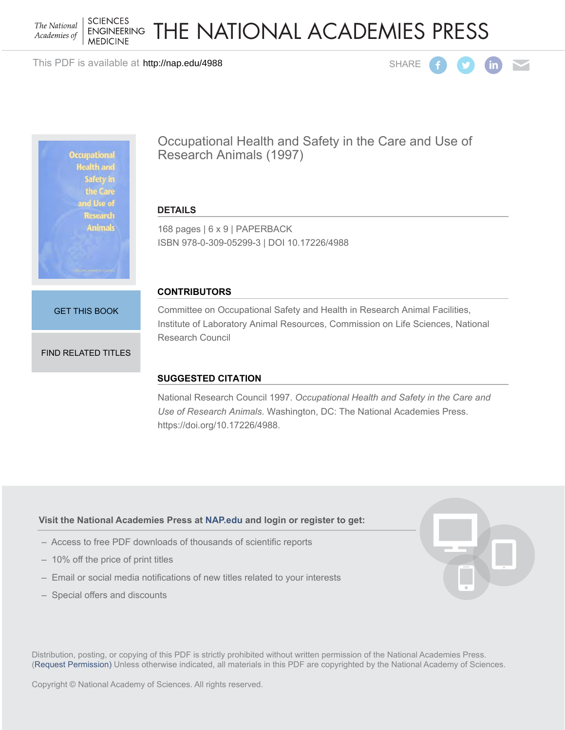**SCIENCES** The National **ENGINEERING** Academies of **MEDICINE** 

THE NATIONAL ACADEMIES PRESS

This PDF is available at <http://nap.edu/4988> **http://nap.edu/4988** SHARE



**Occupational Health and** Safety in the Care and Use of **Research Animals** 

Occupational Health and Safety in the Care and Use of Research Animals (1997)

### **DETAILS**

168 pages | 6 x 9 | PAPERBACK ISBN 978-0-309-05299-3 | DOI 10.17226/4988

### **CONTRIBUTORS**

GET THIS BOOK

FIND RELATED TITLES

Committee on Occupational Safety and Health in Research Animal Facilities, Institute of Laboratory Animal Resources, Commission on Life Sciences, National Research Council

### **SUGGESTED CITATION**

National Research Council 1997. *Occupational Health and Safety in the Care and Use of Research Animals*. Washington, DC: The National Academies Press. <https://doi.org/10.17226/4988>.

### **Visit the National Academies Press at NAP.edu and login or register to get:**

- Access to free PDF downloads of thousands of scientific reports
- 10% off the price of print titles
- Email or social media notifications of new titles related to your interests
- Special offers and discounts

D, FC

Distribution, posting, or copying of this PDF is strictly prohibited without written permission of the National Academies Press. (Request Permission) Unless otherwise indicated, all materials in this PDF are copyrighted by the National Academy of Sciences.

Copyright © National Academy of Sciences. All rights reserved.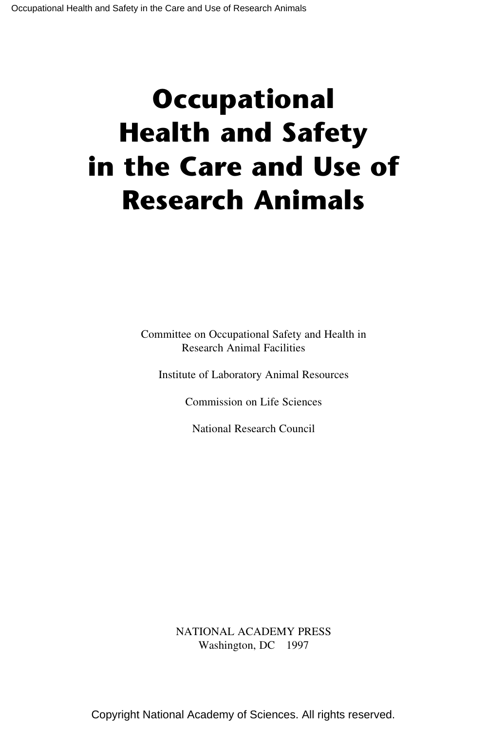# **Occupational Health and Safety in the Care and Use of Research Animals**

Committee on Occupational Safety and Health in Research Animal Facilities

Institute of Laboratory Animal Resources

Commission on Life Sciences

National Research Council

NATIONAL ACADEMY PRESS Washington, DC 1997

Copyright National Academy of Sciences. All rights reserved.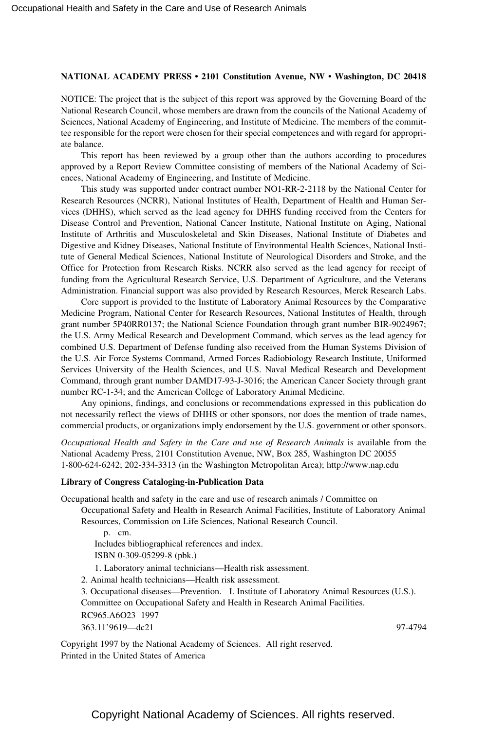### **NATIONAL ACADEMY PRESS • 2101 Constitution Avenue, NW • Washington, DC 20418**

NOTICE: The project that is the subject of this report was approved by the Governing Board of the National Research Council, whose members are drawn from the councils of the National Academy of Sciences, National Academy of Engineering, and Institute of Medicine. The members of the committee responsible for the report were chosen for their special competences and with regard for appropriate balance.

This report has been reviewed by a group other than the authors according to procedures approved by a Report Review Committee consisting of members of the National Academy of Sciences, National Academy of Engineering, and Institute of Medicine.

This study was supported under contract number NO1-RR-2-2118 by the National Center for Research Resources (NCRR), National Institutes of Health, Department of Health and Human Services (DHHS), which served as the lead agency for DHHS funding received from the Centers for Disease Control and Prevention, National Cancer Institute, National Institute on Aging, National Institute of Arthritis and Musculoskeletal and Skin Diseases, National Institute of Diabetes and Digestive and Kidney Diseases, National Institute of Environmental Health Sciences, National Institute of General Medical Sciences, National Institute of Neurological Disorders and Stroke, and the Office for Protection from Research Risks. NCRR also served as the lead agency for receipt of funding from the Agricultural Research Service, U.S. Department of Agriculture, and the Veterans Administration. Financial support was also provided by Research Resources, Merck Research Labs.

Core support is provided to the Institute of Laboratory Animal Resources by the Comparative Medicine Program, National Center for Research Resources, National Institutes of Health, through grant number 5P40RR0137; the National Science Foundation through grant number BIR-9024967; the U.S. Army Medical Research and Development Command, which serves as the lead agency for combined U.S. Department of Defense funding also received from the Human Systems Division of the U.S. Air Force Systems Command, Armed Forces Radiobiology Research Institute, Uniformed Services University of the Health Sciences, and U.S. Naval Medical Research and Development Command, through grant number DAMD17-93-J-3016; the American Cancer Society through grant number RC-1-34; and the American College of Laboratory Animal Medicine.

Any opinions, findings, and conclusions or recommendations expressed in this publication do not necessarily reflect the views of DHHS or other sponsors, nor does the mention of trade names, commercial products, or organizations imply endorsement by the U.S. government or other sponsors.

*Occupational Health and Safety in the Care and use of Research Animals* is available from the National Academy Press, 2101 Constitution Avenue, NW, Box 285, Washington DC 20055 1-800-624-6242; 202-334-3313 (in the Washington Metropolitan Area); <http://www.nap.edu>

### **Library of Congress Cataloging-in-Publication Data**

Occupational health and safety in the care and use of research animals / Committee on

Occupational Safety and Health in Research Animal Facilities, Institute of Laboratory Animal Resources, Commission on Life Sciences, National Research Council.

p. cm. Includes bibliographical references and index.

ISBN 0-309-05299-8 (pbk.)

1. Laboratory animal technicians—Health risk assessment.

2. Animal health technicians—Health risk assessment.

3. Occupational diseases—Prevention. I. Institute of Laboratory Animal Resources (U.S.). Committee on Occupational Safety and Health in Research Animal Facilities.

RC965.A6O23 1997 363.11'9619—dc21 97-4794

Copyright 1997 by the National Academy of Sciences. All right reserved. Printed in the United States of America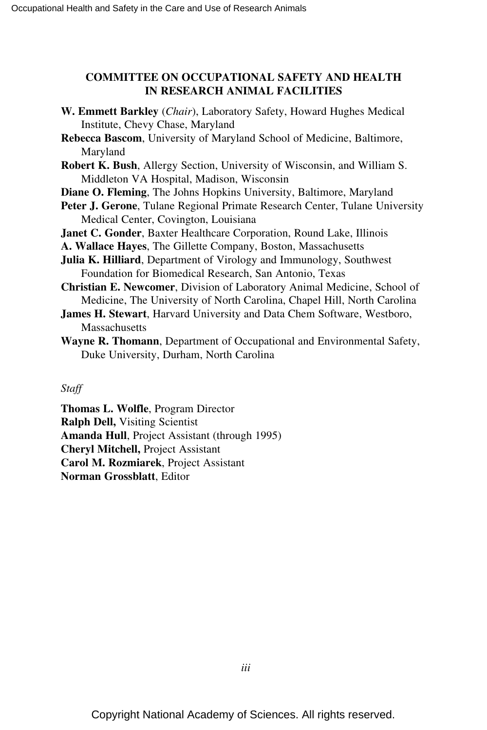### **COMMITTEE ON OCCUPATIONAL SAFETY AND HEALTH IN RESEARCH ANIMAL FACILITIES**

- **W. Emmett Barkley** (*Chair*), Laboratory Safety, Howard Hughes Medical Institute, Chevy Chase, Maryland
- **Rebecca Bascom**, University of Maryland School of Medicine, Baltimore, Maryland
- **Robert K. Bush**, Allergy Section, University of Wisconsin, and William S. Middleton VA Hospital, Madison, Wisconsin
- **Diane O. Fleming**, The Johns Hopkins University, Baltimore, Maryland
- **Peter J. Gerone**, Tulane Regional Primate Research Center, Tulane University Medical Center, Covington, Louisiana
- **Janet C. Gonder**, Baxter Healthcare Corporation, Round Lake, Illinois
- **A. Wallace Hayes**, The Gillette Company, Boston, Massachusetts
- **Julia K. Hilliard**, Department of Virology and Immunology, Southwest Foundation for Biomedical Research, San Antonio, Texas
- **Christian E. Newcomer**, Division of Laboratory Animal Medicine, School of Medicine, The University of North Carolina, Chapel Hill, North Carolina
- **James H. Stewart**, Harvard University and Data Chem Software, Westboro, Massachusetts
- **Wayne R. Thomann**, Department of Occupational and Environmental Safety, Duke University, Durham, North Carolina

### *Staff*

**Thomas L. Wolfle**, Program Director **Ralph Dell,** Visiting Scientist **Amanda Hull**, Project Assistant (through 1995) **Cheryl Mitchell,** Project Assistant **Carol M. Rozmiarek**, Project Assistant **Norman Grossblatt**, Editor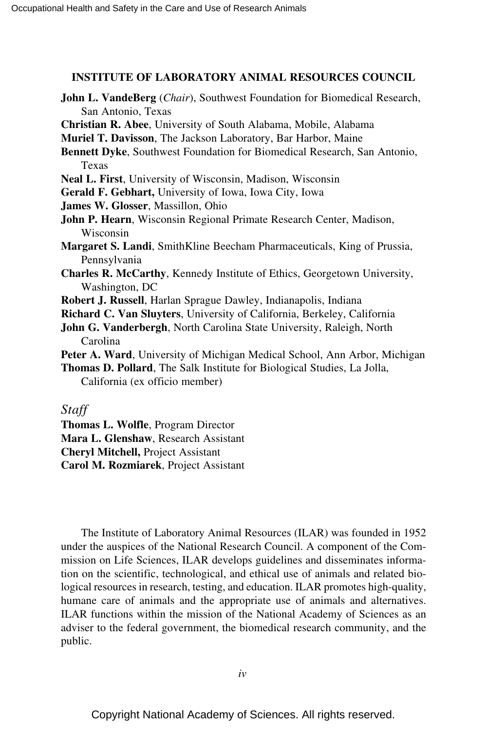### **INSTITUTE OF LABORATORY ANIMAL RESOURCES COUNCIL**

- **John L. VandeBerg** (*Chair*), Southwest Foundation for Biomedical Research, San Antonio, Texas
- **Christian R. Abee**, University of South Alabama, Mobile, Alabama
- **Muriel T. Davisson**, The Jackson Laboratory, Bar Harbor, Maine
- **Bennett Dyke**, Southwest Foundation for Biomedical Research, San Antonio, Texas
- **Neal L. First**, University of Wisconsin, Madison, Wisconsin
- **Gerald F. Gebhart,** University of Iowa, Iowa City, Iowa
- **James W. Glosser**, Massillon, Ohio
- **John P. Hearn**, Wisconsin Regional Primate Research Center, Madison, Wisconsin
- **Margaret S. Landi**, SmithKline Beecham Pharmaceuticals, King of Prussia, Pennsylvania
- **Charles R. McCarthy**, Kennedy Institute of Ethics, Georgetown University, Washington, DC
- **Robert J. Russell**, Harlan Sprague Dawley, Indianapolis, Indiana
- **Richard C. Van Sluyters**, University of California, Berkeley, California
- **John G. Vanderbergh**, North Carolina State University, Raleigh, North Carolina
- **Peter A. Ward**, University of Michigan Medical School, Ann Arbor, Michigan

**Thomas D. Pollard**, The Salk Institute for Biological Studies, La Jolla, California (ex officio member)

### *Staff*

- **Thomas L. Wolfle**, Program Director
- **Mara L. Glenshaw**, Research Assistant

**Cheryl Mitchell,** Project Assistant

**Carol M. Rozmiarek**, Project Assistant

The Institute of Laboratory Animal Resources (ILAR) was founded in 1952 under the auspices of the National Research Council. A component of the Commission on Life Sciences, ILAR develops guidelines and disseminates information on the scientific, technological, and ethical use of animals and related biological resources in research, testing, and education. ILAR promotes high-quality, humane care of animals and the appropriate use of animals and alternatives. ILAR functions within the mission of the National Academy of Sciences as an adviser to the federal government, the biomedical research community, and the public.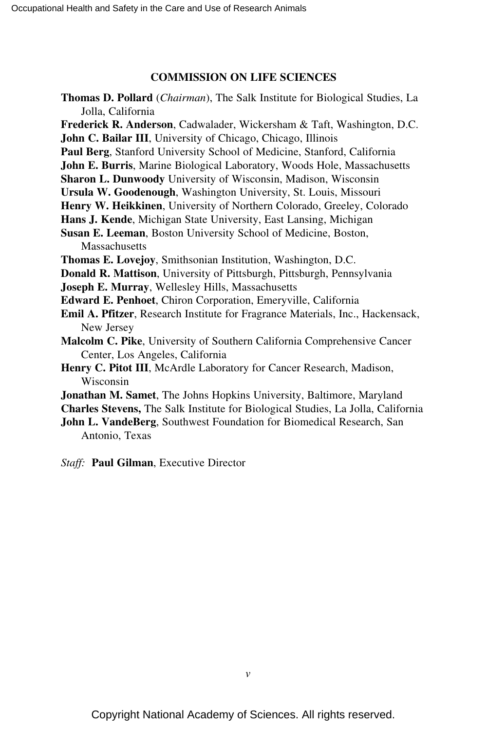### **COMMISSION ON LIFE SCIENCES**

| Thomas D. Pollard (Chairman), The Salk Institute for Biological Studies, La |  |  |  |
|-----------------------------------------------------------------------------|--|--|--|
| Jolla, California                                                           |  |  |  |

**Frederick R. Anderson**, Cadwalader, Wickersham & Taft, Washington, D.C.

**John C. Bailar III**, University of Chicago, Chicago, Illinois

**Paul Berg**, Stanford University School of Medicine, Stanford, California

**John E. Burris**, Marine Biological Laboratory, Woods Hole, Massachusetts

**Sharon L. Dunwoody** University of Wisconsin, Madison, Wisconsin

**Ursula W. Goodenough**, Washington University, St. Louis, Missouri

**Henry W. Heikkinen**, University of Northern Colorado, Greeley, Colorado

**Hans J. Kende**, Michigan State University, East Lansing, Michigan

**Susan E. Leeman**, Boston University School of Medicine, Boston, **Massachusetts** 

**Thomas E. Lovejoy**, Smithsonian Institution, Washington, D.C.

**Donald R. Mattison**, University of Pittsburgh, Pittsburgh, Pennsylvania

**Joseph E. Murray**, Wellesley Hills, Massachusetts

**Edward E. Penhoet**, Chiron Corporation, Emeryville, California

**Emil A. Pfitzer**, Research Institute for Fragrance Materials, Inc., Hackensack, New Jersey

**Malcolm C. Pike**, University of Southern California Comprehensive Cancer Center, Los Angeles, California

**Henry C. Pitot III**, McArdle Laboratory for Cancer Research, Madison, Wisconsin

**Jonathan M. Samet**, The Johns Hopkins University, Baltimore, Maryland

**Charles Stevens,** The Salk Institute for Biological Studies, La Jolla, California

**John L. VandeBerg**, Southwest Foundation for Biomedical Research, San Antonio, Texas

*Staff:* **Paul Gilman**, Executive Director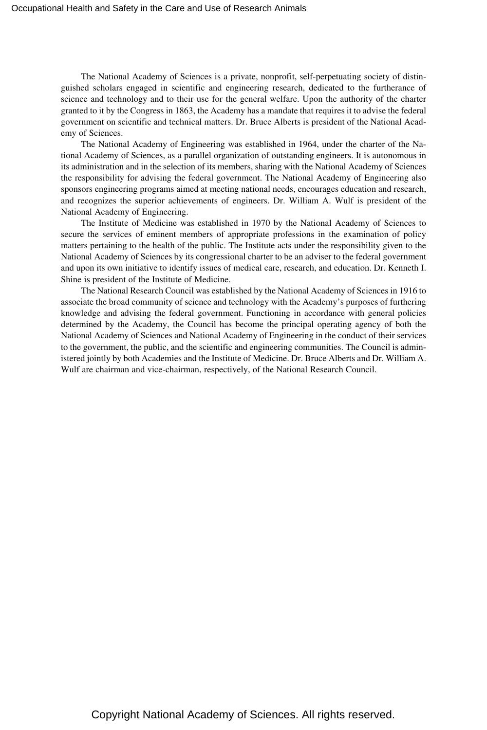The National Academy of Sciences is a private, nonprofit, self-perpetuating society of distinguished scholars engaged in scientific and engineering research, dedicated to the furtherance of science and technology and to their use for the general welfare. Upon the authority of the charter granted to it by the Congress in 1863, the Academy has a mandate that requires it to advise the federal government on scientific and technical matters. Dr. Bruce Alberts is president of the National Academy of Sciences.

The National Academy of Engineering was established in 1964, under the charter of the National Academy of Sciences, as a parallel organization of outstanding engineers. It is autonomous in its administration and in the selection of its members, sharing with the National Academy of Sciences the responsibility for advising the federal government. The National Academy of Engineering also sponsors engineering programs aimed at meeting national needs, encourages education and research, and recognizes the superior achievements of engineers. Dr. William A. Wulf is president of the National Academy of Engineering.

The Institute of Medicine was established in 1970 by the National Academy of Sciences to secure the services of eminent members of appropriate professions in the examination of policy matters pertaining to the health of the public. The Institute acts under the responsibility given to the National Academy of Sciences by its congressional charter to be an adviser to the federal government and upon its own initiative to identify issues of medical care, research, and education. Dr. Kenneth I. Shine is president of the Institute of Medicine.

The National Research Council was established by the National Academy of Sciences in 1916 to associate the broad community of science and technology with the Academy's purposes of furthering knowledge and advising the federal government. Functioning in accordance with general policies determined by the Academy, the Council has become the principal operating agency of both the National Academy of Sciences and National Academy of Engineering in the conduct of their services to the government, the public, and the scientific and engineering communities. The Council is administered jointly by both Academies and the Institute of Medicine. Dr. Bruce Alberts and Dr. William A. Wulf are chairman and vice-chairman, respectively, of the National Research Council.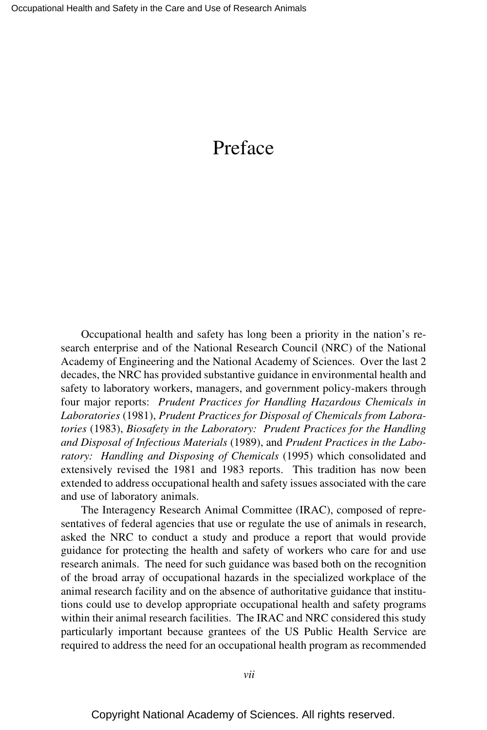# Preface

Occupational health and safety has long been a priority in the nation's research enterprise and of the National Research Council (NRC) of the National Academy of Engineering and the National Academy of Sciences. Over the last 2 decades, the NRC has provided substantive guidance in environmental health and safety to laboratory workers, managers, and government policy-makers through four major reports: *Prudent Practices for Handling Hazardous Chemicals in Laboratories* (1981), *Prudent Practices for Disposal of Chemicals from Laboratories* (1983), *Biosafety in the Laboratory: Prudent Practices for the Handling and Disposal of Infectious Materials* (1989), and *Prudent Practices in the Laboratory: Handling and Disposing of Chemicals* (1995) which consolidated and extensively revised the 1981 and 1983 reports. This tradition has now been extended to address occupational health and safety issues associated with the care and use of laboratory animals.

The Interagency Research Animal Committee (IRAC), composed of representatives of federal agencies that use or regulate the use of animals in research, asked the NRC to conduct a study and produce a report that would provide guidance for protecting the health and safety of workers who care for and use research animals. The need for such guidance was based both on the recognition of the broad array of occupational hazards in the specialized workplace of the animal research facility and on the absence of authoritative guidance that institutions could use to develop appropriate occupational health and safety programs within their animal research facilities. The IRAC and NRC considered this study particularly important because grantees of the US Public Health Service are required to address the need for an occupational health program as recommended

*vii*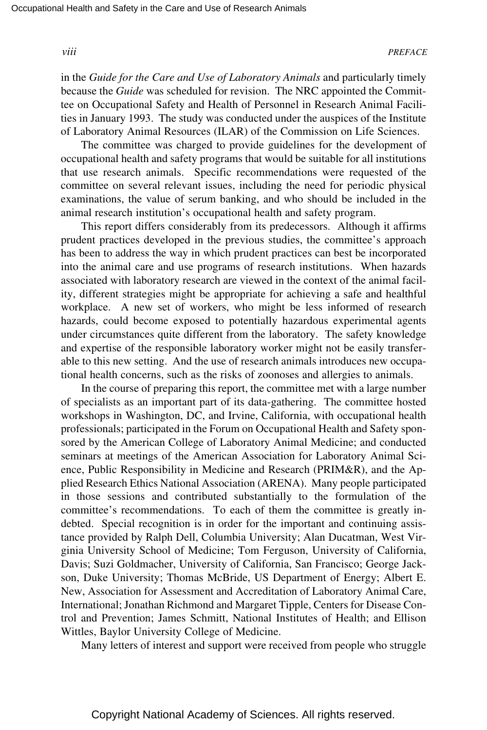in the *Guide for the Care and Use of Laboratory Animals* and particularly timely because the *Guide* was scheduled for revision. The NRC appointed the Committee on Occupational Safety and Health of Personnel in Research Animal Facilities in January 1993. The study was conducted under the auspices of the Institute of Laboratory Animal Resources (ILAR) of the Commission on Life Sciences.

The committee was charged to provide guidelines for the development of occupational health and safety programs that would be suitable for all institutions that use research animals. Specific recommendations were requested of the committee on several relevant issues, including the need for periodic physical examinations, the value of serum banking, and who should be included in the animal research institution's occupational health and safety program.

This report differs considerably from its predecessors. Although it affirms prudent practices developed in the previous studies, the committee's approach has been to address the way in which prudent practices can best be incorporated into the animal care and use programs of research institutions. When hazards associated with laboratory research are viewed in the context of the animal facility, different strategies might be appropriate for achieving a safe and healthful workplace. A new set of workers, who might be less informed of research hazards, could become exposed to potentially hazardous experimental agents under circumstances quite different from the laboratory. The safety knowledge and expertise of the responsible laboratory worker might not be easily transferable to this new setting. And the use of research animals introduces new occupational health concerns, such as the risks of zoonoses and allergies to animals.

In the course of preparing this report, the committee met with a large number of specialists as an important part of its data-gathering. The committee hosted workshops in Washington, DC, and Irvine, California, with occupational health professionals; participated in the Forum on Occupational Health and Safety sponsored by the American College of Laboratory Animal Medicine; and conducted seminars at meetings of the American Association for Laboratory Animal Science, Public Responsibility in Medicine and Research (PRIM&R), and the Applied Research Ethics National Association (ARENA). Many people participated in those sessions and contributed substantially to the formulation of the committee's recommendations. To each of them the committee is greatly indebted. Special recognition is in order for the important and continuing assistance provided by Ralph Dell, Columbia University; Alan Ducatman, West Virginia University School of Medicine; Tom Ferguson, University of California, Davis; Suzi Goldmacher, University of California, San Francisco; George Jackson, Duke University; Thomas McBride, US Department of Energy; Albert E. New, Association for Assessment and Accreditation of Laboratory Animal Care, International; Jonathan Richmond and Margaret Tipple, Centers for Disease Control and Prevention; James Schmitt, National Institutes of Health; and Ellison Wittles, Baylor University College of Medicine.

Many letters of interest and support were received from people who struggle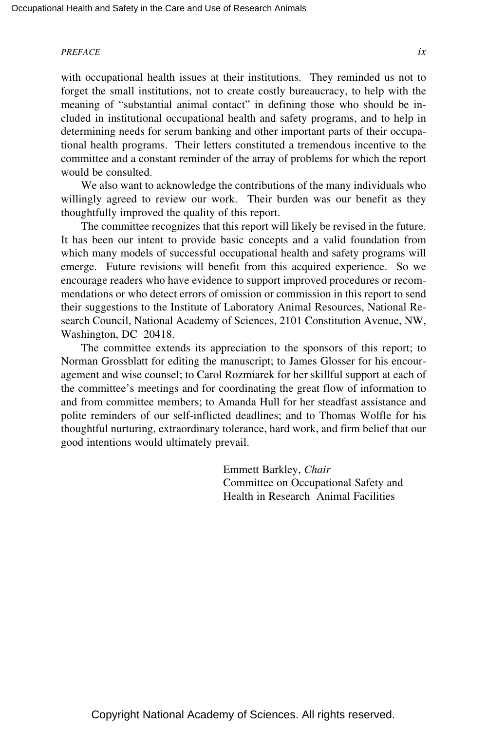### *PREFACE*

with occupational health issues at their institutions. They reminded us not to forget the small institutions, not to create costly bureaucracy, to help with the meaning of "substantial animal contact" in defining those who should be included in institutional occupational health and safety programs, and to help in determining needs for serum banking and other important parts of their occupational health programs. Their letters constituted a tremendous incentive to the committee and a constant reminder of the array of problems for which the report would be consulted.

We also want to acknowledge the contributions of the many individuals who willingly agreed to review our work. Their burden was our benefit as they thoughtfully improved the quality of this report.

The committee recognizes that this report will likely be revised in the future. It has been our intent to provide basic concepts and a valid foundation from which many models of successful occupational health and safety programs will emerge. Future revisions will benefit from this acquired experience. So we encourage readers who have evidence to support improved procedures or recommendations or who detect errors of omission or commission in this report to send their suggestions to the Institute of Laboratory Animal Resources, National Research Council, National Academy of Sciences, 2101 Constitution Avenue, NW, Washington, DC 20418.

The committee extends its appreciation to the sponsors of this report; to Norman Grossblatt for editing the manuscript; to James Glosser for his encouragement and wise counsel; to Carol Rozmiarek for her skillful support at each of the committee's meetings and for coordinating the great flow of information to and from committee members; to Amanda Hull for her steadfast assistance and polite reminders of our self-inflicted deadlines; and to Thomas Wolfle for his thoughtful nurturing, extraordinary tolerance, hard work, and firm belief that our good intentions would ultimately prevail.

> Emmett Barkley, *Chair*  Committee on Occupational Safety and Health in Research Animal Facilities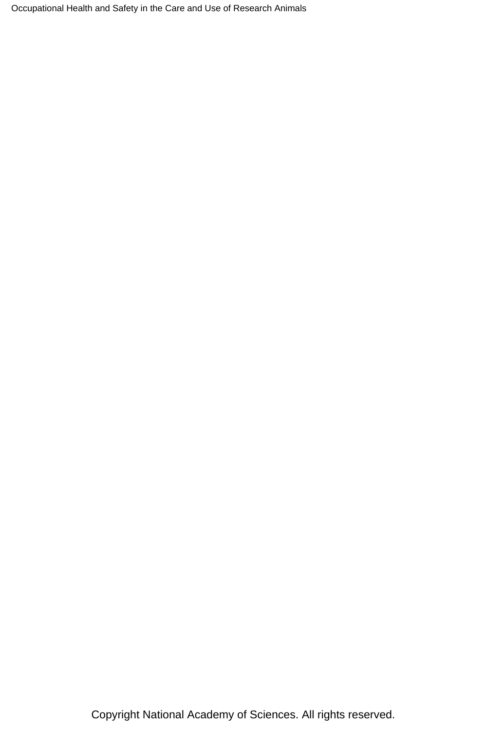Occupational Health and Safety in the Care and Use of Research Animals

Copyright National Academy of Sciences. All rights reserved.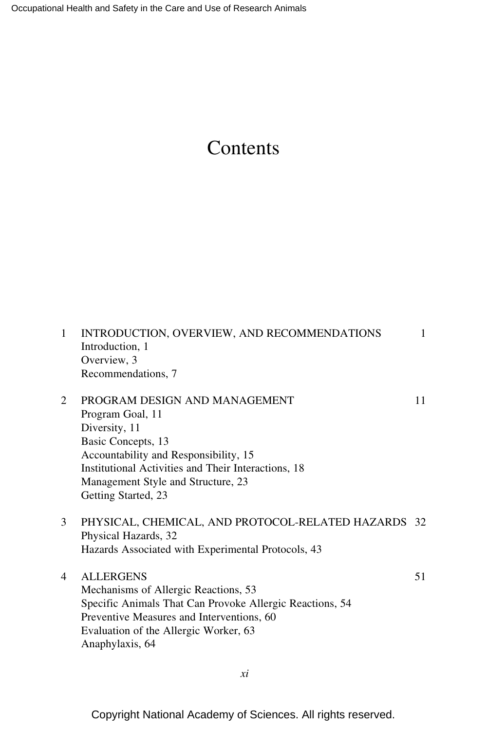# Contents

| 1              | INTRODUCTION, OVERVIEW, AND RECOMMENDATIONS<br>Introduction, 1<br>Overview, 3<br>Recommendations, 7                                                                                                                                                   | 1  |
|----------------|-------------------------------------------------------------------------------------------------------------------------------------------------------------------------------------------------------------------------------------------------------|----|
| 2              | PROGRAM DESIGN AND MANAGEMENT<br>Program Goal, 11<br>Diversity, 11<br>Basic Concepts, 13<br>Accountability and Responsibility, 15<br>Institutional Activities and Their Interactions, 18<br>Management Style and Structure, 23<br>Getting Started, 23 | 11 |
| 3              | PHYSICAL, CHEMICAL, AND PROTOCOL-RELATED HAZARDS 32<br>Physical Hazards, 32<br>Hazards Associated with Experimental Protocols, 43                                                                                                                     |    |
| $\overline{4}$ | <b>ALLERGENS</b><br>Mechanisms of Allergic Reactions, 53<br>Specific Animals That Can Provoke Allergic Reactions, 54<br>Preventive Measures and Interventions, 60<br>Evaluation of the Allergic Worker, 63<br>Anaphylaxis, 64                         | 51 |

*xi* 

Copyright National Academy of Sciences. All rights reserved.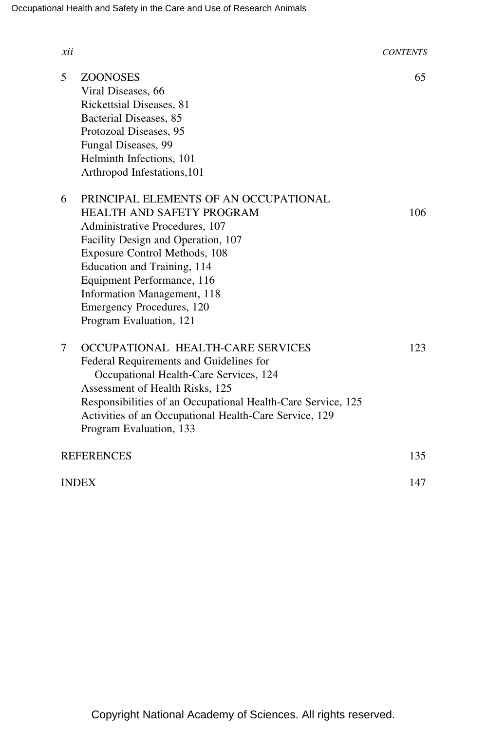| xii |                                                                                                                                                                                                                                                                                                                                        | <b>CONTENTS</b> |
|-----|----------------------------------------------------------------------------------------------------------------------------------------------------------------------------------------------------------------------------------------------------------------------------------------------------------------------------------------|-----------------|
| 5   | <b>ZOONOSES</b><br>Viral Diseases, 66<br>Rickettsial Diseases, 81<br>Bacterial Diseases, 85<br>Protozoal Diseases, 95<br>Fungal Diseases, 99<br>Helminth Infections, 101<br>Arthropod Infestations, 101                                                                                                                                | 65              |
| 6   | PRINCIPAL ELEMENTS OF AN OCCUPATIONAL<br>HEALTH AND SAFETY PROGRAM<br>Administrative Procedures, 107<br>Facility Design and Operation, 107<br><b>Exposure Control Methods, 108</b><br>Education and Training, 114<br>Equipment Performance, 116<br>Information Management, 118<br>Emergency Procedures, 120<br>Program Evaluation, 121 | 106             |
| 7   | OCCUPATIONAL HEALTH-CARE SERVICES<br>Federal Requirements and Guidelines for<br>Occupational Health-Care Services, 124<br>Assessment of Health Risks, 125<br>Responsibilities of an Occupational Health-Care Service, 125<br>Activities of an Occupational Health-Care Service, 129<br>Program Evaluation, 133                         | 123             |
|     | <b>REFERENCES</b>                                                                                                                                                                                                                                                                                                                      | 135             |
|     | <b>INDEX</b>                                                                                                                                                                                                                                                                                                                           | 147             |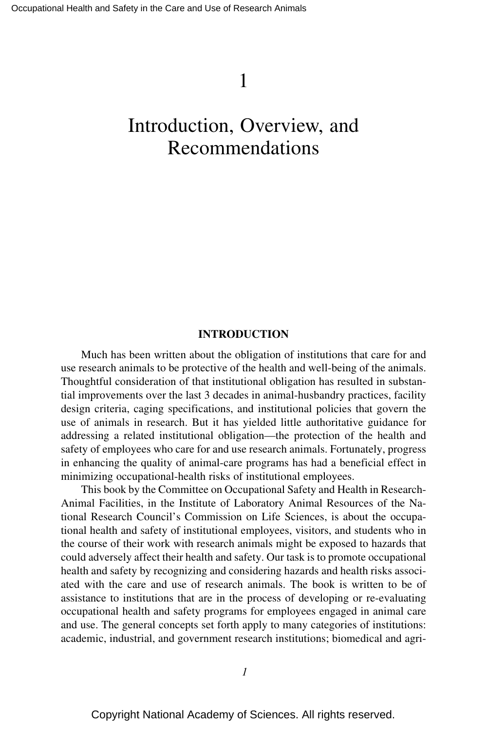## 1

# Introduction, Overview, and Recommendations

### **INTRODUCTION**

Much has been written about the obligation of institutions that care for and use research animals to be protective of the health and well-being of the animals. Thoughtful consideration of that institutional obligation has resulted in substantial improvements over the last 3 decades in animal-husbandry practices, facility design criteria, caging specifications, and institutional policies that govern the use of animals in research. But it has yielded little authoritative guidance for addressing a related institutional obligation—the protection of the health and safety of employees who care for and use research animals. Fortunately, progress in enhancing the quality of animal-care programs has had a beneficial effect in minimizing occupational-health risks of institutional employees.

This book by the Committee on Occupational Safety and Health in Research-Animal Facilities, in the Institute of Laboratory Animal Resources of the National Research Council's Commission on Life Sciences, is about the occupational health and safety of institutional employees, visitors, and students who in the course of their work with research animals might be exposed to hazards that could adversely affect their health and safety. Our task is to promote occupational health and safety by recognizing and considering hazards and health risks associated with the care and use of research animals. The book is written to be of assistance to institutions that are in the process of developing or re-evaluating occupational health and safety programs for employees engaged in animal care and use. The general concepts set forth apply to many categories of institutions: academic, industrial, and government research institutions; biomedical and agri-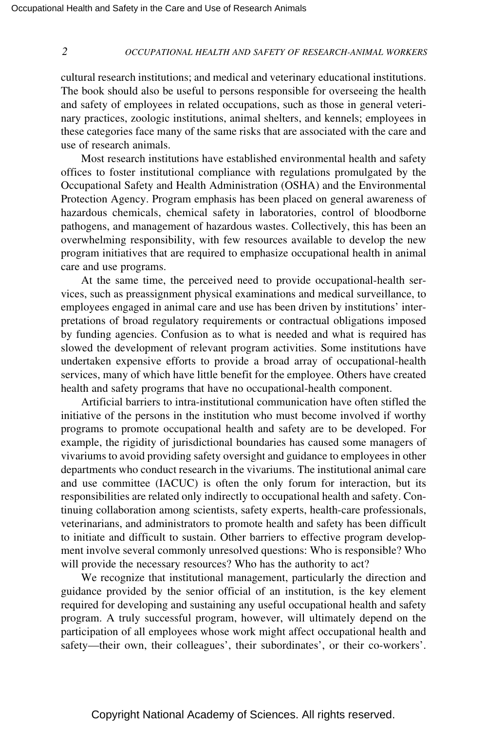cultural research institutions; and medical and veterinary educational institutions. The book should also be useful to persons responsible for overseeing the health and safety of employees in related occupations, such as those in general veterinary practices, zoologic institutions, animal shelters, and kennels; employees in these categories face many of the same risks that are associated with the care and use of research animals.

Most research institutions have established environmental health and safety offices to foster institutional compliance with regulations promulgated by the Occupational Safety and Health Administration (OSHA) and the Environmental Protection Agency. Program emphasis has been placed on general awareness of hazardous chemicals, chemical safety in laboratories, control of bloodborne pathogens, and management of hazardous wastes. Collectively, this has been an overwhelming responsibility, with few resources available to develop the new program initiatives that are required to emphasize occupational health in animal care and use programs.

At the same time, the perceived need to provide occupational-health services, such as preassignment physical examinations and medical surveillance, to employees engaged in animal care and use has been driven by institutions' interpretations of broad regulatory requirements or contractual obligations imposed by funding agencies. Confusion as to what is needed and what is required has slowed the development of relevant program activities. Some institutions have undertaken expensive efforts to provide a broad array of occupational-health services, many of which have little benefit for the employee. Others have created health and safety programs that have no occupational-health component.

Artificial barriers to intra-institutional communication have often stifled the initiative of the persons in the institution who must become involved if worthy programs to promote occupational health and safety are to be developed. For example, the rigidity of jurisdictional boundaries has caused some managers of vivariums to avoid providing safety oversight and guidance to employees in other departments who conduct research in the vivariums. The institutional animal care and use committee (IACUC) is often the only forum for interaction, but its responsibilities are related only indirectly to occupational health and safety. Continuing collaboration among scientists, safety experts, health-care professionals, veterinarians, and administrators to promote health and safety has been difficult to initiate and difficult to sustain. Other barriers to effective program development involve several commonly unresolved questions: Who is responsible? Who will provide the necessary resources? Who has the authority to act?

We recognize that institutional management, particularly the direction and guidance provided by the senior official of an institution, is the key element required for developing and sustaining any useful occupational health and safety program. A truly successful program, however, will ultimately depend on the participation of all employees whose work might affect occupational health and safety—their own, their colleagues', their subordinates', or their co-workers'.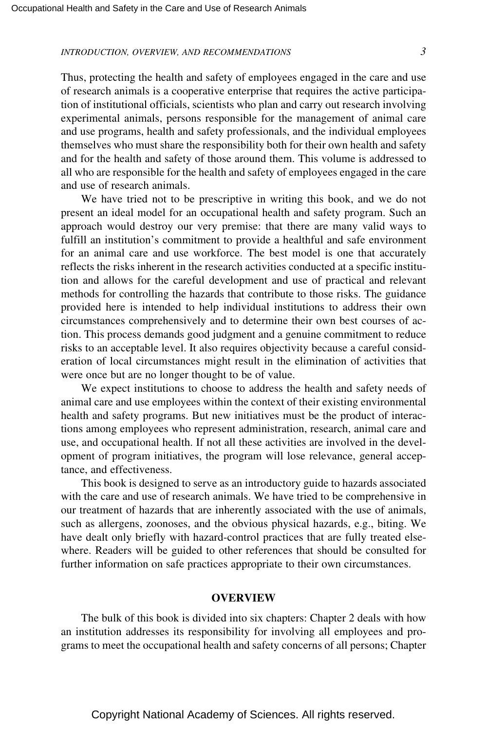### *INTRODUCTION, OVERVIEW, AND RECOMMENDATIONS*

Thus, protecting the health and safety of employees engaged in the care and use of research animals is a cooperative enterprise that requires the active participation of institutional officials, scientists who plan and carry out research involving experimental animals, persons responsible for the management of animal care and use programs, health and safety professionals, and the individual employees themselves who must share the responsibility both for their own health and safety and for the health and safety of those around them. This volume is addressed to all who are responsible for the health and safety of employees engaged in the care and use of research animals.

We have tried not to be prescriptive in writing this book, and we do not present an ideal model for an occupational health and safety program. Such an approach would destroy our very premise: that there are many valid ways to fulfill an institution's commitment to provide a healthful and safe environment for an animal care and use workforce. The best model is one that accurately reflects the risks inherent in the research activities conducted at a specific institution and allows for the careful development and use of practical and relevant methods for controlling the hazards that contribute to those risks. The guidance provided here is intended to help individual institutions to address their own circumstances comprehensively and to determine their own best courses of action. This process demands good judgment and a genuine commitment to reduce risks to an acceptable level. It also requires objectivity because a careful consideration of local circumstances might result in the elimination of activities that were once but are no longer thought to be of value.

We expect institutions to choose to address the health and safety needs of animal care and use employees within the context of their existing environmental health and safety programs. But new initiatives must be the product of interactions among employees who represent administration, research, animal care and use, and occupational health. If not all these activities are involved in the development of program initiatives, the program will lose relevance, general acceptance, and effectiveness.

This book is designed to serve as an introductory guide to hazards associated with the care and use of research animals. We have tried to be comprehensive in our treatment of hazards that are inherently associated with the use of animals, such as allergens, zoonoses, and the obvious physical hazards, e.g., biting. We have dealt only briefly with hazard-control practices that are fully treated elsewhere. Readers will be guided to other references that should be consulted for further information on safe practices appropriate to their own circumstances.

### **OVERVIEW**

The bulk of this book is divided into six chapters: Chapter 2 deals with how an institution addresses its responsibility for involving all employees and programs to meet the occupational health and safety concerns of all persons; Chapter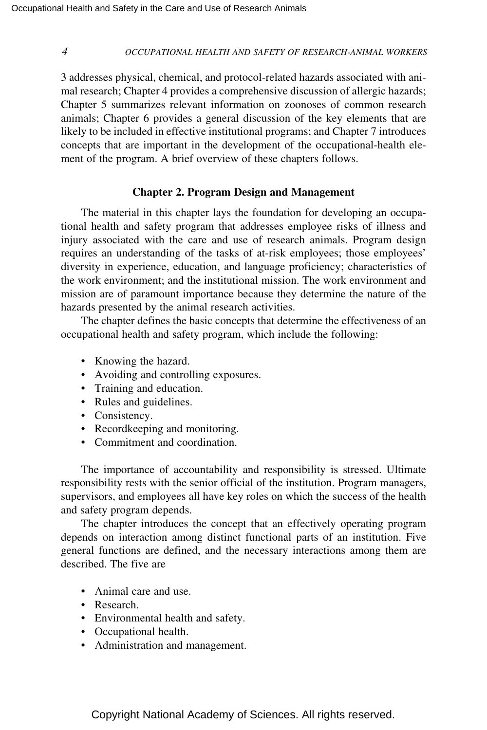3 addresses physical, chemical, and protocol-related hazards associated with animal research; Chapter 4 provides a comprehensive discussion of allergic hazards; Chapter 5 summarizes relevant information on zoonoses of common research animals; Chapter 6 provides a general discussion of the key elements that are likely to be included in effective institutional programs; and Chapter 7 introduces concepts that are important in the development of the occupational-health element of the program. A brief overview of these chapters follows.

### **Chapter 2. Program Design and Management**

The material in this chapter lays the foundation for developing an occupational health and safety program that addresses employee risks of illness and injury associated with the care and use of research animals. Program design requires an understanding of the tasks of at-risk employees; those employees' diversity in experience, education, and language proficiency; characteristics of the work environment; and the institutional mission. The work environment and mission are of paramount importance because they determine the nature of the hazards presented by the animal research activities.

The chapter defines the basic concepts that determine the effectiveness of an occupational health and safety program, which include the following:

- Knowing the hazard.
- Avoiding and controlling exposures.
- Training and education.
- Rules and guidelines.
- Consistency.
- Recordkeeping and monitoring.
- Commitment and coordination.

The importance of accountability and responsibility is stressed. Ultimate responsibility rests with the senior official of the institution. Program managers, supervisors, and employees all have key roles on which the success of the health and safety program depends.

The chapter introduces the concept that an effectively operating program depends on interaction among distinct functional parts of an institution. Five general functions are defined, and the necessary interactions among them are described. The five are

- Animal care and use.
- Research.
- Environmental health and safety.
- Occupational health.
- Administration and management.

Copyright National Academy of Sciences. All rights reserved.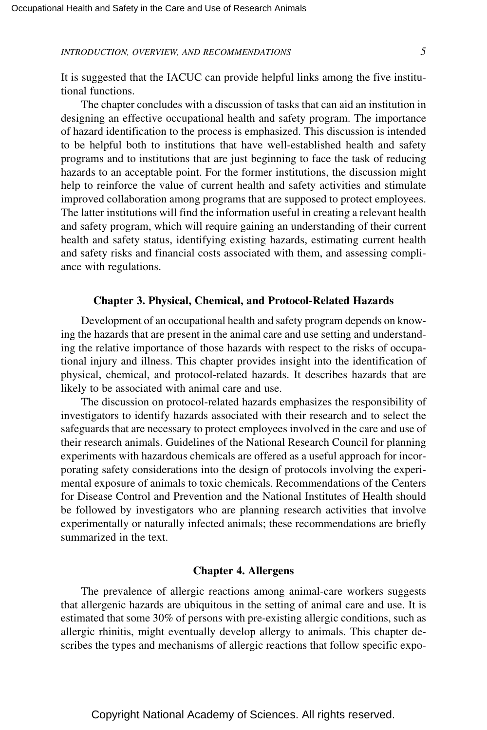### *INTRODUCTION, OVERVIEW, AND RECOMMENDATIONS*

It is suggested that the IACUC can provide helpful links among the five institutional functions.

The chapter concludes with a discussion of tasks that can aid an institution in designing an effective occupational health and safety program. The importance of hazard identification to the process is emphasized. This discussion is intended to be helpful both to institutions that have well-established health and safety programs and to institutions that are just beginning to face the task of reducing hazards to an acceptable point. For the former institutions, the discussion might help to reinforce the value of current health and safety activities and stimulate improved collaboration among programs that are supposed to protect employees. The latter institutions will find the information useful in creating a relevant health and safety program, which will require gaining an understanding of their current health and safety status, identifying existing hazards, estimating current health and safety risks and financial costs associated with them, and assessing compliance with regulations.

### **Chapter 3. Physical, Chemical, and Protocol-Related Hazards**

Development of an occupational health and safety program depends on knowing the hazards that are present in the animal care and use setting and understanding the relative importance of those hazards with respect to the risks of occupational injury and illness. This chapter provides insight into the identification of physical, chemical, and protocol-related hazards. It describes hazards that are likely to be associated with animal care and use.

The discussion on protocol-related hazards emphasizes the responsibility of investigators to identify hazards associated with their research and to select the safeguards that are necessary to protect employees involved in the care and use of their research animals. Guidelines of the National Research Council for planning experiments with hazardous chemicals are offered as a useful approach for incorporating safety considerations into the design of protocols involving the experimental exposure of animals to toxic chemicals. Recommendations of the Centers for Disease Control and Prevention and the National Institutes of Health should be followed by investigators who are planning research activities that involve experimentally or naturally infected animals; these recommendations are briefly summarized in the text.

### **Chapter 4. Allergens**

The prevalence of allergic reactions among animal-care workers suggests that allergenic hazards are ubiquitous in the setting of animal care and use. It is estimated that some 30% of persons with pre-existing allergic conditions, such as allergic rhinitis, might eventually develop allergy to animals. This chapter describes the types and mechanisms of allergic reactions that follow specific expo-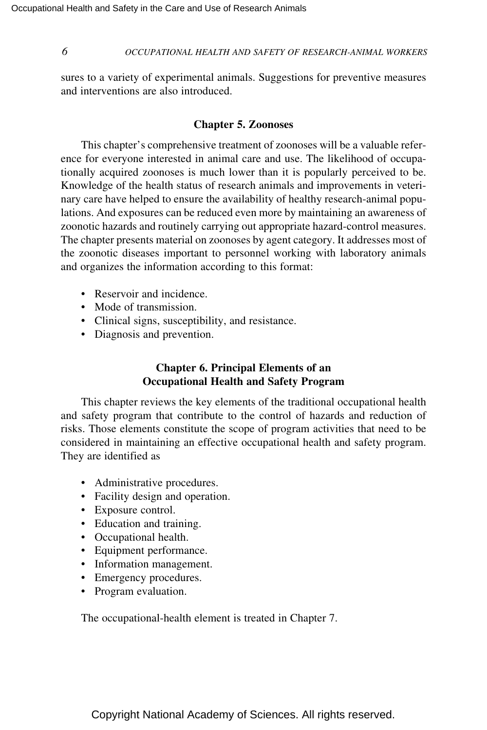sures to a variety of experimental animals. Suggestions for preventive measures and interventions are also introduced.

### **Chapter 5. Zoonoses**

This chapter's comprehensive treatment of zoonoses will be a valuable reference for everyone interested in animal care and use. The likelihood of occupationally acquired zoonoses is much lower than it is popularly perceived to be. Knowledge of the health status of research animals and improvements in veterinary care have helped to ensure the availability of healthy research-animal populations. And exposures can be reduced even more by maintaining an awareness of zoonotic hazards and routinely carrying out appropriate hazard-control measures. The chapter presents material on zoonoses by agent category. It addresses most of the zoonotic diseases important to personnel working with laboratory animals and organizes the information according to this format:

- Reservoir and incidence.
- Mode of transmission.
- Clinical signs, susceptibility, and resistance.
- Diagnosis and prevention.

### **Chapter 6. Principal Elements of an Occupational Health and Safety Program**

This chapter reviews the key elements of the traditional occupational health and safety program that contribute to the control of hazards and reduction of risks. Those elements constitute the scope of program activities that need to be considered in maintaining an effective occupational health and safety program. They are identified as

- Administrative procedures.
- Facility design and operation.
- Exposure control.
- Education and training.
- Occupational health.
- Equipment performance.
- Information management.
- Emergency procedures.
- Program evaluation.

The occupational-health element is treated in Chapter 7.

Copyright National Academy of Sciences. All rights reserved.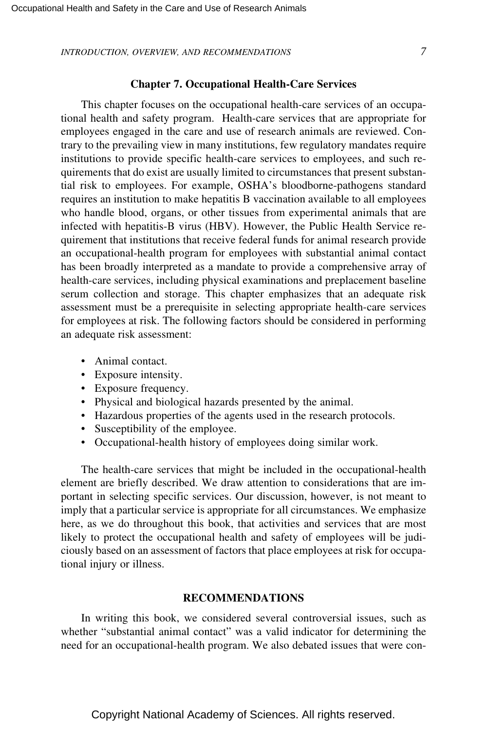This chapter focuses on the occupational health-care services of an occupational health and safety program. Health-care services that are appropriate for employees engaged in the care and use of research animals are reviewed. Contrary to the prevailing view in many institutions, few regulatory mandates require institutions to provide specific health-care services to employees, and such requirements that do exist are usually limited to circumstances that present substantial risk to employees. For example, OSHA's bloodborne-pathogens standard requires an institution to make hepatitis B vaccination available to all employees who handle blood, organs, or other tissues from experimental animals that are infected with hepatitis-B virus (HBV). However, the Public Health Service requirement that institutions that receive federal funds for animal research provide an occupational-health program for employees with substantial animal contact has been broadly interpreted as a mandate to provide a comprehensive array of health-care services, including physical examinations and preplacement baseline serum collection and storage. This chapter emphasizes that an adequate risk assessment must be a prerequisite in selecting appropriate health-care services for employees at risk. The following factors should be considered in performing an adequate risk assessment:

- Animal contact.
- Exposure intensity.
- Exposure frequency.
- Physical and biological hazards presented by the animal.
- Hazardous properties of the agents used in the research protocols.
- Susceptibility of the employee.
- Occupational-health history of employees doing similar work.

The health-care services that might be included in the occupational-health element are briefly described. We draw attention to considerations that are important in selecting specific services. Our discussion, however, is not meant to imply that a particular service is appropriate for all circumstances. We emphasize here, as we do throughout this book, that activities and services that are most likely to protect the occupational health and safety of employees will be judiciously based on an assessment of factors that place employees at risk for occupational injury or illness.

### **RECOMMENDATIONS**

In writing this book, we considered several controversial issues, such as whether "substantial animal contact" was a valid indicator for determining the need for an occupational-health program. We also debated issues that were con-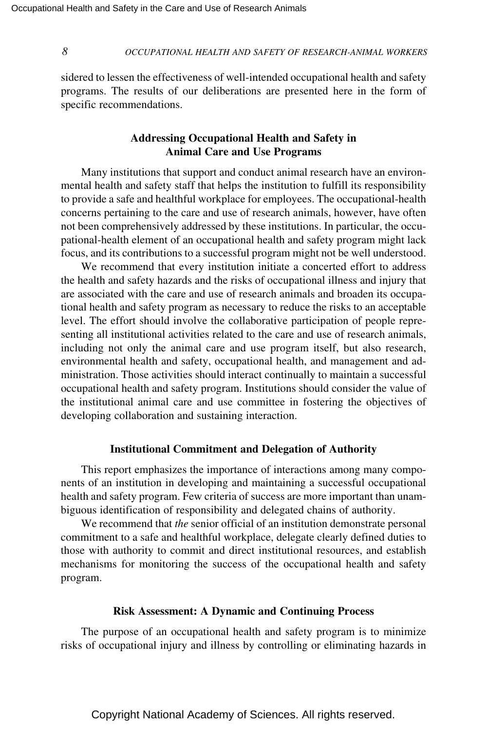sidered to lessen the effectiveness of well-intended occupational health and safety programs. The results of our deliberations are presented here in the form of specific recommendations.

### **Addressing Occupational Health and Safety in Animal Care and Use Programs**

Many institutions that support and conduct animal research have an environmental health and safety staff that helps the institution to fulfill its responsibility to provide a safe and healthful workplace for employees. The occupational-health concerns pertaining to the care and use of research animals, however, have often not been comprehensively addressed by these institutions. In particular, the occupational-health element of an occupational health and safety program might lack focus, and its contributions to a successful program might not be well understood.

We recommend that every institution initiate a concerted effort to address the health and safety hazards and the risks of occupational illness and injury that are associated with the care and use of research animals and broaden its occupational health and safety program as necessary to reduce the risks to an acceptable level. The effort should involve the collaborative participation of people representing all institutional activities related to the care and use of research animals, including not only the animal care and use program itself, but also research, environmental health and safety, occupational health, and management and administration. Those activities should interact continually to maintain a successful occupational health and safety program. Institutions should consider the value of the institutional animal care and use committee in fostering the objectives of developing collaboration and sustaining interaction.

### **Institutional Commitment and Delegation of Authority**

This report emphasizes the importance of interactions among many components of an institution in developing and maintaining a successful occupational health and safety program. Few criteria of success are more important than unambiguous identification of responsibility and delegated chains of authority.

We recommend that *the* senior official of an institution demonstrate personal commitment to a safe and healthful workplace, delegate clearly defined duties to those with authority to commit and direct institutional resources, and establish mechanisms for monitoring the success of the occupational health and safety program.

### **Risk Assessment: A Dynamic and Continuing Process**

The purpose of an occupational health and safety program is to minimize risks of occupational injury and illness by controlling or eliminating hazards in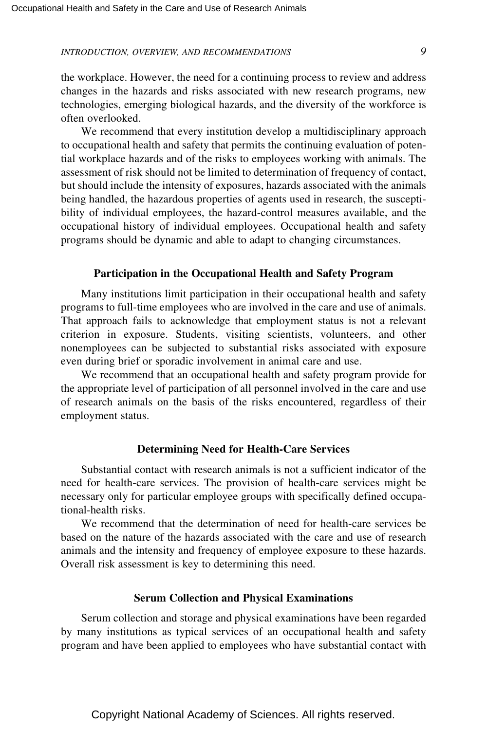### *INTRODUCTION, OVERVIEW, AND RECOMMENDATIONS*

the workplace. However, the need for a continuing process to review and address changes in the hazards and risks associated with new research programs, new technologies, emerging biological hazards, and the diversity of the workforce is often overlooked.

We recommend that every institution develop a multidisciplinary approach to occupational health and safety that permits the continuing evaluation of potential workplace hazards and of the risks to employees working with animals. The assessment of risk should not be limited to determination of frequency of contact, but should include the intensity of exposures, hazards associated with the animals being handled, the hazardous properties of agents used in research, the susceptibility of individual employees, the hazard-control measures available, and the occupational history of individual employees. Occupational health and safety programs should be dynamic and able to adapt to changing circumstances.

### **Participation in the Occupational Health and Safety Program**

Many institutions limit participation in their occupational health and safety programs to full-time employees who are involved in the care and use of animals. That approach fails to acknowledge that employment status is not a relevant criterion in exposure. Students, visiting scientists, volunteers, and other nonemployees can be subjected to substantial risks associated with exposure even during brief or sporadic involvement in animal care and use.

We recommend that an occupational health and safety program provide for the appropriate level of participation of all personnel involved in the care and use of research animals on the basis of the risks encountered, regardless of their employment status.

### **Determining Need for Health-Care Services**

Substantial contact with research animals is not a sufficient indicator of the need for health-care services. The provision of health-care services might be necessary only for particular employee groups with specifically defined occupational-health risks.

We recommend that the determination of need for health-care services be based on the nature of the hazards associated with the care and use of research animals and the intensity and frequency of employee exposure to these hazards. Overall risk assessment is key to determining this need.

### **Serum Collection and Physical Examinations**

Serum collection and storage and physical examinations have been regarded by many institutions as typical services of an occupational health and safety program and have been applied to employees who have substantial contact with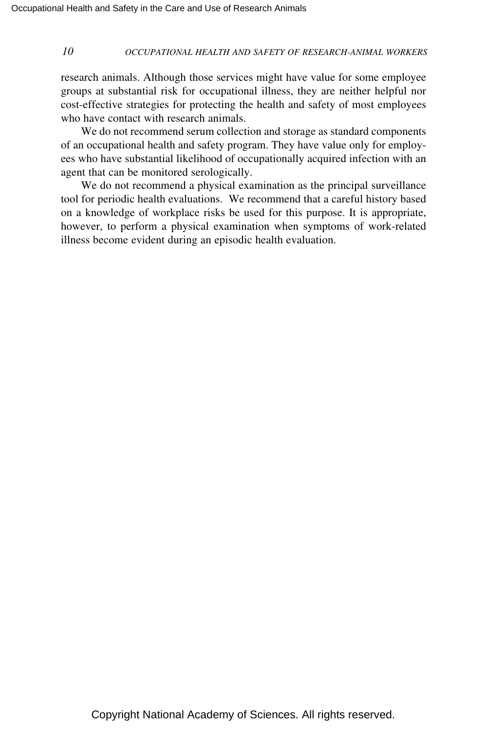research animals. Although those services might have value for some employee groups at substantial risk for occupational illness, they are neither helpful nor cost-effective strategies for protecting the health and safety of most employees who have contact with research animals.

We do not recommend serum collection and storage as standard components of an occupational health and safety program. They have value only for employees who have substantial likelihood of occupationally acquired infection with an agent that can be monitored serologically.

We do not recommend a physical examination as the principal surveillance tool for periodic health evaluations. We recommend that a careful history based on a knowledge of workplace risks be used for this purpose. It is appropriate, however, to perform a physical examination when symptoms of work-related illness become evident during an episodic health evaluation.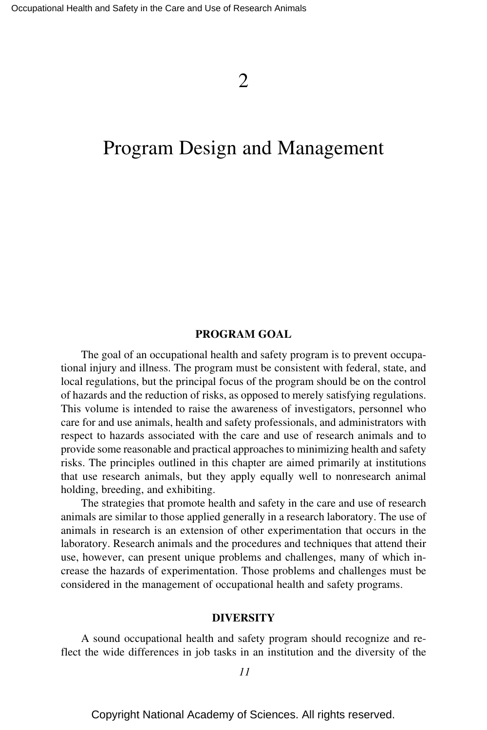2

# Program Design and Management

### **PROGRAM GOAL**

The goal of an occupational health and safety program is to prevent occupational injury and illness. The program must be consistent with federal, state, and local regulations, but the principal focus of the program should be on the control of hazards and the reduction of risks, as opposed to merely satisfying regulations. This volume is intended to raise the awareness of investigators, personnel who care for and use animals, health and safety professionals, and administrators with respect to hazards associated with the care and use of research animals and to provide some reasonable and practical approaches to minimizing health and safety risks. The principles outlined in this chapter are aimed primarily at institutions that use research animals, but they apply equally well to nonresearch animal holding, breeding, and exhibiting.

The strategies that promote health and safety in the care and use of research animals are similar to those applied generally in a research laboratory. The use of animals in research is an extension of other experimentation that occurs in the laboratory. Research animals and the procedures and techniques that attend their use, however, can present unique problems and challenges, many of which increase the hazards of experimentation. Those problems and challenges must be considered in the management of occupational health and safety programs.

### **DIVERSITY**

A sound occupational health and safety program should recognize and reflect the wide differences in job tasks in an institution and the diversity of the

*11*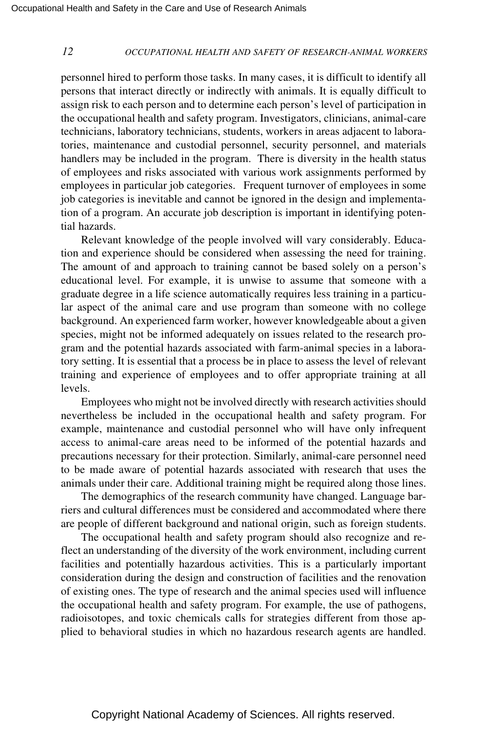personnel hired to perform those tasks. In many cases, it is difficult to identify all persons that interact directly or indirectly with animals. It is equally difficult to assign risk to each person and to determine each person's level of participation in the occupational health and safety program. Investigators, clinicians, animal-care technicians, laboratory technicians, students, workers in areas adjacent to laboratories, maintenance and custodial personnel, security personnel, and materials handlers may be included in the program. There is diversity in the health status of employees and risks associated with various work assignments performed by employees in particular job categories. Frequent turnover of employees in some job categories is inevitable and cannot be ignored in the design and implementation of a program. An accurate job description is important in identifying potential hazards.

Relevant knowledge of the people involved will vary considerably. Education and experience should be considered when assessing the need for training. The amount of and approach to training cannot be based solely on a person's educational level. For example, it is unwise to assume that someone with a graduate degree in a life science automatically requires less training in a particular aspect of the animal care and use program than someone with no college background. An experienced farm worker, however knowledgeable about a given species, might not be informed adequately on issues related to the research program and the potential hazards associated with farm-animal species in a laboratory setting. It is essential that a process be in place to assess the level of relevant training and experience of employees and to offer appropriate training at all levels.

Employees who might not be involved directly with research activities should nevertheless be included in the occupational health and safety program. For example, maintenance and custodial personnel who will have only infrequent access to animal-care areas need to be informed of the potential hazards and precautions necessary for their protection. Similarly, animal-care personnel need to be made aware of potential hazards associated with research that uses the animals under their care. Additional training might be required along those lines.

The demographics of the research community have changed. Language barriers and cultural differences must be considered and accommodated where there are people of different background and national origin, such as foreign students.

The occupational health and safety program should also recognize and reflect an understanding of the diversity of the work environment, including current facilities and potentially hazardous activities. This is a particularly important consideration during the design and construction of facilities and the renovation of existing ones. The type of research and the animal species used will influence the occupational health and safety program. For example, the use of pathogens, radioisotopes, and toxic chemicals calls for strategies different from those applied to behavioral studies in which no hazardous research agents are handled.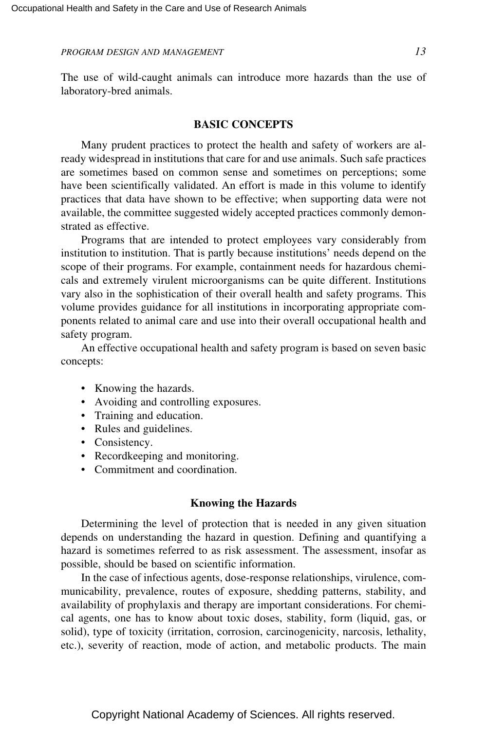*PROGRAM DESIGN AND MANAGEMENT* 

The use of wild-caught animals can introduce more hazards than the use of laboratory-bred animals.

### **BASIC CONCEPTS**

Many prudent practices to protect the health and safety of workers are already widespread in institutions that care for and use animals. Such safe practices are sometimes based on common sense and sometimes on perceptions; some have been scientifically validated. An effort is made in this volume to identify practices that data have shown to be effective; when supporting data were not available, the committee suggested widely accepted practices commonly demonstrated as effective.

Programs that are intended to protect employees vary considerably from institution to institution. That is partly because institutions' needs depend on the scope of their programs. For example, containment needs for hazardous chemicals and extremely virulent microorganisms can be quite different. Institutions vary also in the sophistication of their overall health and safety programs. This volume provides guidance for all institutions in incorporating appropriate components related to animal care and use into their overall occupational health and safety program.

An effective occupational health and safety program is based on seven basic concepts:

- Knowing the hazards.
- Avoiding and controlling exposures.
- Training and education.
- Rules and guidelines.
- Consistency.
- Recordkeeping and monitoring.
- Commitment and coordination.

### **Knowing the Hazards**

Determining the level of protection that is needed in any given situation depends on understanding the hazard in question. Defining and quantifying a hazard is sometimes referred to as risk assessment. The assessment, insofar as possible, should be based on scientific information.

In the case of infectious agents, dose-response relationships, virulence, communicability, prevalence, routes of exposure, shedding patterns, stability, and availability of prophylaxis and therapy are important considerations. For chemical agents, one has to know about toxic doses, stability, form (liquid, gas, or solid), type of toxicity (irritation, corrosion, carcinogenicity, narcosis, lethality, etc.), severity of reaction, mode of action, and metabolic products. The main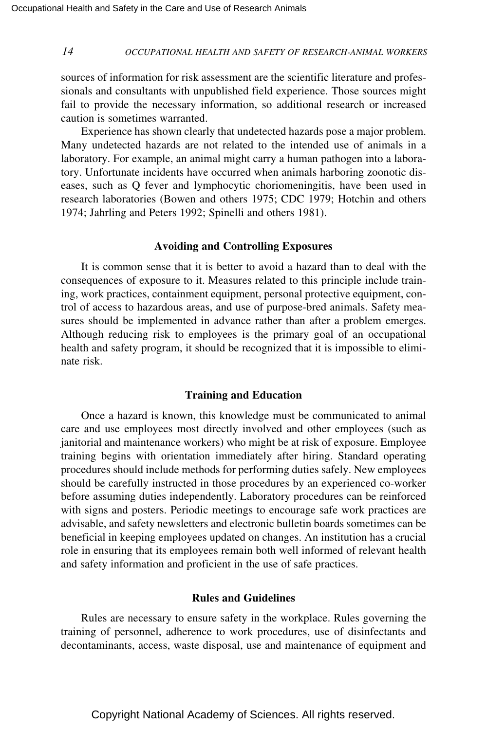sources of information for risk assessment are the scientific literature and professionals and consultants with unpublished field experience. Those sources might fail to provide the necessary information, so additional research or increased caution is sometimes warranted.

Experience has shown clearly that undetected hazards pose a major problem. Many undetected hazards are not related to the intended use of animals in a laboratory. For example, an animal might carry a human pathogen into a laboratory. Unfortunate incidents have occurred when animals harboring zoonotic diseases, such as Q fever and lymphocytic choriomeningitis, have been used in research laboratories (Bowen and others 1975; CDC 1979; Hotchin and others 1974; Jahrling and Peters 1992; Spinelli and others 1981).

### **Avoiding and Controlling Exposures**

It is common sense that it is better to avoid a hazard than to deal with the consequences of exposure to it. Measures related to this principle include training, work practices, containment equipment, personal protective equipment, control of access to hazardous areas, and use of purpose-bred animals. Safety measures should be implemented in advance rather than after a problem emerges. Although reducing risk to employees is the primary goal of an occupational health and safety program, it should be recognized that it is impossible to eliminate risk.

### **Training and Education**

Once a hazard is known, this knowledge must be communicated to animal care and use employees most directly involved and other employees (such as janitorial and maintenance workers) who might be at risk of exposure. Employee training begins with orientation immediately after hiring. Standard operating procedures should include methods for performing duties safely. New employees should be carefully instructed in those procedures by an experienced co-worker before assuming duties independently. Laboratory procedures can be reinforced with signs and posters. Periodic meetings to encourage safe work practices are advisable, and safety newsletters and electronic bulletin boards sometimes can be beneficial in keeping employees updated on changes. An institution has a crucial role in ensuring that its employees remain both well informed of relevant health and safety information and proficient in the use of safe practices.

### **Rules and Guidelines**

Rules are necessary to ensure safety in the workplace. Rules governing the training of personnel, adherence to work procedures, use of disinfectants and decontaminants, access, waste disposal, use and maintenance of equipment and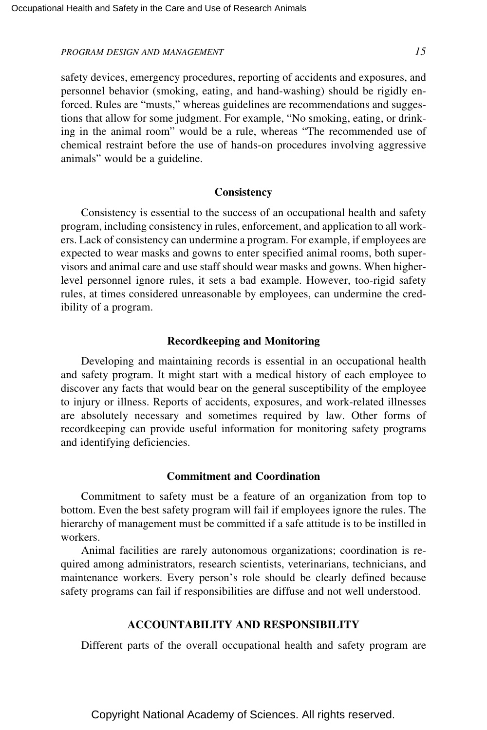*PROGRAM DESIGN AND MANAGEMENT* 

safety devices, emergency procedures, reporting of accidents and exposures, and personnel behavior (smoking, eating, and hand-washing) should be rigidly enforced. Rules are "musts," whereas guidelines are recommendations and suggestions that allow for some judgment. For example, "No smoking, eating, or drinking in the animal room" would be a rule, whereas "The recommended use of chemical restraint before the use of hands-on procedures involving aggressive animals" would be a guideline.

### **Consistency**

Consistency is essential to the success of an occupational health and safety program, including consistency in rules, enforcement, and application to all workers. Lack of consistency can undermine a program. For example, if employees are expected to wear masks and gowns to enter specified animal rooms, both supervisors and animal care and use staff should wear masks and gowns. When higherlevel personnel ignore rules, it sets a bad example. However, too-rigid safety rules, at times considered unreasonable by employees, can undermine the credibility of a program.

### **Recordkeeping and Monitoring**

Developing and maintaining records is essential in an occupational health and safety program. It might start with a medical history of each employee to discover any facts that would bear on the general susceptibility of the employee to injury or illness. Reports of accidents, exposures, and work-related illnesses are absolutely necessary and sometimes required by law. Other forms of recordkeeping can provide useful information for monitoring safety programs and identifying deficiencies.

### **Commitment and Coordination**

Commitment to safety must be a feature of an organization from top to bottom. Even the best safety program will fail if employees ignore the rules. The hierarchy of management must be committed if a safe attitude is to be instilled in workers.

Animal facilities are rarely autonomous organizations; coordination is required among administrators, research scientists, veterinarians, technicians, and maintenance workers. Every person's role should be clearly defined because safety programs can fail if responsibilities are diffuse and not well understood.

### **ACCOUNTABILITY AND RESPONSIBILITY**

Different parts of the overall occupational health and safety program are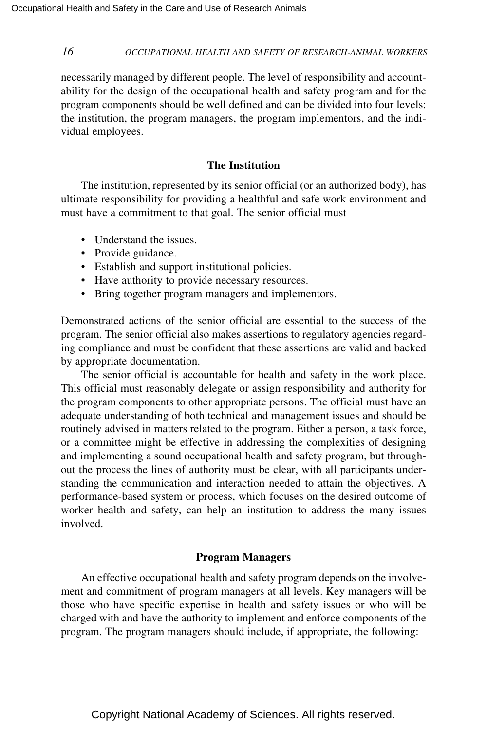necessarily managed by different people. The level of responsibility and accountability for the design of the occupational health and safety program and for the program components should be well defined and can be divided into four levels: the institution, the program managers, the program implementors, and the individual employees.

### **The Institution**

The institution, represented by its senior official (or an authorized body), has ultimate responsibility for providing a healthful and safe work environment and must have a commitment to that goal. The senior official must

- Understand the issues.
- Provide guidance.
- Establish and support institutional policies.
- Have authority to provide necessary resources.
- Bring together program managers and implementors.

Demonstrated actions of the senior official are essential to the success of the program. The senior official also makes assertions to regulatory agencies regarding compliance and must be confident that these assertions are valid and backed by appropriate documentation.

The senior official is accountable for health and safety in the work place. This official must reasonably delegate or assign responsibility and authority for the program components to other appropriate persons. The official must have an adequate understanding of both technical and management issues and should be routinely advised in matters related to the program. Either a person, a task force, or a committee might be effective in addressing the complexities of designing and implementing a sound occupational health and safety program, but throughout the process the lines of authority must be clear, with all participants understanding the communication and interaction needed to attain the objectives. A performance-based system or process, which focuses on the desired outcome of worker health and safety, can help an institution to address the many issues involved.

### **Program Managers**

An effective occupational health and safety program depends on the involvement and commitment of program managers at all levels. Key managers will be those who have specific expertise in health and safety issues or who will be charged with and have the authority to implement and enforce components of the program. The program managers should include, if appropriate, the following: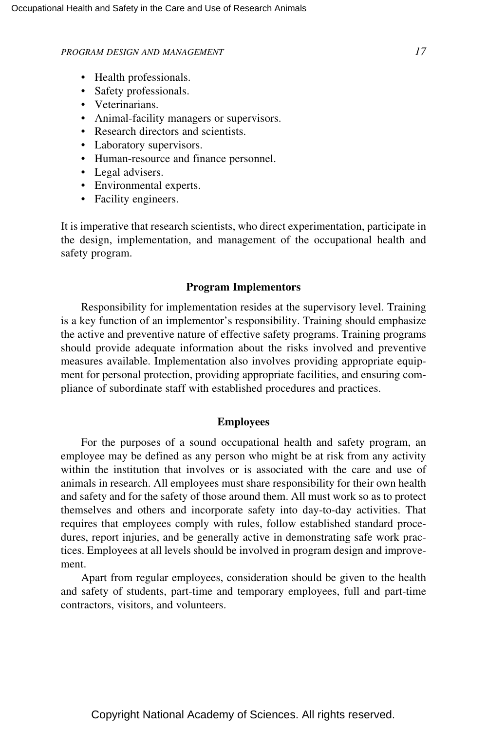### *PROGRAM DESIGN AND MANAGEMENT*

- Health professionals.
- Safety professionals.
- Veterinarians.
- Animal-facility managers or supervisors.
- Research directors and scientists.
- Laboratory supervisors.
- Human-resource and finance personnel.
- Legal advisers.
- Environmental experts.
- Facility engineers.

It is imperative that research scientists, who direct experimentation, participate in the design, implementation, and management of the occupational health and safety program.

### **Program Implementors**

Responsibility for implementation resides at the supervisory level. Training is a key function of an implementor's responsibility. Training should emphasize the active and preventive nature of effective safety programs. Training programs should provide adequate information about the risks involved and preventive measures available. Implementation also involves providing appropriate equipment for personal protection, providing appropriate facilities, and ensuring compliance of subordinate staff with established procedures and practices.

### **Employees**

For the purposes of a sound occupational health and safety program, an employee may be defined as any person who might be at risk from any activity within the institution that involves or is associated with the care and use of animals in research. All employees must share responsibility for their own health and safety and for the safety of those around them. All must work so as to protect themselves and others and incorporate safety into day-to-day activities. That requires that employees comply with rules, follow established standard procedures, report injuries, and be generally active in demonstrating safe work practices. Employees at all levels should be involved in program design and improvement.

Apart from regular employees, consideration should be given to the health and safety of students, part-time and temporary employees, full and part-time contractors, visitors, and volunteers.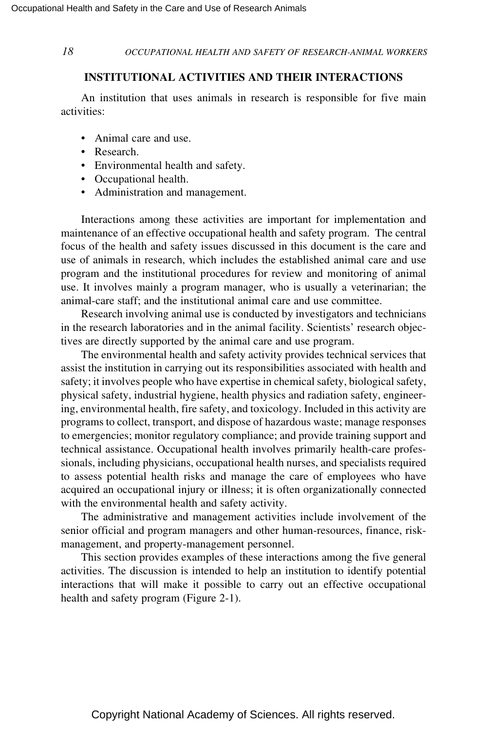### **INSTITUTIONAL ACTIVITIES AND THEIR INTERACTIONS**

An institution that uses animals in research is responsible for five main activities:

- Animal care and use.
- Research.
- Environmental health and safety.
- Occupational health.
- Administration and management.

Interactions among these activities are important for implementation and maintenance of an effective occupational health and safety program. The central focus of the health and safety issues discussed in this document is the care and use of animals in research, which includes the established animal care and use program and the institutional procedures for review and monitoring of animal use. It involves mainly a program manager, who is usually a veterinarian; the animal-care staff; and the institutional animal care and use committee.

Research involving animal use is conducted by investigators and technicians in the research laboratories and in the animal facility. Scientists' research objectives are directly supported by the animal care and use program.

The environmental health and safety activity provides technical services that assist the institution in carrying out its responsibilities associated with health and safety; it involves people who have expertise in chemical safety, biological safety, physical safety, industrial hygiene, health physics and radiation safety, engineering, environmental health, fire safety, and toxicology. Included in this activity are programs to collect, transport, and dispose of hazardous waste; manage responses to emergencies; monitor regulatory compliance; and provide training support and technical assistance. Occupational health involves primarily health-care professionals, including physicians, occupational health nurses, and specialists required to assess potential health risks and manage the care of employees who have acquired an occupational injury or illness; it is often organizationally connected with the environmental health and safety activity.

The administrative and management activities include involvement of the senior official and program managers and other human-resources, finance, riskmanagement, and property-management personnel.

This section provides examples of these interactions among the five general activities. The discussion is intended to help an institution to identify potential interactions that will make it possible to carry out an effective occupational health and safety program (Figure 2-1).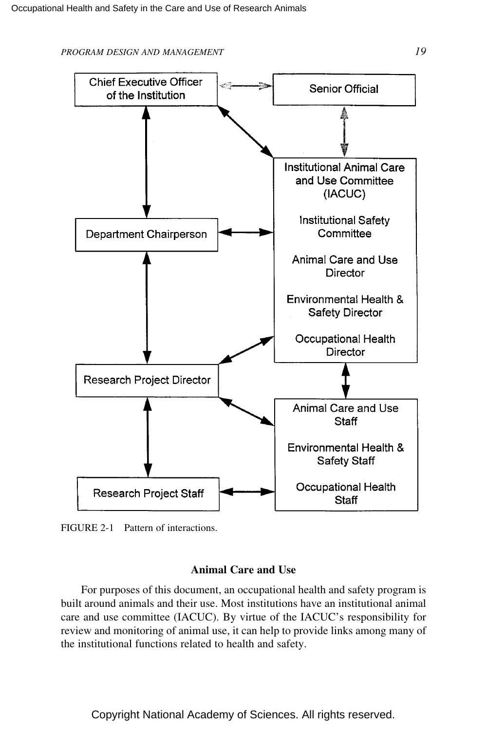*PROGRAM DESIGN AND MANAGEMENT* 



FIGURE 2-1 Pattern of interactions.

### **Animal Care and Use**

For purposes of this document, an occupational health and safety program is built around animals and their use. Most institutions have an institutional animal care and use committee (IACUC). By virtue of the IACUC's responsibility for review and monitoring of animal use, it can help to provide links among many of the institutional functions related to health and safety.

Copyright National Academy of Sciences. All rights reserved.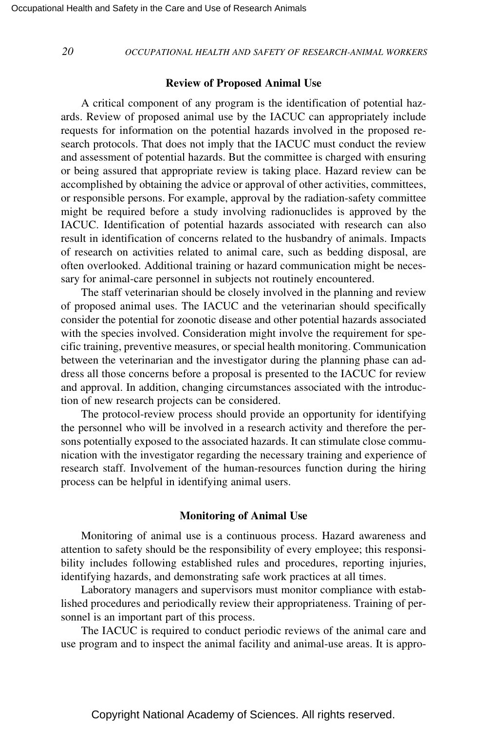### **Review of Proposed Animal Use**

A critical component of any program is the identification of potential hazards. Review of proposed animal use by the IACUC can appropriately include requests for information on the potential hazards involved in the proposed research protocols. That does not imply that the IACUC must conduct the review and assessment of potential hazards. But the committee is charged with ensuring or being assured that appropriate review is taking place. Hazard review can be accomplished by obtaining the advice or approval of other activities, committees, or responsible persons. For example, approval by the radiation-safety committee might be required before a study involving radionuclides is approved by the IACUC. Identification of potential hazards associated with research can also result in identification of concerns related to the husbandry of animals. Impacts of research on activities related to animal care, such as bedding disposal, are often overlooked. Additional training or hazard communication might be necessary for animal-care personnel in subjects not routinely encountered.

The staff veterinarian should be closely involved in the planning and review of proposed animal uses. The IACUC and the veterinarian should specifically consider the potential for zoonotic disease and other potential hazards associated with the species involved. Consideration might involve the requirement for specific training, preventive measures, or special health monitoring. Communication between the veterinarian and the investigator during the planning phase can address all those concerns before a proposal is presented to the IACUC for review and approval. In addition, changing circumstances associated with the introduction of new research projects can be considered.

The protocol-review process should provide an opportunity for identifying the personnel who will be involved in a research activity and therefore the persons potentially exposed to the associated hazards. It can stimulate close communication with the investigator regarding the necessary training and experience of research staff. Involvement of the human-resources function during the hiring process can be helpful in identifying animal users.

### **Monitoring of Animal Use**

Monitoring of animal use is a continuous process. Hazard awareness and attention to safety should be the responsibility of every employee; this responsibility includes following established rules and procedures, reporting injuries, identifying hazards, and demonstrating safe work practices at all times.

Laboratory managers and supervisors must monitor compliance with established procedures and periodically review their appropriateness. Training of personnel is an important part of this process.

The IACUC is required to conduct periodic reviews of the animal care and use program and to inspect the animal facility and animal-use areas. It is appro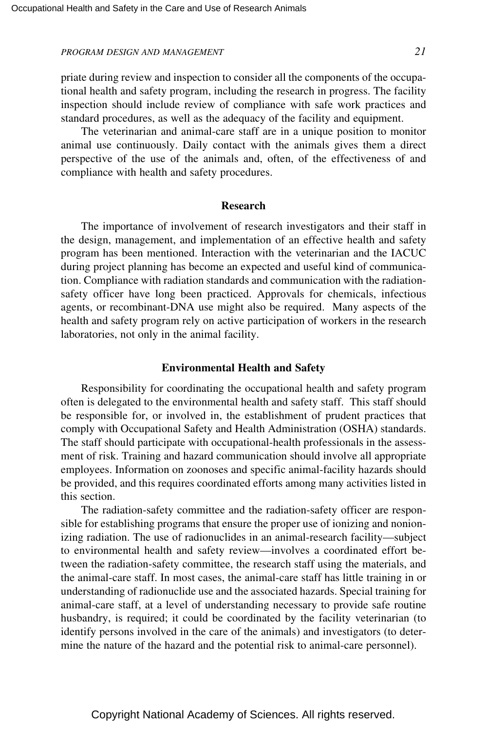*PROGRAM DESIGN AND MANAGEMENT* 

priate during review and inspection to consider all the components of the occupational health and safety program, including the research in progress. The facility inspection should include review of compliance with safe work practices and standard procedures, as well as the adequacy of the facility and equipment.

The veterinarian and animal-care staff are in a unique position to monitor animal use continuously. Daily contact with the animals gives them a direct perspective of the use of the animals and, often, of the effectiveness of and compliance with health and safety procedures.

#### **Research**

The importance of involvement of research investigators and their staff in the design, management, and implementation of an effective health and safety program has been mentioned. Interaction with the veterinarian and the IACUC during project planning has become an expected and useful kind of communication. Compliance with radiation standards and communication with the radiationsafety officer have long been practiced. Approvals for chemicals, infectious agents, or recombinant-DNA use might also be required. Many aspects of the health and safety program rely on active participation of workers in the research laboratories, not only in the animal facility.

### **Environmental Health and Safety**

Responsibility for coordinating the occupational health and safety program often is delegated to the environmental health and safety staff. This staff should be responsible for, or involved in, the establishment of prudent practices that comply with Occupational Safety and Health Administration (OSHA) standards. The staff should participate with occupational-health professionals in the assessment of risk. Training and hazard communication should involve all appropriate employees. Information on zoonoses and specific animal-facility hazards should be provided, and this requires coordinated efforts among many activities listed in this section.

The radiation-safety committee and the radiation-safety officer are responsible for establishing programs that ensure the proper use of ionizing and nonionizing radiation. The use of radionuclides in an animal-research facility—subject to environmental health and safety review—involves a coordinated effort between the radiation-safety committee, the research staff using the materials, and the animal-care staff. In most cases, the animal-care staff has little training in or understanding of radionuclide use and the associated hazards. Special training for animal-care staff, at a level of understanding necessary to provide safe routine husbandry, is required; it could be coordinated by the facility veterinarian (to identify persons involved in the care of the animals) and investigators (to determine the nature of the hazard and the potential risk to animal-care personnel).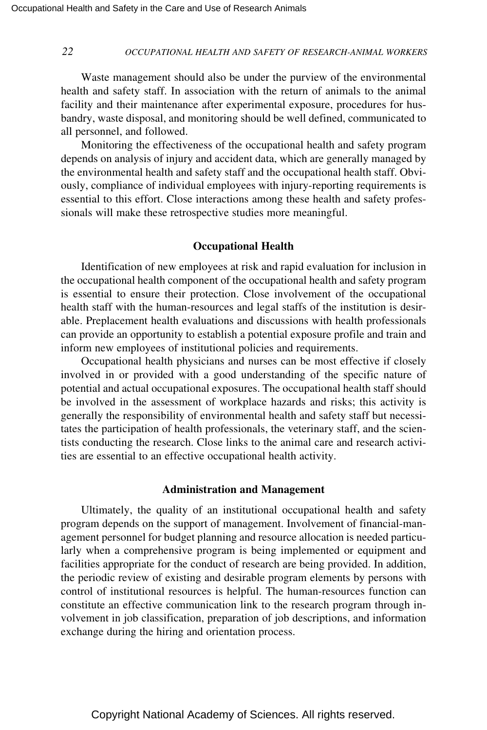Waste management should also be under the purview of the environmental health and safety staff. In association with the return of animals to the animal facility and their maintenance after experimental exposure, procedures for husbandry, waste disposal, and monitoring should be well defined, communicated to all personnel, and followed.

Monitoring the effectiveness of the occupational health and safety program depends on analysis of injury and accident data, which are generally managed by the environmental health and safety staff and the occupational health staff. Obviously, compliance of individual employees with injury-reporting requirements is essential to this effort. Close interactions among these health and safety professionals will make these retrospective studies more meaningful.

### **Occupational Health**

Identification of new employees at risk and rapid evaluation for inclusion in the occupational health component of the occupational health and safety program is essential to ensure their protection. Close involvement of the occupational health staff with the human-resources and legal staffs of the institution is desirable. Preplacement health evaluations and discussions with health professionals can provide an opportunity to establish a potential exposure profile and train and inform new employees of institutional policies and requirements.

Occupational health physicians and nurses can be most effective if closely involved in or provided with a good understanding of the specific nature of potential and actual occupational exposures. The occupational health staff should be involved in the assessment of workplace hazards and risks; this activity is generally the responsibility of environmental health and safety staff but necessitates the participation of health professionals, the veterinary staff, and the scientists conducting the research. Close links to the animal care and research activities are essential to an effective occupational health activity.

### **Administration and Management**

Ultimately, the quality of an institutional occupational health and safety program depends on the support of management. Involvement of financial-management personnel for budget planning and resource allocation is needed particularly when a comprehensive program is being implemented or equipment and facilities appropriate for the conduct of research are being provided. In addition, the periodic review of existing and desirable program elements by persons with control of institutional resources is helpful. The human-resources function can constitute an effective communication link to the research program through involvement in job classification, preparation of job descriptions, and information exchange during the hiring and orientation process.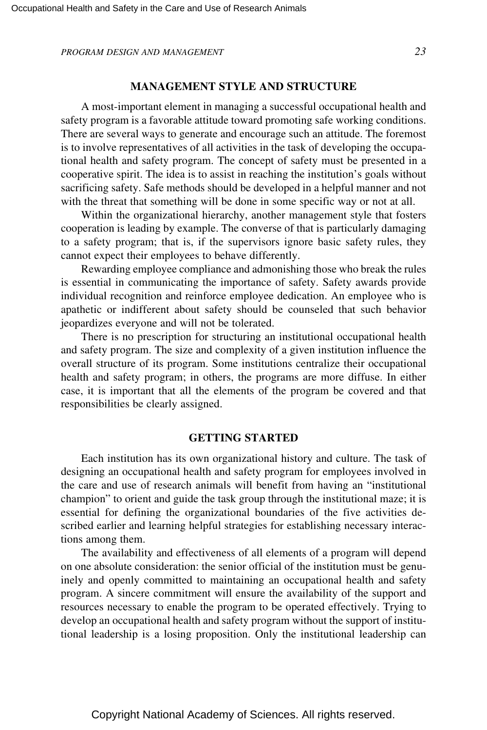*PROGRAM DESIGN AND MANAGEMENT* 

### **MANAGEMENT STYLE AND STRUCTURE**

A most-important element in managing a successful occupational health and safety program is a favorable attitude toward promoting safe working conditions. There are several ways to generate and encourage such an attitude. The foremost is to involve representatives of all activities in the task of developing the occupational health and safety program. The concept of safety must be presented in a cooperative spirit. The idea is to assist in reaching the institution's goals without sacrificing safety. Safe methods should be developed in a helpful manner and not with the threat that something will be done in some specific way or not at all.

Within the organizational hierarchy, another management style that fosters cooperation is leading by example. The converse of that is particularly damaging to a safety program; that is, if the supervisors ignore basic safety rules, they cannot expect their employees to behave differently.

Rewarding employee compliance and admonishing those who break the rules is essential in communicating the importance of safety. Safety awards provide individual recognition and reinforce employee dedication. An employee who is apathetic or indifferent about safety should be counseled that such behavior jeopardizes everyone and will not be tolerated.

There is no prescription for structuring an institutional occupational health and safety program. The size and complexity of a given institution influence the overall structure of its program. Some institutions centralize their occupational health and safety program; in others, the programs are more diffuse. In either case, it is important that all the elements of the program be covered and that responsibilities be clearly assigned.

#### **GETTING STARTED**

Each institution has its own organizational history and culture. The task of designing an occupational health and safety program for employees involved in the care and use of research animals will benefit from having an "institutional champion" to orient and guide the task group through the institutional maze; it is essential for defining the organizational boundaries of the five activities described earlier and learning helpful strategies for establishing necessary interactions among them.

The availability and effectiveness of all elements of a program will depend on one absolute consideration: the senior official of the institution must be genuinely and openly committed to maintaining an occupational health and safety program. A sincere commitment will ensure the availability of the support and resources necessary to enable the program to be operated effectively. Trying to develop an occupational health and safety program without the support of institutional leadership is a losing proposition. Only the institutional leadership can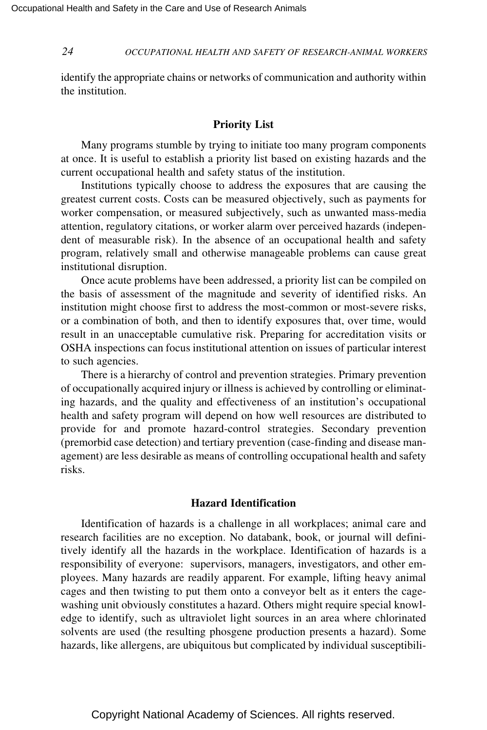identify the appropriate chains or networks of communication and authority within the institution.

# **Priority List**

Many programs stumble by trying to initiate too many program components at once. It is useful to establish a priority list based on existing hazards and the current occupational health and safety status of the institution.

Institutions typically choose to address the exposures that are causing the greatest current costs. Costs can be measured objectively, such as payments for worker compensation, or measured subjectively, such as unwanted mass-media attention, regulatory citations, or worker alarm over perceived hazards (independent of measurable risk). In the absence of an occupational health and safety program, relatively small and otherwise manageable problems can cause great institutional disruption.

Once acute problems have been addressed, a priority list can be compiled on the basis of assessment of the magnitude and severity of identified risks. An institution might choose first to address the most-common or most-severe risks, or a combination of both, and then to identify exposures that, over time, would result in an unacceptable cumulative risk. Preparing for accreditation visits or OSHA inspections can focus institutional attention on issues of particular interest to such agencies.

There is a hierarchy of control and prevention strategies. Primary prevention of occupationally acquired injury or illness is achieved by controlling or eliminating hazards, and the quality and effectiveness of an institution's occupational health and safety program will depend on how well resources are distributed to provide for and promote hazard-control strategies. Secondary prevention (premorbid case detection) and tertiary prevention (case-finding and disease management) are less desirable as means of controlling occupational health and safety risks.

# **Hazard Identification**

Identification of hazards is a challenge in all workplaces; animal care and research facilities are no exception. No databank, book, or journal will definitively identify all the hazards in the workplace. Identification of hazards is a responsibility of everyone: supervisors, managers, investigators, and other employees. Many hazards are readily apparent. For example, lifting heavy animal cages and then twisting to put them onto a conveyor belt as it enters the cagewashing unit obviously constitutes a hazard. Others might require special knowledge to identify, such as ultraviolet light sources in an area where chlorinated solvents are used (the resulting phosgene production presents a hazard). Some hazards, like allergens, are ubiquitous but complicated by individual susceptibili-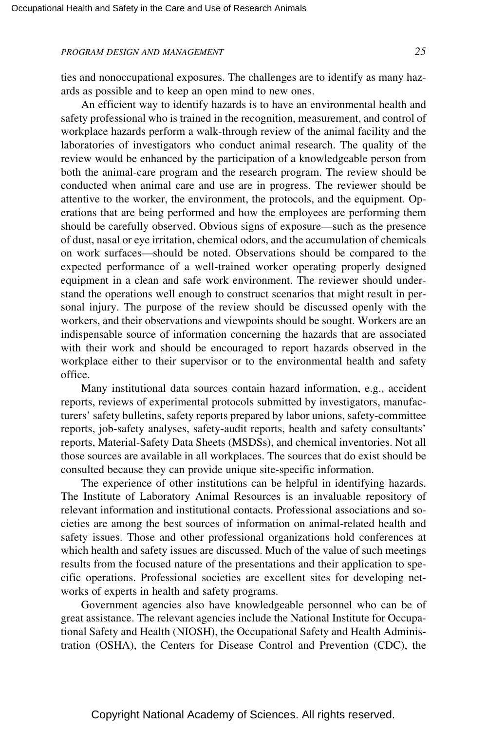### *PROGRAM DESIGN AND MANAGEMENT*

ties and nonoccupational exposures. The challenges are to identify as many hazards as possible and to keep an open mind to new ones.

An efficient way to identify hazards is to have an environmental health and safety professional who is trained in the recognition, measurement, and control of workplace hazards perform a walk-through review of the animal facility and the laboratories of investigators who conduct animal research. The quality of the review would be enhanced by the participation of a knowledgeable person from both the animal-care program and the research program. The review should be conducted when animal care and use are in progress. The reviewer should be attentive to the worker, the environment, the protocols, and the equipment. Operations that are being performed and how the employees are performing them should be carefully observed. Obvious signs of exposure—such as the presence of dust, nasal or eye irritation, chemical odors, and the accumulation of chemicals on work surfaces—should be noted. Observations should be compared to the expected performance of a well-trained worker operating properly designed equipment in a clean and safe work environment. The reviewer should understand the operations well enough to construct scenarios that might result in personal injury. The purpose of the review should be discussed openly with the workers, and their observations and viewpoints should be sought. Workers are an indispensable source of information concerning the hazards that are associated with their work and should be encouraged to report hazards observed in the workplace either to their supervisor or to the environmental health and safety office.

Many institutional data sources contain hazard information, e.g., accident reports, reviews of experimental protocols submitted by investigators, manufacturers' safety bulletins, safety reports prepared by labor unions, safety-committee reports, job-safety analyses, safety-audit reports, health and safety consultants' reports, Material-Safety Data Sheets (MSDSs), and chemical inventories. Not all those sources are available in all workplaces. The sources that do exist should be consulted because they can provide unique site-specific information.

The experience of other institutions can be helpful in identifying hazards. The Institute of Laboratory Animal Resources is an invaluable repository of relevant information and institutional contacts. Professional associations and societies are among the best sources of information on animal-related health and safety issues. Those and other professional organizations hold conferences at which health and safety issues are discussed. Much of the value of such meetings results from the focused nature of the presentations and their application to specific operations. Professional societies are excellent sites for developing networks of experts in health and safety programs.

Government agencies also have knowledgeable personnel who can be of great assistance. The relevant agencies include the National Institute for Occupational Safety and Health (NIOSH), the Occupational Safety and Health Administration (OSHA), the Centers for Disease Control and Prevention (CDC), the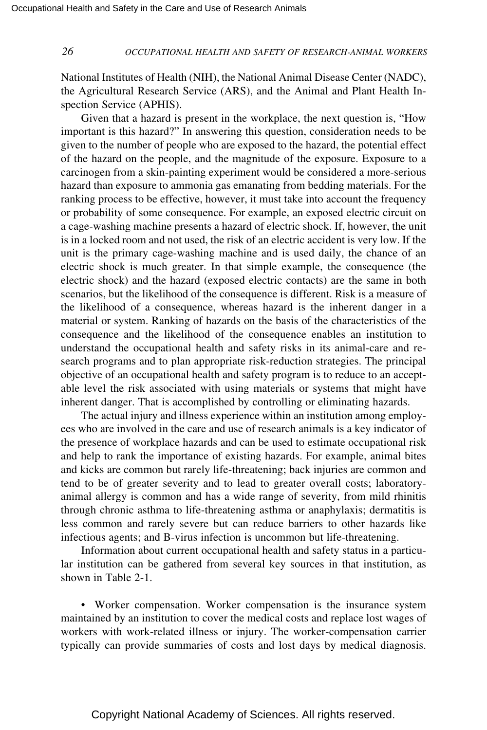National Institutes of Health (NIH), the National Animal Disease Center (NADC), the Agricultural Research Service (ARS), and the Animal and Plant Health Inspection Service (APHIS).

Given that a hazard is present in the workplace, the next question is, "How important is this hazard?" In answering this question, consideration needs to be given to the number of people who are exposed to the hazard, the potential effect of the hazard on the people, and the magnitude of the exposure. Exposure to a carcinogen from a skin-painting experiment would be considered a more-serious hazard than exposure to ammonia gas emanating from bedding materials. For the ranking process to be effective, however, it must take into account the frequency or probability of some consequence. For example, an exposed electric circuit on a cage-washing machine presents a hazard of electric shock. If, however, the unit is in a locked room and not used, the risk of an electric accident is very low. If the unit is the primary cage-washing machine and is used daily, the chance of an electric shock is much greater. In that simple example, the consequence (the electric shock) and the hazard (exposed electric contacts) are the same in both scenarios, but the likelihood of the consequence is different. Risk is a measure of the likelihood of a consequence, whereas hazard is the inherent danger in a material or system. Ranking of hazards on the basis of the characteristics of the consequence and the likelihood of the consequence enables an institution to understand the occupational health and safety risks in its animal-care and research programs and to plan appropriate risk-reduction strategies. The principal objective of an occupational health and safety program is to reduce to an acceptable level the risk associated with using materials or systems that might have inherent danger. That is accomplished by controlling or eliminating hazards.

The actual injury and illness experience within an institution among employees who are involved in the care and use of research animals is a key indicator of the presence of workplace hazards and can be used to estimate occupational risk and help to rank the importance of existing hazards. For example, animal bites and kicks are common but rarely life-threatening; back injuries are common and tend to be of greater severity and to lead to greater overall costs; laboratoryanimal allergy is common and has a wide range of severity, from mild rhinitis through chronic asthma to life-threatening asthma or anaphylaxis; dermatitis is less common and rarely severe but can reduce barriers to other hazards like infectious agents; and B-virus infection is uncommon but life-threatening.

Information about current occupational health and safety status in a particular institution can be gathered from several key sources in that institution, as shown in Table 2-1.

• Worker compensation. Worker compensation is the insurance system maintained by an institution to cover the medical costs and replace lost wages of workers with work-related illness or injury. The worker-compensation carrier typically can provide summaries of costs and lost days by medical diagnosis.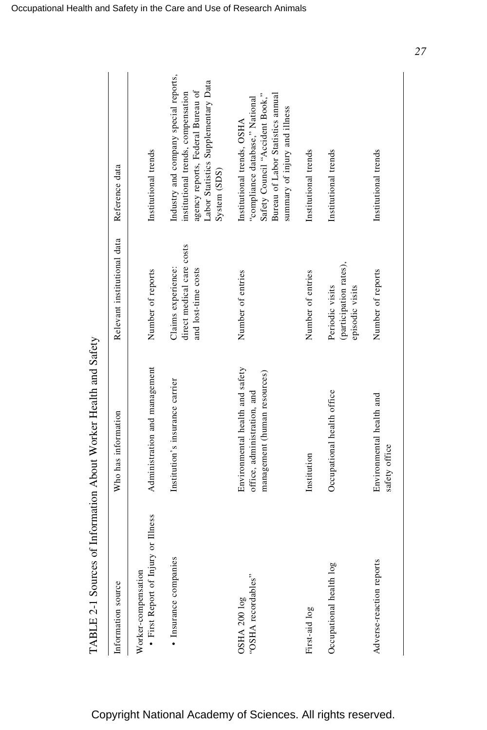| Information source                                         | Who has information                                                                            | Relevant institutional data                                            | Reference data                                                                                                                                                          |
|------------------------------------------------------------|------------------------------------------------------------------------------------------------|------------------------------------------------------------------------|-------------------------------------------------------------------------------------------------------------------------------------------------------------------------|
| · First Report of Injury or Illness<br>Worker-compensation | Administration and management                                                                  | Number of reports                                                      | Institutional trends                                                                                                                                                    |
| · Insurance companies                                      | Institution's insurance carrier                                                                | direct medical care costs<br>Claims experience:<br>and lost-time costs | Industry and company special reports,<br>Labor Statistics Supplementary Data<br>agency reports, Federal Bureau of<br>institutional trends, compensation<br>System (SDS) |
| "OSHA recordables"<br>OSHA 200 log                         | Environmental health and safety<br>management (human resources)<br>office, administration, and | Number of entries                                                      | Safety Council "Accident Book,"<br>Bureau of Labor Statistics annual<br>"compliance database," National<br>summary of injury and illness<br>Institutional trends, OSHA  |
| First-aid log                                              | Institution                                                                                    | Number of entries                                                      | Institutional trends                                                                                                                                                    |
| Occupational health log                                    | Occupational health office                                                                     | (participation rates),<br>Periodic visits<br>episodic visits           | Institutional trends                                                                                                                                                    |
| Adverse-reaction reports                                   | Environmental health and<br>safety office                                                      | Number of reports                                                      | Institutional trends                                                                                                                                                    |
|                                                            |                                                                                                |                                                                        | 27                                                                                                                                                                      |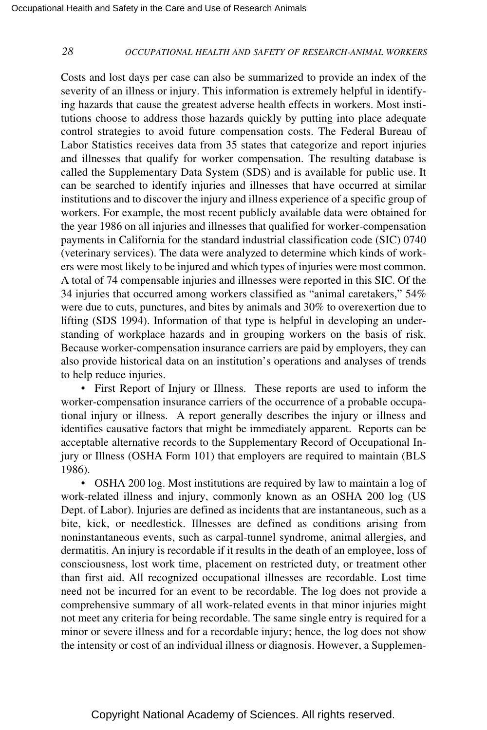Costs and lost days per case can also be summarized to provide an index of the severity of an illness or injury. This information is extremely helpful in identifying hazards that cause the greatest adverse health effects in workers. Most institutions choose to address those hazards quickly by putting into place adequate control strategies to avoid future compensation costs. The Federal Bureau of Labor Statistics receives data from 35 states that categorize and report injuries and illnesses that qualify for worker compensation. The resulting database is called the Supplementary Data System (SDS) and is available for public use. It can be searched to identify injuries and illnesses that have occurred at similar institutions and to discover the injury and illness experience of a specific group of workers. For example, the most recent publicly available data were obtained for the year 1986 on all injuries and illnesses that qualified for worker-compensation payments in California for the standard industrial classification code (SIC) 0740 (veterinary services). The data were analyzed to determine which kinds of workers were most likely to be injured and which types of injuries were most common. A total of 74 compensable injuries and illnesses were reported in this SIC. Of the 34 injuries that occurred among workers classified as "animal caretakers," 54% were due to cuts, punctures, and bites by animals and 30% to overexertion due to lifting (SDS 1994). Information of that type is helpful in developing an understanding of workplace hazards and in grouping workers on the basis of risk. Because worker-compensation insurance carriers are paid by employers, they can also provide historical data on an institution's operations and analyses of trends to help reduce injuries.

• First Report of Injury or Illness. These reports are used to inform the worker-compensation insurance carriers of the occurrence of a probable occupational injury or illness. A report generally describes the injury or illness and identifies causative factors that might be immediately apparent. Reports can be acceptable alternative records to the Supplementary Record of Occupational Injury or Illness (OSHA Form 101) that employers are required to maintain (BLS 1986).

• OSHA 200 log. Most institutions are required by law to maintain a log of work-related illness and injury, commonly known as an OSHA 200 log (US Dept. of Labor). Injuries are defined as incidents that are instantaneous, such as a bite, kick, or needlestick. Illnesses are defined as conditions arising from noninstantaneous events, such as carpal-tunnel syndrome, animal allergies, and dermatitis. An injury is recordable if it results in the death of an employee, loss of consciousness, lost work time, placement on restricted duty, or treatment other than first aid. All recognized occupational illnesses are recordable. Lost time need not be incurred for an event to be recordable. The log does not provide a comprehensive summary of all work-related events in that minor injuries might not meet any criteria for being recordable. The same single entry is required for a minor or severe illness and for a recordable injury; hence, the log does not show the intensity or cost of an individual illness or diagnosis. However, a Supplemen-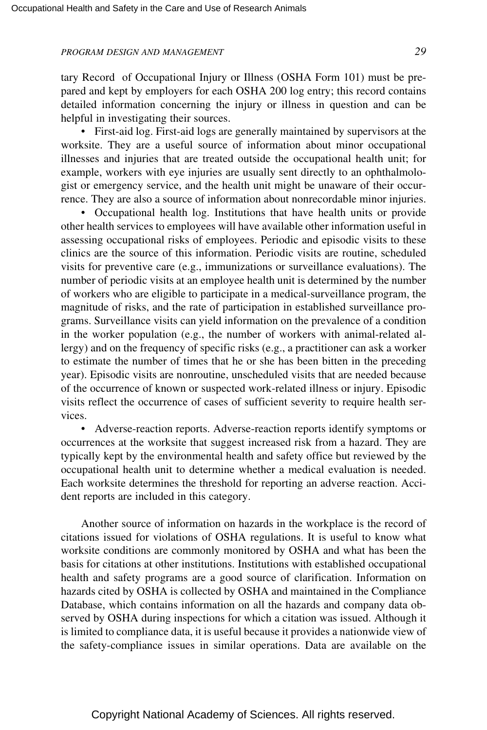*PROGRAM DESIGN AND MANAGEMENT* 

tary Record of Occupational Injury or Illness (OSHA Form 101) must be prepared and kept by employers for each OSHA 200 log entry; this record contains detailed information concerning the injury or illness in question and can be helpful in investigating their sources.

• First-aid log. First-aid logs are generally maintained by supervisors at the worksite. They are a useful source of information about minor occupational illnesses and injuries that are treated outside the occupational health unit; for example, workers with eye injuries are usually sent directly to an ophthalmologist or emergency service, and the health unit might be unaware of their occurrence. They are also a source of information about nonrecordable minor injuries.

• Occupational health log. Institutions that have health units or provide other health services to employees will have available other information useful in assessing occupational risks of employees. Periodic and episodic visits to these clinics are the source of this information. Periodic visits are routine, scheduled visits for preventive care (e.g., immunizations or surveillance evaluations). The number of periodic visits at an employee health unit is determined by the number of workers who are eligible to participate in a medical-surveillance program, the magnitude of risks, and the rate of participation in established surveillance programs. Surveillance visits can yield information on the prevalence of a condition in the worker population (e.g., the number of workers with animal-related allergy) and on the frequency of specific risks (e.g., a practitioner can ask a worker to estimate the number of times that he or she has been bitten in the preceding year). Episodic visits are nonroutine, unscheduled visits that are needed because of the occurrence of known or suspected work-related illness or injury. Episodic visits reflect the occurrence of cases of sufficient severity to require health services.

• Adverse-reaction reports. Adverse-reaction reports identify symptoms or occurrences at the worksite that suggest increased risk from a hazard. They are typically kept by the environmental health and safety office but reviewed by the occupational health unit to determine whether a medical evaluation is needed. Each worksite determines the threshold for reporting an adverse reaction. Accident reports are included in this category.

Another source of information on hazards in the workplace is the record of citations issued for violations of OSHA regulations. It is useful to know what worksite conditions are commonly monitored by OSHA and what has been the basis for citations at other institutions. Institutions with established occupational health and safety programs are a good source of clarification. Information on hazards cited by OSHA is collected by OSHA and maintained in the Compliance Database, which contains information on all the hazards and company data observed by OSHA during inspections for which a citation was issued. Although it is limited to compliance data, it is useful because it provides a nationwide view of the safety-compliance issues in similar operations. Data are available on the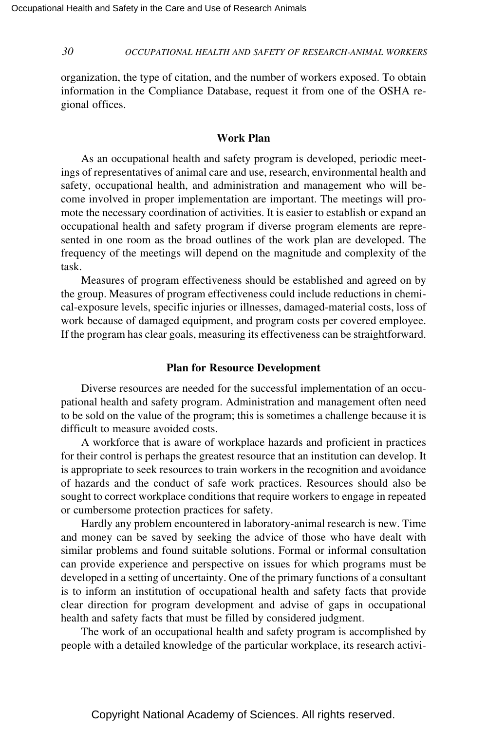organization, the type of citation, and the number of workers exposed. To obtain information in the Compliance Database, request it from one of the OSHA regional offices.

### **Work Plan**

As an occupational health and safety program is developed, periodic meetings of representatives of animal care and use, research, environmental health and safety, occupational health, and administration and management who will become involved in proper implementation are important. The meetings will promote the necessary coordination of activities. It is easier to establish or expand an occupational health and safety program if diverse program elements are represented in one room as the broad outlines of the work plan are developed. The frequency of the meetings will depend on the magnitude and complexity of the task.

Measures of program effectiveness should be established and agreed on by the group. Measures of program effectiveness could include reductions in chemical-exposure levels, specific injuries or illnesses, damaged-material costs, loss of work because of damaged equipment, and program costs per covered employee. If the program has clear goals, measuring its effectiveness can be straightforward.

### **Plan for Resource Development**

Diverse resources are needed for the successful implementation of an occupational health and safety program. Administration and management often need to be sold on the value of the program; this is sometimes a challenge because it is difficult to measure avoided costs.

A workforce that is aware of workplace hazards and proficient in practices for their control is perhaps the greatest resource that an institution can develop. It is appropriate to seek resources to train workers in the recognition and avoidance of hazards and the conduct of safe work practices. Resources should also be sought to correct workplace conditions that require workers to engage in repeated or cumbersome protection practices for safety.

Hardly any problem encountered in laboratory-animal research is new. Time and money can be saved by seeking the advice of those who have dealt with similar problems and found suitable solutions. Formal or informal consultation can provide experience and perspective on issues for which programs must be developed in a setting of uncertainty. One of the primary functions of a consultant is to inform an institution of occupational health and safety facts that provide clear direction for program development and advise of gaps in occupational health and safety facts that must be filled by considered judgment.

The work of an occupational health and safety program is accomplished by people with a detailed knowledge of the particular workplace, its research activi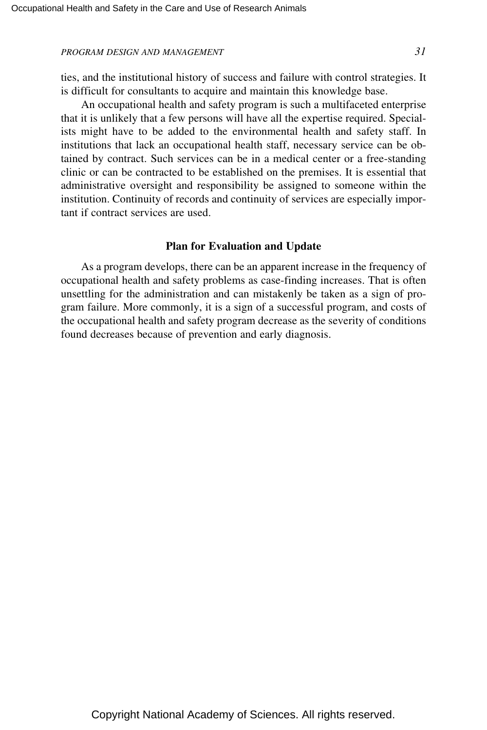ties, and the institutional history of success and failure with control strategies. It is difficult for consultants to acquire and maintain this knowledge base.

An occupational health and safety program is such a multifaceted enterprise that it is unlikely that a few persons will have all the expertise required. Specialists might have to be added to the environmental health and safety staff. In institutions that lack an occupational health staff, necessary service can be obtained by contract. Such services can be in a medical center or a free-standing clinic or can be contracted to be established on the premises. It is essential that administrative oversight and responsibility be assigned to someone within the institution. Continuity of records and continuity of services are especially important if contract services are used.

# **Plan for Evaluation and Update**

As a program develops, there can be an apparent increase in the frequency of occupational health and safety problems as case-finding increases. That is often unsettling for the administration and can mistakenly be taken as a sign of program failure. More commonly, it is a sign of a successful program, and costs of the occupational health and safety program decrease as the severity of conditions found decreases because of prevention and early diagnosis.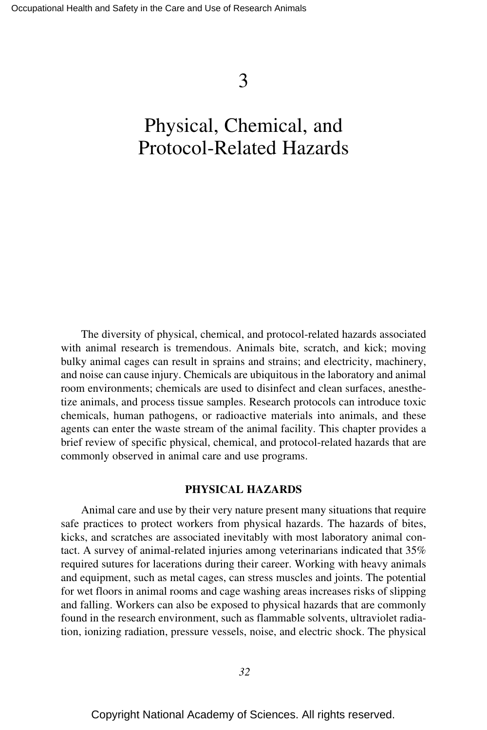3

# Physical, Chemical, and Protocol-Related Hazards

The diversity of physical, chemical, and protocol-related hazards associated with animal research is tremendous. Animals bite, scratch, and kick; moving bulky animal cages can result in sprains and strains; and electricity, machinery, and noise can cause injury. Chemicals are ubiquitous in the laboratory and animal room environments; chemicals are used to disinfect and clean surfaces, anesthetize animals, and process tissue samples. Research protocols can introduce toxic chemicals, human pathogens, or radioactive materials into animals, and these agents can enter the waste stream of the animal facility. This chapter provides a brief review of specific physical, chemical, and protocol-related hazards that are commonly observed in animal care and use programs.

# **PHYSICAL HAZARDS**

Animal care and use by their very nature present many situations that require safe practices to protect workers from physical hazards. The hazards of bites, kicks, and scratches are associated inevitably with most laboratory animal contact. A survey of animal-related injuries among veterinarians indicated that 35% required sutures for lacerations during their career. Working with heavy animals and equipment, such as metal cages, can stress muscles and joints. The potential for wet floors in animal rooms and cage washing areas increases risks of slipping and falling. Workers can also be exposed to physical hazards that are commonly found in the research environment, such as flammable solvents, ultraviolet radiation, ionizing radiation, pressure vessels, noise, and electric shock. The physical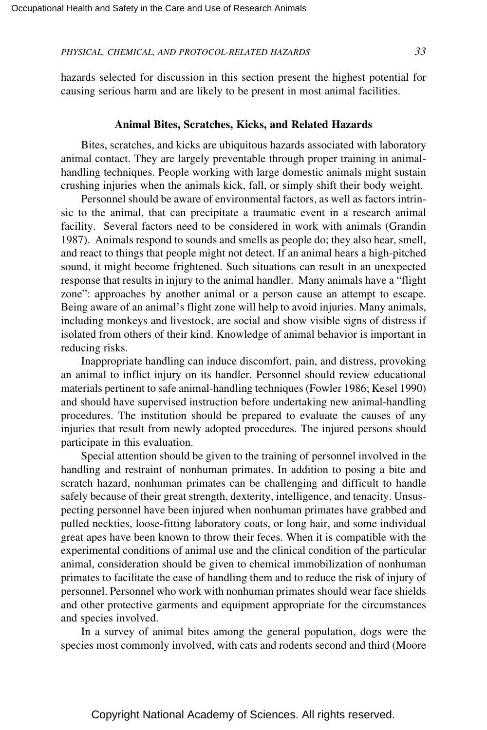hazards selected for discussion in this section present the highest potential for causing serious harm and are likely to be present in most animal facilities.

#### **Animal Bites, Scratches, Kicks, and Related Hazards**

Bites, scratches, and kicks are ubiquitous hazards associated with laboratory animal contact. They are largely preventable through proper training in animalhandling techniques. People working with large domestic animals might sustain crushing injuries when the animals kick, fall, or simply shift their body weight.

Personnel should be aware of environmental factors, as well as factors intrinsic to the animal, that can precipitate a traumatic event in a research animal facility. Several factors need to be considered in work with animals (Grandin 1987). Animals respond to sounds and smells as people do; they also hear, smell, and react to things that people might not detect. If an animal hears a high-pitched sound, it might become frightened. Such situations can result in an unexpected response that results in injury to the animal handler. Many animals have a "flight zone": approaches by another animal or a person cause an attempt to escape. Being aware of an animal's flight zone will help to avoid injuries. Many animals, including monkeys and livestock, are social and show visible signs of distress if isolated from others of their kind. Knowledge of animal behavior is important in reducing risks.

Inappropriate handling can induce discomfort, pain, and distress, provoking an animal to inflict injury on its handler. Personnel should review educational materials pertinent to safe animal-handling techniques (Fowler 1986; Kesel 1990) and should have supervised instruction before undertaking new animal-handling procedures. The institution should be prepared to evaluate the causes of any injuries that result from newly adopted procedures. The injured persons should participate in this evaluation.

Special attention should be given to the training of personnel involved in the handling and restraint of nonhuman primates. In addition to posing a bite and scratch hazard, nonhuman primates can be challenging and difficult to handle safely because of their great strength, dexterity, intelligence, and tenacity. Unsuspecting personnel have been injured when nonhuman primates have grabbed and pulled neckties, loose-fitting laboratory coats, or long hair, and some individual great apes have been known to throw their feces. When it is compatible with the experimental conditions of animal use and the clinical condition of the particular animal, consideration should be given to chemical immobilization of nonhuman primates to facilitate the ease of handling them and to reduce the risk of injury of personnel. Personnel who work with nonhuman primates should wear face shields and other protective garments and equipment appropriate for the circumstances and species involved.

In a survey of animal bites among the general population, dogs were the species most commonly involved, with cats and rodents second and third (Moore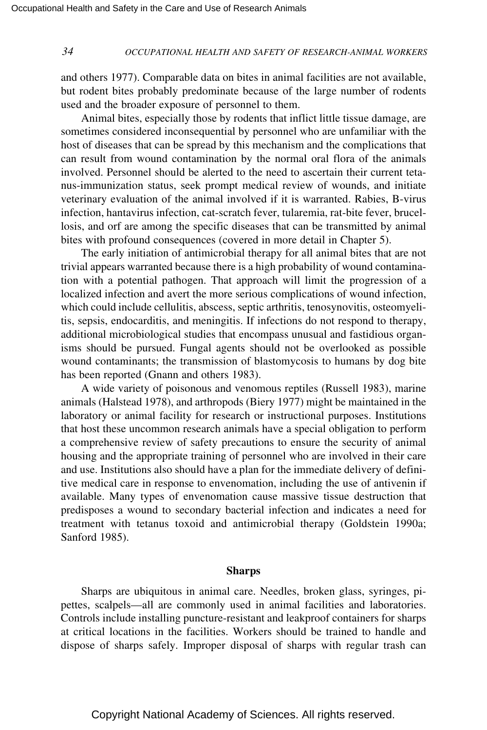and others 1977). Comparable data on bites in animal facilities are not available, but rodent bites probably predominate because of the large number of rodents used and the broader exposure of personnel to them.

Animal bites, especially those by rodents that inflict little tissue damage, are sometimes considered inconsequential by personnel who are unfamiliar with the host of diseases that can be spread by this mechanism and the complications that can result from wound contamination by the normal oral flora of the animals involved. Personnel should be alerted to the need to ascertain their current tetanus-immunization status, seek prompt medical review of wounds, and initiate veterinary evaluation of the animal involved if it is warranted. Rabies, B-virus infection, hantavirus infection, cat-scratch fever, tularemia, rat-bite fever, brucellosis, and orf are among the specific diseases that can be transmitted by animal bites with profound consequences (covered in more detail in Chapter 5).

The early initiation of antimicrobial therapy for all animal bites that are not trivial appears warranted because there is a high probability of wound contamination with a potential pathogen. That approach will limit the progression of a localized infection and avert the more serious complications of wound infection, which could include cellulitis, abscess, septic arthritis, tenosynovitis, osteomyelitis, sepsis, endocarditis, and meningitis. If infections do not respond to therapy, additional microbiological studies that encompass unusual and fastidious organisms should be pursued. Fungal agents should not be overlooked as possible wound contaminants; the transmission of blastomycosis to humans by dog bite has been reported (Gnann and others 1983).

A wide variety of poisonous and venomous reptiles (Russell 1983), marine animals (Halstead 1978), and arthropods (Biery 1977) might be maintained in the laboratory or animal facility for research or instructional purposes. Institutions that host these uncommon research animals have a special obligation to perform a comprehensive review of safety precautions to ensure the security of animal housing and the appropriate training of personnel who are involved in their care and use. Institutions also should have a plan for the immediate delivery of definitive medical care in response to envenomation, including the use of antivenin if available. Many types of envenomation cause massive tissue destruction that predisposes a wound to secondary bacterial infection and indicates a need for treatment with tetanus toxoid and antimicrobial therapy (Goldstein 1990a; Sanford 1985).

### **Sharps**

Sharps are ubiquitous in animal care. Needles, broken glass, syringes, pipettes, scalpels—all are commonly used in animal facilities and laboratories. Controls include installing puncture-resistant and leakproof containers for sharps at critical locations in the facilities. Workers should be trained to handle and dispose of sharps safely. Improper disposal of sharps with regular trash can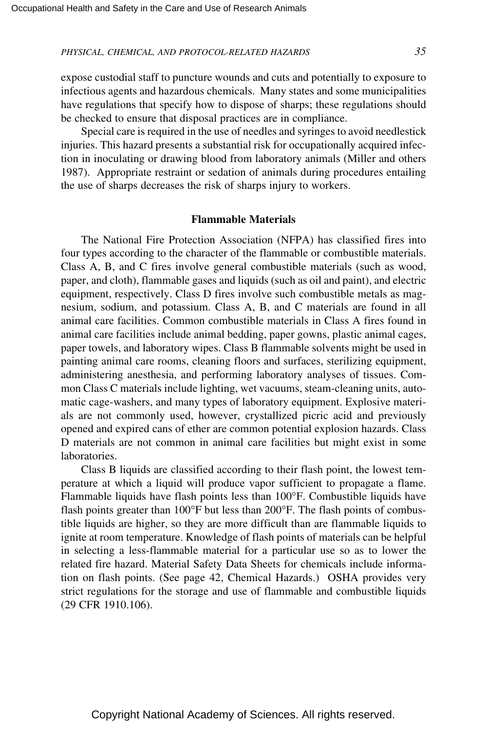expose custodial staff to puncture wounds and cuts and potentially to exposure to infectious agents and hazardous chemicals. Many states and some municipalities have regulations that specify how to dispose of sharps; these regulations should be checked to ensure that disposal practices are in compliance.

Special care is required in the use of needles and syringes to avoid needlestick injuries. This hazard presents a substantial risk for occupationally acquired infection in inoculating or drawing blood from laboratory animals (Miller and others 1987). Appropriate restraint or sedation of animals during procedures entailing the use of sharps decreases the risk of sharps injury to workers.

# **Flammable Materials**

The National Fire Protection Association (NFPA) has classified fires into four types according to the character of the flammable or combustible materials. Class A, B, and C fires involve general combustible materials (such as wood, paper, and cloth), flammable gases and liquids (such as oil and paint), and electric equipment, respectively. Class D fires involve such combustible metals as magnesium, sodium, and potassium. Class A, B, and C materials are found in all animal care facilities. Common combustible materials in Class A fires found in animal care facilities include animal bedding, paper gowns, plastic animal cages, paper towels, and laboratory wipes. Class B flammable solvents might be used in painting animal care rooms, cleaning floors and surfaces, sterilizing equipment, administering anesthesia, and performing laboratory analyses of tissues. Common Class C materials include lighting, wet vacuums, steam-cleaning units, automatic cage-washers, and many types of laboratory equipment. Explosive materials are not commonly used, however, crystallized picric acid and previously opened and expired cans of ether are common potential explosion hazards. Class D materials are not common in animal care facilities but might exist in some laboratories.

Class B liquids are classified according to their flash point, the lowest temperature at which a liquid will produce vapor sufficient to propagate a flame. Flammable liquids have flash points less than 100°F. Combustible liquids have flash points greater than  $100^{\circ}$ F but less than  $200^{\circ}$ F. The flash points of combustible liquids are higher, so they are more difficult than are flammable liquids to ignite at room temperature. Knowledge of flash points of materials can be helpful in selecting a less-flammable material for a particular use so as to lower the related fire hazard. Material Safety Data Sheets for chemicals include information on flash points. (See page 42, Chemical Hazards.) OSHA provides very strict regulations for the storage and use of flammable and combustible liquids (29 CFR 1910.106).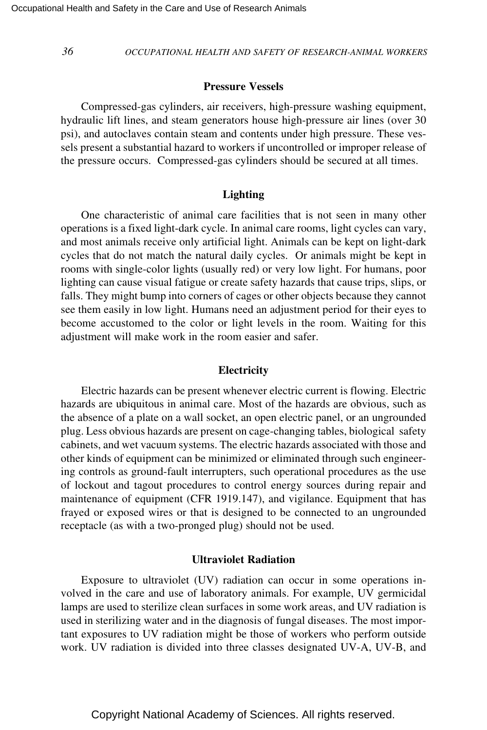# **Pressure Vessels**

Compressed-gas cylinders, air receivers, high-pressure washing equipment, hydraulic lift lines, and steam generators house high-pressure air lines (over 30 psi), and autoclaves contain steam and contents under high pressure. These vessels present a substantial hazard to workers if uncontrolled or improper release of the pressure occurs. Compressed-gas cylinders should be secured at all times.

### **Lighting**

One characteristic of animal care facilities that is not seen in many other operations is a fixed light-dark cycle. In animal care rooms, light cycles can vary, and most animals receive only artificial light. Animals can be kept on light-dark cycles that do not match the natural daily cycles. Or animals might be kept in rooms with single-color lights (usually red) or very low light. For humans, poor lighting can cause visual fatigue or create safety hazards that cause trips, slips, or falls. They might bump into corners of cages or other objects because they cannot see them easily in low light. Humans need an adjustment period for their eyes to become accustomed to the color or light levels in the room. Waiting for this adjustment will make work in the room easier and safer.

## **Electricity**

Electric hazards can be present whenever electric current is flowing. Electric hazards are ubiquitous in animal care. Most of the hazards are obvious, such as the absence of a plate on a wall socket, an open electric panel, or an ungrounded plug. Less obvious hazards are present on cage-changing tables, biological safety cabinets, and wet vacuum systems. The electric hazards associated with those and other kinds of equipment can be minimized or eliminated through such engineering controls as ground-fault interrupters, such operational procedures as the use of lockout and tagout procedures to control energy sources during repair and maintenance of equipment (CFR 1919.147), and vigilance. Equipment that has frayed or exposed wires or that is designed to be connected to an ungrounded receptacle (as with a two-pronged plug) should not be used.

### **Ultraviolet Radiation**

Exposure to ultraviolet (UV) radiation can occur in some operations involved in the care and use of laboratory animals. For example, UV germicidal lamps are used to sterilize clean surfaces in some work areas, and UV radiation is used in sterilizing water and in the diagnosis of fungal diseases. The most important exposures to UV radiation might be those of workers who perform outside work. UV radiation is divided into three classes designated UV-A, UV-B, and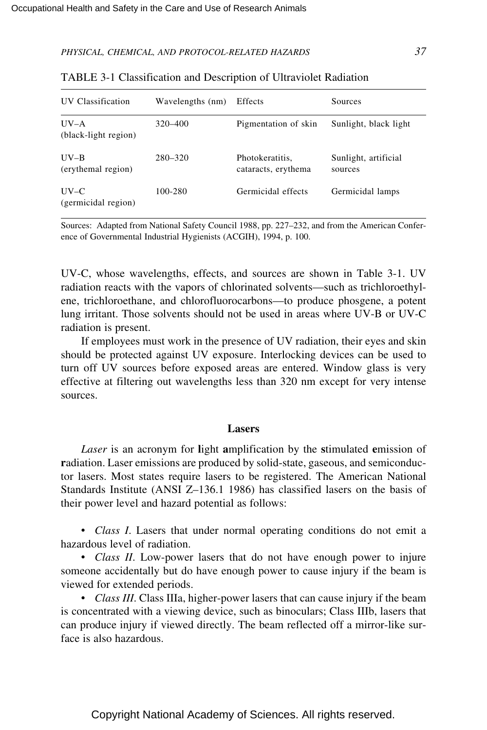### *PHYSICAL, CHEMICAL, AND PROTOCOL-RELATED HAZARDS*

| <b>UV</b> Classification       | Wavelengths (nm) | <b>Effects</b>                         | Sources                         |
|--------------------------------|------------------|----------------------------------------|---------------------------------|
| $UV-A$<br>(black-light region) | 320-400          | Pigmentation of skin                   | Sunlight, black light           |
| $UV-B$<br>(erythemal region)   | $280 - 320$      | Photokeratitis.<br>cataracts, erythema | Sunlight, artificial<br>sources |
| $UV-C$<br>(germicidal region)  | 100-280          | Germicidal effects                     | Germicidal lamps                |

### TABLE 3-1 Classification and Description of Ultraviolet Radiation

Sources: Adapted from National Safety Council 1988, pp. 227–232, and from the American Conference of Governmental Industrial Hygienists (ACGIH), 1994, p. 100.

UV-C, whose wavelengths, effects, and sources are shown in Table 3-1. UV radiation reacts with the vapors of chlorinated solvents—such as trichloroethylene, trichloroethane, and chlorofluorocarbons—to produce phosgene, a potent lung irritant. Those solvents should not be used in areas where UV-B or UV-C radiation is present.

If employees must work in the presence of UV radiation, their eyes and skin should be protected against UV exposure. Interlocking devices can be used to turn off UV sources before exposed areas are entered. Window glass is very effective at filtering out wavelengths less than 320 nm except for very intense sources.

#### **Lasers**

*Laser* is an acronym for **l**ight **a**mplification by the **s**timulated **e**mission of **r**adiation. Laser emissions are produced by solid-state, gaseous, and semiconductor lasers. Most states require lasers to be registered. The American National Standards Institute (ANSI Z–136.1 1986) has classified lasers on the basis of their power level and hazard potential as follows:

• *Class I*. Lasers that under normal operating conditions do not emit a hazardous level of radiation.

• *Class II*. Low-power lasers that do not have enough power to injure someone accidentally but do have enough power to cause injury if the beam is viewed for extended periods.

• *Class III*. Class IIIa, higher-power lasers that can cause injury if the beam is concentrated with a viewing device, such as binoculars; Class IIIb, lasers that can produce injury if viewed directly. The beam reflected off a mirror-like surface is also hazardous.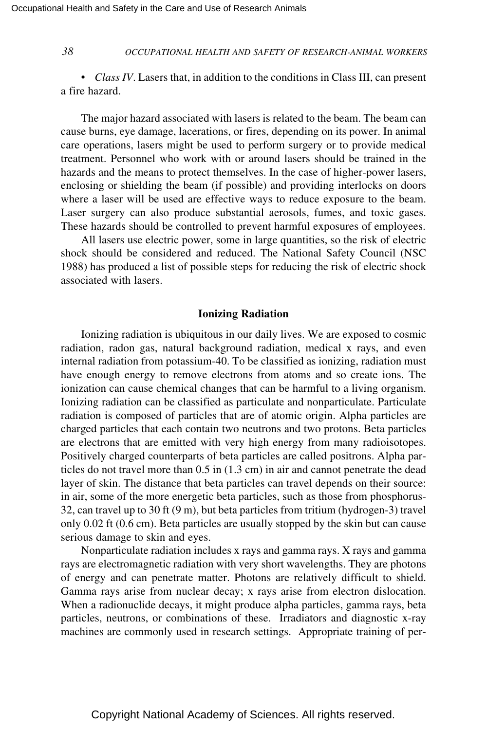• *Class IV*. Lasers that, in addition to the conditions in Class III, can present a fire hazard.

The major hazard associated with lasers is related to the beam. The beam can cause burns, eye damage, lacerations, or fires, depending on its power. In animal care operations, lasers might be used to perform surgery or to provide medical treatment. Personnel who work with or around lasers should be trained in the hazards and the means to protect themselves. In the case of higher-power lasers, enclosing or shielding the beam (if possible) and providing interlocks on doors where a laser will be used are effective ways to reduce exposure to the beam. Laser surgery can also produce substantial aerosols, fumes, and toxic gases. These hazards should be controlled to prevent harmful exposures of employees.

All lasers use electric power, some in large quantities, so the risk of electric shock should be considered and reduced. The National Safety Council (NSC 1988) has produced a list of possible steps for reducing the risk of electric shock associated with lasers.

### **Ionizing Radiation**

Ionizing radiation is ubiquitous in our daily lives. We are exposed to cosmic radiation, radon gas, natural background radiation, medical x rays, and even internal radiation from potassium-40. To be classified as ionizing, radiation must have enough energy to remove electrons from atoms and so create ions. The ionization can cause chemical changes that can be harmful to a living organism. Ionizing radiation can be classified as particulate and nonparticulate. Particulate radiation is composed of particles that are of atomic origin. Alpha particles are charged particles that each contain two neutrons and two protons. Beta particles are electrons that are emitted with very high energy from many radioisotopes. Positively charged counterparts of beta particles are called positrons. Alpha particles do not travel more than 0.5 in (1.3 cm) in air and cannot penetrate the dead layer of skin. The distance that beta particles can travel depends on their source: in air, some of the more energetic beta particles, such as those from phosphorus-32, can travel up to 30 ft (9 m), but beta particles from tritium (hydrogen-3) travel only 0.02 ft (0.6 cm). Beta particles are usually stopped by the skin but can cause serious damage to skin and eyes.

Nonparticulate radiation includes x rays and gamma rays. X rays and gamma rays are electromagnetic radiation with very short wavelengths. They are photons of energy and can penetrate matter. Photons are relatively difficult to shield. Gamma rays arise from nuclear decay; x rays arise from electron dislocation. When a radionuclide decays, it might produce alpha particles, gamma rays, beta particles, neutrons, or combinations of these. Irradiators and diagnostic x-ray machines are commonly used in research settings. Appropriate training of per-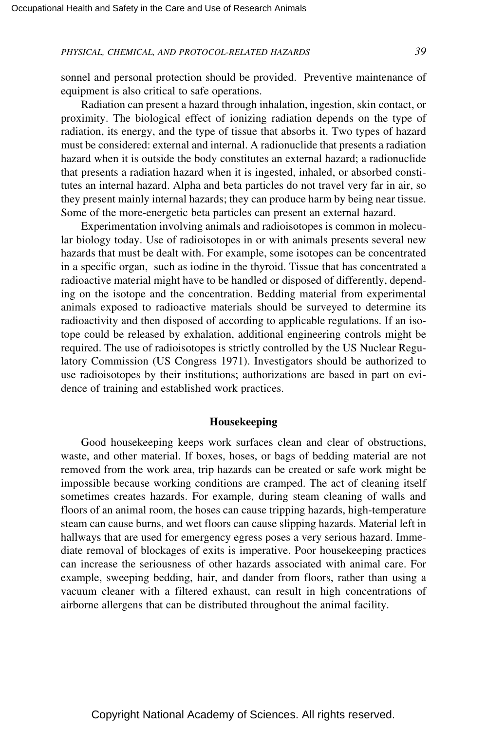#### *PHYSICAL, CHEMICAL, AND PROTOCOL-RELATED HAZARDS*

sonnel and personal protection should be provided. Preventive maintenance of equipment is also critical to safe operations.

Radiation can present a hazard through inhalation, ingestion, skin contact, or proximity. The biological effect of ionizing radiation depends on the type of radiation, its energy, and the type of tissue that absorbs it. Two types of hazard must be considered: external and internal. A radionuclide that presents a radiation hazard when it is outside the body constitutes an external hazard; a radionuclide that presents a radiation hazard when it is ingested, inhaled, or absorbed constitutes an internal hazard. Alpha and beta particles do not travel very far in air, so they present mainly internal hazards; they can produce harm by being near tissue. Some of the more-energetic beta particles can present an external hazard.

Experimentation involving animals and radioisotopes is common in molecular biology today. Use of radioisotopes in or with animals presents several new hazards that must be dealt with. For example, some isotopes can be concentrated in a specific organ, such as iodine in the thyroid. Tissue that has concentrated a radioactive material might have to be handled or disposed of differently, depending on the isotope and the concentration. Bedding material from experimental animals exposed to radioactive materials should be surveyed to determine its radioactivity and then disposed of according to applicable regulations. If an isotope could be released by exhalation, additional engineering controls might be required. The use of radioisotopes is strictly controlled by the US Nuclear Regulatory Commission (US Congress 1971). Investigators should be authorized to use radioisotopes by their institutions; authorizations are based in part on evidence of training and established work practices.

# **Housekeeping**

Good housekeeping keeps work surfaces clean and clear of obstructions, waste, and other material. If boxes, hoses, or bags of bedding material are not removed from the work area, trip hazards can be created or safe work might be impossible because working conditions are cramped. The act of cleaning itself sometimes creates hazards. For example, during steam cleaning of walls and floors of an animal room, the hoses can cause tripping hazards, high-temperature steam can cause burns, and wet floors can cause slipping hazards. Material left in hallways that are used for emergency egress poses a very serious hazard. Immediate removal of blockages of exits is imperative. Poor housekeeping practices can increase the seriousness of other hazards associated with animal care. For example, sweeping bedding, hair, and dander from floors, rather than using a vacuum cleaner with a filtered exhaust, can result in high concentrations of airborne allergens that can be distributed throughout the animal facility.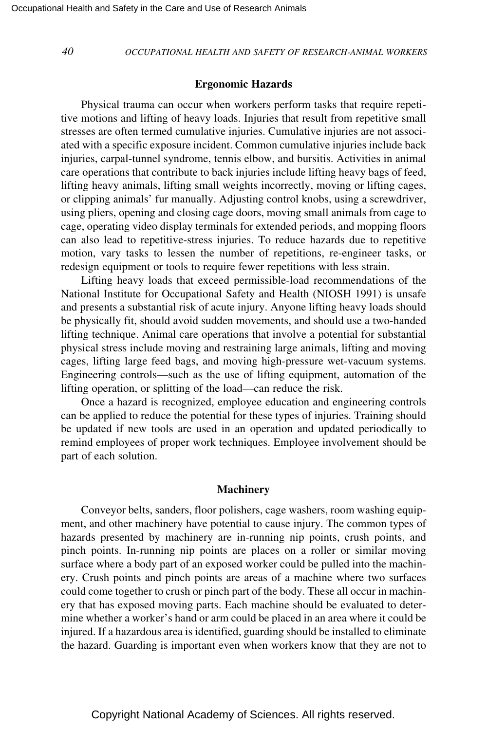### **Ergonomic Hazards**

Physical trauma can occur when workers perform tasks that require repetitive motions and lifting of heavy loads. Injuries that result from repetitive small stresses are often termed cumulative injuries. Cumulative injuries are not associated with a specific exposure incident. Common cumulative injuries include back injuries, carpal-tunnel syndrome, tennis elbow, and bursitis. Activities in animal care operations that contribute to back injuries include lifting heavy bags of feed, lifting heavy animals, lifting small weights incorrectly, moving or lifting cages, or clipping animals' fur manually. Adjusting control knobs, using a screwdriver, using pliers, opening and closing cage doors, moving small animals from cage to cage, operating video display terminals for extended periods, and mopping floors can also lead to repetitive-stress injuries. To reduce hazards due to repetitive motion, vary tasks to lessen the number of repetitions, re-engineer tasks, or redesign equipment or tools to require fewer repetitions with less strain.

Lifting heavy loads that exceed permissible-load recommendations of the National Institute for Occupational Safety and Health (NIOSH 1991) is unsafe and presents a substantial risk of acute injury. Anyone lifting heavy loads should be physically fit, should avoid sudden movements, and should use a two-handed lifting technique. Animal care operations that involve a potential for substantial physical stress include moving and restraining large animals, lifting and moving cages, lifting large feed bags, and moving high-pressure wet-vacuum systems. Engineering controls—such as the use of lifting equipment, automation of the lifting operation, or splitting of the load—can reduce the risk.

Once a hazard is recognized, employee education and engineering controls can be applied to reduce the potential for these types of injuries. Training should be updated if new tools are used in an operation and updated periodically to remind employees of proper work techniques. Employee involvement should be part of each solution.

### **Machinery**

Conveyor belts, sanders, floor polishers, cage washers, room washing equipment, and other machinery have potential to cause injury. The common types of hazards presented by machinery are in-running nip points, crush points, and pinch points. In-running nip points are places on a roller or similar moving surface where a body part of an exposed worker could be pulled into the machinery. Crush points and pinch points are areas of a machine where two surfaces could come together to crush or pinch part of the body. These all occur in machinery that has exposed moving parts. Each machine should be evaluated to determine whether a worker's hand or arm could be placed in an area where it could be injured. If a hazardous area is identified, guarding should be installed to eliminate the hazard. Guarding is important even when workers know that they are not to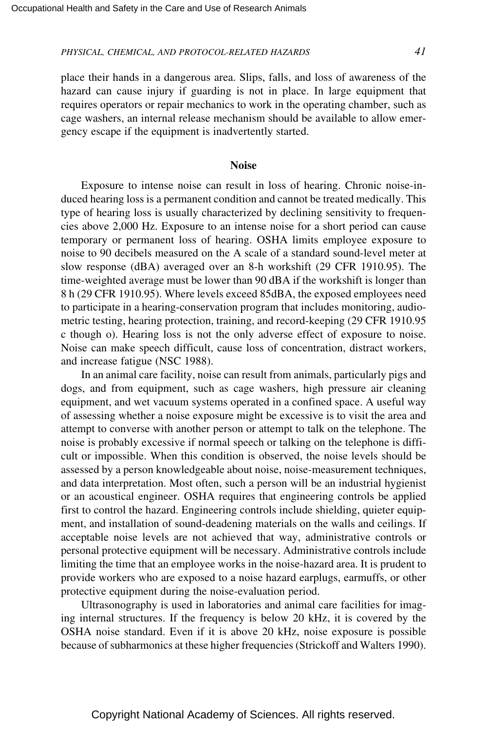### *PHYSICAL, CHEMICAL, AND PROTOCOL-RELATED HAZARDS*

place their hands in a dangerous area. Slips, falls, and loss of awareness of the hazard can cause injury if guarding is not in place. In large equipment that requires operators or repair mechanics to work in the operating chamber, such as cage washers, an internal release mechanism should be available to allow emergency escape if the equipment is inadvertently started.

# **Noise**

Exposure to intense noise can result in loss of hearing. Chronic noise-induced hearing loss is a permanent condition and cannot be treated medically. This type of hearing loss is usually characterized by declining sensitivity to frequencies above 2,000 Hz. Exposure to an intense noise for a short period can cause temporary or permanent loss of hearing. OSHA limits employee exposure to noise to 90 decibels measured on the A scale of a standard sound-level meter at slow response (dBA) averaged over an 8-h workshift (29 CFR 1910.95). The time-weighted average must be lower than 90 dBA if the workshift is longer than 8 h (29 CFR 1910.95). Where levels exceed 85dBA, the exposed employees need to participate in a hearing-conservation program that includes monitoring, audiometric testing, hearing protection, training, and record-keeping (29 CFR 1910.95 c though o). Hearing loss is not the only adverse effect of exposure to noise. Noise can make speech difficult, cause loss of concentration, distract workers, and increase fatigue (NSC 1988).

In an animal care facility, noise can result from animals, particularly pigs and dogs, and from equipment, such as cage washers, high pressure air cleaning equipment, and wet vacuum systems operated in a confined space. A useful way of assessing whether a noise exposure might be excessive is to visit the area and attempt to converse with another person or attempt to talk on the telephone. The noise is probably excessive if normal speech or talking on the telephone is difficult or impossible. When this condition is observed, the noise levels should be assessed by a person knowledgeable about noise, noise-measurement techniques, and data interpretation. Most often, such a person will be an industrial hygienist or an acoustical engineer. OSHA requires that engineering controls be applied first to control the hazard. Engineering controls include shielding, quieter equipment, and installation of sound-deadening materials on the walls and ceilings. If acceptable noise levels are not achieved that way, administrative controls or personal protective equipment will be necessary. Administrative controls include limiting the time that an employee works in the noise-hazard area. It is prudent to provide workers who are exposed to a noise hazard earplugs, earmuffs, or other protective equipment during the noise-evaluation period.

Ultrasonography is used in laboratories and animal care facilities for imaging internal structures. If the frequency is below 20 kHz, it is covered by the OSHA noise standard. Even if it is above 20 kHz, noise exposure is possible because of subharmonics at these higher frequencies (Strickoff and Walters 1990).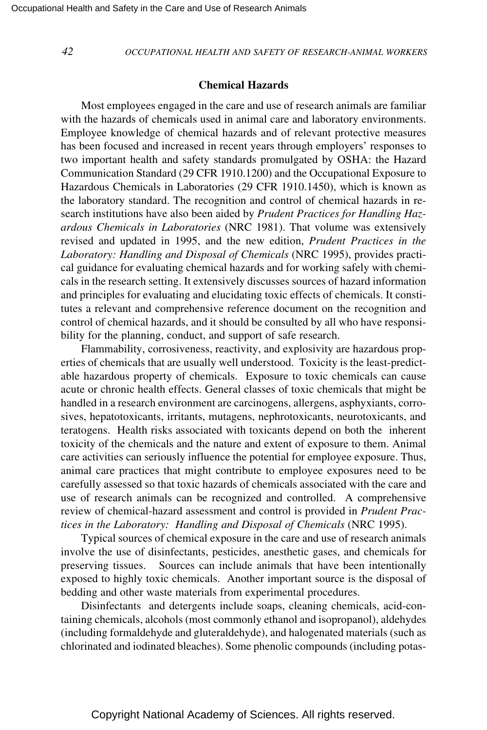# **Chemical Hazards**

Most employees engaged in the care and use of research animals are familiar with the hazards of chemicals used in animal care and laboratory environments. Employee knowledge of chemical hazards and of relevant protective measures has been focused and increased in recent years through employers' responses to two important health and safety standards promulgated by OSHA: the Hazard Communication Standard (29 CFR 1910.1200) and the Occupational Exposure to Hazardous Chemicals in Laboratories (29 CFR 1910.1450), which is known as the laboratory standard. The recognition and control of chemical hazards in research institutions have also been aided by *Prudent Practices for Handling Hazardous Chemicals in Laboratories* (NRC 1981). That volume was extensively revised and updated in 1995, and the new edition, *Prudent Practices in the Laboratory: Handling and Disposal of Chemicals* (NRC 1995), provides practical guidance for evaluating chemical hazards and for working safely with chemicals in the research setting. It extensively discusses sources of hazard information and principles for evaluating and elucidating toxic effects of chemicals. It constitutes a relevant and comprehensive reference document on the recognition and control of chemical hazards, and it should be consulted by all who have responsibility for the planning, conduct, and support of safe research.

Flammability, corrosiveness, reactivity, and explosivity are hazardous properties of chemicals that are usually well understood. Toxicity is the least-predictable hazardous property of chemicals. Exposure to toxic chemicals can cause acute or chronic health effects. General classes of toxic chemicals that might be handled in a research environment are carcinogens, allergens, asphyxiants, corrosives, hepatotoxicants, irritants, mutagens, nephrotoxicants, neurotoxicants, and teratogens. Health risks associated with toxicants depend on both the inherent toxicity of the chemicals and the nature and extent of exposure to them. Animal care activities can seriously influence the potential for employee exposure. Thus, animal care practices that might contribute to employee exposures need to be carefully assessed so that toxic hazards of chemicals associated with the care and use of research animals can be recognized and controlled. A comprehensive review of chemical-hazard assessment and control is provided in *Prudent Practices in the Laboratory: Handling and Disposal of Chemicals* (NRC 1995).

Typical sources of chemical exposure in the care and use of research animals involve the use of disinfectants, pesticides, anesthetic gases, and chemicals for preserving tissues. Sources can include animals that have been intentionally exposed to highly toxic chemicals. Another important source is the disposal of bedding and other waste materials from experimental procedures.

Disinfectants and detergents include soaps, cleaning chemicals, acid-containing chemicals, alcohols (most commonly ethanol and isopropanol), aldehydes (including formaldehyde and gluteraldehyde), and halogenated materials (such as chlorinated and iodinated bleaches). Some phenolic compounds (including potas-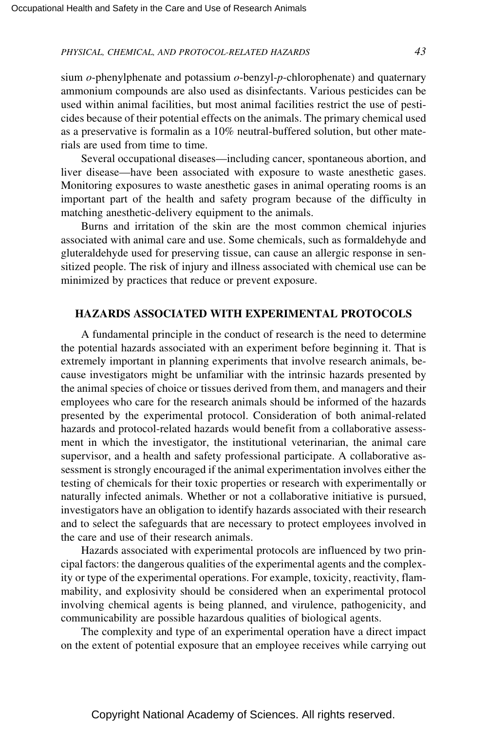### *PHYSICAL, CHEMICAL, AND PROTOCOL-RELATED HAZARDS*

sium *o*-phenylphenate and potassium *o*-benzyl-*p*-chlorophenate) and quaternary ammonium compounds are also used as disinfectants. Various pesticides can be used within animal facilities, but most animal facilities restrict the use of pesticides because of their potential effects on the animals. The primary chemical used as a preservative is formalin as a 10% neutral-buffered solution, but other materials are used from time to time.

Several occupational diseases—including cancer, spontaneous abortion, and liver disease—have been associated with exposure to waste anesthetic gases. Monitoring exposures to waste anesthetic gases in animal operating rooms is an important part of the health and safety program because of the difficulty in matching anesthetic-delivery equipment to the animals.

Burns and irritation of the skin are the most common chemical injuries associated with animal care and use. Some chemicals, such as formaldehyde and gluteraldehyde used for preserving tissue, can cause an allergic response in sensitized people. The risk of injury and illness associated with chemical use can be minimized by practices that reduce or prevent exposure.

# **HAZARDS ASSOCIATED WITH EXPERIMENTAL PROTOCOLS**

A fundamental principle in the conduct of research is the need to determine the potential hazards associated with an experiment before beginning it. That is extremely important in planning experiments that involve research animals, because investigators might be unfamiliar with the intrinsic hazards presented by the animal species of choice or tissues derived from them, and managers and their employees who care for the research animals should be informed of the hazards presented by the experimental protocol. Consideration of both animal-related hazards and protocol-related hazards would benefit from a collaborative assessment in which the investigator, the institutional veterinarian, the animal care supervisor, and a health and safety professional participate. A collaborative assessment is strongly encouraged if the animal experimentation involves either the testing of chemicals for their toxic properties or research with experimentally or naturally infected animals. Whether or not a collaborative initiative is pursued, investigators have an obligation to identify hazards associated with their research and to select the safeguards that are necessary to protect employees involved in the care and use of their research animals.

Hazards associated with experimental protocols are influenced by two principal factors: the dangerous qualities of the experimental agents and the complexity or type of the experimental operations. For example, toxicity, reactivity, flammability, and explosivity should be considered when an experimental protocol involving chemical agents is being planned, and virulence, pathogenicity, and communicability are possible hazardous qualities of biological agents.

The complexity and type of an experimental operation have a direct impact on the extent of potential exposure that an employee receives while carrying out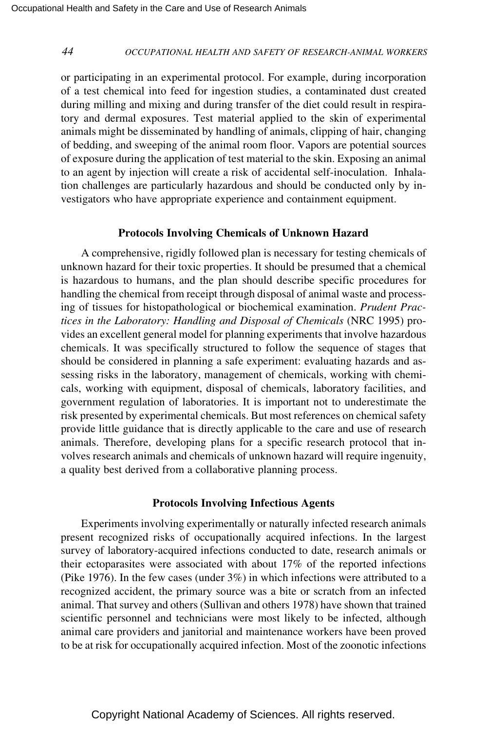or participating in an experimental protocol. For example, during incorporation of a test chemical into feed for ingestion studies, a contaminated dust created during milling and mixing and during transfer of the diet could result in respiratory and dermal exposures. Test material applied to the skin of experimental animals might be disseminated by handling of animals, clipping of hair, changing of bedding, and sweeping of the animal room floor. Vapors are potential sources of exposure during the application of test material to the skin. Exposing an animal to an agent by injection will create a risk of accidental self-inoculation. Inhalation challenges are particularly hazardous and should be conducted only by investigators who have appropriate experience and containment equipment.

# **Protocols Involving Chemicals of Unknown Hazard**

A comprehensive, rigidly followed plan is necessary for testing chemicals of unknown hazard for their toxic properties. It should be presumed that a chemical is hazardous to humans, and the plan should describe specific procedures for handling the chemical from receipt through disposal of animal waste and processing of tissues for histopathological or biochemical examination. *Prudent Practices in the Laboratory: Handling and Disposal of Chemicals* (NRC 1995) provides an excellent general model for planning experiments that involve hazardous chemicals. It was specifically structured to follow the sequence of stages that should be considered in planning a safe experiment: evaluating hazards and assessing risks in the laboratory, management of chemicals, working with chemicals, working with equipment, disposal of chemicals, laboratory facilities, and government regulation of laboratories. It is important not to underestimate the risk presented by experimental chemicals. But most references on chemical safety provide little guidance that is directly applicable to the care and use of research animals. Therefore, developing plans for a specific research protocol that involves research animals and chemicals of unknown hazard will require ingenuity, a quality best derived from a collaborative planning process.

# **Protocols Involving Infectious Agents**

Experiments involving experimentally or naturally infected research animals present recognized risks of occupationally acquired infections. In the largest survey of laboratory-acquired infections conducted to date, research animals or their ectoparasites were associated with about 17% of the reported infections (Pike 1976). In the few cases (under  $3\%$ ) in which infections were attributed to a recognized accident, the primary source was a bite or scratch from an infected animal. That survey and others (Sullivan and others 1978) have shown that trained scientific personnel and technicians were most likely to be infected, although animal care providers and janitorial and maintenance workers have been proved to be at risk for occupationally acquired infection. Most of the zoonotic infections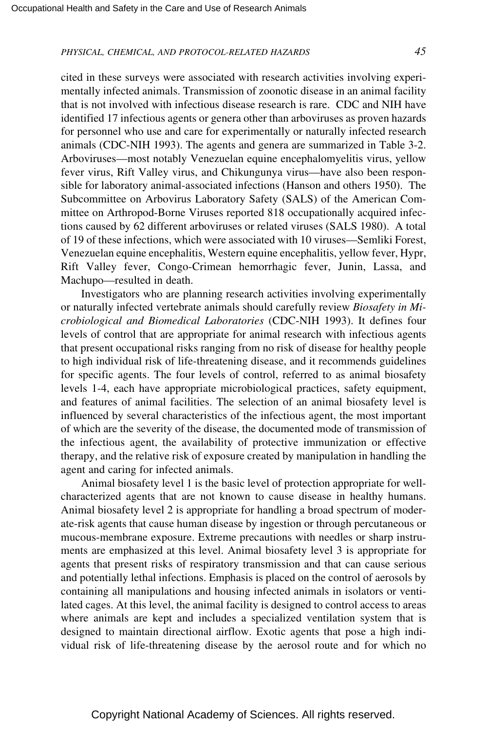### *PHYSICAL, CHEMICAL, AND PROTOCOL-RELATED HAZARDS*

cited in these surveys were associated with research activities involving experimentally infected animals. Transmission of zoonotic disease in an animal facility that is not involved with infectious disease research is rare. CDC and NIH have identified 17 infectious agents or genera other than arboviruses as proven hazards for personnel who use and care for experimentally or naturally infected research animals (CDC-NIH 1993). The agents and genera are summarized in Table 3-2. Arboviruses—most notably Venezuelan equine encephalomyelitis virus, yellow fever virus, Rift Valley virus, and Chikungunya virus—have also been responsible for laboratory animal-associated infections (Hanson and others 1950). The Subcommittee on Arbovirus Laboratory Safety (SALS) of the American Committee on Arthropod-Borne Viruses reported 818 occupationally acquired infections caused by 62 different arboviruses or related viruses (SALS 1980). A total of 19 of these infections, which were associated with 10 viruses—Semliki Forest, Venezuelan equine encephalitis, Western equine encephalitis, yellow fever, Hypr, Rift Valley fever, Congo-Crimean hemorrhagic fever, Junin, Lassa, and Machupo—resulted in death.

Investigators who are planning research activities involving experimentally or naturally infected vertebrate animals should carefully review *Biosafety in Microbiological and Biomedical Laboratories* (CDC-NIH 1993). It defines four levels of control that are appropriate for animal research with infectious agents that present occupational risks ranging from no risk of disease for healthy people to high individual risk of life-threatening disease, and it recommends guidelines for specific agents. The four levels of control, referred to as animal biosafety levels 1-4, each have appropriate microbiological practices, safety equipment, and features of animal facilities. The selection of an animal biosafety level is influenced by several characteristics of the infectious agent, the most important of which are the severity of the disease, the documented mode of transmission of the infectious agent, the availability of protective immunization or effective therapy, and the relative risk of exposure created by manipulation in handling the agent and caring for infected animals.

Animal biosafety level 1 is the basic level of protection appropriate for wellcharacterized agents that are not known to cause disease in healthy humans. Animal biosafety level 2 is appropriate for handling a broad spectrum of moderate-risk agents that cause human disease by ingestion or through percutaneous or mucous-membrane exposure. Extreme precautions with needles or sharp instruments are emphasized at this level. Animal biosafety level 3 is appropriate for agents that present risks of respiratory transmission and that can cause serious and potentially lethal infections. Emphasis is placed on the control of aerosols by containing all manipulations and housing infected animals in isolators or ventilated cages. At this level, the animal facility is designed to control access to areas where animals are kept and includes a specialized ventilation system that is designed to maintain directional airflow. Exotic agents that pose a high individual risk of life-threatening disease by the aerosol route and for which no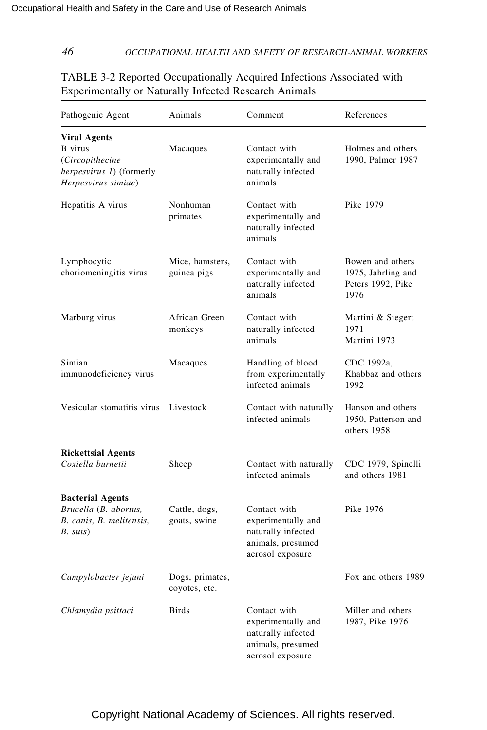| Pathogenic Agent                                                                                            | Animals                          | Comment                                                                                           | References                                                          |
|-------------------------------------------------------------------------------------------------------------|----------------------------------|---------------------------------------------------------------------------------------------------|---------------------------------------------------------------------|
| <b>Viral Agents</b><br><b>B</b> virus<br>(Circopithecine<br>herpesvirus 1) (formerly<br>Herpesvirus simiae) | Macaques                         | Contact with<br>experimentally and<br>naturally infected<br>animals                               | Holmes and others<br>1990. Palmer 1987                              |
| Hepatitis A virus                                                                                           | Nonhuman<br>primates             | Contact with<br>experimentally and<br>naturally infected<br>animals                               | Pike 1979                                                           |
| Lymphocytic<br>choriomeningitis virus                                                                       | Mice, hamsters,<br>guinea pigs   | Contact with<br>experimentally and<br>naturally infected<br>animals                               | Bowen and others<br>1975, Jahrling and<br>Peters 1992, Pike<br>1976 |
| Marburg virus                                                                                               | African Green<br>monkeys         | Contact with<br>naturally infected<br>animals                                                     | Martini & Siegert<br>1971<br>Martini 1973                           |
| Simian<br>immunodeficiency virus                                                                            | Macaques                         | Handling of blood<br>from experimentally<br>infected animals                                      | CDC 1992a.<br>Khabbaz and others<br>1992                            |
| Vesicular stomatitis virus                                                                                  | Livestock                        | Contact with naturally<br>infected animals                                                        | Hanson and others<br>1950, Patterson and<br>others 1958             |
| <b>Rickettsial Agents</b><br>Coxiella burnetii                                                              | Sheep                            | Contact with naturally<br>infected animals                                                        | CDC 1979, Spinelli<br>and others 1981                               |
| <b>Bacterial Agents</b><br>Brucella (B. abortus,<br>B. canis, B. melitensis,<br>$B. \; suis)$               | Cattle, dogs,<br>goats, swine    | Contact with<br>experimentally and<br>naturally infected<br>animals, presumed<br>aerosol exposure | Pike 1976                                                           |
| Campylobacter jejuni                                                                                        | Dogs, primates,<br>coyotes, etc. |                                                                                                   | Fox and others 1989                                                 |
| Chlamydia psittaci                                                                                          | <b>Birds</b>                     | Contact with<br>experimentally and<br>naturally infected<br>animals, presumed<br>aerosol exposure | Miller and others<br>1987, Pike 1976                                |

# TABLE 3-2 Reported Occupationally Acquired Infections Associated with Experimentally or Naturally Infected Research Animals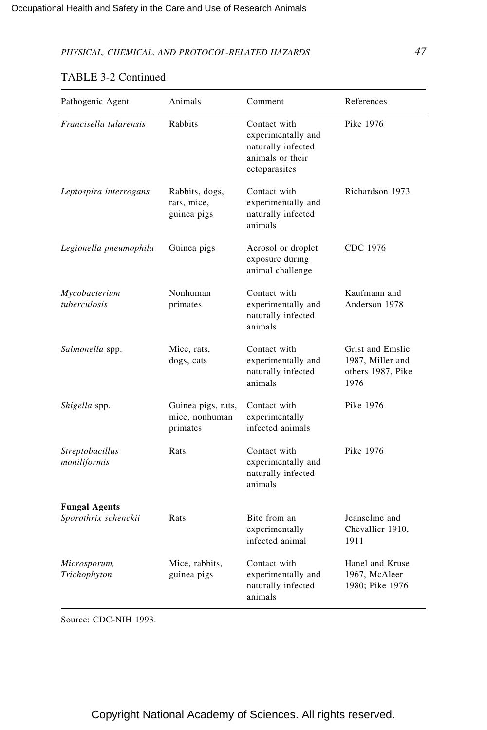# *PHYSICAL, CHEMICAL, AND PROTOCOL-RELATED HAZARDS 47*

# TABLE 3-2 Continued

| Pathogenic Agent                | Animals                                          | Comment                                                                                       | References                                                        |
|---------------------------------|--------------------------------------------------|-----------------------------------------------------------------------------------------------|-------------------------------------------------------------------|
| Francisella tularensis          | Rabbits                                          | Contact with<br>experimentally and<br>naturally infected<br>animals or their<br>ectoparasites | Pike 1976                                                         |
| Leptospira interrogans          | Rabbits, dogs,<br>rats, mice,<br>guinea pigs     | Contact with<br>experimentally and<br>naturally infected<br>animals                           | Richardson 1973                                                   |
| Legionella pneumophila          | Guinea pigs                                      | Aerosol or droplet<br>exposure during<br>animal challenge                                     | CDC 1976                                                          |
| Mycobacterium<br>tuberculosis   | Nonhuman<br>primates                             | Contact with<br>experimentally and<br>naturally infected<br>animals                           | Kaufmann and<br>Anderson 1978                                     |
| Salmonella spp.                 | Mice, rats,<br>dogs, cats                        | Contact with<br>experimentally and<br>naturally infected<br>animals                           | Grist and Emslie<br>1987. Miller and<br>others 1987, Pike<br>1976 |
| <i>Shigella</i> spp.            | Guinea pigs, rats,<br>mice, nonhuman<br>primates | Contact with<br>experimentally<br>infected animals                                            | Pike 1976                                                         |
| Streptobacillus<br>moniliformis | Rats                                             | Contact with<br>experimentally and<br>naturally infected<br>animals                           | Pike 1976                                                         |
| <b>Fungal Agents</b>            |                                                  |                                                                                               |                                                                   |
| Sporothrix schenckii            | Rats                                             | Bite from an<br>experimentally<br>infected animal                                             | Jeanselme and<br>Chevallier 1910,<br>1911                         |
| Microsporum,<br>Trichophyton    | Mice, rabbits,<br>guinea pigs                    | Contact with<br>experimentally and<br>naturally infected<br>animals                           | Hanel and Kruse<br>1967, McAleer<br>1980; Pike 1976               |

Source: CDC-NIH 1993.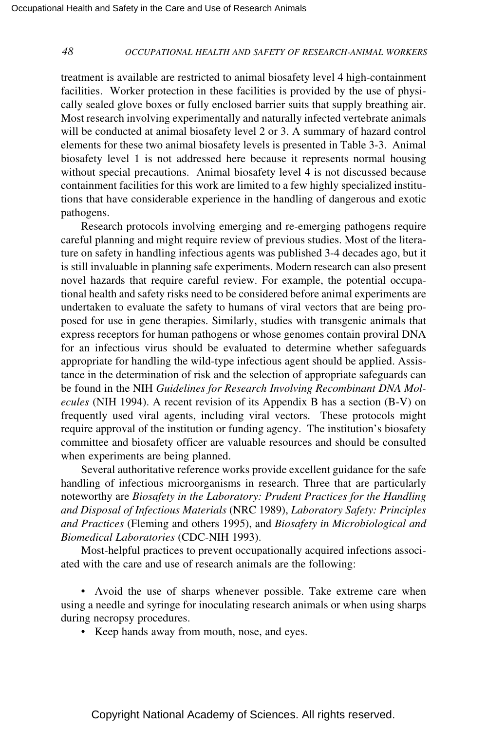treatment is available are restricted to animal biosafety level 4 high-containment facilities. Worker protection in these facilities is provided by the use of physically sealed glove boxes or fully enclosed barrier suits that supply breathing air. Most research involving experimentally and naturally infected vertebrate animals will be conducted at animal biosafety level 2 or 3. A summary of hazard control elements for these two animal biosafety levels is presented in Table 3-3. Animal biosafety level 1 is not addressed here because it represents normal housing without special precautions. Animal biosafety level 4 is not discussed because containment facilities for this work are limited to a few highly specialized institutions that have considerable experience in the handling of dangerous and exotic pathogens.

Research protocols involving emerging and re-emerging pathogens require careful planning and might require review of previous studies. Most of the literature on safety in handling infectious agents was published 3-4 decades ago, but it is still invaluable in planning safe experiments. Modern research can also present novel hazards that require careful review. For example, the potential occupational health and safety risks need to be considered before animal experiments are undertaken to evaluate the safety to humans of viral vectors that are being proposed for use in gene therapies. Similarly, studies with transgenic animals that express receptors for human pathogens or whose genomes contain proviral DNA for an infectious virus should be evaluated to determine whether safeguards appropriate for handling the wild-type infectious agent should be applied. Assistance in the determination of risk and the selection of appropriate safeguards can be found in the NIH *Guidelines for Research Involving Recombinant DNA Molecules* (NIH 1994). A recent revision of its Appendix B has a section (B-V) on frequently used viral agents, including viral vectors. These protocols might require approval of the institution or funding agency. The institution's biosafety committee and biosafety officer are valuable resources and should be consulted when experiments are being planned.

Several authoritative reference works provide excellent guidance for the safe handling of infectious microorganisms in research. Three that are particularly noteworthy are *Biosafety in the Laboratory: Prudent Practices for the Handling and Disposal of Infectious Materials* (NRC 1989), *Laboratory Safety: Principles and Practices* (Fleming and others 1995), and *Biosafety in Microbiological and Biomedical Laboratories* (CDC-NIH 1993).

Most-helpful practices to prevent occupationally acquired infections associated with the care and use of research animals are the following:

• Avoid the use of sharps whenever possible. Take extreme care when using a needle and syringe for inoculating research animals or when using sharps during necropsy procedures.

• Keep hands away from mouth, nose, and eyes.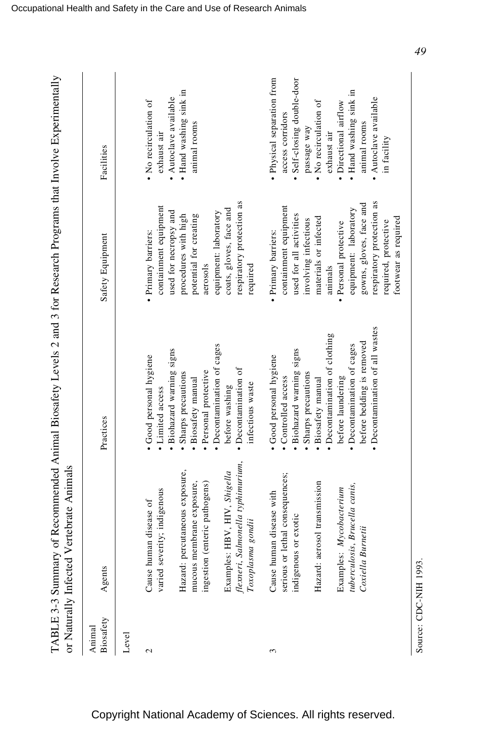| ļ           |                |  |
|-------------|----------------|--|
| I<br>I<br>l |                |  |
| l<br>I      | $\overline{1}$ |  |
|             |                |  |

| or Naturally Infected | Vertebrate Animals                                                                                                     | TABLE 3-3 Summary of Recommended Animal Biosafety Levels 2 and 3 for Research Programs that Involve Experimentally                                       |                                                                                                                                                        |                                                                                                                                             |
|-----------------------|------------------------------------------------------------------------------------------------------------------------|----------------------------------------------------------------------------------------------------------------------------------------------------------|--------------------------------------------------------------------------------------------------------------------------------------------------------|---------------------------------------------------------------------------------------------------------------------------------------------|
| Biosafety<br>Animal   | Agents                                                                                                                 | Practices                                                                                                                                                | Safety Equipment                                                                                                                                       | Facilities                                                                                                                                  |
| Level                 |                                                                                                                        |                                                                                                                                                          |                                                                                                                                                        |                                                                                                                                             |
| 2                     | varied severity; indigenous<br>Cause human disease of                                                                  | · Biohazard warning signs<br>· Good personal hygiene<br>• Limited access                                                                                 | containment equipment<br>used for necropsy and<br>· Primary barriers:                                                                                  | • Autoclave available<br>• No recirculation of<br>exhaust air                                                                               |
|                       | Hazard: percutaneous exposure,<br>(enteric pathogens)<br>mucous membrane exposure,<br>ingestion                        | • Decontamination of cages<br>· Personal protective<br>Sharps precautions<br>· Biosafety manual                                                          | equipment: laboratory<br>procedures with high<br>potential for creating<br>aerosols                                                                    | · Hand washing sink in<br>animal rooms                                                                                                      |
|                       | flexneri, Salmonella typhimurium,<br>HBV, HIV, Shigella<br>Toxoplasma gondii<br>Examples:                              | • Decontamination of<br>infectious waste<br>before washing                                                                                               | respiratory protection as<br>coats, gloves, face and<br>required                                                                                       |                                                                                                                                             |
| 3                     | lethal consequences;<br>Hazard: aerosol transmission<br>Cause human disease with<br>indigenous or exotic<br>serious or | • Decontamination of clothing<br>· Biohazard warning signs<br>Good personal hygiene<br>· Sharps precautions<br>• Controlled access<br>· Biosafety manual | containment equipment<br>used for all activities<br>materials or infected<br>involving infectious<br>· Primary barriers:<br>animals                    | · Physical separation from<br>· Self-closing double-door<br>$\bullet$ No recirculation of<br>access corridors<br>passage way<br>exhaust air |
|                       | tuberculosis, Brucella canis,<br>Examples: Mycobacterium<br>Coxiella Burnetii                                          | • Decontamination of all wastes<br>before bedding is removed<br>• Decontamination of cages<br>before laundering                                          | respiratory protection as<br>gowns, gloves, face and<br>equipment: laboratory<br>footwear as required<br>required, protective<br>· Personal protective | · Hand washing sink in<br>· Autoclave available<br>· Directional airflow<br>animal rooms<br>in facility                                     |
| Source: CDC-NIH 1993. |                                                                                                                        |                                                                                                                                                          |                                                                                                                                                        |                                                                                                                                             |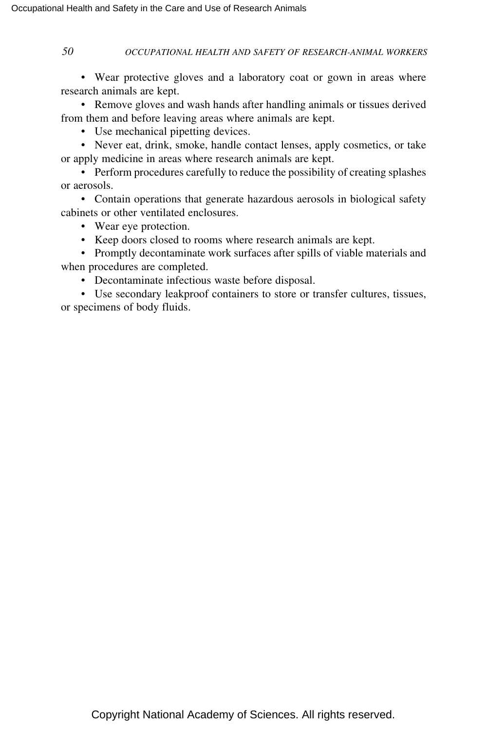• Wear protective gloves and a laboratory coat or gown in areas where research animals are kept.

• Remove gloves and wash hands after handling animals or tissues derived from them and before leaving areas where animals are kept.

• Use mechanical pipetting devices.

• Never eat, drink, smoke, handle contact lenses, apply cosmetics, or take or apply medicine in areas where research animals are kept.

• Perform procedures carefully to reduce the possibility of creating splashes or aerosols.

• Contain operations that generate hazardous aerosols in biological safety cabinets or other ventilated enclosures.

• Wear eye protection.

• Keep doors closed to rooms where research animals are kept.

• Promptly decontaminate work surfaces after spills of viable materials and when procedures are completed.

• Decontaminate infectious waste before disposal.

• Use secondary leakproof containers to store or transfer cultures, tissues, or specimens of body fluids.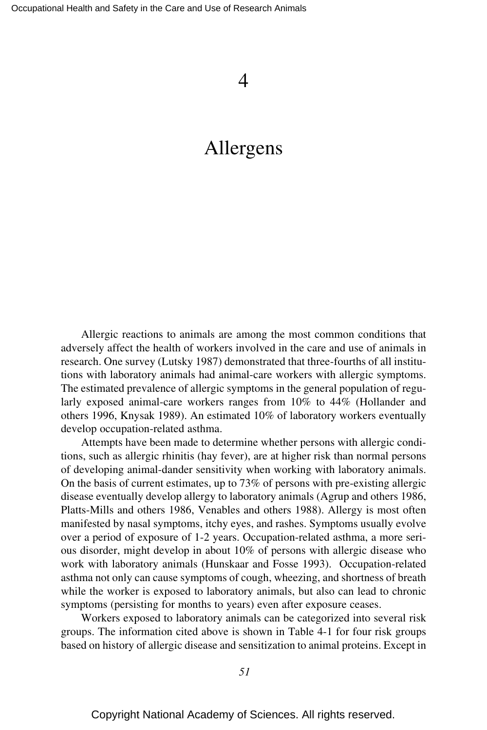# 4

# Allergens

Allergic reactions to animals are among the most common conditions that adversely affect the health of workers involved in the care and use of animals in research. One survey (Lutsky 1987) demonstrated that three-fourths of all institutions with laboratory animals had animal-care workers with allergic symptoms. The estimated prevalence of allergic symptoms in the general population of regularly exposed animal-care workers ranges from 10% to 44% (Hollander and others 1996, Knysak 1989). An estimated 10% of laboratory workers eventually develop occupation-related asthma.

Attempts have been made to determine whether persons with allergic conditions, such as allergic rhinitis (hay fever), are at higher risk than normal persons of developing animal-dander sensitivity when working with laboratory animals. On the basis of current estimates, up to 73% of persons with pre-existing allergic disease eventually develop allergy to laboratory animals (Agrup and others 1986, Platts-Mills and others 1986, Venables and others 1988). Allergy is most often manifested by nasal symptoms, itchy eyes, and rashes. Symptoms usually evolve over a period of exposure of 1-2 years. Occupation-related asthma, a more serious disorder, might develop in about 10% of persons with allergic disease who work with laboratory animals (Hunskaar and Fosse 1993). Occupation-related asthma not only can cause symptoms of cough, wheezing, and shortness of breath while the worker is exposed to laboratory animals, but also can lead to chronic symptoms (persisting for months to years) even after exposure ceases.

Workers exposed to laboratory animals can be categorized into several risk groups. The information cited above is shown in Table 4-1 for four risk groups based on history of allergic disease and sensitization to animal proteins. Except in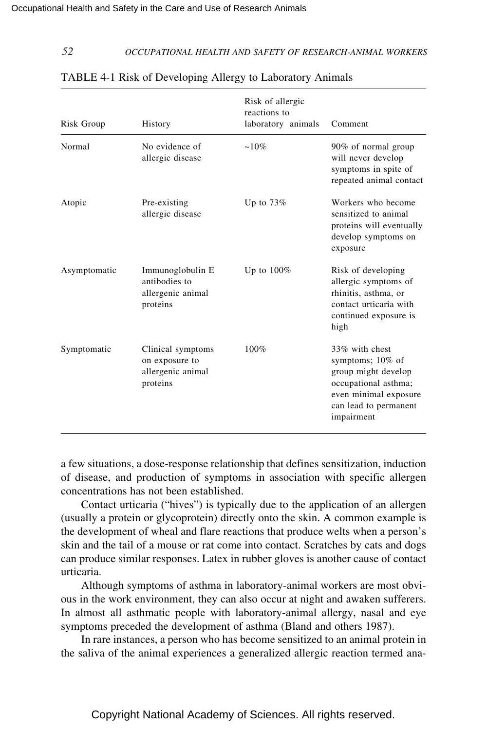| Risk Group   | History                                                              | Risk of allergic<br>reactions to<br>laboratory animals | Comment                                                                                                                                              |
|--------------|----------------------------------------------------------------------|--------------------------------------------------------|------------------------------------------------------------------------------------------------------------------------------------------------------|
| Normal       | No evidence of<br>allergic disease                                   | $~10\%$                                                | 90% of normal group<br>will never develop<br>symptoms in spite of<br>repeated animal contact                                                         |
| Atopic       | Pre-existing<br>allergic disease                                     | Up to $73%$                                            | Workers who become<br>sensitized to animal<br>proteins will eventually<br>develop symptoms on<br>exposure                                            |
| Asymptomatic | Immunoglobulin E<br>antibodies to<br>allergenic animal<br>proteins   | Up to $100\%$                                          | Risk of developing<br>allergic symptoms of<br>rhinitis, asthma, or<br>contact urticaria with<br>continued exposure is<br>high                        |
| Symptomatic  | Clinical symptoms<br>on exposure to<br>allergenic animal<br>proteins | 100%                                                   | 33% with chest<br>symptoms; $10\%$ of<br>group might develop<br>occupational asthma;<br>even minimal exposure<br>can lead to permanent<br>impairment |

# TABLE 4-1 Risk of Developing Allergy to Laboratory Animals

a few situations, a dose-response relationship that defines sensitization, induction of disease, and production of symptoms in association with specific allergen concentrations has not been established.

Contact urticaria ("hives") is typically due to the application of an allergen (usually a protein or glycoprotein) directly onto the skin. A common example is the development of wheal and flare reactions that produce welts when a person's skin and the tail of a mouse or rat come into contact. Scratches by cats and dogs can produce similar responses. Latex in rubber gloves is another cause of contact urticaria.

Although symptoms of asthma in laboratory-animal workers are most obvious in the work environment, they can also occur at night and awaken sufferers. In almost all asthmatic people with laboratory-animal allergy, nasal and eye symptoms preceded the development of asthma (Bland and others 1987).

In rare instances, a person who has become sensitized to an animal protein in the saliva of the animal experiences a generalized allergic reaction termed ana-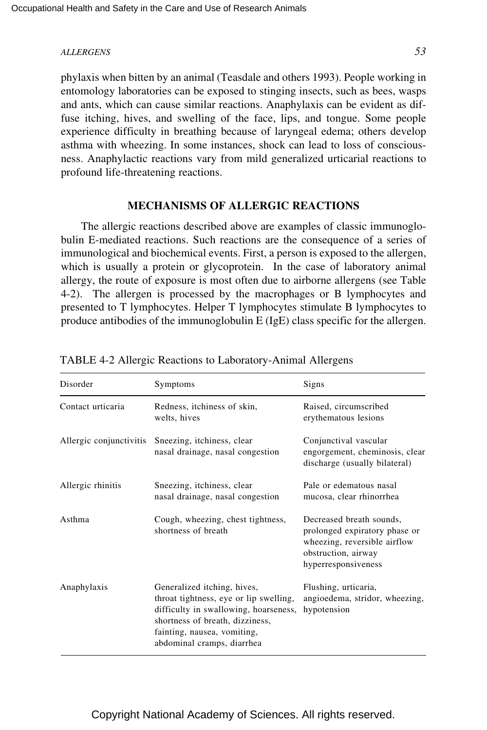# *ALLERGENS*

phylaxis when bitten by an animal (Teasdale and others 1993). People working in entomology laboratories can be exposed to stinging insects, such as bees, wasps and ants, which can cause similar reactions. Anaphylaxis can be evident as diffuse itching, hives, and swelling of the face, lips, and tongue. Some people experience difficulty in breathing because of laryngeal edema; others develop asthma with wheezing. In some instances, shock can lead to loss of consciousness. Anaphylactic reactions vary from mild generalized urticarial reactions to profound life-threatening reactions.

### **MECHANISMS OF ALLERGIC REACTIONS**

The allergic reactions described above are examples of classic immunoglobulin E-mediated reactions. Such reactions are the consequence of a series of immunological and biochemical events. First, a person is exposed to the allergen, which is usually a protein or glycoprotein. In the case of laboratory animal allergy, the route of exposure is most often due to airborne allergens (see Table 4-2). The allergen is processed by the macrophages or B lymphocytes and presented to T lymphocytes. Helper T lymphocytes stimulate B lymphocytes to produce antibodies of the immunoglobulin E (IgE) class specific for the allergen.

| Disorder                | Symptoms                                                                                                                                                                                                       | Signs                                                                                                                                   |
|-------------------------|----------------------------------------------------------------------------------------------------------------------------------------------------------------------------------------------------------------|-----------------------------------------------------------------------------------------------------------------------------------------|
| Contact urticaria       | Redness, itchiness of skin,<br>welts, hives                                                                                                                                                                    | Raised, circumscribed<br>erythematous lesions                                                                                           |
| Allergic conjunctivitis | Sneezing, itchiness, clear<br>nasal drainage, nasal congestion                                                                                                                                                 | Conjunctival vascular<br>engorgement, cheminosis, clear<br>discharge (usually bilateral)                                                |
| Allergic rhinitis       | Sneezing, itchiness, clear<br>nasal drainage, nasal congestion                                                                                                                                                 | Pale or edematous nasal<br>mucosa, clear rhinorrhea                                                                                     |
| Asthma                  | Cough, wheezing, chest tightness,<br>shortness of breath                                                                                                                                                       | Decreased breath sounds,<br>prolonged expiratory phase or<br>wheezing, reversible airflow<br>obstruction, airway<br>hyperresponsiveness |
| Anaphylaxis             | Generalized itching, hives,<br>throat tightness, eye or lip swelling,<br>difficulty in swallowing, hoarseness,<br>shortness of breath, dizziness,<br>fainting, nausea, vomiting,<br>abdominal cramps, diarrhea | Flushing, urticaria,<br>angioedema, stridor, wheezing,<br>hypotension                                                                   |

TABLE 4-2 Allergic Reactions to Laboratory-Animal Allergens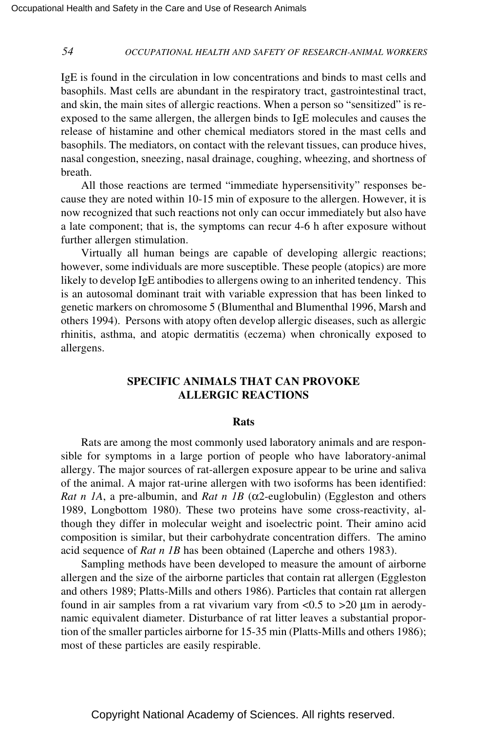IgE is found in the circulation in low concentrations and binds to mast cells and basophils. Mast cells are abundant in the respiratory tract, gastrointestinal tract, and skin, the main sites of allergic reactions. When a person so "sensitized" is reexposed to the same allergen, the allergen binds to IgE molecules and causes the release of histamine and other chemical mediators stored in the mast cells and basophils. The mediators, on contact with the relevant tissues, can produce hives, nasal congestion, sneezing, nasal drainage, coughing, wheezing, and shortness of breath.

All those reactions are termed "immediate hypersensitivity" responses because they are noted within 10-15 min of exposure to the allergen. However, it is now recognized that such reactions not only can occur immediately but also have a late component; that is, the symptoms can recur 4-6 h after exposure without further allergen stimulation.

Virtually all human beings are capable of developing allergic reactions; however, some individuals are more susceptible. These people (atopics) are more likely to develop IgE antibodies to allergens owing to an inherited tendency. This is an autosomal dominant trait with variable expression that has been linked to genetic markers on chromosome 5 (Blumenthal and Blumenthal 1996, Marsh and others 1994). Persons with atopy often develop allergic diseases, such as allergic rhinitis, asthma, and atopic dermatitis (eczema) when chronically exposed to allergens.

# **SPECIFIC ANIMALS THAT CAN PROVOKE ALLERGIC REACTIONS**

### **Rats**

Rats are among the most commonly used laboratory animals and are responsible for symptoms in a large portion of people who have laboratory-animal allergy. The major sources of rat-allergen exposure appear to be urine and saliva of the animal. A major rat-urine allergen with two isoforms has been identified: *Rat n 1A*, a pre-albumin, and *Rat n 1B* (α2-euglobulin) (Eggleston and others 1989, Longbottom 1980). These two proteins have some cross-reactivity, although they differ in molecular weight and isoelectric point. Their amino acid composition is similar, but their carbohydrate concentration differs. The amino acid sequence of *Rat n 1B* has been obtained (Laperche and others 1983).

Sampling methods have been developed to measure the amount of airborne allergen and the size of the airborne particles that contain rat allergen (Eggleston and others 1989; Platts-Mills and others 1986). Particles that contain rat allergen found in air samples from a rat vivarium vary from  $< 0.5$  to  $> 20 \mu m$  in aerodynamic equivalent diameter. Disturbance of rat litter leaves a substantial proportion of the smaller particles airborne for 15-35 min (Platts-Mills and others 1986); most of these particles are easily respirable.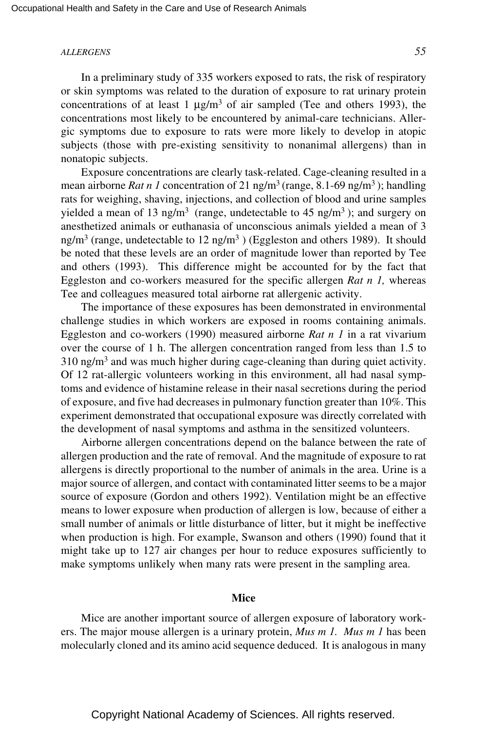### *ALLERGENS*

In a preliminary study of 335 workers exposed to rats, the risk of respiratory or skin symptoms was related to the duration of exposure to rat urinary protein concentrations of at least 1  $\mu$ g/m<sup>3</sup> of air sampled (Tee and others 1993), the concentrations most likely to be encountered by animal-care technicians. Allergic symptoms due to exposure to rats were more likely to develop in atopic subjects (those with pre-existing sensitivity to nonanimal allergens) than in nonatopic subjects.

Exposure concentrations are clearly task-related. Cage-cleaning resulted in a mean airborne *Rat n 1* concentration of 21 ng/m<sup>3</sup> (range, 8.1-69 ng/m<sup>3</sup>); handling rats for weighing, shaving, injections, and collection of blood and urine samples yielded a mean of 13 ng/m<sup>3</sup> (range, undetectable to 45 ng/m<sup>3</sup>); and surgery on anesthetized animals or euthanasia of unconscious animals yielded a mean of 3 ng/m<sup>3</sup> (range, undetectable to 12 ng/m<sup>3</sup>) (Eggleston and others 1989). It should be noted that these levels are an order of magnitude lower than reported by Tee and others (1993). This difference might be accounted for by the fact that Eggleston and co-workers measured for the specific allergen *Rat n 1,* whereas Tee and colleagues measured total airborne rat allergenic activity.

The importance of these exposures has been demonstrated in environmental challenge studies in which workers are exposed in rooms containing animals. Eggleston and co-workers (1990) measured airborne *Rat n 1* in a rat vivarium over the course of 1 h. The allergen concentration ranged from less than 1.5 to 310 ng/m3 and was much higher during cage-cleaning than during quiet activity. Of 12 rat-allergic volunteers working in this environment, all had nasal symptoms and evidence of histamine release in their nasal secretions during the period of exposure, and five had decreases in pulmonary function greater than 10%. This experiment demonstrated that occupational exposure was directly correlated with the development of nasal symptoms and asthma in the sensitized volunteers.

Airborne allergen concentrations depend on the balance between the rate of allergen production and the rate of removal. And the magnitude of exposure to rat allergens is directly proportional to the number of animals in the area. Urine is a major source of allergen, and contact with contaminated litter seems to be a major source of exposure (Gordon and others 1992). Ventilation might be an effective means to lower exposure when production of allergen is low, because of either a small number of animals or little disturbance of litter, but it might be ineffective when production is high. For example, Swanson and others (1990) found that it might take up to 127 air changes per hour to reduce exposures sufficiently to make symptoms unlikely when many rats were present in the sampling area.

# **Mice**

 ers. The major mouse allergen is a urinary protein, *Mus m 1. Mus m 1* has been Mice are another important source of allergen exposure of laboratory workmolecularly cloned and its amino acid sequence deduced. It is analogous in many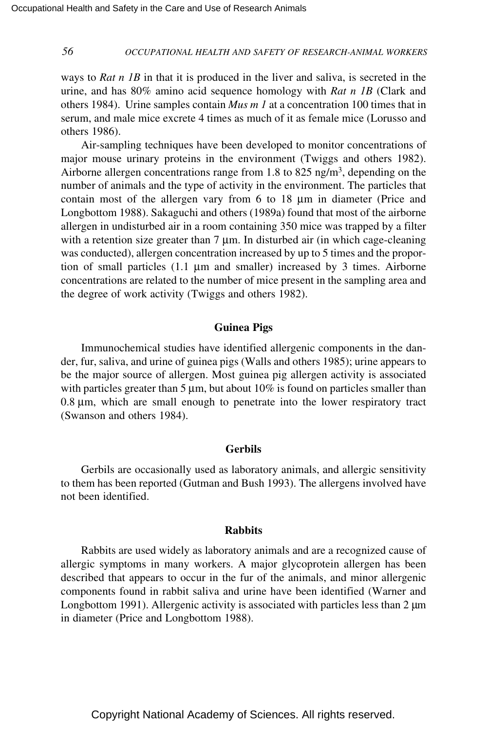ways to *Rat n 1B* in that it is produced in the liver and saliva, is secreted in the urine, and has 80% amino acid sequence homology with *Rat n 1B* (Clark and others 1984). Urine samples contain *Mus m 1* at a concentration 100 times that in serum, and male mice excrete 4 times as much of it as female mice (Lorusso and others 1986).

Air-sampling techniques have been developed to monitor concentrations of major mouse urinary proteins in the environment (Twiggs and others 1982). Airborne allergen concentrations range from 1.8 to 825 ng/m3, depending on the number of animals and the type of activity in the environment. The particles that contain most of the allergen vary from 6 to 18 µm in diameter (Price and Longbottom 1988). Sakaguchi and others (1989a) found that most of the airborne allergen in undisturbed air in a room containing 350 mice was trapped by a filter with a retention size greater than  $7 \mu m$ . In disturbed air (in which cage-cleaning was conducted), allergen concentration increased by up to 5 times and the proportion of small particles  $(1.1 \mu m)$  and smaller) increased by 3 times. Airborne concentrations are related to the number of mice present in the sampling area and the degree of work activity (Twiggs and others 1982).

### **Guinea Pigs**

Immunochemical studies have identified allergenic components in the dander, fur, saliva, and urine of guinea pigs (Walls and others 1985); urine appears to be the major source of allergen. Most guinea pig allergen activity is associated with particles greater than 5  $\mu$ m, but about 10% is found on particles smaller than 0.8 µm, which are small enough to penetrate into the lower respiratory tract (Swanson and others 1984).

### **Gerbils**

Gerbils are occasionally used as laboratory animals, and allergic sensitivity to them has been reported (Gutman and Bush 1993). The allergens involved have not been identified.

# **Rabbits**

Rabbits are used widely as laboratory animals and are a recognized cause of allergic symptoms in many workers. A major glycoprotein allergen has been described that appears to occur in the fur of the animals, and minor allergenic components found in rabbit saliva and urine have been identified (Warner and Longbottom 1991). Allergenic activity is associated with particles less than 2  $\mu$ m in diameter (Price and Longbottom 1988).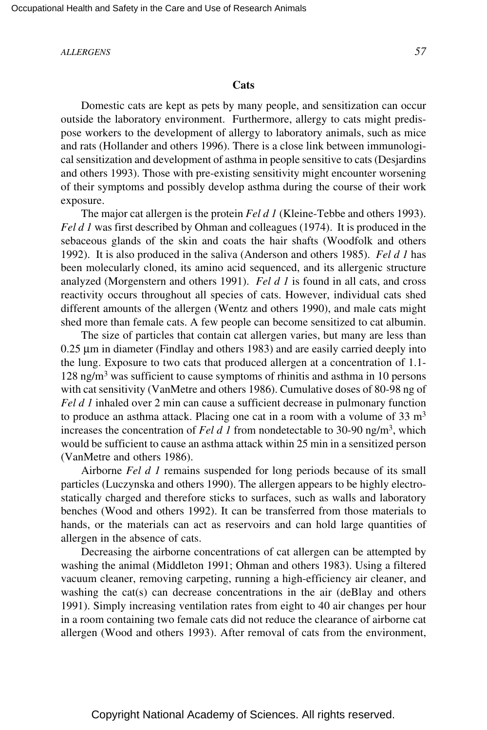### *ALLERGENS*

# **Cats**

Domestic cats are kept as pets by many people, and sensitization can occur outside the laboratory environment. Furthermore, allergy to cats might predispose workers to the development of allergy to laboratory animals, such as mice and rats (Hollander and others 1996). There is a close link between immunological sensitization and development of asthma in people sensitive to cats (Desjardins and others 1993). Those with pre-existing sensitivity might encounter worsening of their symptoms and possibly develop asthma during the course of their work exposure.

The major cat allergen is the protein *Fel d 1* (Kleine-Tebbe and others 1993). *Fel d 1* was first described by Ohman and colleagues (1974). It is produced in the sebaceous glands of the skin and coats the hair shafts (Woodfolk and others 1992). It is also produced in the saliva (Anderson and others 1985). *Fel d 1* has been molecularly cloned, its amino acid sequenced, and its allergenic structure analyzed (Morgenstern and others 1991). *Fel d 1* is found in all cats, and cross reactivity occurs throughout all species of cats. However, individual cats shed different amounts of the allergen (Wentz and others 1990), and male cats might shed more than female cats. A few people can become sensitized to cat albumin.

The size of particles that contain cat allergen varies, but many are less than 0.25 µm in diameter (Findlay and others 1983) and are easily carried deeply into the lung. Exposure to two cats that produced allergen at a concentration of 1.1-  $128$  ng/m<sup>3</sup> was sufficient to cause symptoms of rhinitis and asthma in 10 persons with cat sensitivity (VanMetre and others 1986). Cumulative doses of 80-98 ng of *Fel d 1* inhaled over 2 min can cause a sufficient decrease in pulmonary function to produce an asthma attack. Placing one cat in a room with a volume of  $33 \text{ m}^3$ increases the concentration of *Fel d 1* from nondetectable to 30-90 ng/m<sup>3</sup>, which would be sufficient to cause an asthma attack within 25 min in a sensitized person (VanMetre and others 1986).

Airborne *Fel d 1* remains suspended for long periods because of its small particles (Luczynska and others 1990). The allergen appears to be highly electrostatically charged and therefore sticks to surfaces, such as walls and laboratory benches (Wood and others 1992). It can be transferred from those materials to hands, or the materials can act as reservoirs and can hold large quantities of allergen in the absence of cats.

Decreasing the airborne concentrations of cat allergen can be attempted by washing the animal (Middleton 1991; Ohman and others 1983). Using a filtered vacuum cleaner, removing carpeting, running a high-efficiency air cleaner, and washing the cat(s) can decrease concentrations in the air (deBlay and others 1991). Simply increasing ventilation rates from eight to 40 air changes per hour in a room containing two female cats did not reduce the clearance of airborne cat allergen (Wood and others 1993). After removal of cats from the environment,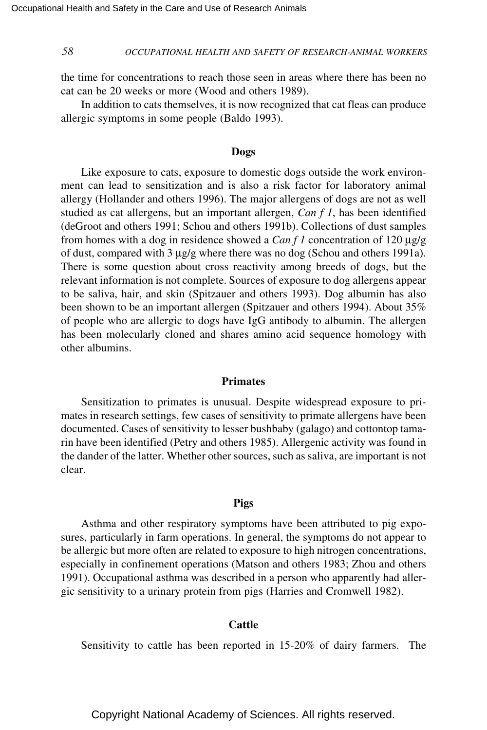the time for concentrations to reach those seen in areas where there has been no cat can be 20 weeks or more (Wood and others 1989).

In addition to cats themselves, it is now recognized that cat fleas can produce allergic symptoms in some people (Baldo 1993).

# **Dogs**

Like exposure to cats, exposure to domestic dogs outside the work environment can lead to sensitization and is also a risk factor for laboratory animal allergy (Hollander and others 1996). The major allergens of dogs are not as well studied as cat allergens, but an important allergen, *Can f 1*, has been identified (deGroot and others 1991; Schou and others 1991b). Collections of dust samples from homes with a dog in residence showed a *Can f 1* concentration of 120 µg/g of dust, compared with 3 µg/g where there was no dog (Schou and others 1991a). There is some question about cross reactivity among breeds of dogs, but the relevant information is not complete. Sources of exposure to dog allergens appear to be saliva, hair, and skin (Spitzauer and others 1993). Dog albumin has also been shown to be an important allergen (Spitzauer and others 1994). About 35% of people who are allergic to dogs have IgG antibody to albumin. The allergen has been molecularly cloned and shares amino acid sequence homology with other albumins.

#### **Primates**

Sensitization to primates is unusual. Despite widespread exposure to primates in research settings, few cases of sensitivity to primate allergens have been documented. Cases of sensitivity to lesser bushbaby (galago) and cottontop tamarin have been identified (Petry and others 1985). Allergenic activity was found in the dander of the latter. Whether other sources, such as saliva, are important is not clear.

### **Pigs**

Asthma and other respiratory symptoms have been attributed to pig exposures, particularly in farm operations. In general, the symptoms do not appear to be allergic but more often are related to exposure to high nitrogen concentrations, especially in confinement operations (Matson and others 1983; Zhou and others 1991). Occupational asthma was described in a person who apparently had allergic sensitivity to a urinary protein from pigs (Harries and Cromwell 1982).

### **Cattle**

Sensitivity to cattle has been reported in 15-20% of dairy farmers. The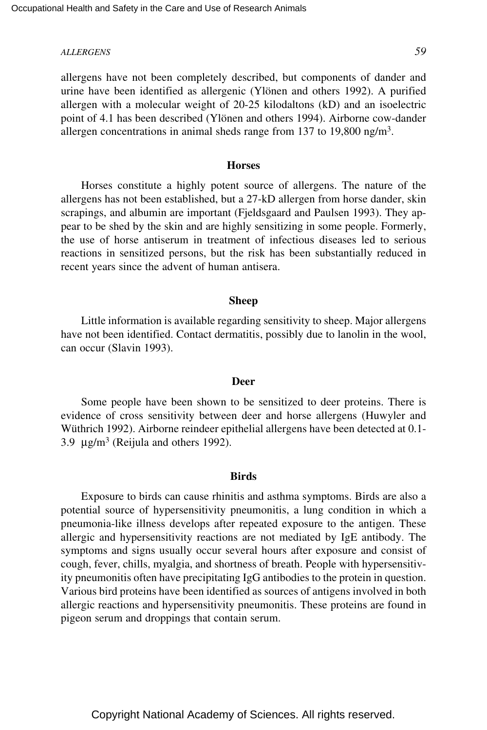### *ALLERGENS*

allergens have not been completely described, but components of dander and urine have been identified as allergenic (Ylönen and others 1992). A purified allergen with a molecular weight of 20-25 kilodaltons (kD) and an isoelectric point of 4.1 has been described (Ylönen and others 1994). Airborne cow-dander allergen concentrations in animal sheds range from 137 to 19,800 ng/m3.

#### **Horses**

Horses constitute a highly potent source of allergens. The nature of the allergens has not been established, but a 27-kD allergen from horse dander, skin scrapings, and albumin are important (Fjeldsgaard and Paulsen 1993). They appear to be shed by the skin and are highly sensitizing in some people. Formerly, the use of horse antiserum in treatment of infectious diseases led to serious reactions in sensitized persons, but the risk has been substantially reduced in recent years since the advent of human antisera.

### **Sheep**

Little information is available regarding sensitivity to sheep. Major allergens have not been identified. Contact dermatitis, possibly due to lanolin in the wool, can occur (Slavin 1993).

#### **Deer**

Some people have been shown to be sensitized to deer proteins. There is evidence of cross sensitivity between deer and horse allergens (Huwyler and Wüthrich 1992). Airborne reindeer epithelial allergens have been detected at 0.1- 3.9  $\mu$ g/m<sup>3</sup> (Reijula and others 1992).

# **Birds**

Exposure to birds can cause rhinitis and asthma symptoms. Birds are also a potential source of hypersensitivity pneumonitis, a lung condition in which a pneumonia-like illness develops after repeated exposure to the antigen. These allergic and hypersensitivity reactions are not mediated by IgE antibody. The symptoms and signs usually occur several hours after exposure and consist of cough, fever, chills, myalgia, and shortness of breath. People with hypersensitivity pneumonitis often have precipitating IgG antibodies to the protein in question. Various bird proteins have been identified as sources of antigens involved in both allergic reactions and hypersensitivity pneumonitis. These proteins are found in pigeon serum and droppings that contain serum.

*59*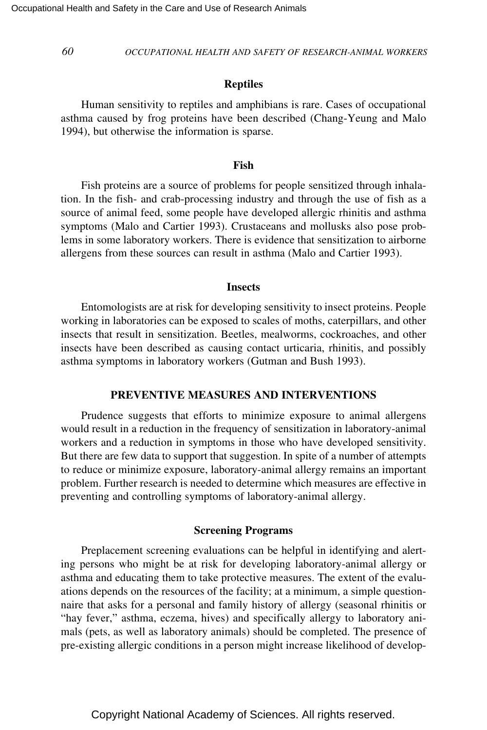#### **Reptiles**

Human sensitivity to reptiles and amphibians is rare. Cases of occupational asthma caused by frog proteins have been described (Chang-Yeung and Malo 1994), but otherwise the information is sparse.

## **Fish**

Fish proteins are a source of problems for people sensitized through inhalation. In the fish- and crab-processing industry and through the use of fish as a source of animal feed, some people have developed allergic rhinitis and asthma symptoms (Malo and Cartier 1993). Crustaceans and mollusks also pose problems in some laboratory workers. There is evidence that sensitization to airborne allergens from these sources can result in asthma (Malo and Cartier 1993).

#### **Insects**

Entomologists are at risk for developing sensitivity to insect proteins. People working in laboratories can be exposed to scales of moths, caterpillars, and other insects that result in sensitization. Beetles, mealworms, cockroaches, and other insects have been described as causing contact urticaria, rhinitis, and possibly asthma symptoms in laboratory workers (Gutman and Bush 1993).

## **PREVENTIVE MEASURES AND INTERVENTIONS**

Prudence suggests that efforts to minimize exposure to animal allergens would result in a reduction in the frequency of sensitization in laboratory-animal workers and a reduction in symptoms in those who have developed sensitivity. But there are few data to support that suggestion. In spite of a number of attempts to reduce or minimize exposure, laboratory-animal allergy remains an important problem. Further research is needed to determine which measures are effective in preventing and controlling symptoms of laboratory-animal allergy.

#### **Screening Programs**

Preplacement screening evaluations can be helpful in identifying and alerting persons who might be at risk for developing laboratory-animal allergy or asthma and educating them to take protective measures. The extent of the evaluations depends on the resources of the facility; at a minimum, a simple questionnaire that asks for a personal and family history of allergy (seasonal rhinitis or "hay fever," asthma, eczema, hives) and specifically allergy to laboratory animals (pets, as well as laboratory animals) should be completed. The presence of pre-existing allergic conditions in a person might increase likelihood of develop-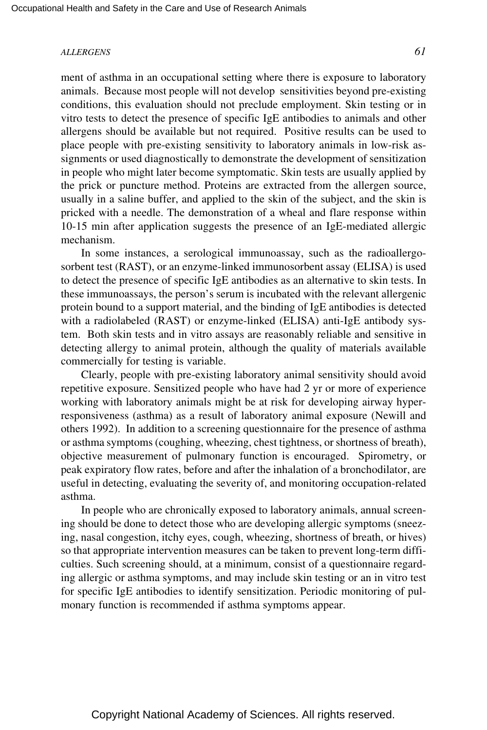#### *ALLERGENS*

ment of asthma in an occupational setting where there is exposure to laboratory animals. Because most people will not develop sensitivities beyond pre-existing conditions, this evaluation should not preclude employment. Skin testing or in vitro tests to detect the presence of specific IgE antibodies to animals and other allergens should be available but not required. Positive results can be used to place people with pre-existing sensitivity to laboratory animals in low-risk assignments or used diagnostically to demonstrate the development of sensitization in people who might later become symptomatic. Skin tests are usually applied by the prick or puncture method. Proteins are extracted from the allergen source, usually in a saline buffer, and applied to the skin of the subject, and the skin is pricked with a needle. The demonstration of a wheal and flare response within 10-15 min after application suggests the presence of an IgE-mediated allergic mechanism.

In some instances, a serological immunoassay, such as the radioallergosorbent test (RAST), or an enzyme-linked immunosorbent assay (ELISA) is used to detect the presence of specific IgE antibodies as an alternative to skin tests. In these immunoassays, the person's serum is incubated with the relevant allergenic protein bound to a support material, and the binding of IgE antibodies is detected with a radiolabeled (RAST) or enzyme-linked (ELISA) anti-IgE antibody system. Both skin tests and in vitro assays are reasonably reliable and sensitive in detecting allergy to animal protein, although the quality of materials available commercially for testing is variable.

Clearly, people with pre-existing laboratory animal sensitivity should avoid repetitive exposure. Sensitized people who have had 2 yr or more of experience working with laboratory animals might be at risk for developing airway hyperresponsiveness (asthma) as a result of laboratory animal exposure (Newill and others 1992). In addition to a screening questionnaire for the presence of asthma or asthma symptoms (coughing, wheezing, chest tightness, or shortness of breath), objective measurement of pulmonary function is encouraged. Spirometry, or peak expiratory flow rates, before and after the inhalation of a bronchodilator, are useful in detecting, evaluating the severity of, and monitoring occupation-related asthma.

In people who are chronically exposed to laboratory animals, annual screening should be done to detect those who are developing allergic symptoms (sneezing, nasal congestion, itchy eyes, cough, wheezing, shortness of breath, or hives) so that appropriate intervention measures can be taken to prevent long-term difficulties. Such screening should, at a minimum, consist of a questionnaire regarding allergic or asthma symptoms, and may include skin testing or an in vitro test for specific IgE antibodies to identify sensitization. Periodic monitoring of pulmonary function is recommended if asthma symptoms appear.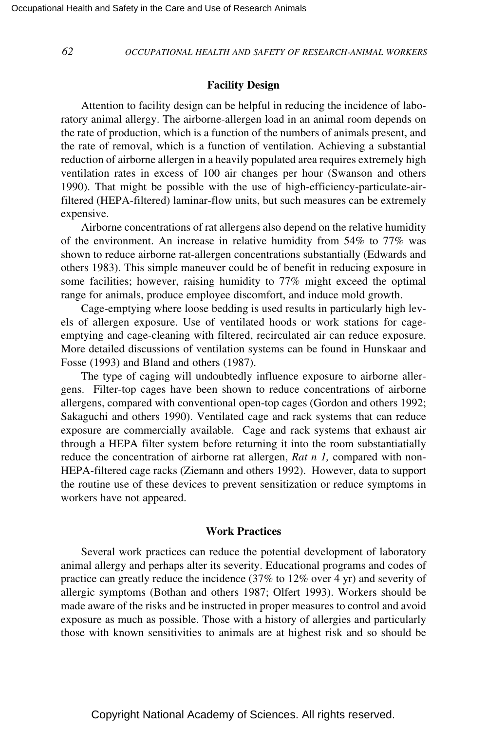## **Facility Design**

Attention to facility design can be helpful in reducing the incidence of laboratory animal allergy. The airborne-allergen load in an animal room depends on the rate of production, which is a function of the numbers of animals present, and the rate of removal, which is a function of ventilation. Achieving a substantial reduction of airborne allergen in a heavily populated area requires extremely high ventilation rates in excess of 100 air changes per hour (Swanson and others 1990). That might be possible with the use of high-efficiency-particulate-airfiltered (HEPA-filtered) laminar-flow units, but such measures can be extremely expensive.

Airborne concentrations of rat allergens also depend on the relative humidity of the environment. An increase in relative humidity from 54% to 77% was shown to reduce airborne rat-allergen concentrations substantially (Edwards and others 1983). This simple maneuver could be of benefit in reducing exposure in some facilities; however, raising humidity to 77% might exceed the optimal range for animals, produce employee discomfort, and induce mold growth.

Cage-emptying where loose bedding is used results in particularly high levels of allergen exposure. Use of ventilated hoods or work stations for cageemptying and cage-cleaning with filtered, recirculated air can reduce exposure. More detailed discussions of ventilation systems can be found in Hunskaar and Fosse (1993) and Bland and others (1987).

The type of caging will undoubtedly influence exposure to airborne allergens. Filter-top cages have been shown to reduce concentrations of airborne allergens, compared with conventional open-top cages (Gordon and others 1992; Sakaguchi and others 1990). Ventilated cage and rack systems that can reduce exposure are commercially available. Cage and rack systems that exhaust air through a HEPA filter system before returning it into the room substantiatially reduce the concentration of airborne rat allergen, *Rat n 1,* compared with non-HEPA-filtered cage racks (Ziemann and others 1992). However, data to support the routine use of these devices to prevent sensitization or reduce symptoms in workers have not appeared.

## **Work Practices**

Several work practices can reduce the potential development of laboratory animal allergy and perhaps alter its severity. Educational programs and codes of practice can greatly reduce the incidence (37% to 12% over 4 yr) and severity of allergic symptoms (Bothan and others 1987; Olfert 1993). Workers should be made aware of the risks and be instructed in proper measures to control and avoid exposure as much as possible. Those with a history of allergies and particularly those with known sensitivities to animals are at highest risk and so should be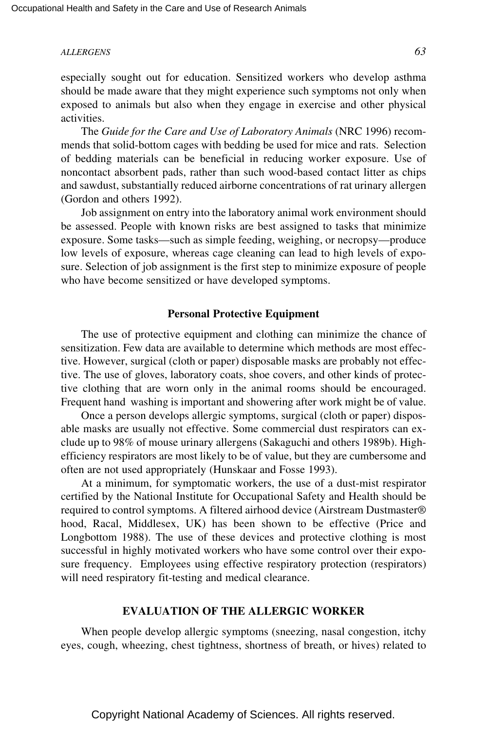#### *ALLERGENS*

especially sought out for education. Sensitized workers who develop asthma should be made aware that they might experience such symptoms not only when exposed to animals but also when they engage in exercise and other physical activities.

The *Guide for the Care and Use of Laboratory Animals* (NRC 1996) recommends that solid-bottom cages with bedding be used for mice and rats. Selection of bedding materials can be beneficial in reducing worker exposure. Use of noncontact absorbent pads, rather than such wood-based contact litter as chips and sawdust, substantially reduced airborne concentrations of rat urinary allergen (Gordon and others 1992).

Job assignment on entry into the laboratory animal work environment should be assessed. People with known risks are best assigned to tasks that minimize exposure. Some tasks—such as simple feeding, weighing, or necropsy—produce low levels of exposure, whereas cage cleaning can lead to high levels of exposure. Selection of job assignment is the first step to minimize exposure of people who have become sensitized or have developed symptoms.

#### **Personal Protective Equipment**

The use of protective equipment and clothing can minimize the chance of sensitization. Few data are available to determine which methods are most effective. However, surgical (cloth or paper) disposable masks are probably not effective. The use of gloves, laboratory coats, shoe covers, and other kinds of protective clothing that are worn only in the animal rooms should be encouraged. Frequent hand washing is important and showering after work might be of value.

Once a person develops allergic symptoms, surgical (cloth or paper) disposable masks are usually not effective. Some commercial dust respirators can exclude up to 98% of mouse urinary allergens (Sakaguchi and others 1989b). Highefficiency respirators are most likely to be of value, but they are cumbersome and often are not used appropriately (Hunskaar and Fosse 1993).

At a minimum, for symptomatic workers, the use of a dust-mist respirator certified by the National Institute for Occupational Safety and Health should be required to control symptoms. A filtered airhood device (Airstream Dustmaster® hood, Racal, Middlesex, UK) has been shown to be effective (Price and Longbottom 1988). The use of these devices and protective clothing is most successful in highly motivated workers who have some control over their exposure frequency. Employees using effective respiratory protection (respirators) will need respiratory fit-testing and medical clearance.

## **EVALUATION OF THE ALLERGIC WORKER**

When people develop allergic symptoms (sneezing, nasal congestion, itchy eyes, cough, wheezing, chest tightness, shortness of breath, or hives) related to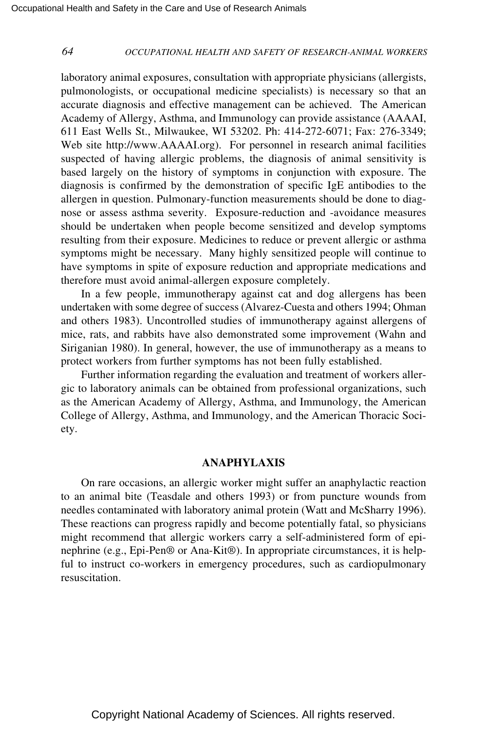laboratory animal exposures, consultation with appropriate physicians (allergists, pulmonologists, or occupational medicine specialists) is necessary so that an accurate diagnosis and effective management can be achieved. The American Academy of Allergy, Asthma, and Immunology can provide assistance (AAAAI, 611 East Wells St., Milwaukee, WI 53202. Ph: 414-272-6071; Fax: 276-3349; Web site [http://www.AAAAI.org\)](http://www.AAAAI.org). For personnel in research animal facilities suspected of having allergic problems, the diagnosis of animal sensitivity is based largely on the history of symptoms in conjunction with exposure. The diagnosis is confirmed by the demonstration of specific IgE antibodies to the allergen in question. Pulmonary-function measurements should be done to diagnose or assess asthma severity. Exposure-reduction and -avoidance measures should be undertaken when people become sensitized and develop symptoms resulting from their exposure. Medicines to reduce or prevent allergic or asthma symptoms might be necessary. Many highly sensitized people will continue to have symptoms in spite of exposure reduction and appropriate medications and therefore must avoid animal-allergen exposure completely.

In a few people, immunotherapy against cat and dog allergens has been undertaken with some degree of success (Alvarez-Cuesta and others 1994; Ohman and others 1983). Uncontrolled studies of immunotherapy against allergens of mice, rats, and rabbits have also demonstrated some improvement (Wahn and Siriganian 1980). In general, however, the use of immunotherapy as a means to protect workers from further symptoms has not been fully established.

Further information regarding the evaluation and treatment of workers allergic to laboratory animals can be obtained from professional organizations, such as the American Academy of Allergy, Asthma, and Immunology, the American College of Allergy, Asthma, and Immunology, and the American Thoracic Society.

## **ANAPHYLAXIS**

On rare occasions, an allergic worker might suffer an anaphylactic reaction to an animal bite (Teasdale and others 1993) or from puncture wounds from needles contaminated with laboratory animal protein (Watt and McSharry 1996). These reactions can progress rapidly and become potentially fatal, so physicians might recommend that allergic workers carry a self-administered form of epinephrine (e.g., Epi-Pen® or Ana-Kit®). In appropriate circumstances, it is helpful to instruct co-workers in emergency procedures, such as cardiopulmonary resuscitation.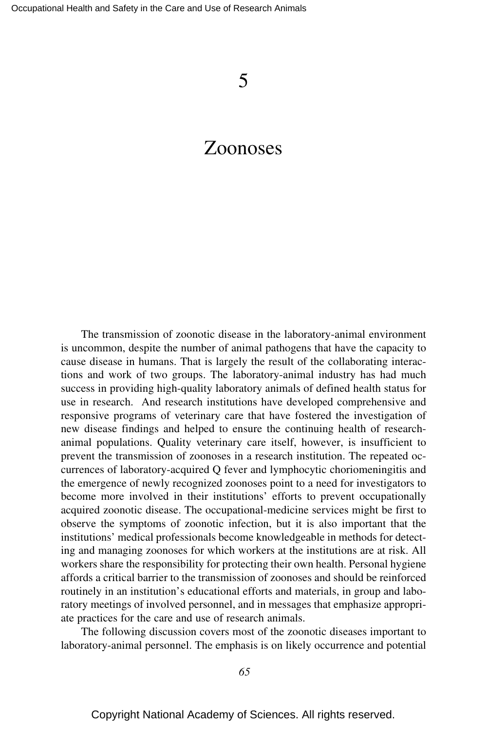## 5

# Zoonoses

The transmission of zoonotic disease in the laboratory-animal environment is uncommon, despite the number of animal pathogens that have the capacity to cause disease in humans. That is largely the result of the collaborating interactions and work of two groups. The laboratory-animal industry has had much success in providing high-quality laboratory animals of defined health status for use in research. And research institutions have developed comprehensive and responsive programs of veterinary care that have fostered the investigation of new disease findings and helped to ensure the continuing health of researchanimal populations. Quality veterinary care itself, however, is insufficient to prevent the transmission of zoonoses in a research institution. The repeated occurrences of laboratory-acquired Q fever and lymphocytic choriomeningitis and the emergence of newly recognized zoonoses point to a need for investigators to become more involved in their institutions' efforts to prevent occupationally acquired zoonotic disease. The occupational-medicine services might be first to observe the symptoms of zoonotic infection, but it is also important that the institutions' medical professionals become knowledgeable in methods for detecting and managing zoonoses for which workers at the institutions are at risk. All workers share the responsibility for protecting their own health. Personal hygiene affords a critical barrier to the transmission of zoonoses and should be reinforced routinely in an institution's educational efforts and materials, in group and laboratory meetings of involved personnel, and in messages that emphasize appropriate practices for the care and use of research animals.

The following discussion covers most of the zoonotic diseases important to laboratory-animal personnel. The emphasis is on likely occurrence and potential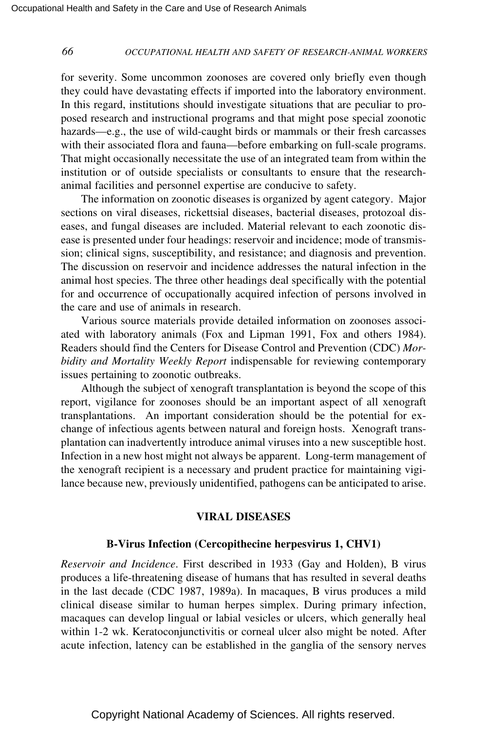for severity. Some uncommon zoonoses are covered only briefly even though they could have devastating effects if imported into the laboratory environment. In this regard, institutions should investigate situations that are peculiar to proposed research and instructional programs and that might pose special zoonotic hazards—e.g., the use of wild-caught birds or mammals or their fresh carcasses with their associated flora and fauna—before embarking on full-scale programs. That might occasionally necessitate the use of an integrated team from within the institution or of outside specialists or consultants to ensure that the researchanimal facilities and personnel expertise are conducive to safety.

The information on zoonotic diseases is organized by agent category. Major sections on viral diseases, rickettsial diseases, bacterial diseases, protozoal diseases, and fungal diseases are included. Material relevant to each zoonotic disease is presented under four headings: reservoir and incidence; mode of transmission; clinical signs, susceptibility, and resistance; and diagnosis and prevention. The discussion on reservoir and incidence addresses the natural infection in the animal host species. The three other headings deal specifically with the potential for and occurrence of occupationally acquired infection of persons involved in the care and use of animals in research.

Various source materials provide detailed information on zoonoses associated with laboratory animals (Fox and Lipman 1991, Fox and others 1984). Readers should find the Centers for Disease Control and Prevention (CDC) *Morbidity and Mortality Weekly Report* indispensable for reviewing contemporary issues pertaining to zoonotic outbreaks.

Although the subject of xenograft transplantation is beyond the scope of this report, vigilance for zoonoses should be an important aspect of all xenograft transplantations. An important consideration should be the potential for exchange of infectious agents between natural and foreign hosts. Xenograft transplantation can inadvertently introduce animal viruses into a new susceptible host. Infection in a new host might not always be apparent. Long-term management of the xenograft recipient is a necessary and prudent practice for maintaining vigilance because new, previously unidentified, pathogens can be anticipated to arise.

## **VIRAL DISEASES**

## **B-Virus Infection (Cercopithecine herpesvirus 1, CHV1)**

*Reservoir and Incidence*. First described in 1933 (Gay and Holden), B virus produces a life-threatening disease of humans that has resulted in several deaths in the last decade (CDC 1987, 1989a). In macaques, B virus produces a mild clinical disease similar to human herpes simplex. During primary infection, macaques can develop lingual or labial vesicles or ulcers, which generally heal within 1-2 wk. Keratoconjunctivitis or corneal ulcer also might be noted. After acute infection, latency can be established in the ganglia of the sensory nerves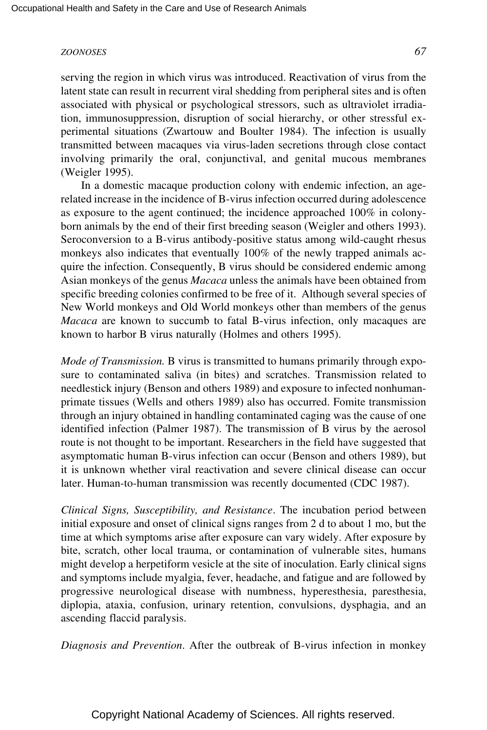serving the region in which virus was introduced. Reactivation of virus from the latent state can result in recurrent viral shedding from peripheral sites and is often associated with physical or psychological stressors, such as ultraviolet irradiation, immunosuppression, disruption of social hierarchy, or other stressful experimental situations (Zwartouw and Boulter 1984). The infection is usually transmitted between macaques via virus-laden secretions through close contact involving primarily the oral, conjunctival, and genital mucous membranes (Weigler 1995).

In a domestic macaque production colony with endemic infection, an agerelated increase in the incidence of B-virus infection occurred during adolescence as exposure to the agent continued; the incidence approached 100% in colonyborn animals by the end of their first breeding season (Weigler and others 1993). Seroconversion to a B-virus antibody-positive status among wild-caught rhesus monkeys also indicates that eventually 100% of the newly trapped animals acquire the infection. Consequently, B virus should be considered endemic among Asian monkeys of the genus *Macaca* unless the animals have been obtained from specific breeding colonies confirmed to be free of it. Although several species of New World monkeys and Old World monkeys other than members of the genus *Macaca* are known to succumb to fatal B-virus infection, only macaques are known to harbor B virus naturally (Holmes and others 1995).

*Mode of Transmission.* B virus is transmitted to humans primarily through exposure to contaminated saliva (in bites) and scratches. Transmission related to needlestick injury (Benson and others 1989) and exposure to infected nonhumanprimate tissues (Wells and others 1989) also has occurred. Fomite transmission through an injury obtained in handling contaminated caging was the cause of one identified infection (Palmer 1987). The transmission of B virus by the aerosol route is not thought to be important. Researchers in the field have suggested that asymptomatic human B-virus infection can occur (Benson and others 1989), but it is unknown whether viral reactivation and severe clinical disease can occur later. Human-to-human transmission was recently documented (CDC 1987).

*Clinical Signs, Susceptibility, and Resistance*. The incubation period between initial exposure and onset of clinical signs ranges from 2 d to about 1 mo, but the time at which symptoms arise after exposure can vary widely. After exposure by bite, scratch, other local trauma, or contamination of vulnerable sites, humans might develop a herpetiform vesicle at the site of inoculation. Early clinical signs and symptoms include myalgia, fever, headache, and fatigue and are followed by progressive neurological disease with numbness, hyperesthesia, paresthesia, diplopia, ataxia, confusion, urinary retention, convulsions, dysphagia, and an ascending flaccid paralysis.

*Diagnosis and Prevention*. After the outbreak of B-virus infection in monkey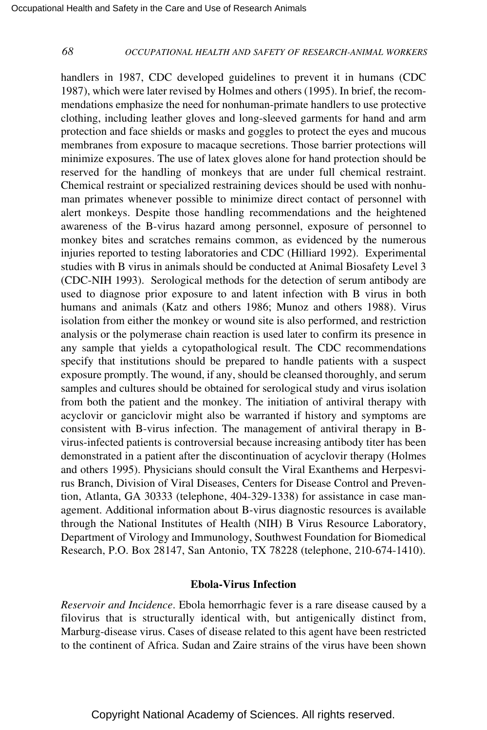handlers in 1987, CDC developed guidelines to prevent it in humans (CDC 1987), which were later revised by Holmes and others (1995). In brief, the recommendations emphasize the need for nonhuman-primate handlers to use protective clothing, including leather gloves and long-sleeved garments for hand and arm protection and face shields or masks and goggles to protect the eyes and mucous membranes from exposure to macaque secretions. Those barrier protections will minimize exposures. The use of latex gloves alone for hand protection should be reserved for the handling of monkeys that are under full chemical restraint. Chemical restraint or specialized restraining devices should be used with nonhuman primates whenever possible to minimize direct contact of personnel with alert monkeys. Despite those handling recommendations and the heightened awareness of the B-virus hazard among personnel, exposure of personnel to monkey bites and scratches remains common, as evidenced by the numerous injuries reported to testing laboratories and CDC (Hilliard 1992). Experimental studies with B virus in animals should be conducted at Animal Biosafety Level 3 (CDC-NIH 1993). Serological methods for the detection of serum antibody are used to diagnose prior exposure to and latent infection with B virus in both humans and animals (Katz and others 1986; Munoz and others 1988). Virus isolation from either the monkey or wound site is also performed, and restriction analysis or the polymerase chain reaction is used later to confirm its presence in any sample that yields a cytopathological result. The CDC recommendations specify that institutions should be prepared to handle patients with a suspect exposure promptly. The wound, if any, should be cleansed thoroughly, and serum samples and cultures should be obtained for serological study and virus isolation from both the patient and the monkey. The initiation of antiviral therapy with acyclovir or ganciclovir might also be warranted if history and symptoms are consistent with B-virus infection. The management of antiviral therapy in Bvirus-infected patients is controversial because increasing antibody titer has been demonstrated in a patient after the discontinuation of acyclovir therapy (Holmes and others 1995). Physicians should consult the Viral Exanthems and Herpesvirus Branch, Division of Viral Diseases, Centers for Disease Control and Prevention, Atlanta, GA 30333 (telephone, 404-329-1338) for assistance in case management. Additional information about B-virus diagnostic resources is available through the National Institutes of Health (NIH) B Virus Resource Laboratory, Department of Virology and Immunology, Southwest Foundation for Biomedical Research, P.O. Box 28147, San Antonio, TX 78228 (telephone, 210-674-1410).

## **Ebola-Virus Infection**

*Reservoir and Incidence*. Ebola hemorrhagic fever is a rare disease caused by a filovirus that is structurally identical with, but antigenically distinct from, Marburg-disease virus. Cases of disease related to this agent have been restricted to the continent of Africa. Sudan and Zaire strains of the virus have been shown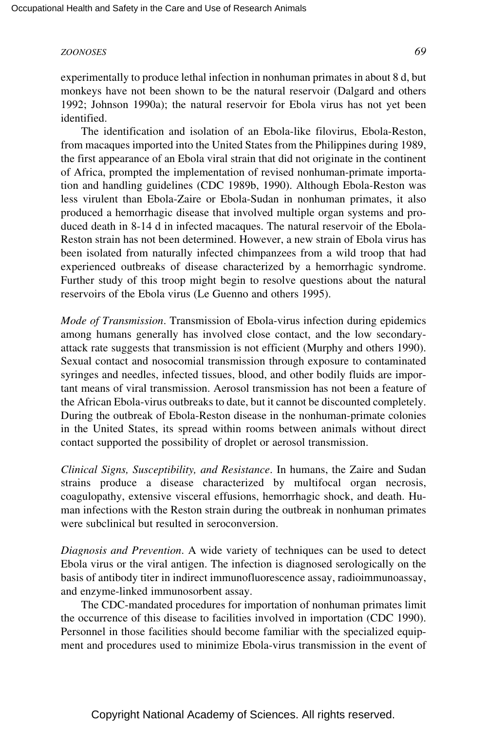experimentally to produce lethal infection in nonhuman primates in about 8 d, but monkeys have not been shown to be the natural reservoir (Dalgard and others 1992; Johnson 1990a); the natural reservoir for Ebola virus has not yet been identified.

The identification and isolation of an Ebola-like filovirus, Ebola-Reston, from macaques imported into the United States from the Philippines during 1989, the first appearance of an Ebola viral strain that did not originate in the continent of Africa, prompted the implementation of revised nonhuman-primate importation and handling guidelines (CDC 1989b, 1990). Although Ebola-Reston was less virulent than Ebola-Zaire or Ebola-Sudan in nonhuman primates, it also produced a hemorrhagic disease that involved multiple organ systems and produced death in 8-14 d in infected macaques. The natural reservoir of the Ebola-Reston strain has not been determined. However, a new strain of Ebola virus has been isolated from naturally infected chimpanzees from a wild troop that had experienced outbreaks of disease characterized by a hemorrhagic syndrome. Further study of this troop might begin to resolve questions about the natural reservoirs of the Ebola virus (Le Guenno and others 1995).

*Mode of Transmission*. Transmission of Ebola-virus infection during epidemics among humans generally has involved close contact, and the low secondaryattack rate suggests that transmission is not efficient (Murphy and others 1990). Sexual contact and nosocomial transmission through exposure to contaminated syringes and needles, infected tissues, blood, and other bodily fluids are important means of viral transmission. Aerosol transmission has not been a feature of the African Ebola-virus outbreaks to date, but it cannot be discounted completely. During the outbreak of Ebola-Reston disease in the nonhuman-primate colonies in the United States, its spread within rooms between animals without direct contact supported the possibility of droplet or aerosol transmission.

*Clinical Signs, Susceptibility, and Resistance*. In humans, the Zaire and Sudan strains produce a disease characterized by multifocal organ necrosis, coagulopathy, extensive visceral effusions, hemorrhagic shock, and death. Human infections with the Reston strain during the outbreak in nonhuman primates were subclinical but resulted in seroconversion.

*Diagnosis and Prevention*. A wide variety of techniques can be used to detect Ebola virus or the viral antigen. The infection is diagnosed serologically on the basis of antibody titer in indirect immunofluorescence assay, radioimmunoassay, and enzyme-linked immunosorbent assay.

The CDC-mandated procedures for importation of nonhuman primates limit the occurrence of this disease to facilities involved in importation (CDC 1990). Personnel in those facilities should become familiar with the specialized equipment and procedures used to minimize Ebola-virus transmission in the event of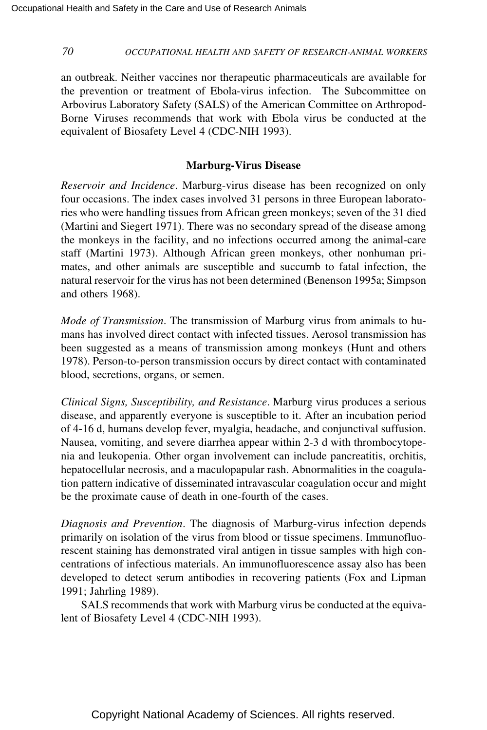an outbreak. Neither vaccines nor therapeutic pharmaceuticals are available for the prevention or treatment of Ebola-virus infection. The Subcommittee on Arbovirus Laboratory Safety (SALS) of the American Committee on Arthropod-Borne Viruses recommends that work with Ebola virus be conducted at the equivalent of Biosafety Level 4 (CDC-NIH 1993).

## **Marburg-Virus Disease**

*Reservoir and Incidence*. Marburg-virus disease has been recognized on only four occasions. The index cases involved 31 persons in three European laboratories who were handling tissues from African green monkeys; seven of the 31 died (Martini and Siegert 1971). There was no secondary spread of the disease among the monkeys in the facility, and no infections occurred among the animal-care staff (Martini 1973). Although African green monkeys, other nonhuman primates, and other animals are susceptible and succumb to fatal infection, the natural reservoir for the virus has not been determined (Benenson 1995a; Simpson and others 1968).

*Mode of Transmission*. The transmission of Marburg virus from animals to humans has involved direct contact with infected tissues. Aerosol transmission has been suggested as a means of transmission among monkeys (Hunt and others 1978). Person-to-person transmission occurs by direct contact with contaminated blood, secretions, organs, or semen.

*Clinical Signs, Susceptibility, and Resistance*. Marburg virus produces a serious disease, and apparently everyone is susceptible to it. After an incubation period of 4-16 d, humans develop fever, myalgia, headache, and conjunctival suffusion. Nausea, vomiting, and severe diarrhea appear within 2-3 d with thrombocytopenia and leukopenia. Other organ involvement can include pancreatitis, orchitis, hepatocellular necrosis, and a maculopapular rash. Abnormalities in the coagulation pattern indicative of disseminated intravascular coagulation occur and might be the proximate cause of death in one-fourth of the cases.

*Diagnosis and Prevention*. The diagnosis of Marburg-virus infection depends primarily on isolation of the virus from blood or tissue specimens. Immunofluorescent staining has demonstrated viral antigen in tissue samples with high concentrations of infectious materials. An immunofluorescence assay also has been developed to detect serum antibodies in recovering patients (Fox and Lipman 1991; Jahrling 1989).

SALS recommends that work with Marburg virus be conducted at the equivalent of Biosafety Level 4 (CDC-NIH 1993).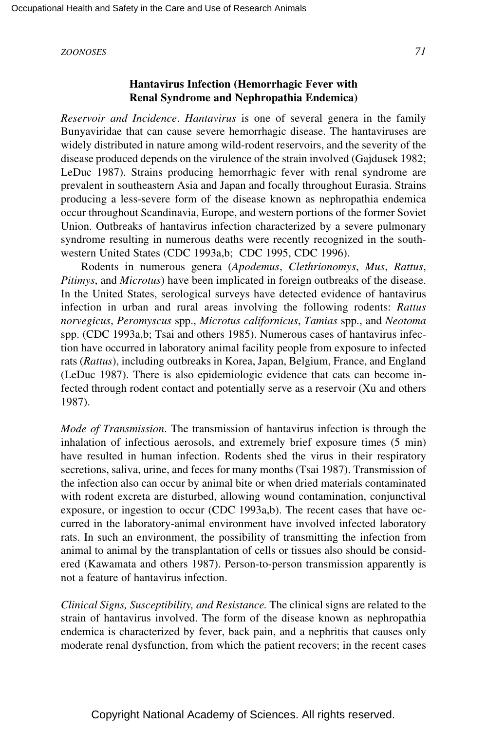*Reservoir and Incidence*. *Hantavirus* is one of several genera in the family Bunyaviridae that can cause severe hemorrhagic disease. The hantaviruses are widely distributed in nature among wild-rodent reservoirs, and the severity of the disease produced depends on the virulence of the strain involved (Gajdusek 1982; LeDuc 1987). Strains producing hemorrhagic fever with renal syndrome are prevalent in southeastern Asia and Japan and focally throughout Eurasia. Strains producing a less-severe form of the disease known as nephropathia endemica occur throughout Scandinavia, Europe, and western portions of the former Soviet Union. Outbreaks of hantavirus infection characterized by a severe pulmonary syndrome resulting in numerous deaths were recently recognized in the southwestern United States (CDC 1993a,b; CDC 1995, CDC 1996).

Rodents in numerous genera (*Apodemus*, *Clethrionomys*, *Mus*, *Rattus*, *Pitimys*, and *Microtus*) have been implicated in foreign outbreaks of the disease. In the United States, serological surveys have detected evidence of hantavirus infection in urban and rural areas involving the following rodents: *Rattus norvegicus*, *Peromyscus* spp., *Microtus californicus*, *Tamias* spp., and *Neotoma*  spp. (CDC 1993a,b; Tsai and others 1985). Numerous cases of hantavirus infection have occurred in laboratory animal facility people from exposure to infected rats (*Rattus*), including outbreaks in Korea, Japan, Belgium, France, and England (LeDuc 1987). There is also epidemiologic evidence that cats can become infected through rodent contact and potentially serve as a reservoir (Xu and others 1987).

*Mode of Transmission*. The transmission of hantavirus infection is through the inhalation of infectious aerosols, and extremely brief exposure times (5 min) have resulted in human infection. Rodents shed the virus in their respiratory secretions, saliva, urine, and feces for many months (Tsai 1987). Transmission of the infection also can occur by animal bite or when dried materials contaminated with rodent excreta are disturbed, allowing wound contamination, conjunctival exposure, or ingestion to occur (CDC 1993a,b). The recent cases that have occurred in the laboratory-animal environment have involved infected laboratory rats. In such an environment, the possibility of transmitting the infection from animal to animal by the transplantation of cells or tissues also should be considered (Kawamata and others 1987). Person-to-person transmission apparently is not a feature of hantavirus infection.

*Clinical Signs, Susceptibility, and Resistance.* The clinical signs are related to the strain of hantavirus involved. The form of the disease known as nephropathia endemica is characterized by fever, back pain, and a nephritis that causes only moderate renal dysfunction, from which the patient recovers; in the recent cases

Copyright National Academy of Sciences. All rights reserved.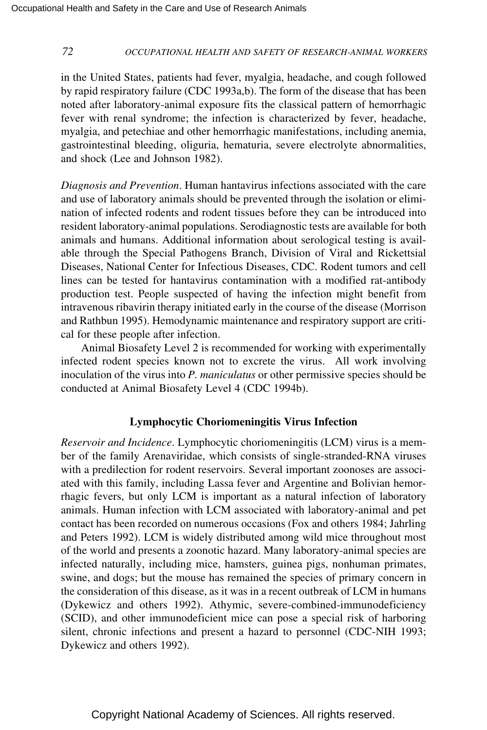in the United States, patients had fever, myalgia, headache, and cough followed by rapid respiratory failure (CDC 1993a,b). The form of the disease that has been noted after laboratory-animal exposure fits the classical pattern of hemorrhagic fever with renal syndrome; the infection is characterized by fever, headache, myalgia, and petechiae and other hemorrhagic manifestations, including anemia, gastrointestinal bleeding, oliguria, hematuria, severe electrolyte abnormalities, and shock (Lee and Johnson 1982).

*Diagnosis and Prevention*. Human hantavirus infections associated with the care and use of laboratory animals should be prevented through the isolation or elimination of infected rodents and rodent tissues before they can be introduced into resident laboratory-animal populations. Serodiagnostic tests are available for both animals and humans. Additional information about serological testing is available through the Special Pathogens Branch, Division of Viral and Rickettsial Diseases, National Center for Infectious Diseases, CDC. Rodent tumors and cell lines can be tested for hantavirus contamination with a modified rat-antibody production test. People suspected of having the infection might benefit from intravenous ribavirin therapy initiated early in the course of the disease (Morrison and Rathbun 1995). Hemodynamic maintenance and respiratory support are critical for these people after infection.

Animal Biosafety Level 2 is recommended for working with experimentally infected rodent species known not to excrete the virus. All work involving inoculation of the virus into *P. maniculatus* or other permissive species should be conducted at Animal Biosafety Level 4 (CDC 1994b).

## **Lymphocytic Choriomeningitis Virus Infection**

*Reservoir and Incidence*. Lymphocytic choriomeningitis (LCM) virus is a member of the family Arenaviridae, which consists of single-stranded-RNA viruses with a predilection for rodent reservoirs. Several important zoonoses are associated with this family, including Lassa fever and Argentine and Bolivian hemorrhagic fevers, but only LCM is important as a natural infection of laboratory animals. Human infection with LCM associated with laboratory-animal and pet contact has been recorded on numerous occasions (Fox and others 1984; Jahrling and Peters 1992). LCM is widely distributed among wild mice throughout most of the world and presents a zoonotic hazard. Many laboratory-animal species are infected naturally, including mice, hamsters, guinea pigs, nonhuman primates, swine, and dogs; but the mouse has remained the species of primary concern in the consideration of this disease, as it was in a recent outbreak of LCM in humans (Dykewicz and others 1992). Athymic, severe-combined-immunodeficiency (SCID), and other immunodeficient mice can pose a special risk of harboring silent, chronic infections and present a hazard to personnel (CDC-NIH 1993; Dykewicz and others 1992).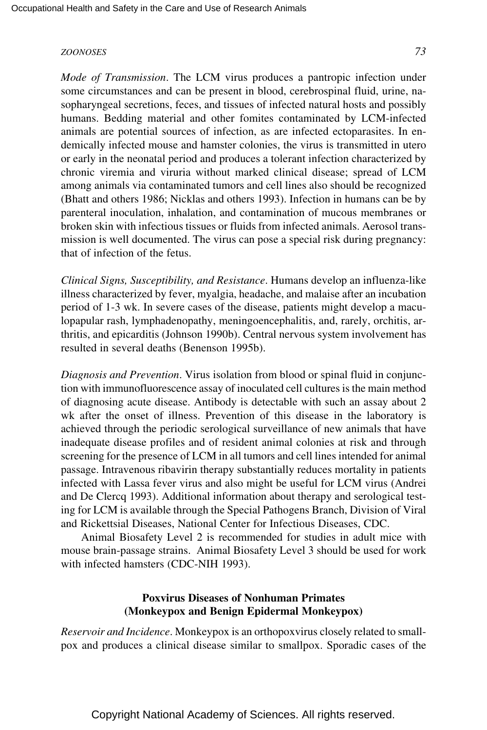*Mode of Transmission*. The LCM virus produces a pantropic infection under some circumstances and can be present in blood, cerebrospinal fluid, urine, nasopharyngeal secretions, feces, and tissues of infected natural hosts and possibly humans. Bedding material and other fomites contaminated by LCM-infected animals are potential sources of infection, as are infected ectoparasites. In endemically infected mouse and hamster colonies, the virus is transmitted in utero or early in the neonatal period and produces a tolerant infection characterized by chronic viremia and viruria without marked clinical disease; spread of LCM among animals via contaminated tumors and cell lines also should be recognized (Bhatt and others 1986; Nicklas and others 1993). Infection in humans can be by parenteral inoculation, inhalation, and contamination of mucous membranes or broken skin with infectious tissues or fluids from infected animals. Aerosol transmission is well documented. The virus can pose a special risk during pregnancy: that of infection of the fetus.

*Clinical Signs, Susceptibility, and Resistance*. Humans develop an influenza-like illness characterized by fever, myalgia, headache, and malaise after an incubation period of 1-3 wk. In severe cases of the disease, patients might develop a maculopapular rash, lymphadenopathy, meningoencephalitis, and, rarely, orchitis, arthritis, and epicarditis (Johnson 1990b). Central nervous system involvement has resulted in several deaths (Benenson 1995b).

*Diagnosis and Prevention*. Virus isolation from blood or spinal fluid in conjunction with immunofluorescence assay of inoculated cell cultures is the main method of diagnosing acute disease. Antibody is detectable with such an assay about 2 wk after the onset of illness. Prevention of this disease in the laboratory is achieved through the periodic serological surveillance of new animals that have inadequate disease profiles and of resident animal colonies at risk and through screening for the presence of LCM in all tumors and cell lines intended for animal passage. Intravenous ribavirin therapy substantially reduces mortality in patients infected with Lassa fever virus and also might be useful for LCM virus (Andrei and De Clercq 1993). Additional information about therapy and serological testing for LCM is available through the Special Pathogens Branch, Division of Viral and Rickettsial Diseases, National Center for Infectious Diseases, CDC.

Animal Biosafety Level 2 is recommended for studies in adult mice with mouse brain-passage strains. Animal Biosafety Level 3 should be used for work with infected hamsters (CDC-NIH 1993).

## **Poxvirus Diseases of Nonhuman Primates (Monkeypox and Benign Epidermal Monkeypox)**

*Reservoir and Incidence*. Monkeypox is an orthopoxvirus closely related to smallpox and produces a clinical disease similar to smallpox. Sporadic cases of the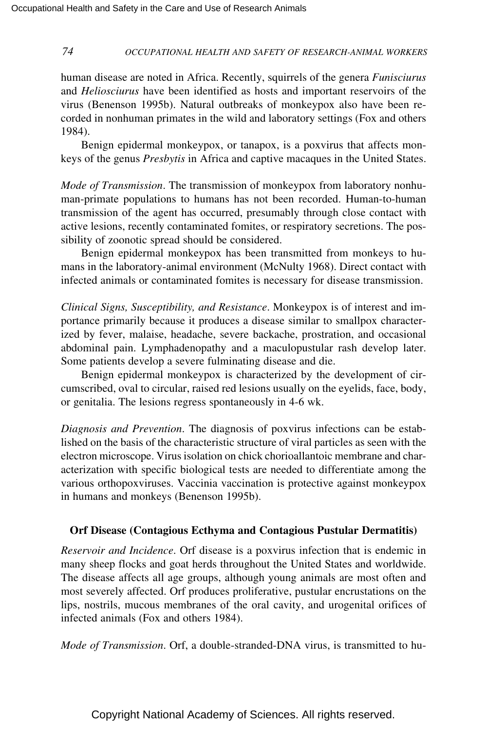human disease are noted in Africa. Recently, squirrels of the genera *Funisciurus*  and *Heliosciurus* have been identified as hosts and important reservoirs of the virus (Benenson 1995b). Natural outbreaks of monkeypox also have been recorded in nonhuman primates in the wild and laboratory settings (Fox and others 1984).

Benign epidermal monkeypox, or tanapox, is a poxvirus that affects monkeys of the genus *Presbytis* in Africa and captive macaques in the United States.

*Mode of Transmission*. The transmission of monkeypox from laboratory nonhuman-primate populations to humans has not been recorded. Human-to-human transmission of the agent has occurred, presumably through close contact with active lesions, recently contaminated fomites, or respiratory secretions. The possibility of zoonotic spread should be considered.

Benign epidermal monkeypox has been transmitted from monkeys to humans in the laboratory-animal environment (McNulty 1968). Direct contact with infected animals or contaminated fomites is necessary for disease transmission.

*Clinical Signs, Susceptibility, and Resistance*. Monkeypox is of interest and importance primarily because it produces a disease similar to smallpox characterized by fever, malaise, headache, severe backache, prostration, and occasional abdominal pain. Lymphadenopathy and a maculopustular rash develop later. Some patients develop a severe fulminating disease and die.

Benign epidermal monkeypox is characterized by the development of circumscribed, oval to circular, raised red lesions usually on the eyelids, face, body, or genitalia. The lesions regress spontaneously in 4-6 wk.

*Diagnosis and Prevention*. The diagnosis of poxvirus infections can be established on the basis of the characteristic structure of viral particles as seen with the electron microscope. Virus isolation on chick chorioallantoic membrane and characterization with specific biological tests are needed to differentiate among the various orthopoxviruses. Vaccinia vaccination is protective against monkeypox in humans and monkeys (Benenson 1995b).

## **Orf Disease (Contagious Ecthyma and Contagious Pustular Dermatitis)**

*Reservoir and Incidence*. Orf disease is a poxvirus infection that is endemic in many sheep flocks and goat herds throughout the United States and worldwide. The disease affects all age groups, although young animals are most often and most severely affected. Orf produces proliferative, pustular encrustations on the lips, nostrils, mucous membranes of the oral cavity, and urogenital orifices of infected animals (Fox and others 1984).

*Mode of Transmission*. Orf, a double-stranded-DNA virus, is transmitted to hu-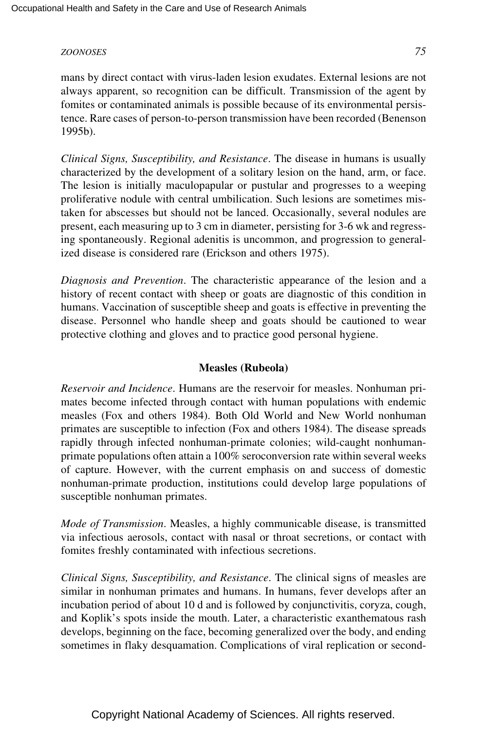*Clinical Signs, Susceptibility, and Resistance*. The disease in humans is usually characterized by the development of a solitary lesion on the hand, arm, or face. The lesion is initially maculopapular or pustular and progresses to a weeping proliferative nodule with central umbilication. Such lesions are sometimes mistaken for abscesses but should not be lanced. Occasionally, several nodules are present, each measuring up to 3 cm in diameter, persisting for 3-6 wk and regressing spontaneously. Regional adenitis is uncommon, and progression to generalized disease is considered rare (Erickson and others 1975).

*Diagnosis and Prevention*. The characteristic appearance of the lesion and a history of recent contact with sheep or goats are diagnostic of this condition in humans. Vaccination of susceptible sheep and goats is effective in preventing the disease. Personnel who handle sheep and goats should be cautioned to wear protective clothing and gloves and to practice good personal hygiene.

## **Measles (Rubeola)**

*Reservoir and Incidence*. Humans are the reservoir for measles. Nonhuman primates become infected through contact with human populations with endemic measles (Fox and others 1984). Both Old World and New World nonhuman primates are susceptible to infection (Fox and others 1984). The disease spreads rapidly through infected nonhuman-primate colonies; wild-caught nonhumanprimate populations often attain a 100% seroconversion rate within several weeks of capture. However, with the current emphasis on and success of domestic nonhuman-primate production, institutions could develop large populations of susceptible nonhuman primates.

*Mode of Transmission*. Measles, a highly communicable disease, is transmitted via infectious aerosols, contact with nasal or throat secretions, or contact with fomites freshly contaminated with infectious secretions.

*Clinical Signs, Susceptibility, and Resistance*. The clinical signs of measles are similar in nonhuman primates and humans. In humans, fever develops after an incubation period of about 10 d and is followed by conjunctivitis, coryza, cough, and Koplik's spots inside the mouth. Later, a characteristic exanthematous rash develops, beginning on the face, becoming generalized over the body, and ending sometimes in flaky desquamation. Complications of viral replication or second-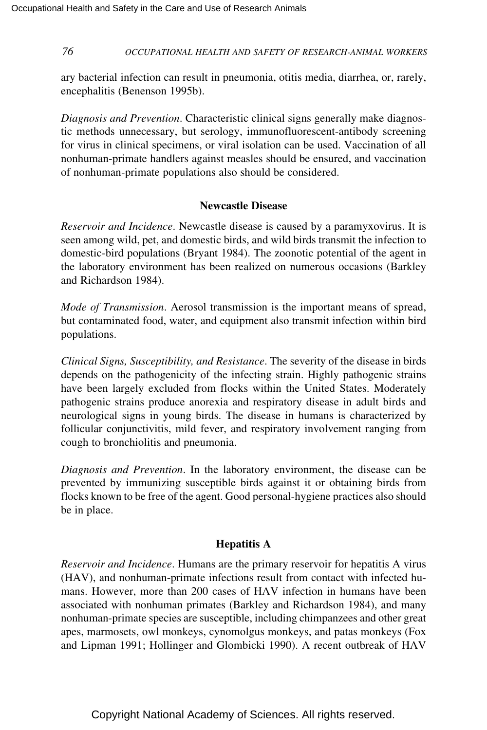ary bacterial infection can result in pneumonia, otitis media, diarrhea, or, rarely, encephalitis (Benenson 1995b).

*Diagnosis and Prevention*. Characteristic clinical signs generally make diagnostic methods unnecessary, but serology, immunofluorescent-antibody screening for virus in clinical specimens, or viral isolation can be used. Vaccination of all nonhuman-primate handlers against measles should be ensured, and vaccination of nonhuman-primate populations also should be considered.

## **Newcastle Disease**

*Reservoir and Incidence*. Newcastle disease is caused by a paramyxovirus. It is seen among wild, pet, and domestic birds, and wild birds transmit the infection to domestic-bird populations (Bryant 1984). The zoonotic potential of the agent in the laboratory environment has been realized on numerous occasions (Barkley and Richardson 1984).

*Mode of Transmission*. Aerosol transmission is the important means of spread, but contaminated food, water, and equipment also transmit infection within bird populations.

*Clinical Signs, Susceptibility, and Resistance*. The severity of the disease in birds depends on the pathogenicity of the infecting strain. Highly pathogenic strains have been largely excluded from flocks within the United States. Moderately pathogenic strains produce anorexia and respiratory disease in adult birds and neurological signs in young birds. The disease in humans is characterized by follicular conjunctivitis, mild fever, and respiratory involvement ranging from cough to bronchiolitis and pneumonia.

*Diagnosis and Prevention*. In the laboratory environment, the disease can be prevented by immunizing susceptible birds against it or obtaining birds from flocks known to be free of the agent. Good personal-hygiene practices also should be in place.

## **Hepatitis A**

*Reservoir and Incidence*. Humans are the primary reservoir for hepatitis A virus (HAV), and nonhuman-primate infections result from contact with infected humans. However, more than 200 cases of HAV infection in humans have been associated with nonhuman primates (Barkley and Richardson 1984), and many nonhuman-primate species are susceptible, including chimpanzees and other great apes, marmosets, owl monkeys, cynomolgus monkeys, and patas monkeys (Fox and Lipman 1991; Hollinger and Glombicki 1990). A recent outbreak of HAV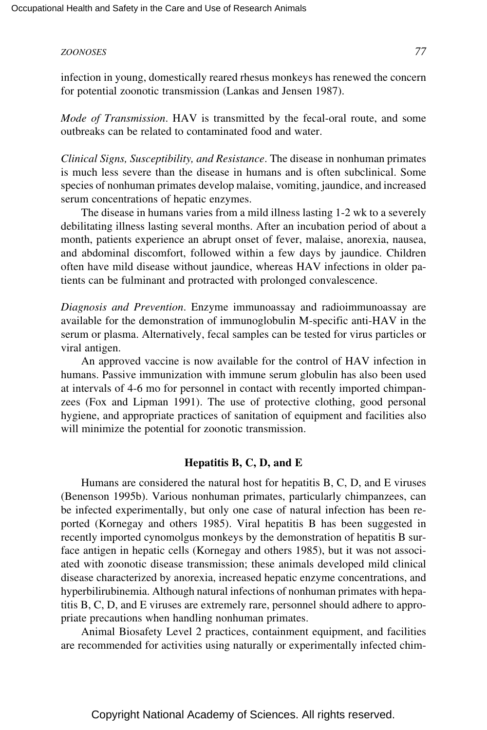infection in young, domestically reared rhesus monkeys has renewed the concern for potential zoonotic transmission (Lankas and Jensen 1987).

*Mode of Transmission*. HAV is transmitted by the fecal-oral route, and some outbreaks can be related to contaminated food and water.

*Clinical Signs, Susceptibility, and Resistance*. The disease in nonhuman primates is much less severe than the disease in humans and is often subclinical. Some species of nonhuman primates develop malaise, vomiting, jaundice, and increased serum concentrations of hepatic enzymes.

The disease in humans varies from a mild illness lasting 1-2 wk to a severely debilitating illness lasting several months. After an incubation period of about a month, patients experience an abrupt onset of fever, malaise, anorexia, nausea, and abdominal discomfort, followed within a few days by jaundice. Children often have mild disease without jaundice, whereas HAV infections in older patients can be fulminant and protracted with prolonged convalescence.

*Diagnosis and Prevention*. Enzyme immunoassay and radioimmunoassay are available for the demonstration of immunoglobulin M-specific anti-HAV in the serum or plasma. Alternatively, fecal samples can be tested for virus particles or viral antigen.

An approved vaccine is now available for the control of HAV infection in humans. Passive immunization with immune serum globulin has also been used at intervals of 4-6 mo for personnel in contact with recently imported chimpanzees (Fox and Lipman 1991). The use of protective clothing, good personal hygiene, and appropriate practices of sanitation of equipment and facilities also will minimize the potential for zoonotic transmission.

## **Hepatitis B, C, D, and E**

Humans are considered the natural host for hepatitis B, C, D, and E viruses (Benenson 1995b). Various nonhuman primates, particularly chimpanzees, can be infected experimentally, but only one case of natural infection has been reported (Kornegay and others 1985). Viral hepatitis B has been suggested in recently imported cynomolgus monkeys by the demonstration of hepatitis B surface antigen in hepatic cells (Kornegay and others 1985), but it was not associated with zoonotic disease transmission; these animals developed mild clinical disease characterized by anorexia, increased hepatic enzyme concentrations, and hyperbilirubinemia. Although natural infections of nonhuman primates with hepatitis B, C, D, and E viruses are extremely rare, personnel should adhere to appropriate precautions when handling nonhuman primates.

Animal Biosafety Level 2 practices, containment equipment, and facilities are recommended for activities using naturally or experimentally infected chim-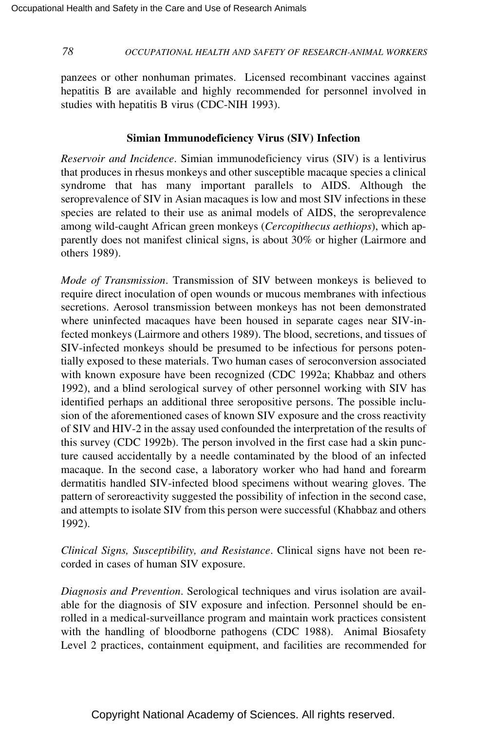panzees or other nonhuman primates. Licensed recombinant vaccines against hepatitis B are available and highly recommended for personnel involved in studies with hepatitis B virus (CDC-NIH 1993).

## **Simian Immunodeficiency Virus (SIV) Infection**

*Reservoir and Incidence*. Simian immunodeficiency virus (SIV) is a lentivirus that produces in rhesus monkeys and other susceptible macaque species a clinical syndrome that has many important parallels to AIDS. Although the seroprevalence of SIV in Asian macaques is low and most SIV infections in these species are related to their use as animal models of AIDS, the seroprevalence among wild-caught African green monkeys (*Cercopithecus aethiops*), which apparently does not manifest clinical signs, is about 30% or higher (Lairmore and others 1989).

*Mode of Transmission*. Transmission of SIV between monkeys is believed to require direct inoculation of open wounds or mucous membranes with infectious secretions. Aerosol transmission between monkeys has not been demonstrated where uninfected macaques have been housed in separate cages near SIV-infected monkeys (Lairmore and others 1989). The blood, secretions, and tissues of SIV-infected monkeys should be presumed to be infectious for persons potentially exposed to these materials. Two human cases of seroconversion associated with known exposure have been recognized (CDC 1992a; Khabbaz and others 1992), and a blind serological survey of other personnel working with SIV has identified perhaps an additional three seropositive persons. The possible inclusion of the aforementioned cases of known SIV exposure and the cross reactivity of SIV and HIV-2 in the assay used confounded the interpretation of the results of this survey (CDC 1992b). The person involved in the first case had a skin puncture caused accidentally by a needle contaminated by the blood of an infected macaque. In the second case, a laboratory worker who had hand and forearm dermatitis handled SIV-infected blood specimens without wearing gloves. The pattern of seroreactivity suggested the possibility of infection in the second case, and attempts to isolate SIV from this person were successful (Khabbaz and others 1992).

*Clinical Signs, Susceptibility, and Resistance*. Clinical signs have not been recorded in cases of human SIV exposure.

*Diagnosis and Prevention*. Serological techniques and virus isolation are available for the diagnosis of SIV exposure and infection. Personnel should be enrolled in a medical-surveillance program and maintain work practices consistent with the handling of bloodborne pathogens (CDC 1988). Animal Biosafety Level 2 practices, containment equipment, and facilities are recommended for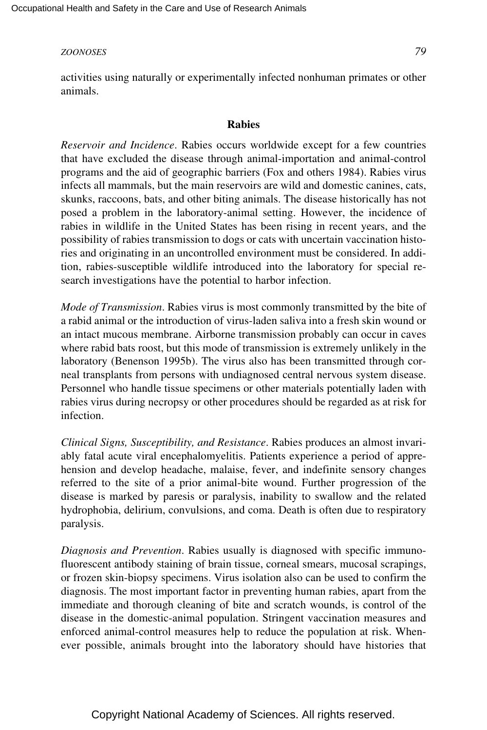activities using naturally or experimentally infected nonhuman primates or other animals.

#### **Rabies**

*Reservoir and Incidence*. Rabies occurs worldwide except for a few countries that have excluded the disease through animal-importation and animal-control programs and the aid of geographic barriers (Fox and others 1984). Rabies virus infects all mammals, but the main reservoirs are wild and domestic canines, cats, skunks, raccoons, bats, and other biting animals. The disease historically has not posed a problem in the laboratory-animal setting. However, the incidence of rabies in wildlife in the United States has been rising in recent years, and the possibility of rabies transmission to dogs or cats with uncertain vaccination histories and originating in an uncontrolled environment must be considered. In addition, rabies-susceptible wildlife introduced into the laboratory for special research investigations have the potential to harbor infection.

*Mode of Transmission*. Rabies virus is most commonly transmitted by the bite of a rabid animal or the introduction of virus-laden saliva into a fresh skin wound or an intact mucous membrane. Airborne transmission probably can occur in caves where rabid bats roost, but this mode of transmission is extremely unlikely in the laboratory (Benenson 1995b). The virus also has been transmitted through corneal transplants from persons with undiagnosed central nervous system disease. Personnel who handle tissue specimens or other materials potentially laden with rabies virus during necropsy or other procedures should be regarded as at risk for infection.

*Clinical Signs, Susceptibility, and Resistance*. Rabies produces an almost invariably fatal acute viral encephalomyelitis. Patients experience a period of apprehension and develop headache, malaise, fever, and indefinite sensory changes referred to the site of a prior animal-bite wound. Further progression of the disease is marked by paresis or paralysis, inability to swallow and the related hydrophobia, delirium, convulsions, and coma. Death is often due to respiratory paralysis.

*Diagnosis and Prevention*. Rabies usually is diagnosed with specific immunofluorescent antibody staining of brain tissue, corneal smears, mucosal scrapings, or frozen skin-biopsy specimens. Virus isolation also can be used to confirm the diagnosis. The most important factor in preventing human rabies, apart from the immediate and thorough cleaning of bite and scratch wounds, is control of the disease in the domestic-animal population. Stringent vaccination measures and enforced animal-control measures help to reduce the population at risk. Whenever possible, animals brought into the laboratory should have histories that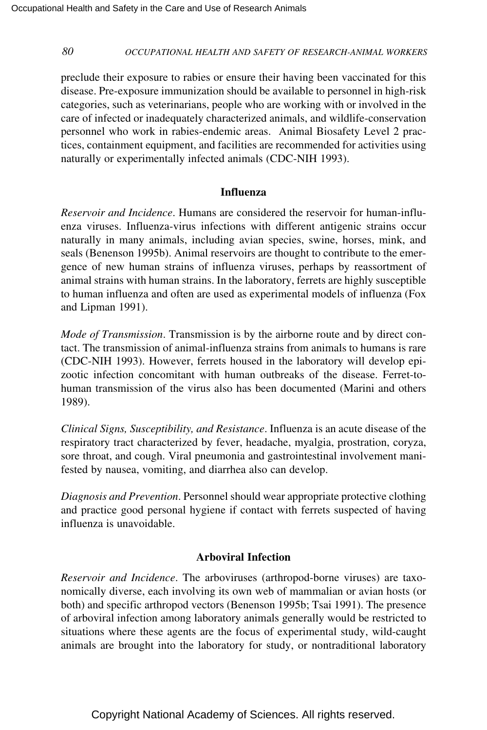preclude their exposure to rabies or ensure their having been vaccinated for this disease. Pre-exposure immunization should be available to personnel in high-risk categories, such as veterinarians, people who are working with or involved in the care of infected or inadequately characterized animals, and wildlife-conservation personnel who work in rabies-endemic areas. Animal Biosafety Level 2 practices, containment equipment, and facilities are recommended for activities using naturally or experimentally infected animals (CDC-NIH 1993).

## **Influenza**

*Reservoir and Incidence*. Humans are considered the reservoir for human-influenza viruses. Influenza-virus infections with different antigenic strains occur naturally in many animals, including avian species, swine, horses, mink, and seals (Benenson 1995b). Animal reservoirs are thought to contribute to the emergence of new human strains of influenza viruses, perhaps by reassortment of animal strains with human strains. In the laboratory, ferrets are highly susceptible to human influenza and often are used as experimental models of influenza (Fox and Lipman 1991).

*Mode of Transmission*. Transmission is by the airborne route and by direct contact. The transmission of animal-influenza strains from animals to humans is rare (CDC-NIH 1993). However, ferrets housed in the laboratory will develop epizootic infection concomitant with human outbreaks of the disease. Ferret-tohuman transmission of the virus also has been documented (Marini and others 1989).

*Clinical Signs, Susceptibility, and Resistance*. Influenza is an acute disease of the respiratory tract characterized by fever, headache, myalgia, prostration, coryza, sore throat, and cough. Viral pneumonia and gastrointestinal involvement manifested by nausea, vomiting, and diarrhea also can develop.

*Diagnosis and Prevention*. Personnel should wear appropriate protective clothing and practice good personal hygiene if contact with ferrets suspected of having influenza is unavoidable.

## **Arboviral Infection**

*Reservoir and Incidence*. The arboviruses (arthropod-borne viruses) are taxonomically diverse, each involving its own web of mammalian or avian hosts (or both) and specific arthropod vectors (Benenson 1995b; Tsai 1991). The presence of arboviral infection among laboratory animals generally would be restricted to situations where these agents are the focus of experimental study, wild-caught animals are brought into the laboratory for study, or nontraditional laboratory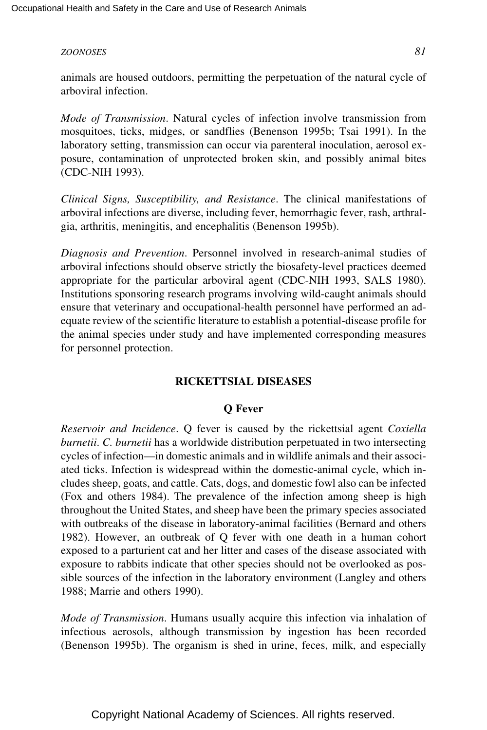animals are housed outdoors, permitting the perpetuation of the natural cycle of arboviral infection.

*Mode of Transmission*. Natural cycles of infection involve transmission from mosquitoes, ticks, midges, or sandflies (Benenson 1995b; Tsai 1991). In the laboratory setting, transmission can occur via parenteral inoculation, aerosol exposure, contamination of unprotected broken skin, and possibly animal bites (CDC-NIH 1993).

*Clinical Signs, Susceptibility, and Resistance*. The clinical manifestations of arboviral infections are diverse, including fever, hemorrhagic fever, rash, arthralgia, arthritis, meningitis, and encephalitis (Benenson 1995b).

*Diagnosis and Prevention*. Personnel involved in research-animal studies of arboviral infections should observe strictly the biosafety-level practices deemed appropriate for the particular arboviral agent (CDC-NIH 1993, SALS 1980). Institutions sponsoring research programs involving wild-caught animals should ensure that veterinary and occupational-health personnel have performed an adequate review of the scientific literature to establish a potential-disease profile for the animal species under study and have implemented corresponding measures for personnel protection.

## **RICKETTSIAL DISEASES**

## **Q Fever**

*Reservoir and Incidence*. Q fever is caused by the rickettsial agent *Coxiella burnetii*. *C. burnetii* has a worldwide distribution perpetuated in two intersecting cycles of infection—in domestic animals and in wildlife animals and their associated ticks. Infection is widespread within the domestic-animal cycle, which includes sheep, goats, and cattle. Cats, dogs, and domestic fowl also can be infected (Fox and others 1984). The prevalence of the infection among sheep is high throughout the United States, and sheep have been the primary species associated with outbreaks of the disease in laboratory-animal facilities (Bernard and others 1982). However, an outbreak of Q fever with one death in a human cohort exposed to a parturient cat and her litter and cases of the disease associated with exposure to rabbits indicate that other species should not be overlooked as possible sources of the infection in the laboratory environment (Langley and others 1988; Marrie and others 1990).

*Mode of Transmission*. Humans usually acquire this infection via inhalation of infectious aerosols, although transmission by ingestion has been recorded (Benenson 1995b). The organism is shed in urine, feces, milk, and especially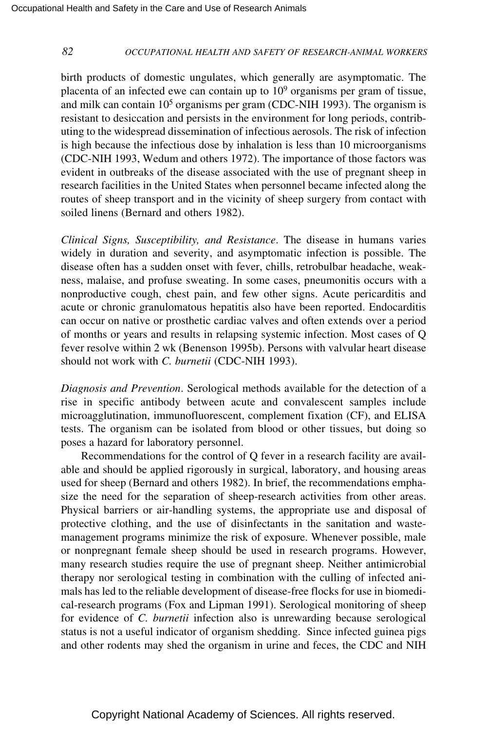birth products of domestic ungulates, which generally are asymptomatic. The placenta of an infected ewe can contain up to  $10<sup>9</sup>$  organisms per gram of tissue, and milk can contain  $10<sup>5</sup>$  organisms per gram (CDC-NIH 1993). The organism is resistant to desiccation and persists in the environment for long periods, contributing to the widespread dissemination of infectious aerosols. The risk of infection is high because the infectious dose by inhalation is less than 10 microorganisms (CDC-NIH 1993, Wedum and others 1972). The importance of those factors was evident in outbreaks of the disease associated with the use of pregnant sheep in research facilities in the United States when personnel became infected along the routes of sheep transport and in the vicinity of sheep surgery from contact with soiled linens (Bernard and others 1982).

*Clinical Signs, Susceptibility, and Resistance*. The disease in humans varies widely in duration and severity, and asymptomatic infection is possible. The disease often has a sudden onset with fever, chills, retrobulbar headache, weakness, malaise, and profuse sweating. In some cases, pneumonitis occurs with a nonproductive cough, chest pain, and few other signs. Acute pericarditis and acute or chronic granulomatous hepatitis also have been reported. Endocarditis can occur on native or prosthetic cardiac valves and often extends over a period of months or years and results in relapsing systemic infection. Most cases of Q fever resolve within 2 wk (Benenson 1995b). Persons with valvular heart disease should not work with *C. burnetii* (CDC-NIH 1993).

*Diagnosis and Prevention*. Serological methods available for the detection of a rise in specific antibody between acute and convalescent samples include microagglutination, immunofluorescent, complement fixation (CF), and ELISA tests. The organism can be isolated from blood or other tissues, but doing so poses a hazard for laboratory personnel.

Recommendations for the control of Q fever in a research facility are available and should be applied rigorously in surgical, laboratory, and housing areas used for sheep (Bernard and others 1982). In brief, the recommendations emphasize the need for the separation of sheep-research activities from other areas. Physical barriers or air-handling systems, the appropriate use and disposal of protective clothing, and the use of disinfectants in the sanitation and wastemanagement programs minimize the risk of exposure. Whenever possible, male or nonpregnant female sheep should be used in research programs. However, many research studies require the use of pregnant sheep. Neither antimicrobial therapy nor serological testing in combination with the culling of infected animals has led to the reliable development of disease-free flocks for use in biomedical-research programs (Fox and Lipman 1991). Serological monitoring of sheep for evidence of *C. burnetii* infection also is unrewarding because serological status is not a useful indicator of organism shedding. Since infected guinea pigs and other rodents may shed the organism in urine and feces, the CDC and NIH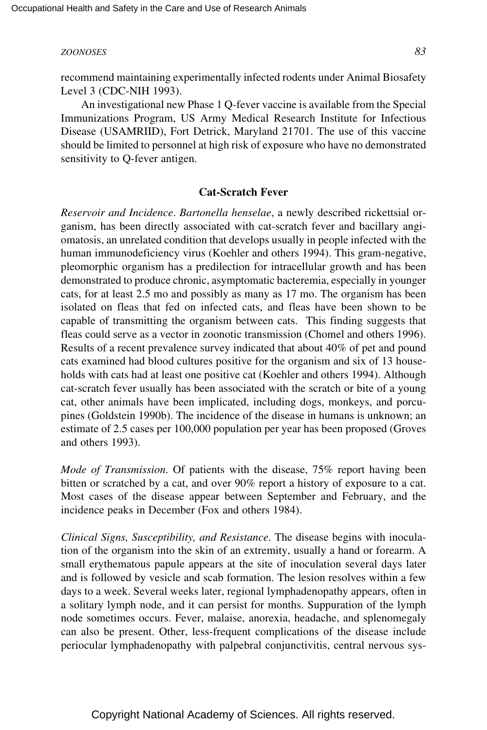recommend maintaining experimentally infected rodents under Animal Biosafety Level 3 (CDC-NIH 1993).

An investigational new Phase 1 Q-fever vaccine is available from the Special Immunizations Program, US Army Medical Research Institute for Infectious Disease (USAMRIID), Fort Detrick, Maryland 21701. The use of this vaccine should be limited to personnel at high risk of exposure who have no demonstrated sensitivity to Q-fever antigen.

#### **Cat-Scratch Fever**

*Reservoir and Incidence*. *Bartonella henselae*, a newly described rickettsial organism, has been directly associated with cat-scratch fever and bacillary angiomatosis, an unrelated condition that develops usually in people infected with the human immunodeficiency virus (Koehler and others 1994). This gram-negative, pleomorphic organism has a predilection for intracellular growth and has been demonstrated to produce chronic, asymptomatic bacteremia, especially in younger cats, for at least 2.5 mo and possibly as many as 17 mo. The organism has been isolated on fleas that fed on infected cats, and fleas have been shown to be capable of transmitting the organism between cats. This finding suggests that fleas could serve as a vector in zoonotic transmission (Chomel and others 1996). Results of a recent prevalence survey indicated that about 40% of pet and pound cats examined had blood cultures positive for the organism and six of 13 households with cats had at least one positive cat (Koehler and others 1994). Although cat-scratch fever usually has been associated with the scratch or bite of a young cat, other animals have been implicated, including dogs, monkeys, and porcupines (Goldstein 1990b). The incidence of the disease in humans is unknown; an estimate of 2.5 cases per 100,000 population per year has been proposed (Groves and others 1993).

*Mode of Transmission*. Of patients with the disease, 75% report having been bitten or scratched by a cat, and over 90% report a history of exposure to a cat. Most cases of the disease appear between September and February, and the incidence peaks in December (Fox and others 1984).

*Clinical Signs, Susceptibility, and Resistance*. The disease begins with inoculation of the organism into the skin of an extremity, usually a hand or forearm. A small erythematous papule appears at the site of inoculation several days later and is followed by vesicle and scab formation. The lesion resolves within a few days to a week. Several weeks later, regional lymphadenopathy appears, often in a solitary lymph node, and it can persist for months. Suppuration of the lymph node sometimes occurs. Fever, malaise, anorexia, headache, and splenomegaly can also be present. Other, less-frequent complications of the disease include periocular lymphadenopathy with palpebral conjunctivitis, central nervous sys-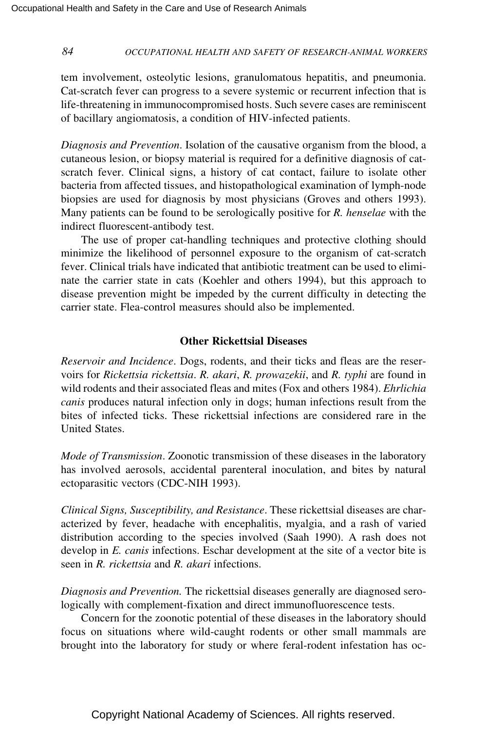tem involvement, osteolytic lesions, granulomatous hepatitis, and pneumonia. Cat-scratch fever can progress to a severe systemic or recurrent infection that is life-threatening in immunocompromised hosts. Such severe cases are reminiscent of bacillary angiomatosis, a condition of HIV-infected patients.

*Diagnosis and Prevention*. Isolation of the causative organism from the blood, a cutaneous lesion, or biopsy material is required for a definitive diagnosis of catscratch fever. Clinical signs, a history of cat contact, failure to isolate other bacteria from affected tissues, and histopathological examination of lymph-node biopsies are used for diagnosis by most physicians (Groves and others 1993). Many patients can be found to be serologically positive for *R. henselae* with the indirect fluorescent-antibody test.

The use of proper cat-handling techniques and protective clothing should minimize the likelihood of personnel exposure to the organism of cat-scratch fever. Clinical trials have indicated that antibiotic treatment can be used to eliminate the carrier state in cats (Koehler and others 1994), but this approach to disease prevention might be impeded by the current difficulty in detecting the carrier state. Flea-control measures should also be implemented.

## **Other Rickettsial Diseases**

*Reservoir and Incidence*. Dogs, rodents, and their ticks and fleas are the reservoirs for *Rickettsia rickettsia*. *R. akari*, *R. prowazekii*, and *R. typhi* are found in wild rodents and their associated fleas and mites (Fox and others 1984). *Ehrlichia canis* produces natural infection only in dogs; human infections result from the bites of infected ticks. These rickettsial infections are considered rare in the United States.

*Mode of Transmission*. Zoonotic transmission of these diseases in the laboratory has involved aerosols, accidental parenteral inoculation, and bites by natural ectoparasitic vectors (CDC-NIH 1993).

*Clinical Signs, Susceptibility, and Resistance*. These rickettsial diseases are characterized by fever, headache with encephalitis, myalgia, and a rash of varied distribution according to the species involved (Saah 1990). A rash does not develop in *E. canis* infections. Eschar development at the site of a vector bite is seen in *R. rickettsia* and *R. akari* infections.

*Diagnosis and Prevention.* The rickettsial diseases generally are diagnosed serologically with complement-fixation and direct immunofluorescence tests.

Concern for the zoonotic potential of these diseases in the laboratory should focus on situations where wild-caught rodents or other small mammals are brought into the laboratory for study or where feral-rodent infestation has oc-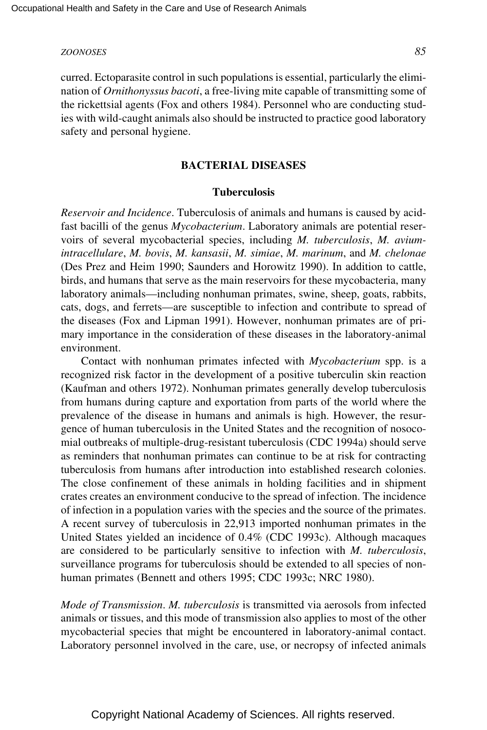curred. Ectoparasite control in such populations is essential, particularly the elimination of *Ornithonyssus bacoti*, a free-living mite capable of transmitting some of the rickettsial agents (Fox and others 1984). Personnel who are conducting studies with wild-caught animals also should be instructed to practice good laboratory safety and personal hygiene.

#### **BACTERIAL DISEASES**

#### **Tuberculosis**

*Reservoir and Incidence*. Tuberculosis of animals and humans is caused by acidfast bacilli of the genus *Mycobacterium*. Laboratory animals are potential reservoirs of several mycobacterial species, including *M. tuberculosis*, *M. aviumintracellulare*, *M. bovis*, *M. kansasii*, *M. simiae*, *M. marinum*, and *M. chelonae*  (Des Prez and Heim 1990; Saunders and Horowitz 1990). In addition to cattle, birds, and humans that serve as the main reservoirs for these mycobacteria, many laboratory animals—including nonhuman primates, swine, sheep, goats, rabbits, cats, dogs, and ferrets—are susceptible to infection and contribute to spread of the diseases (Fox and Lipman 1991). However, nonhuman primates are of primary importance in the consideration of these diseases in the laboratory-animal environment.

Contact with nonhuman primates infected with *Mycobacterium* spp. is a recognized risk factor in the development of a positive tuberculin skin reaction (Kaufman and others 1972). Nonhuman primates generally develop tuberculosis from humans during capture and exportation from parts of the world where the prevalence of the disease in humans and animals is high. However, the resurgence of human tuberculosis in the United States and the recognition of nosocomial outbreaks of multiple-drug-resistant tuberculosis (CDC 1994a) should serve as reminders that nonhuman primates can continue to be at risk for contracting tuberculosis from humans after introduction into established research colonies. The close confinement of these animals in holding facilities and in shipment crates creates an environment conducive to the spread of infection. The incidence of infection in a population varies with the species and the source of the primates. A recent survey of tuberculosis in 22,913 imported nonhuman primates in the United States yielded an incidence of 0.4% (CDC 1993c). Although macaques are considered to be particularly sensitive to infection with *M. tuberculosis*, surveillance programs for tuberculosis should be extended to all species of nonhuman primates (Bennett and others 1995; CDC 1993c; NRC 1980).

*Mode of Transmission*. *M. tuberculosis* is transmitted via aerosols from infected animals or tissues, and this mode of transmission also applies to most of the other mycobacterial species that might be encountered in laboratory-animal contact. Laboratory personnel involved in the care, use, or necropsy of infected animals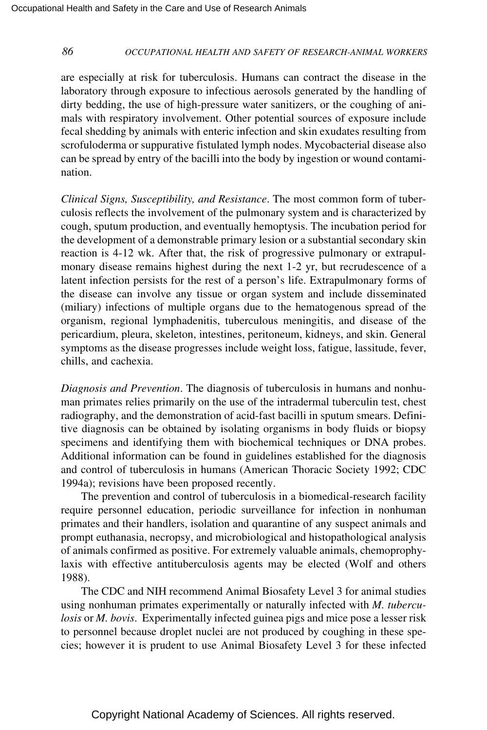are especially at risk for tuberculosis. Humans can contract the disease in the laboratory through exposure to infectious aerosols generated by the handling of dirty bedding, the use of high-pressure water sanitizers, or the coughing of animals with respiratory involvement. Other potential sources of exposure include fecal shedding by animals with enteric infection and skin exudates resulting from scrofuloderma or suppurative fistulated lymph nodes. Mycobacterial disease also can be spread by entry of the bacilli into the body by ingestion or wound contamination.

*Clinical Signs, Susceptibility, and Resistance*. The most common form of tuberculosis reflects the involvement of the pulmonary system and is characterized by cough, sputum production, and eventually hemoptysis. The incubation period for the development of a demonstrable primary lesion or a substantial secondary skin reaction is 4-12 wk. After that, the risk of progressive pulmonary or extrapulmonary disease remains highest during the next 1-2 yr, but recrudescence of a latent infection persists for the rest of a person's life. Extrapulmonary forms of the disease can involve any tissue or organ system and include disseminated (miliary) infections of multiple organs due to the hematogenous spread of the organism, regional lymphadenitis, tuberculous meningitis, and disease of the pericardium, pleura, skeleton, intestines, peritoneum, kidneys, and skin. General symptoms as the disease progresses include weight loss, fatigue, lassitude, fever, chills, and cachexia.

*Diagnosis and Prevention*. The diagnosis of tuberculosis in humans and nonhuman primates relies primarily on the use of the intradermal tuberculin test, chest radiography, and the demonstration of acid-fast bacilli in sputum smears. Definitive diagnosis can be obtained by isolating organisms in body fluids or biopsy specimens and identifying them with biochemical techniques or DNA probes. Additional information can be found in guidelines established for the diagnosis and control of tuberculosis in humans (American Thoracic Society 1992; CDC 1994a); revisions have been proposed recently.

The prevention and control of tuberculosis in a biomedical-research facility require personnel education, periodic surveillance for infection in nonhuman primates and their handlers, isolation and quarantine of any suspect animals and prompt euthanasia, necropsy, and microbiological and histopathological analysis of animals confirmed as positive. For extremely valuable animals, chemoprophylaxis with effective antituberculosis agents may be elected (Wolf and others 1988).

The CDC and NIH recommend Animal Biosafety Level 3 for animal studies using nonhuman primates experimentally or naturally infected with *M. tuberculosis* or *M. bovis*. Experimentally infected guinea pigs and mice pose a lesser risk to personnel because droplet nuclei are not produced by coughing in these species; however it is prudent to use Animal Biosafety Level 3 for these infected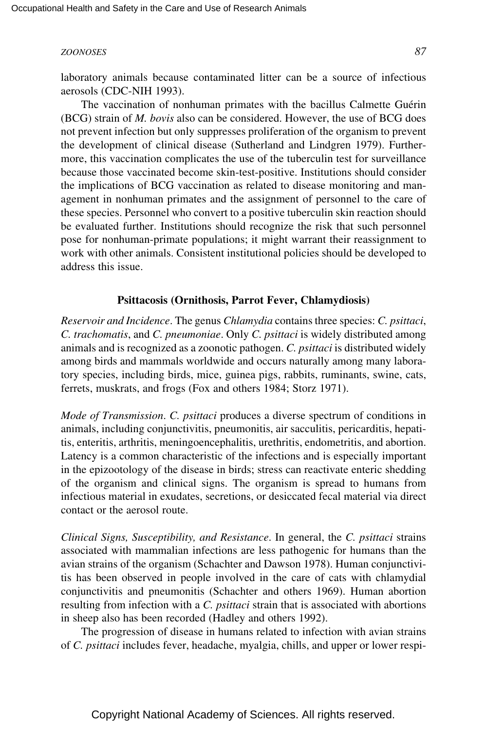laboratory animals because contaminated litter can be a source of infectious aerosols (CDC-NIH 1993).

The vaccination of nonhuman primates with the bacillus Calmette Guérin (BCG) strain of *M. bovis* also can be considered. However, the use of BCG does not prevent infection but only suppresses proliferation of the organism to prevent the development of clinical disease (Sutherland and Lindgren 1979). Furthermore, this vaccination complicates the use of the tuberculin test for surveillance because those vaccinated become skin-test-positive. Institutions should consider the implications of BCG vaccination as related to disease monitoring and management in nonhuman primates and the assignment of personnel to the care of these species. Personnel who convert to a positive tuberculin skin reaction should be evaluated further. Institutions should recognize the risk that such personnel pose for nonhuman-primate populations; it might warrant their reassignment to work with other animals. Consistent institutional policies should be developed to address this issue.

## **Psittacosis (Ornithosis, Parrot Fever, Chlamydiosis)**

*Reservoir and Incidence*. The genus *Chlamydia* contains three species: *C. psittaci*, *C. trachomatis*, and *C. pneumoniae*. Only *C. psittaci* is widely distributed among animals and is recognized as a zoonotic pathogen. *C. psittaci* is distributed widely among birds and mammals worldwide and occurs naturally among many laboratory species, including birds, mice, guinea pigs, rabbits, ruminants, swine, cats, ferrets, muskrats, and frogs (Fox and others 1984; Storz 1971).

*Mode of Transmission*. *C. psittaci* produces a diverse spectrum of conditions in animals, including conjunctivitis, pneumonitis, air sacculitis, pericarditis, hepatitis, enteritis, arthritis, meningoencephalitis, urethritis, endometritis, and abortion. Latency is a common characteristic of the infections and is especially important in the epizootology of the disease in birds; stress can reactivate enteric shedding of the organism and clinical signs. The organism is spread to humans from infectious material in exudates, secretions, or desiccated fecal material via direct contact or the aerosol route.

*Clinical Signs, Susceptibility, and Resistance*. In general, the *C. psittaci* strains associated with mammalian infections are less pathogenic for humans than the avian strains of the organism (Schachter and Dawson 1978). Human conjunctivitis has been observed in people involved in the care of cats with chlamydial conjunctivitis and pneumonitis (Schachter and others 1969). Human abortion resulting from infection with a *C. psittaci* strain that is associated with abortions in sheep also has been recorded (Hadley and others 1992).

The progression of disease in humans related to infection with avian strains of *C. psittaci* includes fever, headache, myalgia, chills, and upper or lower respi-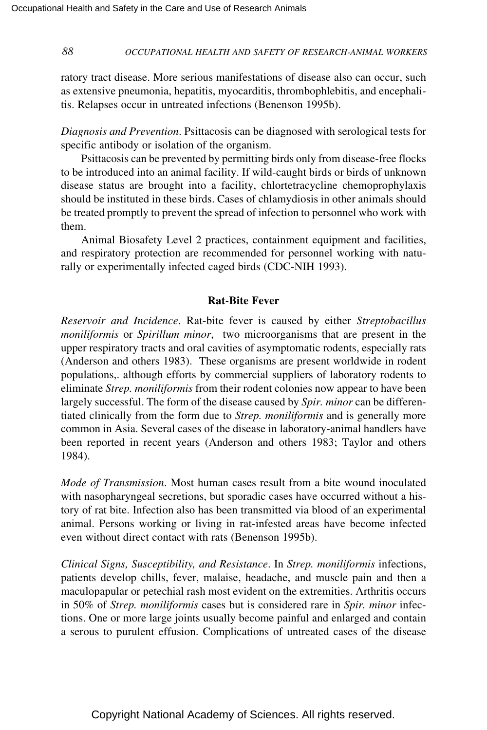ratory tract disease. More serious manifestations of disease also can occur, such as extensive pneumonia, hepatitis, myocarditis, thrombophlebitis, and encephalitis. Relapses occur in untreated infections (Benenson 1995b).

*Diagnosis and Prevention*. Psittacosis can be diagnosed with serological tests for specific antibody or isolation of the organism.

Psittacosis can be prevented by permitting birds only from disease-free flocks to be introduced into an animal facility. If wild-caught birds or birds of unknown disease status are brought into a facility, chlortetracycline chemoprophylaxis should be instituted in these birds. Cases of chlamydiosis in other animals should be treated promptly to prevent the spread of infection to personnel who work with them.

Animal Biosafety Level 2 practices, containment equipment and facilities, and respiratory protection are recommended for personnel working with naturally or experimentally infected caged birds (CDC-NIH 1993).

## **Rat-Bite Fever**

*Reservoir and Incidence*. Rat-bite fever is caused by either *Streptobacillus moniliformis* or *Spirillum minor*, two microorganisms that are present in the upper respiratory tracts and oral cavities of asymptomatic rodents, especially rats (Anderson and others 1983). These organisms are present worldwide in rodent populations,. although efforts by commercial suppliers of laboratory rodents to eliminate *Strep. moniliformis* from their rodent colonies now appear to have been largely successful. The form of the disease caused by *Spir. minor* can be differentiated clinically from the form due to *Strep. moniliformis* and is generally more common in Asia. Several cases of the disease in laboratory-animal handlers have been reported in recent years (Anderson and others 1983; Taylor and others 1984).

*Mode of Transmission*. Most human cases result from a bite wound inoculated with nasopharyngeal secretions, but sporadic cases have occurred without a history of rat bite. Infection also has been transmitted via blood of an experimental animal. Persons working or living in rat-infested areas have become infected even without direct contact with rats (Benenson 1995b).

*Clinical Signs, Susceptibility, and Resistance*. In *Strep. moniliformis* infections, patients develop chills, fever, malaise, headache, and muscle pain and then a maculopapular or petechial rash most evident on the extremities. Arthritis occurs in 50% of *Strep. moniliformis* cases but is considered rare in *Spir. minor* infections. One or more large joints usually become painful and enlarged and contain a serous to purulent effusion. Complications of untreated cases of the disease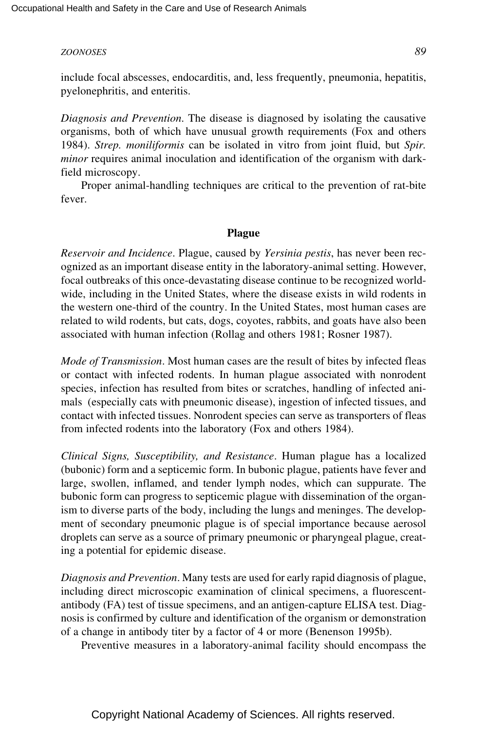include focal abscesses, endocarditis, and, less frequently, pneumonia, hepatitis, pyelonephritis, and enteritis.

*Diagnosis and Prevention*. The disease is diagnosed by isolating the causative organisms, both of which have unusual growth requirements (Fox and others 1984). *Strep. moniliformis* can be isolated in vitro from joint fluid, but *Spir. minor* requires animal inoculation and identification of the organism with darkfield microscopy.

Proper animal-handling techniques are critical to the prevention of rat-bite fever.

#### **Plague**

*Reservoir and Incidence*. Plague, caused by *Yersinia pestis*, has never been recognized as an important disease entity in the laboratory-animal setting. However, focal outbreaks of this once-devastating disease continue to be recognized worldwide, including in the United States, where the disease exists in wild rodents in the western one-third of the country. In the United States, most human cases are related to wild rodents, but cats, dogs, coyotes, rabbits, and goats have also been associated with human infection (Rollag and others 1981; Rosner 1987).

*Mode of Transmission*. Most human cases are the result of bites by infected fleas or contact with infected rodents. In human plague associated with nonrodent species, infection has resulted from bites or scratches, handling of infected animals (especially cats with pneumonic disease), ingestion of infected tissues, and contact with infected tissues. Nonrodent species can serve as transporters of fleas from infected rodents into the laboratory (Fox and others 1984).

*Clinical Signs, Susceptibility, and Resistance*. Human plague has a localized (bubonic) form and a septicemic form. In bubonic plague, patients have fever and large, swollen, inflamed, and tender lymph nodes, which can suppurate. The bubonic form can progress to septicemic plague with dissemination of the organism to diverse parts of the body, including the lungs and meninges. The development of secondary pneumonic plague is of special importance because aerosol droplets can serve as a source of primary pneumonic or pharyngeal plague, creating a potential for epidemic disease.

*Diagnosis and Prevention*. Many tests are used for early rapid diagnosis of plague, including direct microscopic examination of clinical specimens, a fluorescentantibody (FA) test of tissue specimens, and an antigen-capture ELISA test. Diagnosis is confirmed by culture and identification of the organism or demonstration of a change in antibody titer by a factor of 4 or more (Benenson 1995b).

Preventive measures in a laboratory-animal facility should encompass the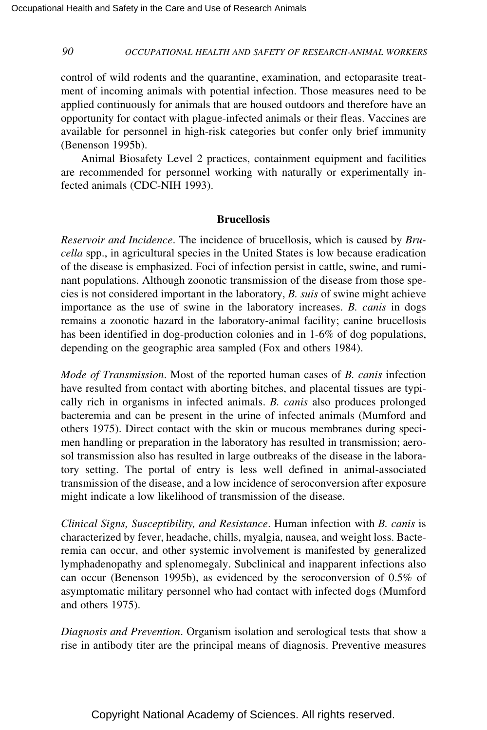control of wild rodents and the quarantine, examination, and ectoparasite treatment of incoming animals with potential infection. Those measures need to be applied continuously for animals that are housed outdoors and therefore have an opportunity for contact with plague-infected animals or their fleas. Vaccines are available for personnel in high-risk categories but confer only brief immunity (Benenson 1995b).

Animal Biosafety Level 2 practices, containment equipment and facilities are recommended for personnel working with naturally or experimentally infected animals (CDC-NIH 1993).

## **Brucellosis**

*Reservoir and Incidence*. The incidence of brucellosis, which is caused by *Brucella* spp., in agricultural species in the United States is low because eradication of the disease is emphasized. Foci of infection persist in cattle, swine, and ruminant populations. Although zoonotic transmission of the disease from those species is not considered important in the laboratory, *B. suis* of swine might achieve importance as the use of swine in the laboratory increases. *B. canis* in dogs remains a zoonotic hazard in the laboratory-animal facility; canine brucellosis has been identified in dog-production colonies and in 1-6% of dog populations, depending on the geographic area sampled (Fox and others 1984).

*Mode of Transmission*. Most of the reported human cases of *B. canis* infection have resulted from contact with aborting bitches, and placental tissues are typically rich in organisms in infected animals. *B. canis* also produces prolonged bacteremia and can be present in the urine of infected animals (Mumford and others 1975). Direct contact with the skin or mucous membranes during specimen handling or preparation in the laboratory has resulted in transmission; aerosol transmission also has resulted in large outbreaks of the disease in the laboratory setting. The portal of entry is less well defined in animal-associated transmission of the disease, and a low incidence of seroconversion after exposure might indicate a low likelihood of transmission of the disease.

*Clinical Signs, Susceptibility, and Resistance*. Human infection with *B. canis* is characterized by fever, headache, chills, myalgia, nausea, and weight loss. Bacteremia can occur, and other systemic involvement is manifested by generalized lymphadenopathy and splenomegaly. Subclinical and inapparent infections also can occur (Benenson 1995b), as evidenced by the seroconversion of 0.5% of asymptomatic military personnel who had contact with infected dogs (Mumford and others 1975).

*Diagnosis and Prevention*. Organism isolation and serological tests that show a rise in antibody titer are the principal means of diagnosis. Preventive measures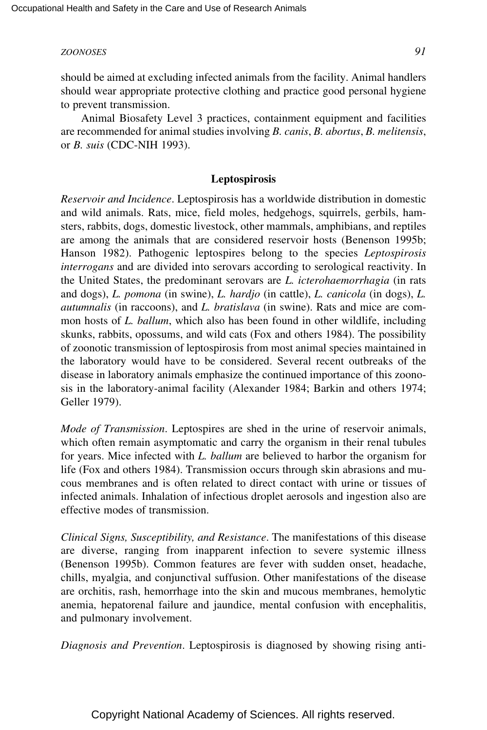should be aimed at excluding infected animals from the facility. Animal handlers should wear appropriate protective clothing and practice good personal hygiene to prevent transmission.

Animal Biosafety Level 3 practices, containment equipment and facilities are recommended for animal studies involving *B. canis*, *B. abortus*, *B. melitensis*, or *B. suis* (CDC-NIH 1993).

## **Leptospirosis**

*Reservoir and Incidence*. Leptospirosis has a worldwide distribution in domestic and wild animals. Rats, mice, field moles, hedgehogs, squirrels, gerbils, hamsters, rabbits, dogs, domestic livestock, other mammals, amphibians, and reptiles are among the animals that are considered reservoir hosts (Benenson 1995b; Hanson 1982). Pathogenic leptospires belong to the species *Leptospirosis interrogans* and are divided into serovars according to serological reactivity. In the United States, the predominant serovars are *L. icterohaemorrhagia* (in rats and dogs), *L. pomona* (in swine), *L. hardjo* (in cattle), *L. canicola* (in dogs), *L. autumnalis* (in raccoons), and *L. bratislava* (in swine). Rats and mice are common hosts of *L. ballum*, which also has been found in other wildlife, including skunks, rabbits, opossums, and wild cats (Fox and others 1984). The possibility of zoonotic transmission of leptospirosis from most animal species maintained in the laboratory would have to be considered. Several recent outbreaks of the disease in laboratory animals emphasize the continued importance of this zoonosis in the laboratory-animal facility (Alexander 1984; Barkin and others 1974; Geller 1979).

*Mode of Transmission*. Leptospires are shed in the urine of reservoir animals, which often remain asymptomatic and carry the organism in their renal tubules for years. Mice infected with *L. ballum* are believed to harbor the organism for life (Fox and others 1984). Transmission occurs through skin abrasions and mucous membranes and is often related to direct contact with urine or tissues of infected animals. Inhalation of infectious droplet aerosols and ingestion also are effective modes of transmission.

*Clinical Signs, Susceptibility, and Resistance*. The manifestations of this disease are diverse, ranging from inapparent infection to severe systemic illness (Benenson 1995b). Common features are fever with sudden onset, headache, chills, myalgia, and conjunctival suffusion. Other manifestations of the disease are orchitis, rash, hemorrhage into the skin and mucous membranes, hemolytic anemia, hepatorenal failure and jaundice, mental confusion with encephalitis, and pulmonary involvement.

*Diagnosis and Prevention*. Leptospirosis is diagnosed by showing rising anti-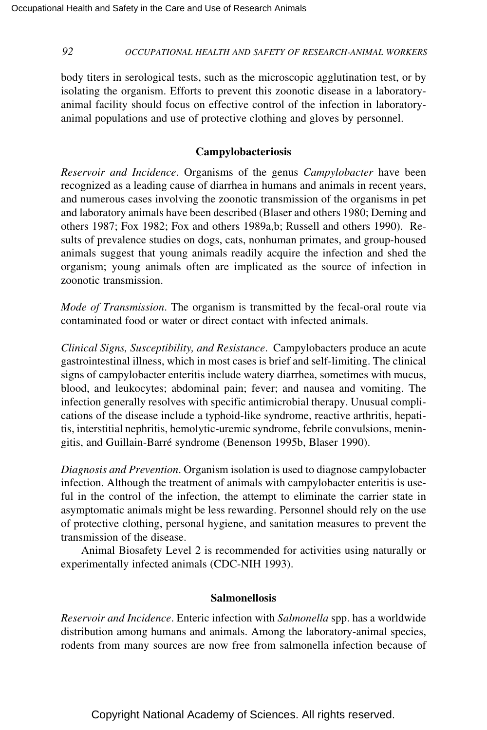body titers in serological tests, such as the microscopic agglutination test, or by isolating the organism. Efforts to prevent this zoonotic disease in a laboratoryanimal facility should focus on effective control of the infection in laboratoryanimal populations and use of protective clothing and gloves by personnel.

## **Campylobacteriosis**

*Reservoir and Incidence*. Organisms of the genus *Campylobacter* have been recognized as a leading cause of diarrhea in humans and animals in recent years, and numerous cases involving the zoonotic transmission of the organisms in pet and laboratory animals have been described (Blaser and others 1980; Deming and others 1987; Fox 1982; Fox and others 1989a,b; Russell and others 1990). Results of prevalence studies on dogs, cats, nonhuman primates, and group-housed animals suggest that young animals readily acquire the infection and shed the organism; young animals often are implicated as the source of infection in zoonotic transmission.

*Mode of Transmission*. The organism is transmitted by the fecal-oral route via contaminated food or water or direct contact with infected animals.

*Clinical Signs, Susceptibility, and Resistance*. Campylobacters produce an acute gastrointestinal illness, which in most cases is brief and self-limiting. The clinical signs of campylobacter enteritis include watery diarrhea, sometimes with mucus, blood, and leukocytes; abdominal pain; fever; and nausea and vomiting. The infection generally resolves with specific antimicrobial therapy. Unusual complications of the disease include a typhoid-like syndrome, reactive arthritis, hepatitis, interstitial nephritis, hemolytic-uremic syndrome, febrile convulsions, meningitis, and Guillain-Barré syndrome (Benenson 1995b, Blaser 1990).

*Diagnosis and Prevention*. Organism isolation is used to diagnose campylobacter infection. Although the treatment of animals with campylobacter enteritis is useful in the control of the infection, the attempt to eliminate the carrier state in asymptomatic animals might be less rewarding. Personnel should rely on the use of protective clothing, personal hygiene, and sanitation measures to prevent the transmission of the disease.

Animal Biosafety Level 2 is recommended for activities using naturally or experimentally infected animals (CDC-NIH 1993).

## **Salmonellosis**

*Reservoir and Incidence*. Enteric infection with *Salmonella* spp. has a worldwide distribution among humans and animals. Among the laboratory-animal species, rodents from many sources are now free from salmonella infection because of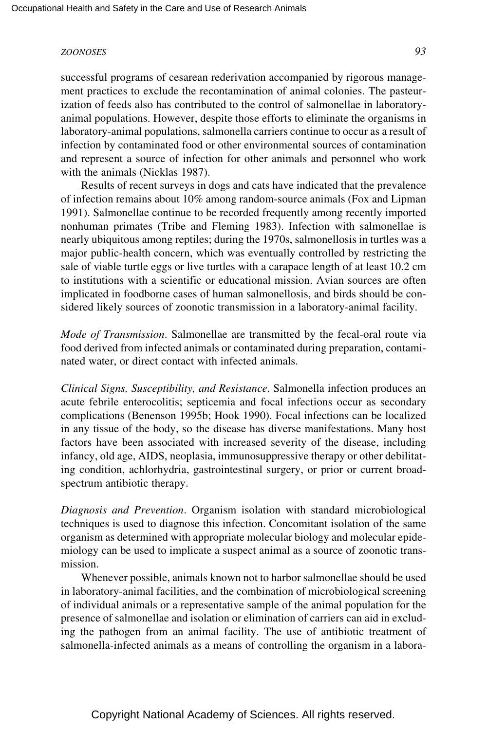successful programs of cesarean rederivation accompanied by rigorous management practices to exclude the recontamination of animal colonies. The pasteurization of feeds also has contributed to the control of salmonellae in laboratoryanimal populations. However, despite those efforts to eliminate the organisms in laboratory-animal populations, salmonella carriers continue to occur as a result of infection by contaminated food or other environmental sources of contamination and represent a source of infection for other animals and personnel who work with the animals (Nicklas 1987).

Results of recent surveys in dogs and cats have indicated that the prevalence of infection remains about 10% among random-source animals (Fox and Lipman 1991). Salmonellae continue to be recorded frequently among recently imported nonhuman primates (Tribe and Fleming 1983). Infection with salmonellae is nearly ubiquitous among reptiles; during the 1970s, salmonellosis in turtles was a major public-health concern, which was eventually controlled by restricting the sale of viable turtle eggs or live turtles with a carapace length of at least 10.2 cm to institutions with a scientific or educational mission. Avian sources are often implicated in foodborne cases of human salmonellosis, and birds should be considered likely sources of zoonotic transmission in a laboratory-animal facility.

*Mode of Transmission*. Salmonellae are transmitted by the fecal-oral route via food derived from infected animals or contaminated during preparation, contaminated water, or direct contact with infected animals.

*Clinical Signs, Susceptibility, and Resistance*. Salmonella infection produces an acute febrile enterocolitis; septicemia and focal infections occur as secondary complications (Benenson 1995b; Hook 1990). Focal infections can be localized in any tissue of the body, so the disease has diverse manifestations. Many host factors have been associated with increased severity of the disease, including infancy, old age, AIDS, neoplasia, immunosuppressive therapy or other debilitating condition, achlorhydria, gastrointestinal surgery, or prior or current broadspectrum antibiotic therapy.

*Diagnosis and Prevention*. Organism isolation with standard microbiological techniques is used to diagnose this infection. Concomitant isolation of the same organism as determined with appropriate molecular biology and molecular epidemiology can be used to implicate a suspect animal as a source of zoonotic transmission.

Whenever possible, animals known not to harbor salmonellae should be used in laboratory-animal facilities, and the combination of microbiological screening of individual animals or a representative sample of the animal population for the presence of salmonellae and isolation or elimination of carriers can aid in excluding the pathogen from an animal facility. The use of antibiotic treatment of salmonella-infected animals as a means of controlling the organism in a labora-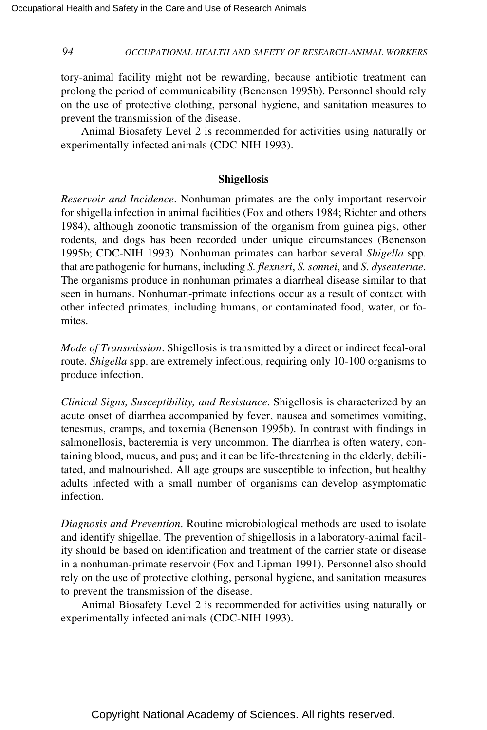tory-animal facility might not be rewarding, because antibiotic treatment can prolong the period of communicability (Benenson 1995b). Personnel should rely on the use of protective clothing, personal hygiene, and sanitation measures to prevent the transmission of the disease.

Animal Biosafety Level 2 is recommended for activities using naturally or experimentally infected animals (CDC-NIH 1993).

## **Shigellosis**

*Reservoir and Incidence*. Nonhuman primates are the only important reservoir for shigella infection in animal facilities (Fox and others 1984; Richter and others 1984), although zoonotic transmission of the organism from guinea pigs, other rodents, and dogs has been recorded under unique circumstances (Benenson 1995b; CDC-NIH 1993). Nonhuman primates can harbor several *Shigella* spp. that are pathogenic for humans, including *S. flexneri*, *S. sonnei*, and *S. dysenteriae*. The organisms produce in nonhuman primates a diarrheal disease similar to that seen in humans. Nonhuman-primate infections occur as a result of contact with other infected primates, including humans, or contaminated food, water, or fomites.

*Mode of Transmission*. Shigellosis is transmitted by a direct or indirect fecal-oral route. *Shigella* spp. are extremely infectious, requiring only 10-100 organisms to produce infection.

*Clinical Signs, Susceptibility, and Resistance*. Shigellosis is characterized by an acute onset of diarrhea accompanied by fever, nausea and sometimes vomiting, tenesmus, cramps, and toxemia (Benenson 1995b). In contrast with findings in salmonellosis, bacteremia is very uncommon. The diarrhea is often watery, containing blood, mucus, and pus; and it can be life-threatening in the elderly, debilitated, and malnourished. All age groups are susceptible to infection, but healthy adults infected with a small number of organisms can develop asymptomatic infection.

*Diagnosis and Prevention*. Routine microbiological methods are used to isolate and identify shigellae. The prevention of shigellosis in a laboratory-animal facility should be based on identification and treatment of the carrier state or disease in a nonhuman-primate reservoir (Fox and Lipman 1991). Personnel also should rely on the use of protective clothing, personal hygiene, and sanitation measures to prevent the transmission of the disease.

Animal Biosafety Level 2 is recommended for activities using naturally or experimentally infected animals (CDC-NIH 1993).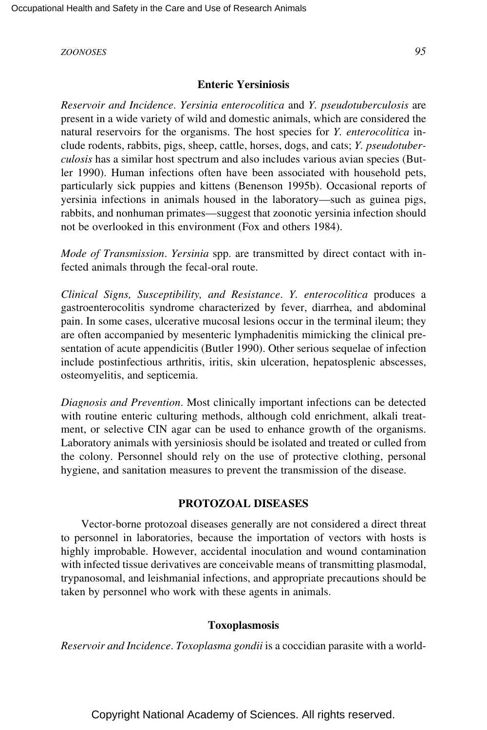## **Enteric Yersiniosis**

*Reservoir and Incidence*. *Yersinia enterocolitica* and *Y. pseudotuberculosis* are present in a wide variety of wild and domestic animals, which are considered the natural reservoirs for the organisms. The host species for *Y. enterocolitica* include rodents, rabbits, pigs, sheep, cattle, horses, dogs, and cats; *Y. pseudotuberculosis* has a similar host spectrum and also includes various avian species (Butler 1990). Human infections often have been associated with household pets, particularly sick puppies and kittens (Benenson 1995b). Occasional reports of yersinia infections in animals housed in the laboratory—such as guinea pigs, rabbits, and nonhuman primates—suggest that zoonotic yersinia infection should not be overlooked in this environment (Fox and others 1984).

*Mode of Transmission*. *Yersinia* spp. are transmitted by direct contact with infected animals through the fecal-oral route.

*Clinical Signs, Susceptibility, and Resistance*. *Y. enterocolitica* produces a gastroenterocolitis syndrome characterized by fever, diarrhea, and abdominal pain. In some cases, ulcerative mucosal lesions occur in the terminal ileum; they are often accompanied by mesenteric lymphadenitis mimicking the clinical presentation of acute appendicitis (Butler 1990). Other serious sequelae of infection include postinfectious arthritis, iritis, skin ulceration, hepatosplenic abscesses, osteomyelitis, and septicemia.

*Diagnosis and Prevention*. Most clinically important infections can be detected with routine enteric culturing methods, although cold enrichment, alkali treatment, or selective CIN agar can be used to enhance growth of the organisms. Laboratory animals with yersiniosis should be isolated and treated or culled from the colony. Personnel should rely on the use of protective clothing, personal hygiene, and sanitation measures to prevent the transmission of the disease.

## **PROTOZOAL DISEASES**

Vector-borne protozoal diseases generally are not considered a direct threat to personnel in laboratories, because the importation of vectors with hosts is highly improbable. However, accidental inoculation and wound contamination with infected tissue derivatives are conceivable means of transmitting plasmodal, trypanosomal, and leishmanial infections, and appropriate precautions should be taken by personnel who work with these agents in animals.

## **Toxoplasmosis**

*Reservoir and Incidence*. *Toxoplasma gondii* is a coccidian parasite with a world-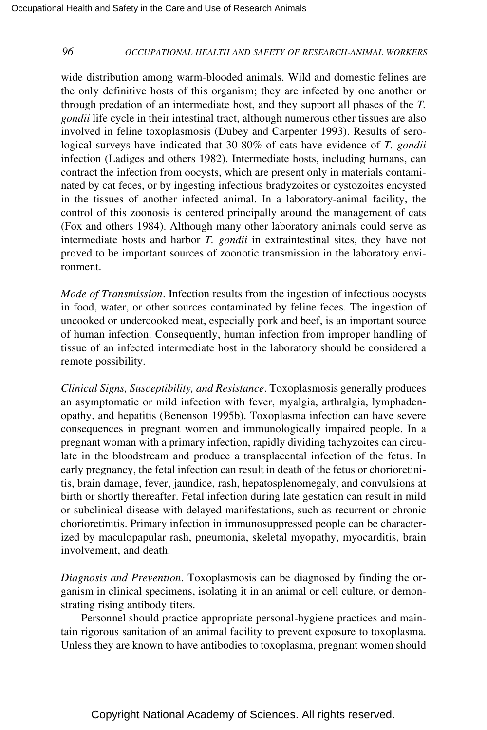wide distribution among warm-blooded animals. Wild and domestic felines are the only definitive hosts of this organism; they are infected by one another or through predation of an intermediate host, and they support all phases of the *T. gondii* life cycle in their intestinal tract, although numerous other tissues are also involved in feline toxoplasmosis (Dubey and Carpenter 1993). Results of serological surveys have indicated that 30-80% of cats have evidence of *T. gondii*  infection (Ladiges and others 1982). Intermediate hosts, including humans, can contract the infection from oocysts, which are present only in materials contaminated by cat feces, or by ingesting infectious bradyzoites or cystozoites encysted in the tissues of another infected animal. In a laboratory-animal facility, the control of this zoonosis is centered principally around the management of cats (Fox and others 1984). Although many other laboratory animals could serve as intermediate hosts and harbor *T. gondii* in extraintestinal sites, they have not proved to be important sources of zoonotic transmission in the laboratory environment.

*Mode of Transmission*. Infection results from the ingestion of infectious oocysts in food, water, or other sources contaminated by feline feces. The ingestion of uncooked or undercooked meat, especially pork and beef, is an important source of human infection. Consequently, human infection from improper handling of tissue of an infected intermediate host in the laboratory should be considered a remote possibility.

*Clinical Signs, Susceptibility, and Resistance*. Toxoplasmosis generally produces an asymptomatic or mild infection with fever, myalgia, arthralgia, lymphadenopathy, and hepatitis (Benenson 1995b). Toxoplasma infection can have severe consequences in pregnant women and immunologically impaired people. In a pregnant woman with a primary infection, rapidly dividing tachyzoites can circulate in the bloodstream and produce a transplacental infection of the fetus. In early pregnancy, the fetal infection can result in death of the fetus or chorioretinitis, brain damage, fever, jaundice, rash, hepatosplenomegaly, and convulsions at birth or shortly thereafter. Fetal infection during late gestation can result in mild or subclinical disease with delayed manifestations, such as recurrent or chronic chorioretinitis. Primary infection in immunosuppressed people can be characterized by maculopapular rash, pneumonia, skeletal myopathy, myocarditis, brain involvement, and death.

*Diagnosis and Prevention*. Toxoplasmosis can be diagnosed by finding the organism in clinical specimens, isolating it in an animal or cell culture, or demonstrating rising antibody titers.

Personnel should practice appropriate personal-hygiene practices and maintain rigorous sanitation of an animal facility to prevent exposure to toxoplasma. Unless they are known to have antibodies to toxoplasma, pregnant women should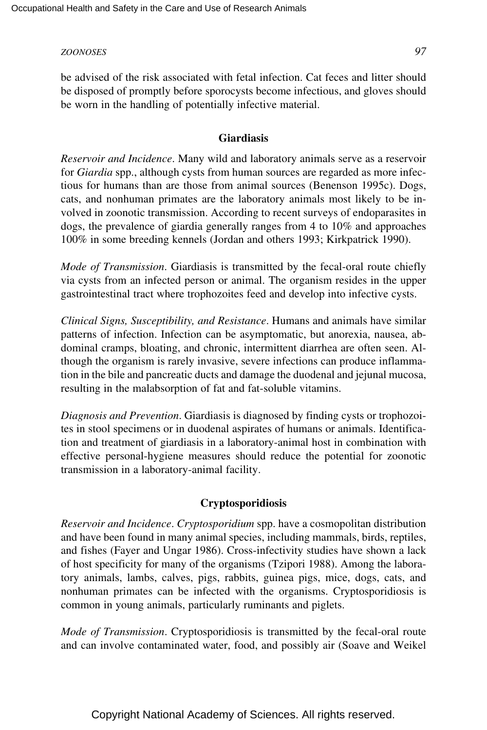#### *ZOONOSES 97*

be advised of the risk associated with fetal infection. Cat feces and litter should be disposed of promptly before sporocysts become infectious, and gloves should be worn in the handling of potentially infective material.

#### **Giardiasis**

*Reservoir and Incidence*. Many wild and laboratory animals serve as a reservoir for *Giardia* spp., although cysts from human sources are regarded as more infectious for humans than are those from animal sources (Benenson 1995c). Dogs, cats, and nonhuman primates are the laboratory animals most likely to be involved in zoonotic transmission. According to recent surveys of endoparasites in dogs, the prevalence of giardia generally ranges from 4 to 10% and approaches 100% in some breeding kennels (Jordan and others 1993; Kirkpatrick 1990).

*Mode of Transmission*. Giardiasis is transmitted by the fecal-oral route chiefly via cysts from an infected person or animal. The organism resides in the upper gastrointestinal tract where trophozoites feed and develop into infective cysts.

*Clinical Signs, Susceptibility, and Resistance*. Humans and animals have similar patterns of infection. Infection can be asymptomatic, but anorexia, nausea, abdominal cramps, bloating, and chronic, intermittent diarrhea are often seen. Although the organism is rarely invasive, severe infections can produce inflammation in the bile and pancreatic ducts and damage the duodenal and jejunal mucosa, resulting in the malabsorption of fat and fat-soluble vitamins.

*Diagnosis and Prevention*. Giardiasis is diagnosed by finding cysts or trophozoites in stool specimens or in duodenal aspirates of humans or animals. Identification and treatment of giardiasis in a laboratory-animal host in combination with effective personal-hygiene measures should reduce the potential for zoonotic transmission in a laboratory-animal facility.

## **Cryptosporidiosis**

*Reservoir and Incidence*. *Cryptosporidium* spp. have a cosmopolitan distribution and have been found in many animal species, including mammals, birds, reptiles, and fishes (Fayer and Ungar 1986). Cross-infectivity studies have shown a lack of host specificity for many of the organisms (Tzipori 1988). Among the laboratory animals, lambs, calves, pigs, rabbits, guinea pigs, mice, dogs, cats, and nonhuman primates can be infected with the organisms. Cryptosporidiosis is common in young animals, particularly ruminants and piglets.

*Mode of Transmission*. Cryptosporidiosis is transmitted by the fecal-oral route and can involve contaminated water, food, and possibly air (Soave and Weikel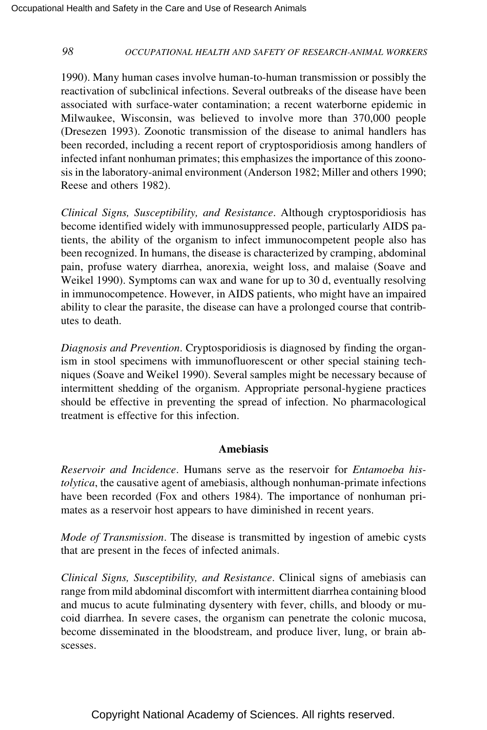1990). Many human cases involve human-to-human transmission or possibly the reactivation of subclinical infections. Several outbreaks of the disease have been associated with surface-water contamination; a recent waterborne epidemic in Milwaukee, Wisconsin, was believed to involve more than 370,000 people (Dresezen 1993). Zoonotic transmission of the disease to animal handlers has been recorded, including a recent report of cryptosporidiosis among handlers of infected infant nonhuman primates; this emphasizes the importance of this zoonosis in the laboratory-animal environment (Anderson 1982; Miller and others 1990; Reese and others 1982).

*Clinical Signs, Susceptibility, and Resistance*. Although cryptosporidiosis has become identified widely with immunosuppressed people, particularly AIDS patients, the ability of the organism to infect immunocompetent people also has been recognized. In humans, the disease is characterized by cramping, abdominal pain, profuse watery diarrhea, anorexia, weight loss, and malaise (Soave and Weikel 1990). Symptoms can wax and wane for up to 30 d, eventually resolving in immunocompetence. However, in AIDS patients, who might have an impaired ability to clear the parasite, the disease can have a prolonged course that contributes to death.

*Diagnosis and Prevention*. Cryptosporidiosis is diagnosed by finding the organism in stool specimens with immunofluorescent or other special staining techniques (Soave and Weikel 1990). Several samples might be necessary because of intermittent shedding of the organism. Appropriate personal-hygiene practices should be effective in preventing the spread of infection. No pharmacological treatment is effective for this infection.

## **Amebiasis**

*Reservoir and Incidence*. Humans serve as the reservoir for *Entamoeba histolytica*, the causative agent of amebiasis, although nonhuman-primate infections have been recorded (Fox and others 1984). The importance of nonhuman primates as a reservoir host appears to have diminished in recent years.

*Mode of Transmission*. The disease is transmitted by ingestion of amebic cysts that are present in the feces of infected animals.

*Clinical Signs, Susceptibility, and Resistance*. Clinical signs of amebiasis can range from mild abdominal discomfort with intermittent diarrhea containing blood and mucus to acute fulminating dysentery with fever, chills, and bloody or mucoid diarrhea. In severe cases, the organism can penetrate the colonic mucosa, become disseminated in the bloodstream, and produce liver, lung, or brain abscesses.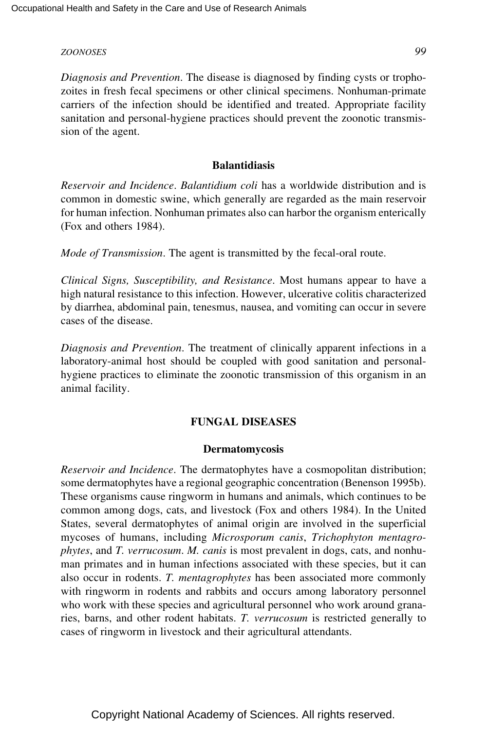#### *ZOONOSES 99*

*Diagnosis and Prevention*. The disease is diagnosed by finding cysts or trophozoites in fresh fecal specimens or other clinical specimens. Nonhuman-primate carriers of the infection should be identified and treated. Appropriate facility sanitation and personal-hygiene practices should prevent the zoonotic transmission of the agent.

#### **Balantidiasis**

*Reservoir and Incidence*. *Balantidium coli* has a worldwide distribution and is common in domestic swine, which generally are regarded as the main reservoir for human infection. Nonhuman primates also can harbor the organism enterically (Fox and others 1984).

*Mode of Transmission*. The agent is transmitted by the fecal-oral route.

*Clinical Signs, Susceptibility, and Resistance*. Most humans appear to have a high natural resistance to this infection. However, ulcerative colitis characterized by diarrhea, abdominal pain, tenesmus, nausea, and vomiting can occur in severe cases of the disease.

*Diagnosis and Prevention*. The treatment of clinically apparent infections in a laboratory-animal host should be coupled with good sanitation and personalhygiene practices to eliminate the zoonotic transmission of this organism in an animal facility.

### **FUNGAL DISEASES**

#### **Dermatomycosis**

*Reservoir and Incidence*. The dermatophytes have a cosmopolitan distribution; some dermatophytes have a regional geographic concentration (Benenson 1995b). These organisms cause ringworm in humans and animals, which continues to be common among dogs, cats, and livestock (Fox and others 1984). In the United States, several dermatophytes of animal origin are involved in the superficial mycoses of humans, including *Microsporum canis*, *Trichophyton mentagrophytes*, and *T. verrucosum*. *M. canis* is most prevalent in dogs, cats, and nonhuman primates and in human infections associated with these species, but it can also occur in rodents. *T. mentagrophytes* has been associated more commonly with ringworm in rodents and rabbits and occurs among laboratory personnel who work with these species and agricultural personnel who work around granaries, barns, and other rodent habitats. *T. verrucosum* is restricted generally to cases of ringworm in livestock and their agricultural attendants.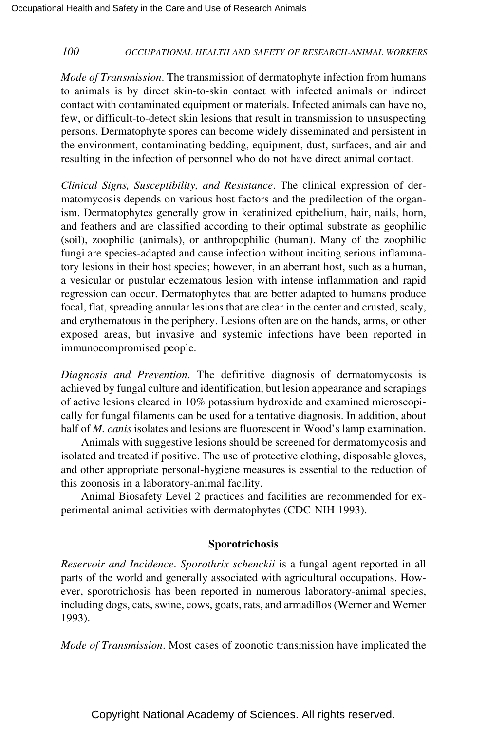*Mode of Transmission*. The transmission of dermatophyte infection from humans to animals is by direct skin-to-skin contact with infected animals or indirect contact with contaminated equipment or materials. Infected animals can have no, few, or difficult-to-detect skin lesions that result in transmission to unsuspecting persons. Dermatophyte spores can become widely disseminated and persistent in the environment, contaminating bedding, equipment, dust, surfaces, and air and resulting in the infection of personnel who do not have direct animal contact.

*Clinical Signs, Susceptibility, and Resistance*. The clinical expression of dermatomycosis depends on various host factors and the predilection of the organism. Dermatophytes generally grow in keratinized epithelium, hair, nails, horn, and feathers and are classified according to their optimal substrate as geophilic (soil), zoophilic (animals), or anthropophilic (human). Many of the zoophilic fungi are species-adapted and cause infection without inciting serious inflammatory lesions in their host species; however, in an aberrant host, such as a human, a vesicular or pustular eczematous lesion with intense inflammation and rapid regression can occur. Dermatophytes that are better adapted to humans produce focal, flat, spreading annular lesions that are clear in the center and crusted, scaly, and erythematous in the periphery. Lesions often are on the hands, arms, or other exposed areas, but invasive and systemic infections have been reported in immunocompromised people.

*Diagnosis and Prevention*. The definitive diagnosis of dermatomycosis is achieved by fungal culture and identification, but lesion appearance and scrapings of active lesions cleared in 10% potassium hydroxide and examined microscopically for fungal filaments can be used for a tentative diagnosis. In addition, about half of *M. canis* isolates and lesions are fluorescent in Wood's lamp examination.

Animals with suggestive lesions should be screened for dermatomycosis and isolated and treated if positive. The use of protective clothing, disposable gloves, and other appropriate personal-hygiene measures is essential to the reduction of this zoonosis in a laboratory-animal facility.

Animal Biosafety Level 2 practices and facilities are recommended for experimental animal activities with dermatophytes (CDC-NIH 1993).

## **Sporotrichosis**

*Reservoir and Incidence*. *Sporothrix schenckii* is a fungal agent reported in all parts of the world and generally associated with agricultural occupations. However, sporotrichosis has been reported in numerous laboratory-animal species, including dogs, cats, swine, cows, goats, rats, and armadillos (Werner and Werner 1993).

*Mode of Transmission*. Most cases of zoonotic transmission have implicated the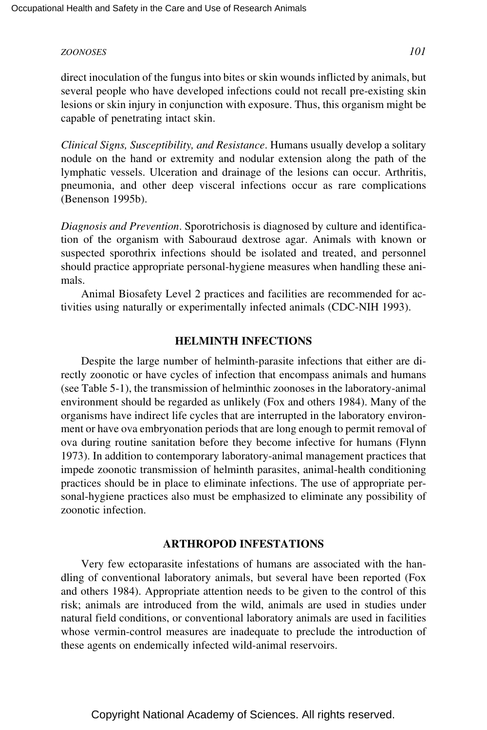#### *ZOONOSES 101*

direct inoculation of the fungus into bites or skin wounds inflicted by animals, but several people who have developed infections could not recall pre-existing skin lesions or skin injury in conjunction with exposure. Thus, this organism might be capable of penetrating intact skin.

*Clinical Signs, Susceptibility, and Resistance*. Humans usually develop a solitary nodule on the hand or extremity and nodular extension along the path of the lymphatic vessels. Ulceration and drainage of the lesions can occur. Arthritis, pneumonia, and other deep visceral infections occur as rare complications (Benenson 1995b).

*Diagnosis and Prevention*. Sporotrichosis is diagnosed by culture and identification of the organism with Sabouraud dextrose agar. Animals with known or suspected sporothrix infections should be isolated and treated, and personnel should practice appropriate personal-hygiene measures when handling these animals.

Animal Biosafety Level 2 practices and facilities are recommended for activities using naturally or experimentally infected animals (CDC-NIH 1993).

## **HELMINTH INFECTIONS**

Despite the large number of helminth-parasite infections that either are directly zoonotic or have cycles of infection that encompass animals and humans (see Table 5-1), the transmission of helminthic zoonoses in the laboratory-animal environment should be regarded as unlikely (Fox and others 1984). Many of the organisms have indirect life cycles that are interrupted in the laboratory environment or have ova embryonation periods that are long enough to permit removal of ova during routine sanitation before they become infective for humans (Flynn 1973). In addition to contemporary laboratory-animal management practices that impede zoonotic transmission of helminth parasites, animal-health conditioning practices should be in place to eliminate infections. The use of appropriate personal-hygiene practices also must be emphasized to eliminate any possibility of zoonotic infection.

#### **ARTHROPOD INFESTATIONS**

Very few ectoparasite infestations of humans are associated with the handling of conventional laboratory animals, but several have been reported (Fox and others 1984). Appropriate attention needs to be given to the control of this risk; animals are introduced from the wild, animals are used in studies under natural field conditions, or conventional laboratory animals are used in facilities whose vermin-control measures are inadequate to preclude the introduction of these agents on endemically infected wild-animal reservoirs.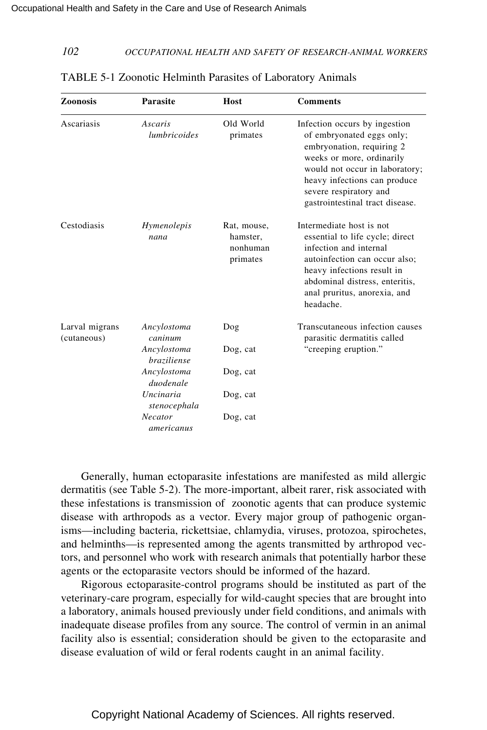| <b>Zoonosis</b>               | <b>Parasite</b>                  | Host                                            | <b>Comments</b>                                                                                                                                                                                                                                     |
|-------------------------------|----------------------------------|-------------------------------------------------|-----------------------------------------------------------------------------------------------------------------------------------------------------------------------------------------------------------------------------------------------------|
| Ascariasis                    | Ascaris<br><i>lumbricoides</i>   | Old World<br>primates                           | Infection occurs by ingestion<br>of embryonated eggs only;<br>embryonation, requiring 2<br>weeks or more, ordinarily<br>would not occur in laboratory;<br>heavy infections can produce<br>severe respiratory and<br>gastrointestinal tract disease. |
| Cestodiasis                   | Hymenolepis<br>nana              | Rat, mouse,<br>hamster,<br>nonhuman<br>primates | Intermediate host is not<br>essential to life cycle; direct<br>infection and internal<br>autoinfection can occur also;<br>heavy infections result in<br>abdominal distress, enteritis,<br>anal pruritus, anorexia, and<br>headache.                 |
| Larval migrans<br>(cutaneous) | Ancylostoma<br>$c$ <i>aninum</i> | Dog                                             | Transcutaneous infection causes<br>parasitic dermatitis called                                                                                                                                                                                      |
|                               | Ancylostoma<br>braziliense       | Dog, cat                                        | "creeping eruption."                                                                                                                                                                                                                                |
|                               | Ancylostoma<br>duodenale         | Dog, cat                                        |                                                                                                                                                                                                                                                     |
|                               | Uncinaria<br>stenocephala        | Dog, cat                                        |                                                                                                                                                                                                                                                     |
|                               | <b>Necator</b><br>americanus     | Dog, cat                                        |                                                                                                                                                                                                                                                     |

#### TABLE 5-1 Zoonotic Helminth Parasites of Laboratory Animals

Generally, human ectoparasite infestations are manifested as mild allergic dermatitis (see Table 5-2). The more-important, albeit rarer, risk associated with these infestations is transmission of zoonotic agents that can produce systemic disease with arthropods as a vector. Every major group of pathogenic organisms—including bacteria, rickettsiae, chlamydia, viruses, protozoa, spirochetes, and helminths—is represented among the agents transmitted by arthropod vectors, and personnel who work with research animals that potentially harbor these agents or the ectoparasite vectors should be informed of the hazard.

Rigorous ectoparasite-control programs should be instituted as part of the veterinary-care program, especially for wild-caught species that are brought into a laboratory, animals housed previously under field conditions, and animals with inadequate disease profiles from any source. The control of vermin in an animal facility also is essential; consideration should be given to the ectoparasite and disease evaluation of wild or feral rodents caught in an animal facility.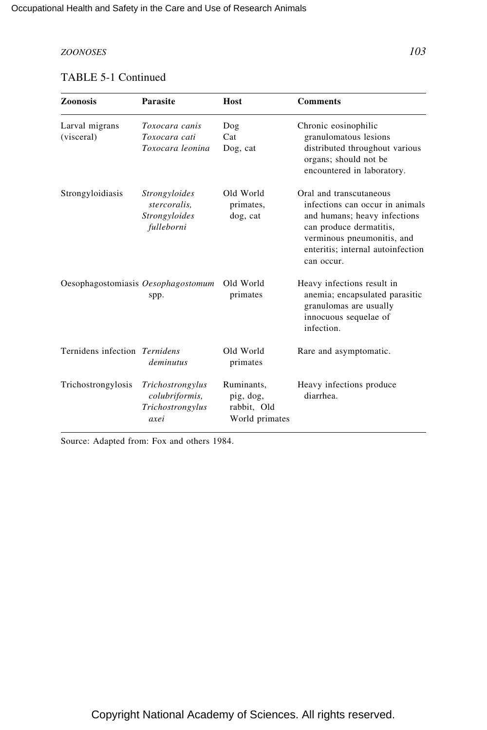# *ZOONOSES 103*

# TABLE 5-1 Continued

| <b>Zoonosis</b>                    | <b>Parasite</b>                                                                          | Host                                                     | <b>Comments</b>                                                                                                                                                                                        |
|------------------------------------|------------------------------------------------------------------------------------------|----------------------------------------------------------|--------------------------------------------------------------------------------------------------------------------------------------------------------------------------------------------------------|
| Larval migrans<br>(visceral)       | Toxocara canis<br>Toxocara cati<br>Toxocara leonina                                      | Dog<br>Cat<br>Dog, cat                                   | Chronic eosinophilic<br>granulomatous lesions<br>distributed throughout various<br>organs; should not be<br>encountered in laboratory.                                                                 |
| Strongyloidiasis                   | <i><u><b>Strongyloides</b></u></i><br>stercoralis.<br><b>Strongyloides</b><br>fulleborni | Old World<br>primates,<br>dog, cat                       | Oral and transcutaneous<br>infections can occur in animals<br>and humans; heavy infections<br>can produce dermatitis,<br>verminous pneumonitis, and<br>enteritis; internal autoinfection<br>can occur. |
| Oesophagostomiasis Oesophagostomum | spp.                                                                                     | Old World<br>primates                                    | Heavy infections result in<br>anemia; encapsulated parasitic<br>granulomas are usually<br>innocuous sequelae of<br>infection.                                                                          |
| Ternidens infection Ternidens      | deminutus                                                                                | Old World<br>primates                                    | Rare and asymptomatic.                                                                                                                                                                                 |
| Trichostrongylosis                 | Trichostrongylus<br>colubriformis,<br>Trichostrongylus<br>axei                           | Ruminants,<br>pig, dog,<br>rabbit, Old<br>World primates | Heavy infections produce<br>diarrhea.                                                                                                                                                                  |

Source: Adapted from: Fox and others 1984.

Copyright National Academy of Sciences. All rights reserved.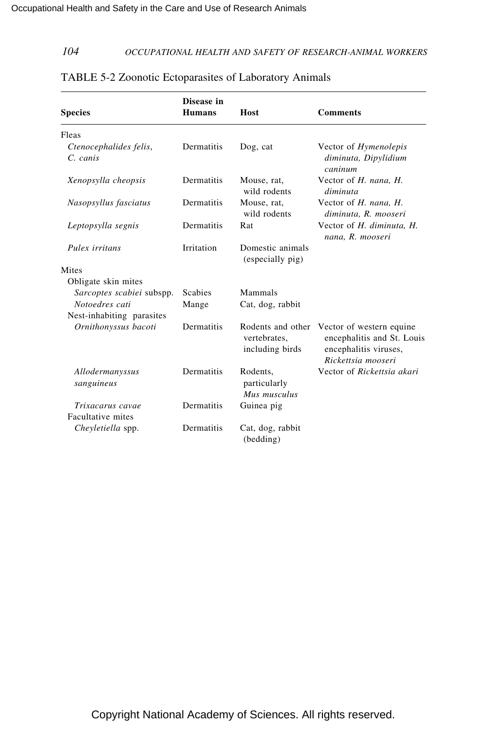| <b>Species</b>                     | Disease in<br><b>Humans</b> | Host                                     | <b>Comments</b>                                                                                                         |
|------------------------------------|-----------------------------|------------------------------------------|-------------------------------------------------------------------------------------------------------------------------|
| Fleas                              |                             |                                          |                                                                                                                         |
| Ctenocephalides felis,<br>C. canis | Dermatitis                  | Dog, cat                                 | Vector of Hymenolepis<br>diminuta, Dipylidium<br>canimum                                                                |
| Xenopsylla cheopsis                | Dermatitis                  | Mouse, rat,<br>wild rodents              | Vector of H. nana, H.<br>diminuta                                                                                       |
| Nasopsyllus fasciatus              | Dermatitis                  | Mouse, rat,<br>wild rodents              | Vector of H. nana, H.<br>diminuta, R. mooseri                                                                           |
| Leptopsylla segnis                 | Dermatitis                  | Rat                                      | Vector of H. diminuta, H.<br>nana, R. mooseri                                                                           |
| Pulex irritans                     | Irritation                  | Domestic animals<br>(especially pig)     |                                                                                                                         |
| Mites                              |                             |                                          |                                                                                                                         |
| Obligate skin mites                |                             |                                          |                                                                                                                         |
| Sarcoptes scabiei subspp.          | <b>Scabies</b>              | Mammals                                  |                                                                                                                         |
| Notoedres cati                     | Mange                       | Cat, dog, rabbit                         |                                                                                                                         |
| Nest-inhabiting parasites          |                             |                                          |                                                                                                                         |
| Ornithonyssus bacoti               | Dermatitis                  | vertebrates,<br>including birds          | Rodents and other Vector of western equine<br>encephalitis and St. Louis<br>encephalitis viruses,<br>Rickettsia mooseri |
| Allodermanyssus<br>sanguineus      | Dermatitis                  | Rodents,<br>particularly<br>Mus musculus | Vector of Rickettsia akari                                                                                              |
| Trixacarus cavae                   | Dermatitis                  | Guinea pig                               |                                                                                                                         |
| <b>Facultative mites</b>           |                             |                                          |                                                                                                                         |
| Cheyletiella spp.                  | Dermatitis                  | Cat, dog, rabbit<br>(bedding)            |                                                                                                                         |

# TABLE 5-2 Zoonotic Ectoparasites of Laboratory Animals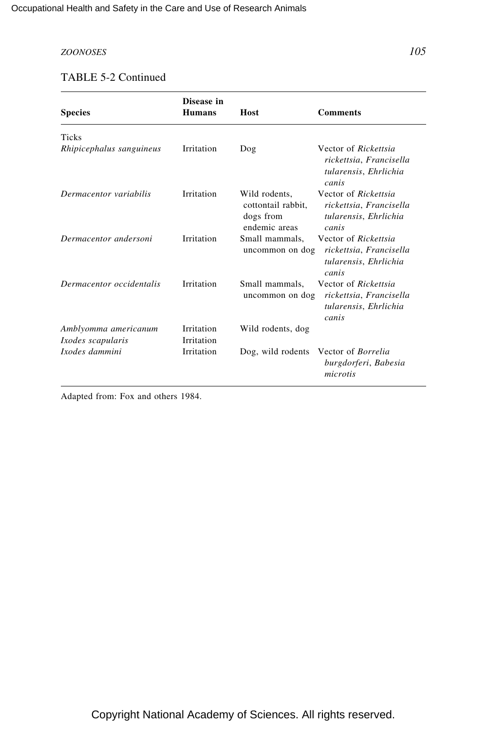## *ZOONOSES 105*

# TABLE 5-2 Continued

| <b>Species</b>                            | Disease in<br><b>Humans</b> | Host                                                              | <b>Comments</b>                                                                   |
|-------------------------------------------|-----------------------------|-------------------------------------------------------------------|-----------------------------------------------------------------------------------|
| <b>Ticks</b>                              |                             |                                                                   |                                                                                   |
| Rhipicephalus sanguineus                  | Irritation                  | Dog                                                               | Vector of Rickettsia<br>rickettsia, Francisella<br>tularensis, Ehrlichia<br>canis |
| Dermacentor variabilis                    | Irritation                  | Wild rodents,<br>cottontail rabbit.<br>dogs from<br>endemic areas | Vector of Rickettsia<br>rickettsia, Francisella<br>tularensis, Ehrlichia<br>canis |
| Dermacentor andersoni                     | Irritation                  | Small mammals,<br>uncommon on dog                                 | Vector of Rickettsia<br>rickettsia, Francisella<br>tularensis, Ehrlichia<br>canis |
| Dermacentor occidentalis                  | Irritation                  | Small mammals,<br>uncommon on dog                                 | Vector of Rickettsia<br>rickettsia, Francisella<br>tularensis, Ehrlichia<br>canis |
| Amblyomma americanum<br>Ixodes scapularis | Irritation<br>Irritation    | Wild rodents, dog                                                 |                                                                                   |
| Ixodes dammini                            | Irritation                  | Dog, wild rodents                                                 | Vector of <i>Borrelia</i><br>burgdorferi, Babesia<br>microtis                     |

Adapted from: Fox and others 1984.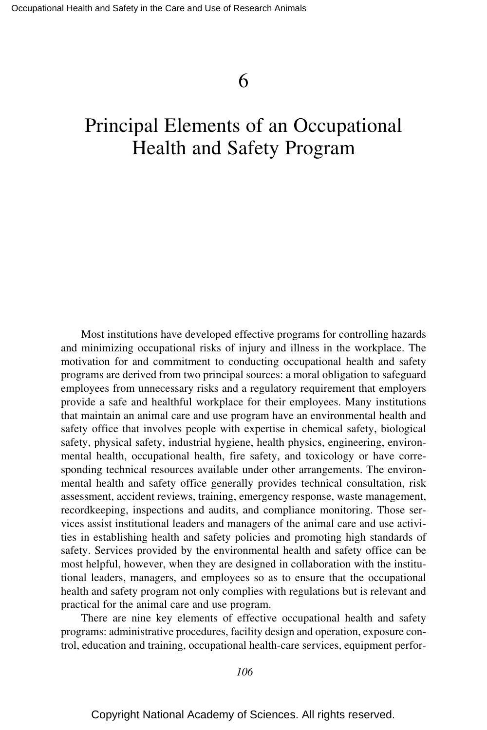6

# Principal Elements of an Occupational Health and Safety Program

Most institutions have developed effective programs for controlling hazards and minimizing occupational risks of injury and illness in the workplace. The motivation for and commitment to conducting occupational health and safety programs are derived from two principal sources: a moral obligation to safeguard employees from unnecessary risks and a regulatory requirement that employers provide a safe and healthful workplace for their employees. Many institutions that maintain an animal care and use program have an environmental health and safety office that involves people with expertise in chemical safety, biological safety, physical safety, industrial hygiene, health physics, engineering, environmental health, occupational health, fire safety, and toxicology or have corresponding technical resources available under other arrangements. The environmental health and safety office generally provides technical consultation, risk assessment, accident reviews, training, emergency response, waste management, recordkeeping, inspections and audits, and compliance monitoring. Those services assist institutional leaders and managers of the animal care and use activities in establishing health and safety policies and promoting high standards of safety. Services provided by the environmental health and safety office can be most helpful, however, when they are designed in collaboration with the institutional leaders, managers, and employees so as to ensure that the occupational health and safety program not only complies with regulations but is relevant and practical for the animal care and use program.

There are nine key elements of effective occupational health and safety programs: administrative procedures, facility design and operation, exposure control, education and training, occupational health-care services, equipment perfor-

*106*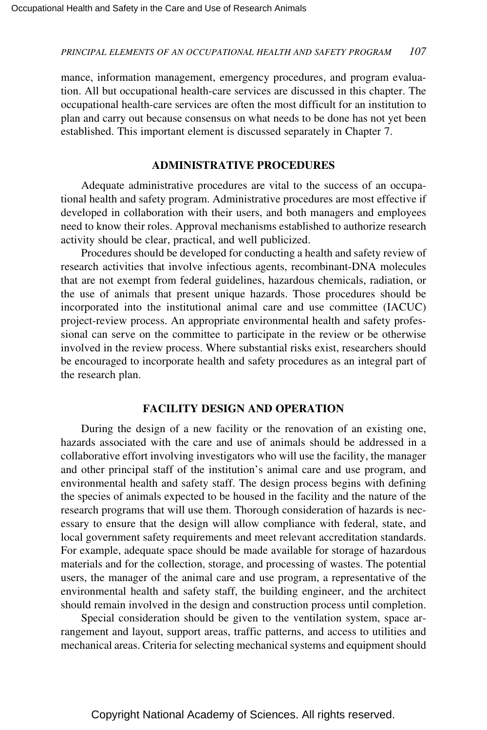## *PRINCIPAL ELEMENTS OF AN OCCUPATIONAL HEALTH AND SAFETY PROGRAM 107*

mance, information management, emergency procedures, and program evaluation. All but occupational health-care services are discussed in this chapter. The occupational health-care services are often the most difficult for an institution to plan and carry out because consensus on what needs to be done has not yet been established. This important element is discussed separately in Chapter 7.

## **ADMINISTRATIVE PROCEDURES**

Adequate administrative procedures are vital to the success of an occupational health and safety program. Administrative procedures are most effective if developed in collaboration with their users, and both managers and employees need to know their roles. Approval mechanisms established to authorize research activity should be clear, practical, and well publicized.

Procedures should be developed for conducting a health and safety review of research activities that involve infectious agents, recombinant-DNA molecules that are not exempt from federal guidelines, hazardous chemicals, radiation, or the use of animals that present unique hazards. Those procedures should be incorporated into the institutional animal care and use committee (IACUC) project-review process. An appropriate environmental health and safety professional can serve on the committee to participate in the review or be otherwise involved in the review process. Where substantial risks exist, researchers should be encouraged to incorporate health and safety procedures as an integral part of the research plan.

## **FACILITY DESIGN AND OPERATION**

During the design of a new facility or the renovation of an existing one, hazards associated with the care and use of animals should be addressed in a collaborative effort involving investigators who will use the facility, the manager and other principal staff of the institution's animal care and use program, and environmental health and safety staff. The design process begins with defining the species of animals expected to be housed in the facility and the nature of the research programs that will use them. Thorough consideration of hazards is necessary to ensure that the design will allow compliance with federal, state, and local government safety requirements and meet relevant accreditation standards. For example, adequate space should be made available for storage of hazardous materials and for the collection, storage, and processing of wastes. The potential users, the manager of the animal care and use program, a representative of the environmental health and safety staff, the building engineer, and the architect should remain involved in the design and construction process until completion.

Special consideration should be given to the ventilation system, space arrangement and layout, support areas, traffic patterns, and access to utilities and mechanical areas. Criteria for selecting mechanical systems and equipment should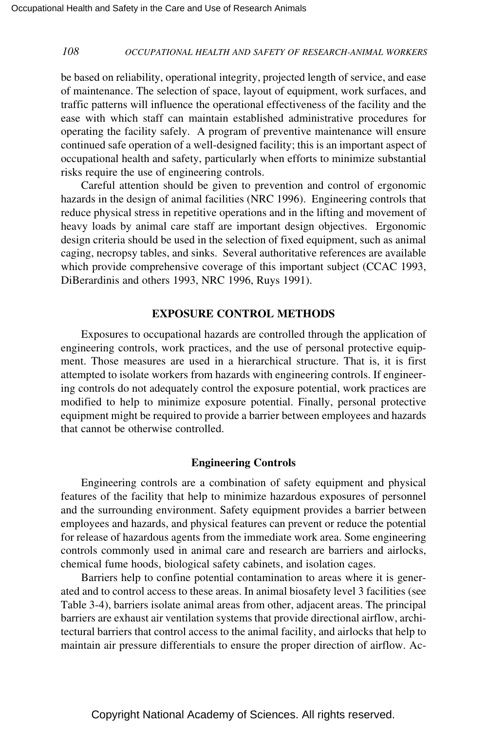be based on reliability, operational integrity, projected length of service, and ease of maintenance. The selection of space, layout of equipment, work surfaces, and traffic patterns will influence the operational effectiveness of the facility and the ease with which staff can maintain established administrative procedures for operating the facility safely. A program of preventive maintenance will ensure continued safe operation of a well-designed facility; this is an important aspect of occupational health and safety, particularly when efforts to minimize substantial risks require the use of engineering controls.

Careful attention should be given to prevention and control of ergonomic hazards in the design of animal facilities (NRC 1996). Engineering controls that reduce physical stress in repetitive operations and in the lifting and movement of heavy loads by animal care staff are important design objectives. Ergonomic design criteria should be used in the selection of fixed equipment, such as animal caging, necropsy tables, and sinks. Several authoritative references are available which provide comprehensive coverage of this important subject (CCAC 1993, DiBerardinis and others 1993, NRC 1996, Ruys 1991).

#### **EXPOSURE CONTROL METHODS**

Exposures to occupational hazards are controlled through the application of engineering controls, work practices, and the use of personal protective equipment. Those measures are used in a hierarchical structure. That is, it is first attempted to isolate workers from hazards with engineering controls. If engineering controls do not adequately control the exposure potential, work practices are modified to help to minimize exposure potential. Finally, personal protective equipment might be required to provide a barrier between employees and hazards that cannot be otherwise controlled.

## **Engineering Controls**

Engineering controls are a combination of safety equipment and physical features of the facility that help to minimize hazardous exposures of personnel and the surrounding environment. Safety equipment provides a barrier between employees and hazards, and physical features can prevent or reduce the potential for release of hazardous agents from the immediate work area. Some engineering controls commonly used in animal care and research are barriers and airlocks, chemical fume hoods, biological safety cabinets, and isolation cages.

Barriers help to confine potential contamination to areas where it is generated and to control access to these areas. In animal biosafety level 3 facilities (see Table 3-4), barriers isolate animal areas from other, adjacent areas. The principal barriers are exhaust air ventilation systems that provide directional airflow, architectural barriers that control access to the animal facility, and airlocks that help to maintain air pressure differentials to ensure the proper direction of airflow. Ac-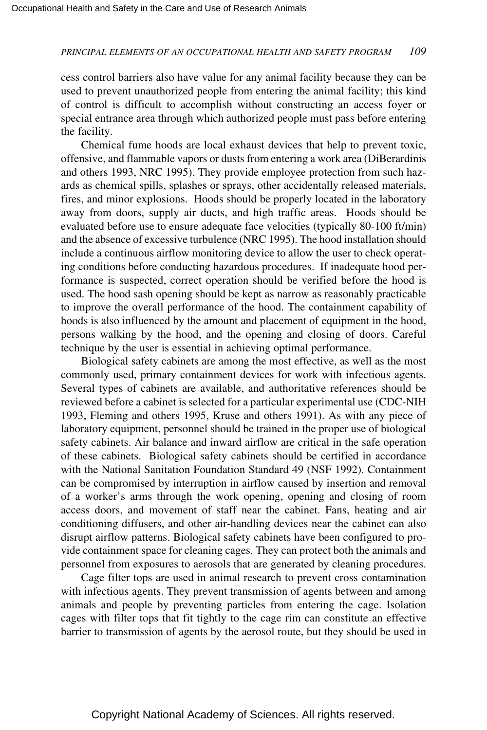#### *PRINCIPAL ELEMENTS OF AN OCCUPATIONAL HEALTH AND SAFETY PROGRAM 109*

cess control barriers also have value for any animal facility because they can be used to prevent unauthorized people from entering the animal facility; this kind of control is difficult to accomplish without constructing an access foyer or special entrance area through which authorized people must pass before entering the facility.

Chemical fume hoods are local exhaust devices that help to prevent toxic, offensive, and flammable vapors or dusts from entering a work area (DiBerardinis and others 1993, NRC 1995). They provide employee protection from such hazards as chemical spills, splashes or sprays, other accidentally released materials, fires, and minor explosions. Hoods should be properly located in the laboratory away from doors, supply air ducts, and high traffic areas. Hoods should be evaluated before use to ensure adequate face velocities (typically 80-100 ft/min) and the absence of excessive turbulence (NRC 1995). The hood installation should include a continuous airflow monitoring device to allow the user to check operating conditions before conducting hazardous procedures. If inadequate hood performance is suspected, correct operation should be verified before the hood is used. The hood sash opening should be kept as narrow as reasonably practicable to improve the overall performance of the hood. The containment capability of hoods is also influenced by the amount and placement of equipment in the hood, persons walking by the hood, and the opening and closing of doors. Careful technique by the user is essential in achieving optimal performance.

Biological safety cabinets are among the most effective, as well as the most commonly used, primary containment devices for work with infectious agents. Several types of cabinets are available, and authoritative references should be reviewed before a cabinet is selected for a particular experimental use (CDC-NIH 1993, Fleming and others 1995, Kruse and others 1991). As with any piece of laboratory equipment, personnel should be trained in the proper use of biological safety cabinets. Air balance and inward airflow are critical in the safe operation of these cabinets. Biological safety cabinets should be certified in accordance with the National Sanitation Foundation Standard 49 (NSF 1992). Containment can be compromised by interruption in airflow caused by insertion and removal of a worker's arms through the work opening, opening and closing of room access doors, and movement of staff near the cabinet. Fans, heating and air conditioning diffusers, and other air-handling devices near the cabinet can also disrupt airflow patterns. Biological safety cabinets have been configured to provide containment space for cleaning cages. They can protect both the animals and personnel from exposures to aerosols that are generated by cleaning procedures.

Cage filter tops are used in animal research to prevent cross contamination with infectious agents. They prevent transmission of agents between and among animals and people by preventing particles from entering the cage. Isolation cages with filter tops that fit tightly to the cage rim can constitute an effective barrier to transmission of agents by the aerosol route, but they should be used in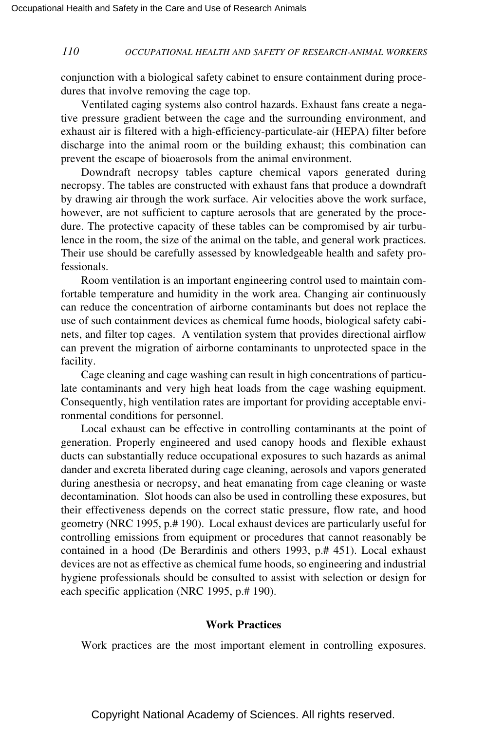conjunction with a biological safety cabinet to ensure containment during procedures that involve removing the cage top.

Ventilated caging systems also control hazards. Exhaust fans create a negative pressure gradient between the cage and the surrounding environment, and exhaust air is filtered with a high-efficiency-particulate-air (HEPA) filter before discharge into the animal room or the building exhaust; this combination can prevent the escape of bioaerosols from the animal environment.

Downdraft necropsy tables capture chemical vapors generated during necropsy. The tables are constructed with exhaust fans that produce a downdraft by drawing air through the work surface. Air velocities above the work surface, however, are not sufficient to capture aerosols that are generated by the procedure. The protective capacity of these tables can be compromised by air turbulence in the room, the size of the animal on the table, and general work practices. Their use should be carefully assessed by knowledgeable health and safety professionals.

Room ventilation is an important engineering control used to maintain comfortable temperature and humidity in the work area. Changing air continuously can reduce the concentration of airborne contaminants but does not replace the use of such containment devices as chemical fume hoods, biological safety cabinets, and filter top cages. A ventilation system that provides directional airflow can prevent the migration of airborne contaminants to unprotected space in the facility.

Cage cleaning and cage washing can result in high concentrations of particulate contaminants and very high heat loads from the cage washing equipment. Consequently, high ventilation rates are important for providing acceptable environmental conditions for personnel.

Local exhaust can be effective in controlling contaminants at the point of generation. Properly engineered and used canopy hoods and flexible exhaust ducts can substantially reduce occupational exposures to such hazards as animal dander and excreta liberated during cage cleaning, aerosols and vapors generated during anesthesia or necropsy, and heat emanating from cage cleaning or waste decontamination. Slot hoods can also be used in controlling these exposures, but their effectiveness depends on the correct static pressure, flow rate, and hood geometry (NRC 1995, p.# 190). Local exhaust devices are particularly useful for controlling emissions from equipment or procedures that cannot reasonably be contained in a hood (De Berardinis and others 1993, p.# 451). Local exhaust devices are not as effective as chemical fume hoods, so engineering and industrial hygiene professionals should be consulted to assist with selection or design for each specific application (NRC 1995, p.# 190).

#### **Work Practices**

Work practices are the most important element in controlling exposures.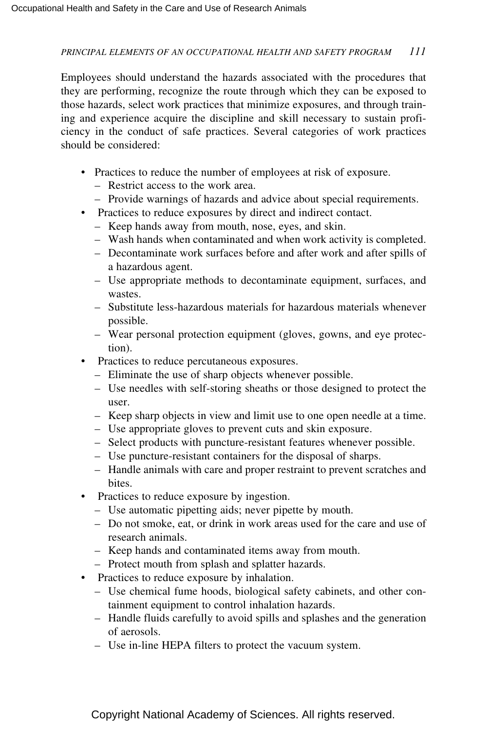## *PRINCIPAL ELEMENTS OF AN OCCUPATIONAL HEALTH AND SAFETY PROGRAM 111*

Employees should understand the hazards associated with the procedures that they are performing, recognize the route through which they can be exposed to those hazards, select work practices that minimize exposures, and through training and experience acquire the discipline and skill necessary to sustain proficiency in the conduct of safe practices. Several categories of work practices should be considered:

- Practices to reduce the number of employees at risk of exposure.
	- Restrict access to the work area.
	- Provide warnings of hazards and advice about special requirements.
- Practices to reduce exposures by direct and indirect contact.
	- Keep hands away from mouth, nose, eyes, and skin.
	- Wash hands when contaminated and when work activity is completed.
	- Decontaminate work surfaces before and after work and after spills of a hazardous agent.
	- Use appropriate methods to decontaminate equipment, surfaces, and wastes.
	- Substitute less-hazardous materials for hazardous materials whenever possible.
	- Wear personal protection equipment (gloves, gowns, and eye protection).
- Practices to reduce percutaneous exposures.
	- Eliminate the use of sharp objects whenever possible.
	- Use needles with self-storing sheaths or those designed to protect the user.
	- Keep sharp objects in view and limit use to one open needle at a time.
	- Use appropriate gloves to prevent cuts and skin exposure.
	- Select products with puncture-resistant features whenever possible.
	- Use puncture-resistant containers for the disposal of sharps.
	- Handle animals with care and proper restraint to prevent scratches and bites.
- Practices to reduce exposure by ingestion.
	- Use automatic pipetting aids; never pipette by mouth.
	- Do not smoke, eat, or drink in work areas used for the care and use of research animals.
	- Keep hands and contaminated items away from mouth.
	- Protect mouth from splash and splatter hazards.
- Practices to reduce exposure by inhalation.
	- Use chemical fume hoods, biological safety cabinets, and other containment equipment to control inhalation hazards.
	- Handle fluids carefully to avoid spills and splashes and the generation of aerosols.
	- Use in-line HEPA filters to protect the vacuum system.

Copyright National Academy of Sciences. All rights reserved.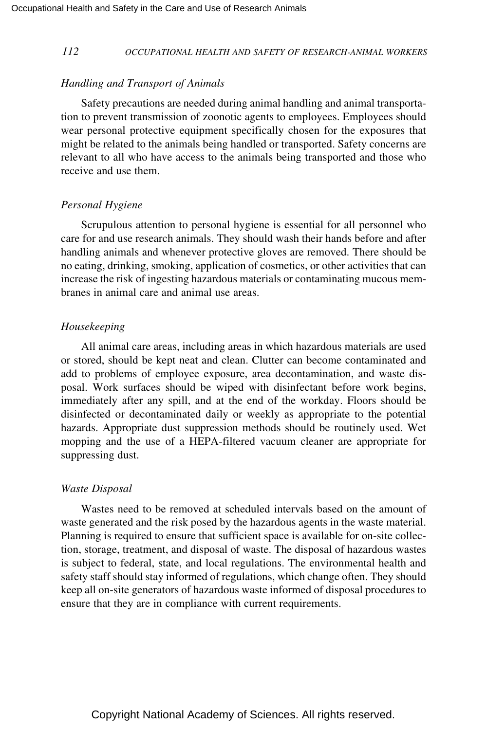## *Handling and Transport of Animals*

Safety precautions are needed during animal handling and animal transportation to prevent transmission of zoonotic agents to employees. Employees should wear personal protective equipment specifically chosen for the exposures that might be related to the animals being handled or transported. Safety concerns are relevant to all who have access to the animals being transported and those who receive and use them.

## *Personal Hygiene*

Scrupulous attention to personal hygiene is essential for all personnel who care for and use research animals. They should wash their hands before and after handling animals and whenever protective gloves are removed. There should be no eating, drinking, smoking, application of cosmetics, or other activities that can increase the risk of ingesting hazardous materials or contaminating mucous membranes in animal care and animal use areas.

## *Housekeeping*

All animal care areas, including areas in which hazardous materials are used or stored, should be kept neat and clean. Clutter can become contaminated and add to problems of employee exposure, area decontamination, and waste disposal. Work surfaces should be wiped with disinfectant before work begins, immediately after any spill, and at the end of the workday. Floors should be disinfected or decontaminated daily or weekly as appropriate to the potential hazards. Appropriate dust suppression methods should be routinely used. Wet mopping and the use of a HEPA-filtered vacuum cleaner are appropriate for suppressing dust.

## *Waste Disposal*

Wastes need to be removed at scheduled intervals based on the amount of waste generated and the risk posed by the hazardous agents in the waste material. Planning is required to ensure that sufficient space is available for on-site collection, storage, treatment, and disposal of waste. The disposal of hazardous wastes is subject to federal, state, and local regulations. The environmental health and safety staff should stay informed of regulations, which change often. They should keep all on-site generators of hazardous waste informed of disposal procedures to ensure that they are in compliance with current requirements.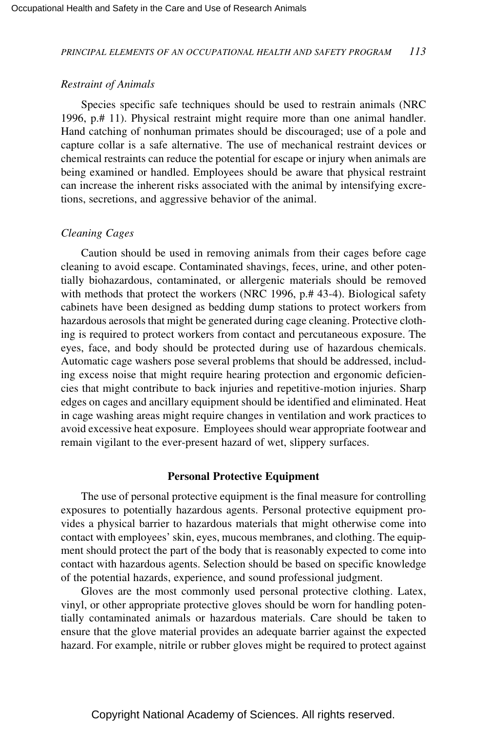#### *PRINCIPAL ELEMENTS OF AN OCCUPATIONAL HEALTH AND SAFETY PROGRAM 113*

#### *Restraint of Animals*

Species specific safe techniques should be used to restrain animals (NRC 1996, p.# 11). Physical restraint might require more than one animal handler. Hand catching of nonhuman primates should be discouraged; use of a pole and capture collar is a safe alternative. The use of mechanical restraint devices or chemical restraints can reduce the potential for escape or injury when animals are being examined or handled. Employees should be aware that physical restraint can increase the inherent risks associated with the animal by intensifying excretions, secretions, and aggressive behavior of the animal.

#### *Cleaning Cages*

Caution should be used in removing animals from their cages before cage cleaning to avoid escape. Contaminated shavings, feces, urine, and other potentially biohazardous, contaminated, or allergenic materials should be removed with methods that protect the workers (NRC 1996, p.# 43-4). Biological safety cabinets have been designed as bedding dump stations to protect workers from hazardous aerosols that might be generated during cage cleaning. Protective clothing is required to protect workers from contact and percutaneous exposure. The eyes, face, and body should be protected during use of hazardous chemicals. Automatic cage washers pose several problems that should be addressed, including excess noise that might require hearing protection and ergonomic deficiencies that might contribute to back injuries and repetitive-motion injuries. Sharp edges on cages and ancillary equipment should be identified and eliminated. Heat in cage washing areas might require changes in ventilation and work practices to avoid excessive heat exposure. Employees should wear appropriate footwear and remain vigilant to the ever-present hazard of wet, slippery surfaces.

#### **Personal Protective Equipment**

The use of personal protective equipment is the final measure for controlling exposures to potentially hazardous agents. Personal protective equipment provides a physical barrier to hazardous materials that might otherwise come into contact with employees' skin, eyes, mucous membranes, and clothing. The equipment should protect the part of the body that is reasonably expected to come into contact with hazardous agents. Selection should be based on specific knowledge of the potential hazards, experience, and sound professional judgment.

Gloves are the most commonly used personal protective clothing. Latex, vinyl, or other appropriate protective gloves should be worn for handling potentially contaminated animals or hazardous materials. Care should be taken to ensure that the glove material provides an adequate barrier against the expected hazard. For example, nitrile or rubber gloves might be required to protect against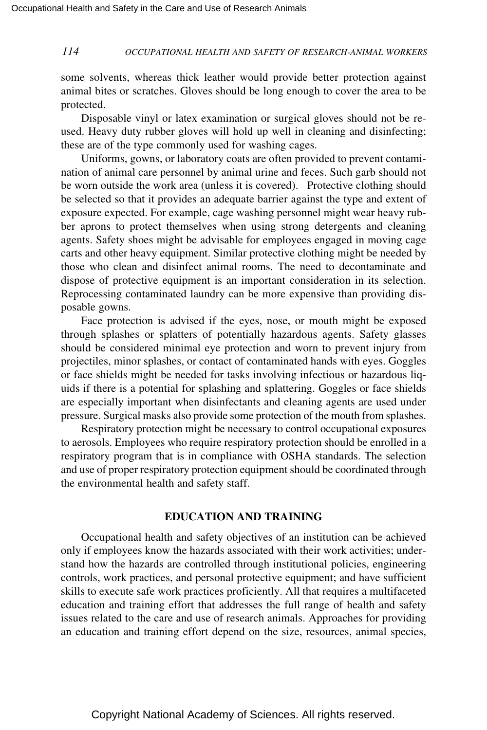some solvents, whereas thick leather would provide better protection against animal bites or scratches. Gloves should be long enough to cover the area to be protected.

Disposable vinyl or latex examination or surgical gloves should not be reused. Heavy duty rubber gloves will hold up well in cleaning and disinfecting; these are of the type commonly used for washing cages.

Uniforms, gowns, or laboratory coats are often provided to prevent contamination of animal care personnel by animal urine and feces. Such garb should not be worn outside the work area (unless it is covered). Protective clothing should be selected so that it provides an adequate barrier against the type and extent of exposure expected. For example, cage washing personnel might wear heavy rubber aprons to protect themselves when using strong detergents and cleaning agents. Safety shoes might be advisable for employees engaged in moving cage carts and other heavy equipment. Similar protective clothing might be needed by those who clean and disinfect animal rooms. The need to decontaminate and dispose of protective equipment is an important consideration in its selection. Reprocessing contaminated laundry can be more expensive than providing disposable gowns.

Face protection is advised if the eyes, nose, or mouth might be exposed through splashes or splatters of potentially hazardous agents. Safety glasses should be considered minimal eye protection and worn to prevent injury from projectiles, minor splashes, or contact of contaminated hands with eyes. Goggles or face shields might be needed for tasks involving infectious or hazardous liquids if there is a potential for splashing and splattering. Goggles or face shields are especially important when disinfectants and cleaning agents are used under pressure. Surgical masks also provide some protection of the mouth from splashes.

Respiratory protection might be necessary to control occupational exposures to aerosols. Employees who require respiratory protection should be enrolled in a respiratory program that is in compliance with OSHA standards. The selection and use of proper respiratory protection equipment should be coordinated through the environmental health and safety staff.

## **EDUCATION AND TRAINING**

Occupational health and safety objectives of an institution can be achieved only if employees know the hazards associated with their work activities; understand how the hazards are controlled through institutional policies, engineering controls, work practices, and personal protective equipment; and have sufficient skills to execute safe work practices proficiently. All that requires a multifaceted education and training effort that addresses the full range of health and safety issues related to the care and use of research animals. Approaches for providing an education and training effort depend on the size, resources, animal species,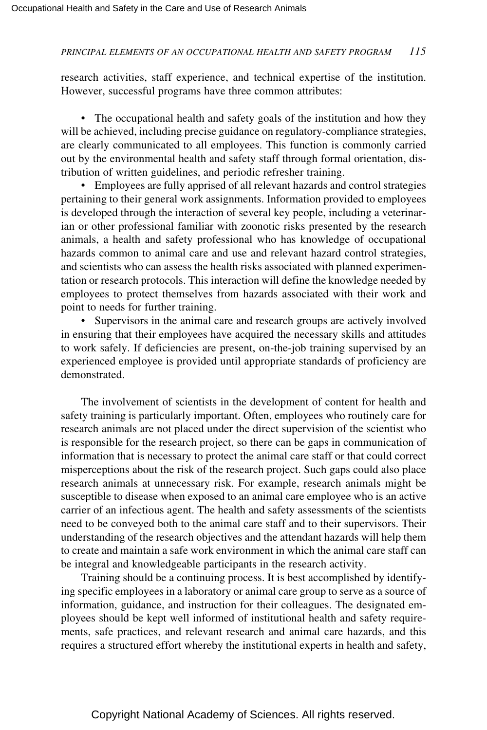research activities, staff experience, and technical expertise of the institution. However, successful programs have three common attributes:

• The occupational health and safety goals of the institution and how they will be achieved, including precise guidance on regulatory-compliance strategies, are clearly communicated to all employees. This function is commonly carried out by the environmental health and safety staff through formal orientation, distribution of written guidelines, and periodic refresher training.

• Employees are fully apprised of all relevant hazards and control strategies pertaining to their general work assignments. Information provided to employees is developed through the interaction of several key people, including a veterinarian or other professional familiar with zoonotic risks presented by the research animals, a health and safety professional who has knowledge of occupational hazards common to animal care and use and relevant hazard control strategies, and scientists who can assess the health risks associated with planned experimentation or research protocols. This interaction will define the knowledge needed by employees to protect themselves from hazards associated with their work and point to needs for further training.

• Supervisors in the animal care and research groups are actively involved in ensuring that their employees have acquired the necessary skills and attitudes to work safely. If deficiencies are present, on-the-job training supervised by an experienced employee is provided until appropriate standards of proficiency are demonstrated.

The involvement of scientists in the development of content for health and safety training is particularly important. Often, employees who routinely care for research animals are not placed under the direct supervision of the scientist who is responsible for the research project, so there can be gaps in communication of information that is necessary to protect the animal care staff or that could correct misperceptions about the risk of the research project. Such gaps could also place research animals at unnecessary risk. For example, research animals might be susceptible to disease when exposed to an animal care employee who is an active carrier of an infectious agent. The health and safety assessments of the scientists need to be conveyed both to the animal care staff and to their supervisors. Their understanding of the research objectives and the attendant hazards will help them to create and maintain a safe work environment in which the animal care staff can be integral and knowledgeable participants in the research activity.

Training should be a continuing process. It is best accomplished by identifying specific employees in a laboratory or animal care group to serve as a source of information, guidance, and instruction for their colleagues. The designated employees should be kept well informed of institutional health and safety requirements, safe practices, and relevant research and animal care hazards, and this requires a structured effort whereby the institutional experts in health and safety,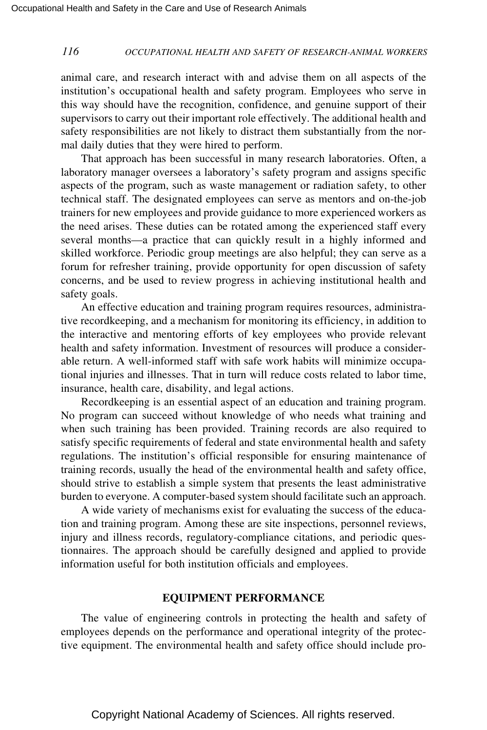animal care, and research interact with and advise them on all aspects of the institution's occupational health and safety program. Employees who serve in this way should have the recognition, confidence, and genuine support of their supervisors to carry out their important role effectively. The additional health and safety responsibilities are not likely to distract them substantially from the normal daily duties that they were hired to perform.

That approach has been successful in many research laboratories. Often, a laboratory manager oversees a laboratory's safety program and assigns specific aspects of the program, such as waste management or radiation safety, to other technical staff. The designated employees can serve as mentors and on-the-job trainers for new employees and provide guidance to more experienced workers as the need arises. These duties can be rotated among the experienced staff every several months—a practice that can quickly result in a highly informed and skilled workforce. Periodic group meetings are also helpful; they can serve as a forum for refresher training, provide opportunity for open discussion of safety concerns, and be used to review progress in achieving institutional health and safety goals.

An effective education and training program requires resources, administrative recordkeeping, and a mechanism for monitoring its efficiency, in addition to the interactive and mentoring efforts of key employees who provide relevant health and safety information. Investment of resources will produce a considerable return. A well-informed staff with safe work habits will minimize occupational injuries and illnesses. That in turn will reduce costs related to labor time, insurance, health care, disability, and legal actions.

Recordkeeping is an essential aspect of an education and training program. No program can succeed without knowledge of who needs what training and when such training has been provided. Training records are also required to satisfy specific requirements of federal and state environmental health and safety regulations. The institution's official responsible for ensuring maintenance of training records, usually the head of the environmental health and safety office, should strive to establish a simple system that presents the least administrative burden to everyone. A computer-based system should facilitate such an approach.

A wide variety of mechanisms exist for evaluating the success of the education and training program. Among these are site inspections, personnel reviews, injury and illness records, regulatory-compliance citations, and periodic questionnaires. The approach should be carefully designed and applied to provide information useful for both institution officials and employees.

## **EQUIPMENT PERFORMANCE**

The value of engineering controls in protecting the health and safety of employees depends on the performance and operational integrity of the protective equipment. The environmental health and safety office should include pro-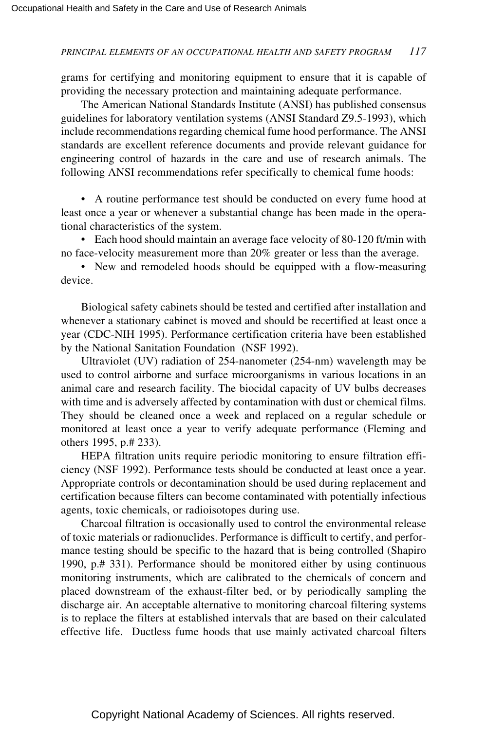## *PRINCIPAL ELEMENTS OF AN OCCUPATIONAL HEALTH AND SAFETY PROGRAM 117*

grams for certifying and monitoring equipment to ensure that it is capable of providing the necessary protection and maintaining adequate performance.

The American National Standards Institute (ANSI) has published consensus guidelines for laboratory ventilation systems (ANSI Standard Z9.5-1993), which include recommendations regarding chemical fume hood performance. The ANSI standards are excellent reference documents and provide relevant guidance for engineering control of hazards in the care and use of research animals. The following ANSI recommendations refer specifically to chemical fume hoods:

• A routine performance test should be conducted on every fume hood at least once a year or whenever a substantial change has been made in the operational characteristics of the system.

• Each hood should maintain an average face velocity of 80-120 ft/min with no face-velocity measurement more than 20% greater or less than the average.

• New and remodeled hoods should be equipped with a flow-measuring device.

Biological safety cabinets should be tested and certified after installation and whenever a stationary cabinet is moved and should be recertified at least once a year (CDC-NIH 1995). Performance certification criteria have been established by the National Sanitation Foundation (NSF 1992).

Ultraviolet (UV) radiation of 254-nanometer (254-nm) wavelength may be used to control airborne and surface microorganisms in various locations in an animal care and research facility. The biocidal capacity of UV bulbs decreases with time and is adversely affected by contamination with dust or chemical films. They should be cleaned once a week and replaced on a regular schedule or monitored at least once a year to verify adequate performance (Fleming and others 1995, p.# 233).

HEPA filtration units require periodic monitoring to ensure filtration efficiency (NSF 1992). Performance tests should be conducted at least once a year. Appropriate controls or decontamination should be used during replacement and certification because filters can become contaminated with potentially infectious agents, toxic chemicals, or radioisotopes during use.

Charcoal filtration is occasionally used to control the environmental release of toxic materials or radionuclides. Performance is difficult to certify, and performance testing should be specific to the hazard that is being controlled (Shapiro 1990, p.# 331). Performance should be monitored either by using continuous monitoring instruments, which are calibrated to the chemicals of concern and placed downstream of the exhaust-filter bed, or by periodically sampling the discharge air. An acceptable alternative to monitoring charcoal filtering systems is to replace the filters at established intervals that are based on their calculated effective life. Ductless fume hoods that use mainly activated charcoal filters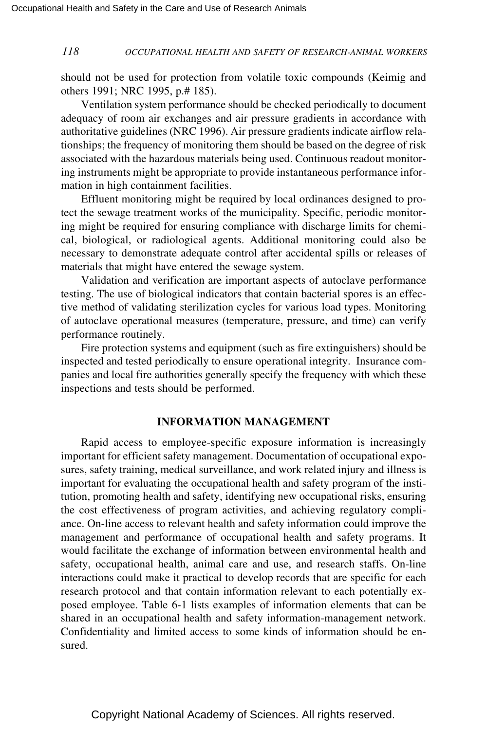should not be used for protection from volatile toxic compounds (Keimig and others 1991; NRC 1995, p.# 185).

Ventilation system performance should be checked periodically to document adequacy of room air exchanges and air pressure gradients in accordance with authoritative guidelines (NRC 1996). Air pressure gradients indicate airflow relationships; the frequency of monitoring them should be based on the degree of risk associated with the hazardous materials being used. Continuous readout monitoring instruments might be appropriate to provide instantaneous performance information in high containment facilities.

Effluent monitoring might be required by local ordinances designed to protect the sewage treatment works of the municipality. Specific, periodic monitoring might be required for ensuring compliance with discharge limits for chemical, biological, or radiological agents. Additional monitoring could also be necessary to demonstrate adequate control after accidental spills or releases of materials that might have entered the sewage system.

Validation and verification are important aspects of autoclave performance testing. The use of biological indicators that contain bacterial spores is an effective method of validating sterilization cycles for various load types. Monitoring of autoclave operational measures (temperature, pressure, and time) can verify performance routinely.

Fire protection systems and equipment (such as fire extinguishers) should be inspected and tested periodically to ensure operational integrity. Insurance companies and local fire authorities generally specify the frequency with which these inspections and tests should be performed.

## **INFORMATION MANAGEMENT**

Rapid access to employee-specific exposure information is increasingly important for efficient safety management. Documentation of occupational exposures, safety training, medical surveillance, and work related injury and illness is important for evaluating the occupational health and safety program of the institution, promoting health and safety, identifying new occupational risks, ensuring the cost effectiveness of program activities, and achieving regulatory compliance. On-line access to relevant health and safety information could improve the management and performance of occupational health and safety programs. It would facilitate the exchange of information between environmental health and safety, occupational health, animal care and use, and research staffs. On-line interactions could make it practical to develop records that are specific for each research protocol and that contain information relevant to each potentially exposed employee. Table 6-1 lists examples of information elements that can be shared in an occupational health and safety information-management network. Confidentiality and limited access to some kinds of information should be ensured.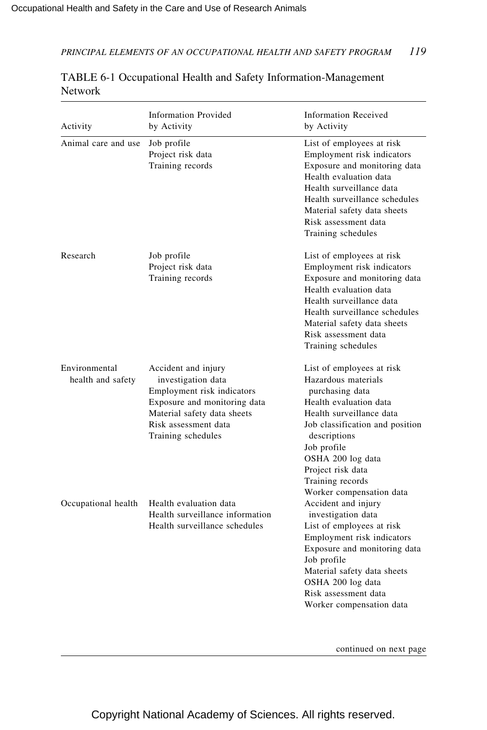| Activity                           | <b>Information Provided</b><br>by Activity                                                                                                                                           | <b>Information Received</b><br>by Activity                                                                                                                                                                                                                                            |
|------------------------------------|--------------------------------------------------------------------------------------------------------------------------------------------------------------------------------------|---------------------------------------------------------------------------------------------------------------------------------------------------------------------------------------------------------------------------------------------------------------------------------------|
| Animal care and use                | Job profile<br>Project risk data<br>Training records                                                                                                                                 | List of employees at risk<br>Employment risk indicators<br>Exposure and monitoring data<br>Health evaluation data<br>Health surveillance data<br>Health surveillance schedules<br>Material safety data sheets<br>Risk assessment data<br>Training schedules                           |
| Research                           | Job profile<br>Project risk data<br>Training records                                                                                                                                 | List of employees at risk<br>Employment risk indicators<br>Exposure and monitoring data<br>Health evaluation data<br>Health surveillance data<br>Health surveillance schedules<br>Material safety data sheets<br>Risk assessment data<br>Training schedules                           |
| Environmental<br>health and safety | Accident and injury<br>investigation data<br>Employment risk indicators<br>Exposure and monitoring data<br>Material safety data sheets<br>Risk assessment data<br>Training schedules | List of employees at risk<br>Hazardous materials<br>purchasing data<br>Health evaluation data<br>Health surveillance data<br>Job classification and position<br>descriptions<br>Job profile<br>OSHA 200 log data<br>Project risk data<br>Training records<br>Worker compensation data |
| Occupational health                | Health evaluation data<br>Health surveillance information<br>Health surveillance schedules                                                                                           | Accident and injury<br>investigation data<br>List of employees at risk<br>Employment risk indicators<br>Exposure and monitoring data<br>Job profile<br>Material safety data sheets<br>OSHA 200 log data<br>Risk assessment data<br>Worker compensation data                           |

# TABLE 6-1 Occupational Health and Safety Information-Management Network

continued on next page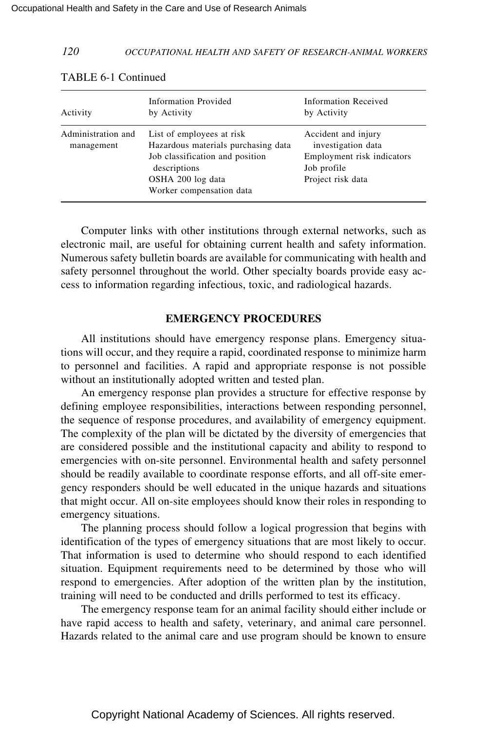| Activity                         | <b>Information Provided</b><br>by Activity                                                                                                                           | <b>Information Received</b><br>by Activity                                                                  |
|----------------------------------|----------------------------------------------------------------------------------------------------------------------------------------------------------------------|-------------------------------------------------------------------------------------------------------------|
| Administration and<br>management | List of employees at risk<br>Hazardous materials purchasing data<br>Job classification and position<br>descriptions<br>OSHA 200 log data<br>Worker compensation data | Accident and injury<br>investigation data<br>Employment risk indicators<br>Job profile<br>Project risk data |

TABLE 6-1 Continued

Computer links with other institutions through external networks, such as electronic mail, are useful for obtaining current health and safety information. Numerous safety bulletin boards are available for communicating with health and safety personnel throughout the world. Other specialty boards provide easy access to information regarding infectious, toxic, and radiological hazards.

### **EMERGENCY PROCEDURES**

All institutions should have emergency response plans. Emergency situations will occur, and they require a rapid, coordinated response to minimize harm to personnel and facilities. A rapid and appropriate response is not possible without an institutionally adopted written and tested plan.

An emergency response plan provides a structure for effective response by defining employee responsibilities, interactions between responding personnel, the sequence of response procedures, and availability of emergency equipment. The complexity of the plan will be dictated by the diversity of emergencies that are considered possible and the institutional capacity and ability to respond to emergencies with on-site personnel. Environmental health and safety personnel should be readily available to coordinate response efforts, and all off-site emergency responders should be well educated in the unique hazards and situations that might occur. All on-site employees should know their roles in responding to emergency situations.

The planning process should follow a logical progression that begins with identification of the types of emergency situations that are most likely to occur. That information is used to determine who should respond to each identified situation. Equipment requirements need to be determined by those who will respond to emergencies. After adoption of the written plan by the institution, training will need to be conducted and drills performed to test its efficacy.

The emergency response team for an animal facility should either include or have rapid access to health and safety, veterinary, and animal care personnel. Hazards related to the animal care and use program should be known to ensure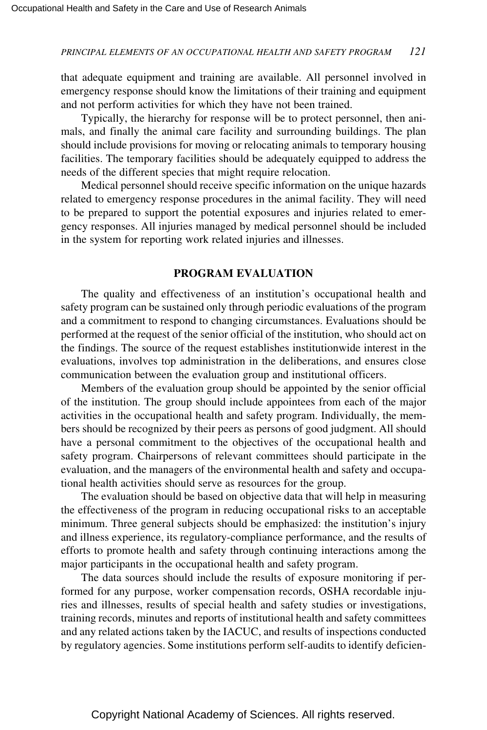#### *PRINCIPAL ELEMENTS OF AN OCCUPATIONAL HEALTH AND SAFETY PROGRAM 121*

that adequate equipment and training are available. All personnel involved in emergency response should know the limitations of their training and equipment and not perform activities for which they have not been trained.

Typically, the hierarchy for response will be to protect personnel, then animals, and finally the animal care facility and surrounding buildings. The plan should include provisions for moving or relocating animals to temporary housing facilities. The temporary facilities should be adequately equipped to address the needs of the different species that might require relocation.

Medical personnel should receive specific information on the unique hazards related to emergency response procedures in the animal facility. They will need to be prepared to support the potential exposures and injuries related to emergency responses. All injuries managed by medical personnel should be included in the system for reporting work related injuries and illnesses.

## **PROGRAM EVALUATION**

The quality and effectiveness of an institution's occupational health and safety program can be sustained only through periodic evaluations of the program and a commitment to respond to changing circumstances. Evaluations should be performed at the request of the senior official of the institution, who should act on the findings. The source of the request establishes institutionwide interest in the evaluations, involves top administration in the deliberations, and ensures close communication between the evaluation group and institutional officers.

Members of the evaluation group should be appointed by the senior official of the institution. The group should include appointees from each of the major activities in the occupational health and safety program. Individually, the members should be recognized by their peers as persons of good judgment. All should have a personal commitment to the objectives of the occupational health and safety program. Chairpersons of relevant committees should participate in the evaluation, and the managers of the environmental health and safety and occupational health activities should serve as resources for the group.

The evaluation should be based on objective data that will help in measuring the effectiveness of the program in reducing occupational risks to an acceptable minimum. Three general subjects should be emphasized: the institution's injury and illness experience, its regulatory-compliance performance, and the results of efforts to promote health and safety through continuing interactions among the major participants in the occupational health and safety program.

The data sources should include the results of exposure monitoring if performed for any purpose, worker compensation records, OSHA recordable injuries and illnesses, results of special health and safety studies or investigations, training records, minutes and reports of institutional health and safety committees and any related actions taken by the IACUC, and results of inspections conducted by regulatory agencies. Some institutions perform self-audits to identify deficien-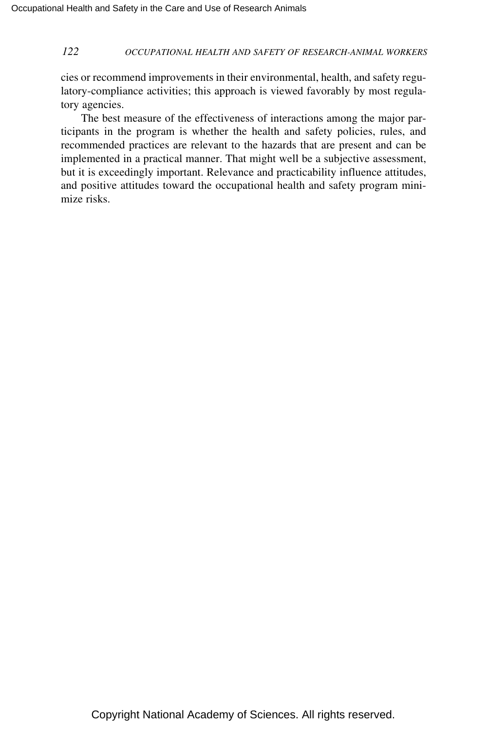cies or recommend improvements in their environmental, health, and safety regulatory-compliance activities; this approach is viewed favorably by most regulatory agencies.

The best measure of the effectiveness of interactions among the major participants in the program is whether the health and safety policies, rules, and recommended practices are relevant to the hazards that are present and can be implemented in a practical manner. That might well be a subjective assessment, but it is exceedingly important. Relevance and practicability influence attitudes, and positive attitudes toward the occupational health and safety program minimize risks.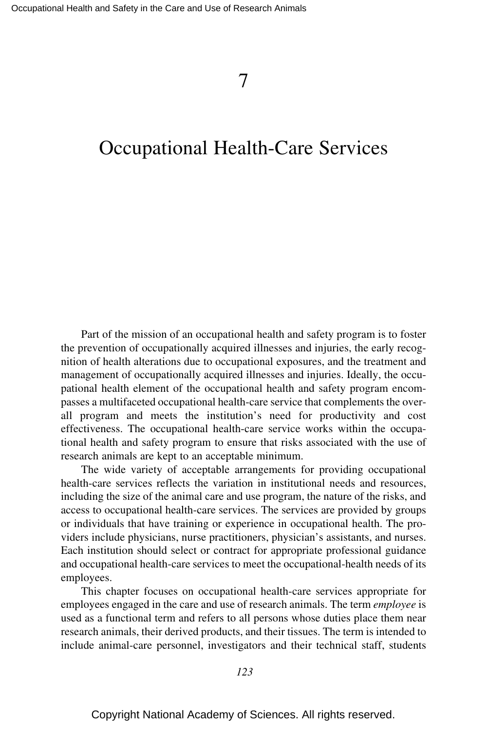7

# Occupational Health-Care Services

Part of the mission of an occupational health and safety program is to foster the prevention of occupationally acquired illnesses and injuries, the early recognition of health alterations due to occupational exposures, and the treatment and management of occupationally acquired illnesses and injuries. Ideally, the occupational health element of the occupational health and safety program encompasses a multifaceted occupational health-care service that complements the overall program and meets the institution's need for productivity and cost effectiveness. The occupational health-care service works within the occupational health and safety program to ensure that risks associated with the use of research animals are kept to an acceptable minimum.

The wide variety of acceptable arrangements for providing occupational health-care services reflects the variation in institutional needs and resources, including the size of the animal care and use program, the nature of the risks, and access to occupational health-care services. The services are provided by groups or individuals that have training or experience in occupational health. The providers include physicians, nurse practitioners, physician's assistants, and nurses. Each institution should select or contract for appropriate professional guidance and occupational health-care services to meet the occupational-health needs of its employees.

This chapter focuses on occupational health-care services appropriate for employees engaged in the care and use of research animals. The term *employee* is used as a functional term and refers to all persons whose duties place them near research animals, their derived products, and their tissues. The term is intended to include animal-care personnel, investigators and their technical staff, students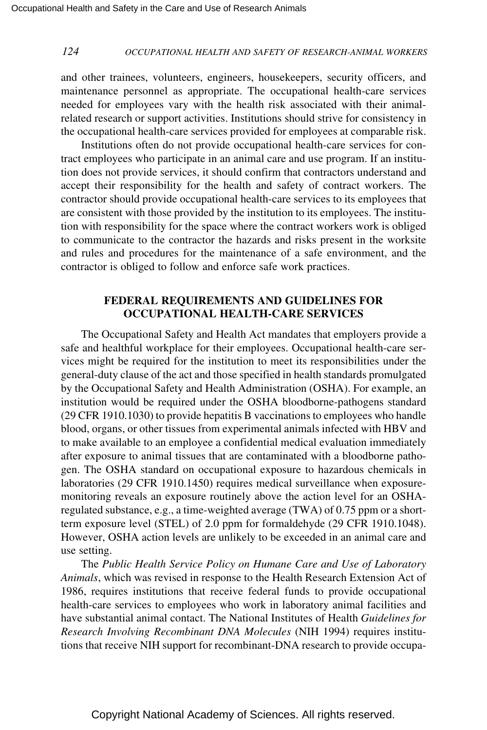and other trainees, volunteers, engineers, housekeepers, security officers, and maintenance personnel as appropriate. The occupational health-care services needed for employees vary with the health risk associated with their animalrelated research or support activities. Institutions should strive for consistency in the occupational health-care services provided for employees at comparable risk.

Institutions often do not provide occupational health-care services for contract employees who participate in an animal care and use program. If an institution does not provide services, it should confirm that contractors understand and accept their responsibility for the health and safety of contract workers. The contractor should provide occupational health-care services to its employees that are consistent with those provided by the institution to its employees. The institution with responsibility for the space where the contract workers work is obliged to communicate to the contractor the hazards and risks present in the worksite and rules and procedures for the maintenance of a safe environment, and the contractor is obliged to follow and enforce safe work practices.

## **FEDERAL REQUIREMENTS AND GUIDELINES FOR OCCUPATIONAL HEALTH-CARE SERVICES**

The Occupational Safety and Health Act mandates that employers provide a safe and healthful workplace for their employees. Occupational health-care services might be required for the institution to meet its responsibilities under the general-duty clause of the act and those specified in health standards promulgated by the Occupational Safety and Health Administration (OSHA). For example, an institution would be required under the OSHA bloodborne-pathogens standard (29 CFR 1910.1030) to provide hepatitis B vaccinations to employees who handle blood, organs, or other tissues from experimental animals infected with HBV and to make available to an employee a confidential medical evaluation immediately after exposure to animal tissues that are contaminated with a bloodborne pathogen. The OSHA standard on occupational exposure to hazardous chemicals in laboratories (29 CFR 1910.1450) requires medical surveillance when exposuremonitoring reveals an exposure routinely above the action level for an OSHAregulated substance, e.g., a time-weighted average (TWA) of 0.75 ppm or a shortterm exposure level (STEL) of 2.0 ppm for formaldehyde (29 CFR 1910.1048). However, OSHA action levels are unlikely to be exceeded in an animal care and use setting.

The *Public Health Service Policy on Humane Care and Use of Laboratory Animals*, which was revised in response to the Health Research Extension Act of 1986, requires institutions that receive federal funds to provide occupational health-care services to employees who work in laboratory animal facilities and have substantial animal contact. The National Institutes of Health *Guidelines for Research Involving Recombinant DNA Molecules* (NIH 1994) requires institutions that receive NIH support for recombinant-DNA research to provide occupa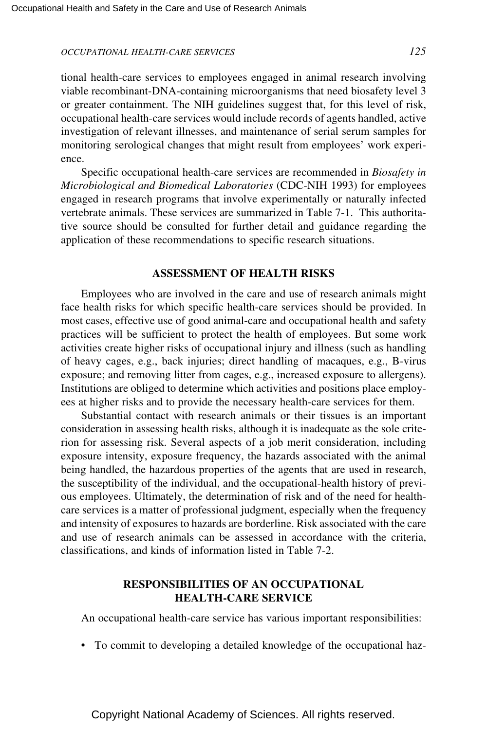*OCCUPATIONAL HEALTH-CARE SERVICES* 

tional health-care services to employees engaged in animal research involving viable recombinant-DNA-containing microorganisms that need biosafety level 3 or greater containment. The NIH guidelines suggest that, for this level of risk, occupational health-care services would include records of agents handled, active investigation of relevant illnesses, and maintenance of serial serum samples for monitoring serological changes that might result from employees' work experience.

Specific occupational health-care services are recommended in *Biosafety in Microbiological and Biomedical Laboratories* (CDC-NIH 1993) for employees engaged in research programs that involve experimentally or naturally infected vertebrate animals. These services are summarized in Table 7-1. This authoritative source should be consulted for further detail and guidance regarding the application of these recommendations to specific research situations.

## **ASSESSMENT OF HEALTH RISKS**

Employees who are involved in the care and use of research animals might face health risks for which specific health-care services should be provided. In most cases, effective use of good animal-care and occupational health and safety practices will be sufficient to protect the health of employees. But some work activities create higher risks of occupational injury and illness (such as handling of heavy cages, e.g., back injuries; direct handling of macaques, e.g., B-virus exposure; and removing litter from cages, e.g., increased exposure to allergens). Institutions are obliged to determine which activities and positions place employees at higher risks and to provide the necessary health-care services for them.

Substantial contact with research animals or their tissues is an important consideration in assessing health risks, although it is inadequate as the sole criterion for assessing risk. Several aspects of a job merit consideration, including exposure intensity, exposure frequency, the hazards associated with the animal being handled, the hazardous properties of the agents that are used in research, the susceptibility of the individual, and the occupational-health history of previous employees. Ultimately, the determination of risk and of the need for healthcare services is a matter of professional judgment, especially when the frequency and intensity of exposures to hazards are borderline. Risk associated with the care and use of research animals can be assessed in accordance with the criteria, classifications, and kinds of information listed in Table 7-2.

## **RESPONSIBILITIES OF AN OCCUPATIONAL HEALTH-CARE SERVICE**

An occupational health-care service has various important responsibilities:

• To commit to developing a detailed knowledge of the occupational haz-

Copyright National Academy of Sciences. All rights reserved.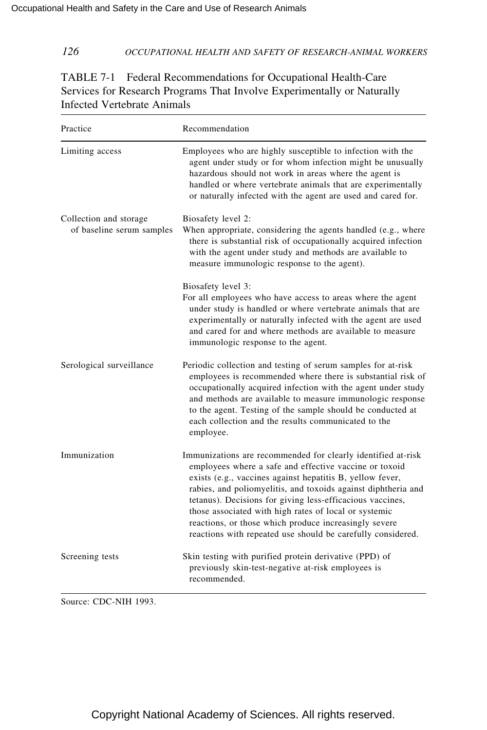| Practice                                            | Recommendation                                                                                                                                                                                                                                                                                                                                                                                                                                                                                     |
|-----------------------------------------------------|----------------------------------------------------------------------------------------------------------------------------------------------------------------------------------------------------------------------------------------------------------------------------------------------------------------------------------------------------------------------------------------------------------------------------------------------------------------------------------------------------|
| Limiting access                                     | Employees who are highly susceptible to infection with the<br>agent under study or for whom infection might be unusually<br>hazardous should not work in areas where the agent is<br>handled or where vertebrate animals that are experimentally<br>or naturally infected with the agent are used and cared for.                                                                                                                                                                                   |
| Collection and storage<br>of baseline serum samples | Biosafety level 2:<br>When appropriate, considering the agents handled (e.g., where<br>there is substantial risk of occupationally acquired infection<br>with the agent under study and methods are available to<br>measure immunologic response to the agent).                                                                                                                                                                                                                                    |
|                                                     | Biosafety level 3:<br>For all employees who have access to areas where the agent<br>under study is handled or where vertebrate animals that are<br>experimentally or naturally infected with the agent are used<br>and cared for and where methods are available to measure<br>immunologic response to the agent.                                                                                                                                                                                  |
| Serological surveillance                            | Periodic collection and testing of serum samples for at-risk<br>employees is recommended where there is substantial risk of<br>occupationally acquired infection with the agent under study<br>and methods are available to measure immunologic response<br>to the agent. Testing of the sample should be conducted at<br>each collection and the results communicated to the<br>employee.                                                                                                         |
| Immunization                                        | Immunizations are recommended for clearly identified at-risk<br>employees where a safe and effective vaccine or toxoid<br>exists (e.g., vaccines against hepatitis B, yellow fever,<br>rabies, and poliomyelitis, and toxoids against diphtheria and<br>tetanus). Decisions for giving less-efficacious vaccines,<br>those associated with high rates of local or systemic<br>reactions, or those which produce increasingly severe<br>reactions with repeated use should be carefully considered. |
| Screening tests                                     | Skin testing with purified protein derivative (PPD) of<br>previously skin-test-negative at-risk employees is<br>recommended.                                                                                                                                                                                                                                                                                                                                                                       |

TABLE 7-1 Federal Recommendations for Occupational Health-Care Services for Research Programs That Involve Experimentally or Naturally Infected Vertebrate Animals

Source: CDC-NIH 1993.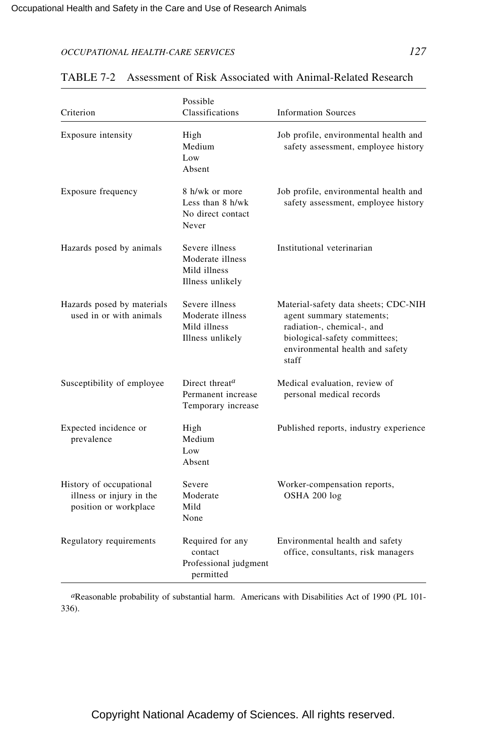#### *OCCUPATIONAL HEALTH-CARE SERVICES*

| Criterion                                                                    | Possible<br>Classifications                                                | <b>Information Sources</b>                                                                                                                                                   |
|------------------------------------------------------------------------------|----------------------------------------------------------------------------|------------------------------------------------------------------------------------------------------------------------------------------------------------------------------|
| Exposure intensity                                                           | High<br>Medium<br>Low<br>Absent                                            | Job profile, environmental health and<br>safety assessment, employee history                                                                                                 |
| Exposure frequency                                                           | 8 h/wk or more<br>Less than $8 \text{ h/wk}$<br>No direct contact<br>Never | Job profile, environmental health and<br>safety assessment, employee history                                                                                                 |
| Hazards posed by animals                                                     | Severe illness<br>Moderate illness<br>Mild illness<br>Illness unlikely     | Institutional veterinarian                                                                                                                                                   |
| Hazards posed by materials<br>used in or with animals                        | Severe illness<br>Moderate illness<br>Mild illness<br>Illness unlikely     | Material-safety data sheets; CDC-NIH<br>agent summary statements;<br>radiation-, chemical-, and<br>biological-safety committees;<br>environmental health and safety<br>staff |
| Susceptibility of employee                                                   | Direct threat <sup>a</sup><br>Permanent increase<br>Temporary increase     | Medical evaluation, review of<br>personal medical records                                                                                                                    |
| Expected incidence or<br>prevalence                                          | High<br>Medium<br>Low<br>Absent                                            | Published reports, industry experience                                                                                                                                       |
| History of occupational<br>illness or injury in the<br>position or workplace | Severe<br>Moderate<br>Mild<br>None                                         | Worker-compensation reports,<br>OSHA 200 log                                                                                                                                 |
| Regulatory requirements                                                      | Required for any<br>contact<br>Professional judgment<br>permitted          | Environmental health and safety<br>office, consultants, risk managers                                                                                                        |

# TABLE 7-2 Assessment of Risk Associated with Animal-Related Research

*a*Reasonable probability of substantial harm. Americans with Disabilities Act of 1990 (PL 101- 336).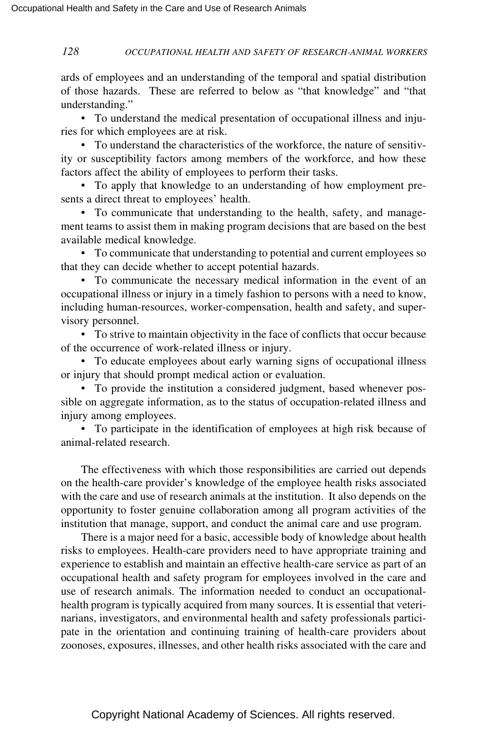ards of employees and an understanding of the temporal and spatial distribution of those hazards. These are referred to below as "that knowledge" and "that understanding."

• To understand the medical presentation of occupational illness and injuries for which employees are at risk.

• To understand the characteristics of the workforce, the nature of sensitivity or susceptibility factors among members of the workforce, and how these factors affect the ability of employees to perform their tasks.

• To apply that knowledge to an understanding of how employment presents a direct threat to employees' health.

• To communicate that understanding to the health, safety, and management teams to assist them in making program decisions that are based on the best available medical knowledge.

• To communicate that understanding to potential and current employees so that they can decide whether to accept potential hazards.

• To communicate the necessary medical information in the event of an occupational illness or injury in a timely fashion to persons with a need to know, including human-resources, worker-compensation, health and safety, and supervisory personnel.

• To strive to maintain objectivity in the face of conflicts that occur because of the occurrence of work-related illness or injury.

• To educate employees about early warning signs of occupational illness or injury that should prompt medical action or evaluation.

• To provide the institution a considered judgment, based whenever possible on aggregate information, as to the status of occupation-related illness and injury among employees.

• To participate in the identification of employees at high risk because of animal-related research.

The effectiveness with which those responsibilities are carried out depends on the health-care provider's knowledge of the employee health risks associated with the care and use of research animals at the institution. It also depends on the opportunity to foster genuine collaboration among all program activities of the institution that manage, support, and conduct the animal care and use program.

There is a major need for a basic, accessible body of knowledge about health risks to employees. Health-care providers need to have appropriate training and experience to establish and maintain an effective health-care service as part of an occupational health and safety program for employees involved in the care and use of research animals. The information needed to conduct an occupationalhealth program is typically acquired from many sources. It is essential that veterinarians, investigators, and environmental health and safety professionals participate in the orientation and continuing training of health-care providers about zoonoses, exposures, illnesses, and other health risks associated with the care and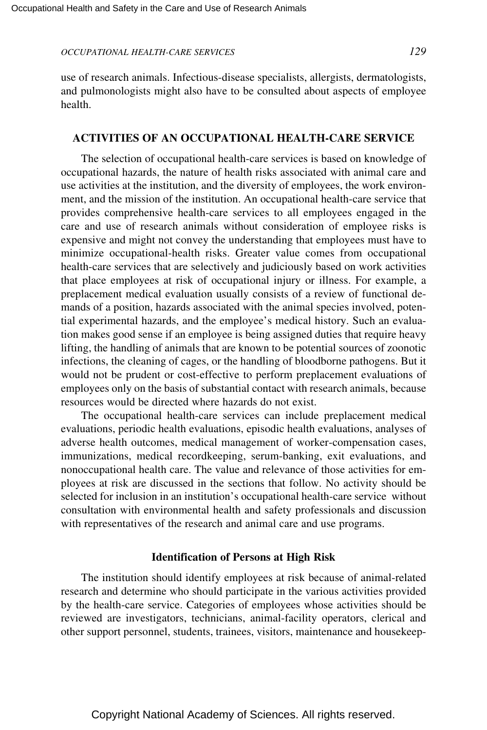*OCCUPATIONAL HEALTH-CARE SERVICES* 

use of research animals. Infectious-disease specialists, allergists, dermatologists, and pulmonologists might also have to be consulted about aspects of employee health.

#### **ACTIVITIES OF AN OCCUPATIONAL HEALTH-CARE SERVICE**

The selection of occupational health-care services is based on knowledge of occupational hazards, the nature of health risks associated with animal care and use activities at the institution, and the diversity of employees, the work environment, and the mission of the institution. An occupational health-care service that provides comprehensive health-care services to all employees engaged in the care and use of research animals without consideration of employee risks is expensive and might not convey the understanding that employees must have to minimize occupational-health risks. Greater value comes from occupational health-care services that are selectively and judiciously based on work activities that place employees at risk of occupational injury or illness. For example, a preplacement medical evaluation usually consists of a review of functional demands of a position, hazards associated with the animal species involved, potential experimental hazards, and the employee's medical history. Such an evaluation makes good sense if an employee is being assigned duties that require heavy lifting, the handling of animals that are known to be potential sources of zoonotic infections, the cleaning of cages, or the handling of bloodborne pathogens. But it would not be prudent or cost-effective to perform preplacement evaluations of employees only on the basis of substantial contact with research animals, because resources would be directed where hazards do not exist.

The occupational health-care services can include preplacement medical evaluations, periodic health evaluations, episodic health evaluations, analyses of adverse health outcomes, medical management of worker-compensation cases, immunizations, medical recordkeeping, serum-banking, exit evaluations, and nonoccupational health care. The value and relevance of those activities for employees at risk are discussed in the sections that follow. No activity should be selected for inclusion in an institution's occupational health-care service without consultation with environmental health and safety professionals and discussion with representatives of the research and animal care and use programs.

#### **Identification of Persons at High Risk**

The institution should identify employees at risk because of animal-related research and determine who should participate in the various activities provided by the health-care service. Categories of employees whose activities should be reviewed are investigators, technicians, animal-facility operators, clerical and other support personnel, students, trainees, visitors, maintenance and housekeep-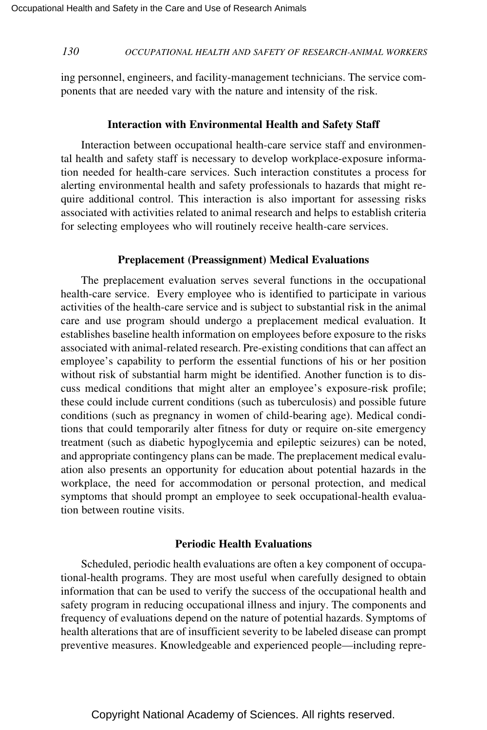ing personnel, engineers, and facility-management technicians. The service components that are needed vary with the nature and intensity of the risk.

## **Interaction with Environmental Health and Safety Staff**

Interaction between occupational health-care service staff and environmental health and safety staff is necessary to develop workplace-exposure information needed for health-care services. Such interaction constitutes a process for alerting environmental health and safety professionals to hazards that might require additional control. This interaction is also important for assessing risks associated with activities related to animal research and helps to establish criteria for selecting employees who will routinely receive health-care services.

## **Preplacement (Preassignment) Medical Evaluations**

The preplacement evaluation serves several functions in the occupational health-care service. Every employee who is identified to participate in various activities of the health-care service and is subject to substantial risk in the animal care and use program should undergo a preplacement medical evaluation. It establishes baseline health information on employees before exposure to the risks associated with animal-related research. Pre-existing conditions that can affect an employee's capability to perform the essential functions of his or her position without risk of substantial harm might be identified. Another function is to discuss medical conditions that might alter an employee's exposure-risk profile; these could include current conditions (such as tuberculosis) and possible future conditions (such as pregnancy in women of child-bearing age). Medical conditions that could temporarily alter fitness for duty or require on-site emergency treatment (such as diabetic hypoglycemia and epileptic seizures) can be noted, and appropriate contingency plans can be made. The preplacement medical evaluation also presents an opportunity for education about potential hazards in the workplace, the need for accommodation or personal protection, and medical symptoms that should prompt an employee to seek occupational-health evaluation between routine visits.

#### **Periodic Health Evaluations**

Scheduled, periodic health evaluations are often a key component of occupational-health programs. They are most useful when carefully designed to obtain information that can be used to verify the success of the occupational health and safety program in reducing occupational illness and injury. The components and frequency of evaluations depend on the nature of potential hazards. Symptoms of health alterations that are of insufficient severity to be labeled disease can prompt preventive measures. Knowledgeable and experienced people—including repre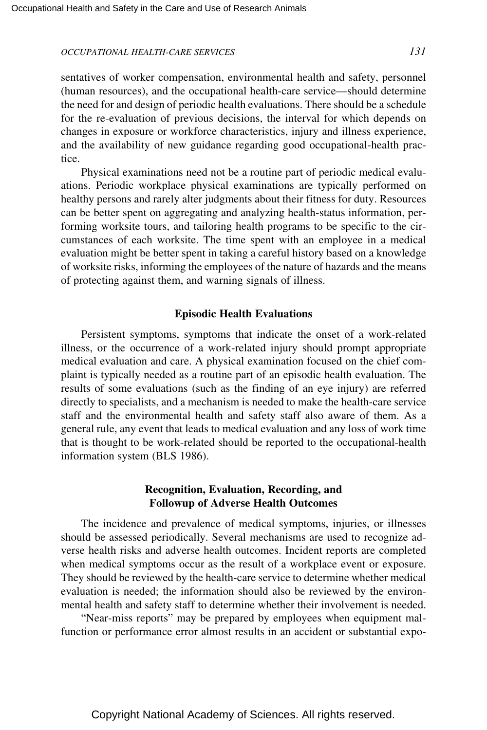*OCCUPATIONAL HEALTH-CARE SERVICES* 

sentatives of worker compensation, environmental health and safety, personnel (human resources), and the occupational health-care service—should determine the need for and design of periodic health evaluations. There should be a schedule for the re-evaluation of previous decisions, the interval for which depends on changes in exposure or workforce characteristics, injury and illness experience, and the availability of new guidance regarding good occupational-health practice.

Physical examinations need not be a routine part of periodic medical evaluations. Periodic workplace physical examinations are typically performed on healthy persons and rarely alter judgments about their fitness for duty. Resources can be better spent on aggregating and analyzing health-status information, performing worksite tours, and tailoring health programs to be specific to the circumstances of each worksite. The time spent with an employee in a medical evaluation might be better spent in taking a careful history based on a knowledge of worksite risks, informing the employees of the nature of hazards and the means of protecting against them, and warning signals of illness.

#### **Episodic Health Evaluations**

Persistent symptoms, symptoms that indicate the onset of a work-related illness, or the occurrence of a work-related injury should prompt appropriate medical evaluation and care. A physical examination focused on the chief complaint is typically needed as a routine part of an episodic health evaluation. The results of some evaluations (such as the finding of an eye injury) are referred directly to specialists, and a mechanism is needed to make the health-care service staff and the environmental health and safety staff also aware of them. As a general rule, any event that leads to medical evaluation and any loss of work time that is thought to be work-related should be reported to the occupational-health information system (BLS 1986).

## **Recognition, Evaluation, Recording, and Followup of Adverse Health Outcomes**

The incidence and prevalence of medical symptoms, injuries, or illnesses should be assessed periodically. Several mechanisms are used to recognize adverse health risks and adverse health outcomes. Incident reports are completed when medical symptoms occur as the result of a workplace event or exposure. They should be reviewed by the health-care service to determine whether medical evaluation is needed; the information should also be reviewed by the environmental health and safety staff to determine whether their involvement is needed.

"Near-miss reports" may be prepared by employees when equipment malfunction or performance error almost results in an accident or substantial expo-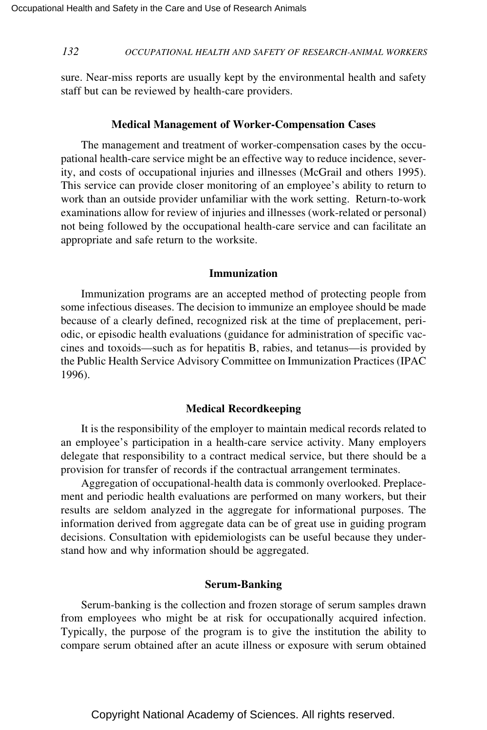sure. Near-miss reports are usually kept by the environmental health and safety staff but can be reviewed by health-care providers.

#### **Medical Management of Worker-Compensation Cases**

The management and treatment of worker-compensation cases by the occupational health-care service might be an effective way to reduce incidence, severity, and costs of occupational injuries and illnesses (McGrail and others 1995). This service can provide closer monitoring of an employee's ability to return to work than an outside provider unfamiliar with the work setting. Return-to-work examinations allow for review of injuries and illnesses (work-related or personal) not being followed by the occupational health-care service and can facilitate an appropriate and safe return to the worksite.

#### **Immunization**

Immunization programs are an accepted method of protecting people from some infectious diseases. The decision to immunize an employee should be made because of a clearly defined, recognized risk at the time of preplacement, periodic, or episodic health evaluations (guidance for administration of specific vaccines and toxoids—such as for hepatitis B, rabies, and tetanus—is provided by the Public Health Service Advisory Committee on Immunization Practices (IPAC 1996).

#### **Medical Recordkeeping**

It is the responsibility of the employer to maintain medical records related to an employee's participation in a health-care service activity. Many employers delegate that responsibility to a contract medical service, but there should be a provision for transfer of records if the contractual arrangement terminates.

Aggregation of occupational-health data is commonly overlooked. Preplacement and periodic health evaluations are performed on many workers, but their results are seldom analyzed in the aggregate for informational purposes. The information derived from aggregate data can be of great use in guiding program decisions. Consultation with epidemiologists can be useful because they understand how and why information should be aggregated.

#### **Serum-Banking**

Serum-banking is the collection and frozen storage of serum samples drawn from employees who might be at risk for occupationally acquired infection. Typically, the purpose of the program is to give the institution the ability to compare serum obtained after an acute illness or exposure with serum obtained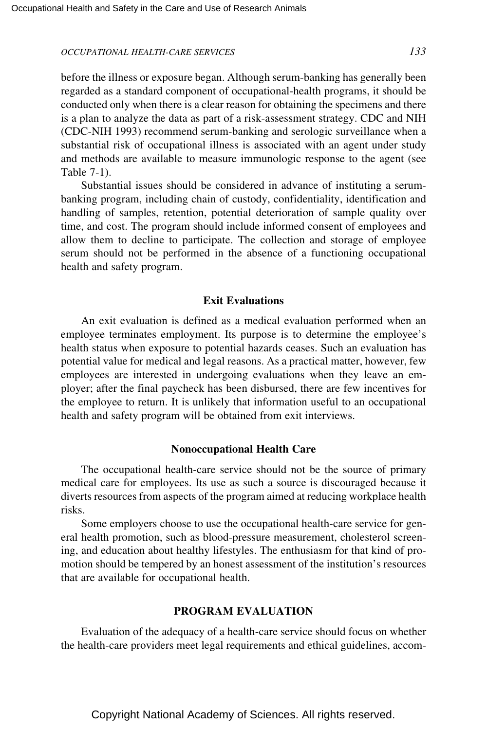*OCCUPATIONAL HEALTH-CARE SERVICES* 

before the illness or exposure began. Although serum-banking has generally been regarded as a standard component of occupational-health programs, it should be conducted only when there is a clear reason for obtaining the specimens and there is a plan to analyze the data as part of a risk-assessment strategy. CDC and NIH (CDC-NIH 1993) recommend serum-banking and serologic surveillance when a substantial risk of occupational illness is associated with an agent under study and methods are available to measure immunologic response to the agent (see Table 7-1).

Substantial issues should be considered in advance of instituting a serumbanking program, including chain of custody, confidentiality, identification and handling of samples, retention, potential deterioration of sample quality over time, and cost. The program should include informed consent of employees and allow them to decline to participate. The collection and storage of employee serum should not be performed in the absence of a functioning occupational health and safety program.

#### **Exit Evaluations**

An exit evaluation is defined as a medical evaluation performed when an employee terminates employment. Its purpose is to determine the employee's health status when exposure to potential hazards ceases. Such an evaluation has potential value for medical and legal reasons. As a practical matter, however, few employees are interested in undergoing evaluations when they leave an employer; after the final paycheck has been disbursed, there are few incentives for the employee to return. It is unlikely that information useful to an occupational health and safety program will be obtained from exit interviews.

#### **Nonoccupational Health Care**

The occupational health-care service should not be the source of primary medical care for employees. Its use as such a source is discouraged because it diverts resources from aspects of the program aimed at reducing workplace health risks.

Some employers choose to use the occupational health-care service for general health promotion, such as blood-pressure measurement, cholesterol screening, and education about healthy lifestyles. The enthusiasm for that kind of promotion should be tempered by an honest assessment of the institution's resources that are available for occupational health.

#### **PROGRAM EVALUATION**

Evaluation of the adequacy of a health-care service should focus on whether the health-care providers meet legal requirements and ethical guidelines, accom-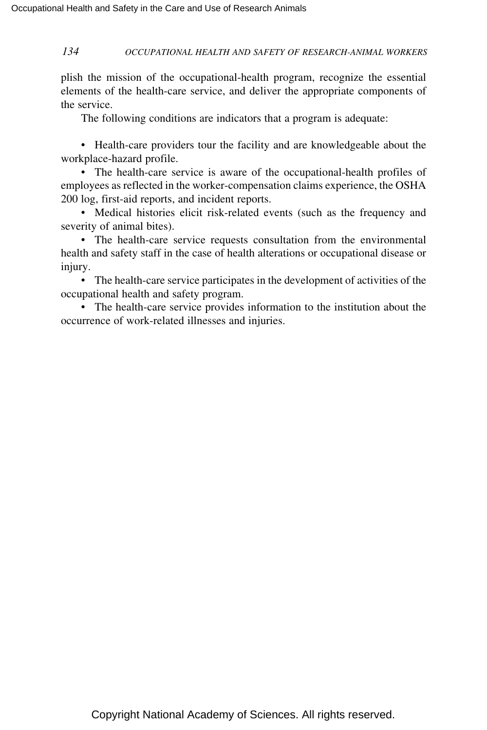plish the mission of the occupational-health program, recognize the essential elements of the health-care service, and deliver the appropriate components of the service.

The following conditions are indicators that a program is adequate:

• Health-care providers tour the facility and are knowledgeable about the workplace-hazard profile.

• The health-care service is aware of the occupational-health profiles of employees as reflected in the worker-compensation claims experience, the OSHA 200 log, first-aid reports, and incident reports.

• Medical histories elicit risk-related events (such as the frequency and severity of animal bites).

• The health-care service requests consultation from the environmental health and safety staff in the case of health alterations or occupational disease or injury.

• The health-care service participates in the development of activities of the occupational health and safety program.

• The health-care service provides information to the institution about the occurrence of work-related illnesses and injuries.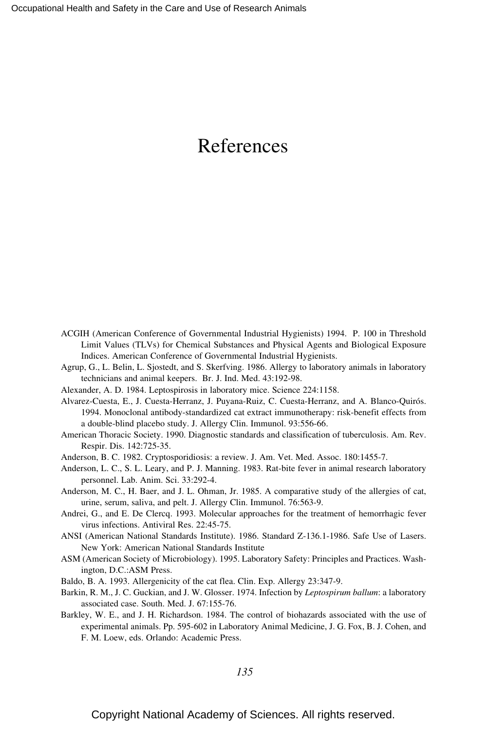# References

- ACGIH (American Conference of Governmental Industrial Hygienists) 1994. P. 100 in Threshold Limit Values (TLVs) for Chemical Substances and Physical Agents and Biological Exposure Indices. American Conference of Governmental Industrial Hygienists.
- Agrup, G., L. Belin, L. Sjostedt, and S. Skerfving. 1986. Allergy to laboratory animals in laboratory technicians and animal keepers. Br. J. Ind. Med. 43:192-98.
- Alexander, A. D. 1984. Leptospirosis in laboratory mice. Science 224:1158.
- Alvarez-Cuesta, E., J. Cuesta-Herranz, J. Puyana-Ruiz, C. Cuesta-Herranz, and A. Blanco-Quirós. 1994. Monoclonal antibody-standardized cat extract immunotherapy: risk-benefit effects from a double-blind placebo study. J. Allergy Clin. Immunol. 93:556-66.
- American Thoracic Society. 1990. Diagnostic standards and classification of tuberculosis. Am. Rev. Respir. Dis. 142:725-35.
- Anderson, B. C. 1982. Cryptosporidiosis: a review. J. Am. Vet. Med. Assoc. 180:1455-7.
- Anderson, L. C., S. L. Leary, and P. J. Manning. 1983. Rat-bite fever in animal research laboratory personnel. Lab. Anim. Sci. 33:292-4.
- Anderson, M. C., H. Baer, and J. L. Ohman, Jr. 1985. A comparative study of the allergies of cat, urine, serum, saliva, and pelt. J. Allergy Clin. Immunol. 76:563-9.
- Andrei, G., and E. De Clercq. 1993. Molecular approaches for the treatment of hemorrhagic fever virus infections. Antiviral Res. 22:45-75.
- ANSI (American National Standards Institute). 1986. Standard Z-136.1-1986. Safe Use of Lasers. New York: American National Standards Institute
- ASM (American Society of Microbiology). 1995. Laboratory Safety: Principles and Practices. Washington, D.C.:ASM Press.
- Baldo, B. A. 1993. Allergenicity of the cat flea. Clin. Exp. Allergy 23:347-9.
- Barkin, R. M., J. C. Guckian, and J. W. Glosser. 1974. Infection by *Leptospirum ballum*: a laboratory associated case. South. Med. J. 67:155-76.
- Barkley, W. E., and J. H. Richardson. 1984. The control of biohazards associated with the use of experimental animals. Pp. 595-602 in Laboratory Animal Medicine, J. G. Fox, B. J. Cohen, and F. M. Loew, eds. Orlando: Academic Press.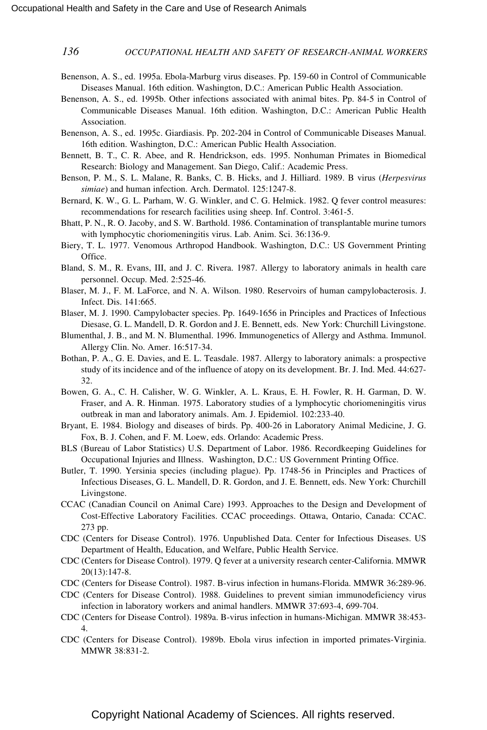- Benenson, A. S., ed. 1995a. Ebola-Marburg virus diseases. Pp. 159-60 in Control of Communicable Diseases Manual. 16th edition. Washington, D.C.: American Public Health Association.
- Benenson, A. S., ed. 1995b. Other infections associated with animal bites. Pp. 84-5 in Control of Communicable Diseases Manual. 16th edition. Washington, D.C.: American Public Health Association.
- Benenson, A. S., ed. 1995c. Giardiasis. Pp. 202-204 in Control of Communicable Diseases Manual. 16th edition. Washington, D.C.: American Public Health Association.
- Bennett, B. T., C. R. Abee, and R. Hendrickson, eds. 1995. Nonhuman Primates in Biomedical Research: Biology and Management. San Diego, Calif.: Academic Press.
- Benson, P. M., S. L. Malane, R. Banks, C. B. Hicks, and J. Hilliard. 1989. B virus (*Herpesvirus simiae*) and human infection. Arch. Dermatol. 125:1247-8.
- Bernard, K. W., G. L. Parham, W. G. Winkler, and C. G. Helmick. 1982. Q fever control measures: recommendations for research facilities using sheep. Inf. Control. 3:461-5.
- Bhatt, P. N., R. O. Jacoby, and S. W. Barthold. 1986. Contamination of transplantable murine tumors with lymphocytic choriomeningitis virus. Lab. Anim. Sci. 36:136-9.
- Biery, T. L. 1977. Venomous Arthropod Handbook. Washington, D.C.: US Government Printing Office.
- Bland, S. M., R. Evans, III, and J. C. Rivera. 1987. Allergy to laboratory animals in health care personnel. Occup. Med. 2:525-46.
- Blaser, M. J., F. M. LaForce, and N. A. Wilson. 1980. Reservoirs of human campylobacterosis. J. Infect. Dis. 141:665.
- Blaser, M. J. 1990. Campylobacter species. Pp. 1649-1656 in Principles and Practices of Infectious Diesase, G. L. Mandell, D. R. Gordon and J. E. Bennett, eds. New York: Churchill Livingstone.
- Blumenthal, J. B., and M. N. Blumenthal. 1996. Immunogenetics of Allergy and Asthma. Immunol. Allergy Clin. No. Amer. 16:517-34.
- Bothan, P. A., G. E. Davies, and E. L. Teasdale. 1987. Allergy to laboratory animals: a prospective study of its incidence and of the influence of atopy on its development. Br. J. Ind. Med. 44:627- 32.
- Bowen, G. A., C. H. Calisher, W. G. Winkler, A. L. Kraus, E. H. Fowler, R. H. Garman, D. W. Fraser, and A. R. Hinman. 1975. Laboratory studies of a lymphocytic choriomeningitis virus outbreak in man and laboratory animals. Am. J. Epidemiol. 102:233-40.
- Bryant, E. 1984. Biology and diseases of birds. Pp. 400-26 in Laboratory Animal Medicine, J. G. Fox, B. J. Cohen, and F. M. Loew, eds. Orlando: Academic Press.
- BLS (Bureau of Labor Statistics) U.S. Department of Labor. 1986. Recordkeeping Guidelines for Occupational Injuries and Illness. Washington, D.C.: US Government Printing Office.
- Butler, T. 1990. Yersinia species (including plague). Pp. 1748-56 in Principles and Practices of Infectious Diseases, G. L. Mandell, D. R. Gordon, and J. E. Bennett, eds. New York: Churchill Livingstone.
- CCAC (Canadian Council on Animal Care) 1993. Approaches to the Design and Development of Cost-Effective Laboratory Facilities. CCAC proceedings. Ottawa, Ontario, Canada: CCAC. 273 pp.
- CDC (Centers for Disease Control). 1976. Unpublished Data. Center for Infectious Diseases. US Department of Health, Education, and Welfare, Public Health Service.
- CDC (Centers for Disease Control). 1979. Q fever at a university research center-California. MMWR 20(13):147-8.
- CDC (Centers for Disease Control). 1987. B-virus infection in humans-Florida. MMWR 36:289-96.
- CDC (Centers for Disease Control). 1988. Guidelines to prevent simian immunodeficiency virus infection in laboratory workers and animal handlers. MMWR 37:693-4, 699-704.
- CDC (Centers for Disease Control). 1989a. B-virus infection in humans-Michigan. MMWR 38:453- 4.
- CDC (Centers for Disease Control). 1989b. Ebola virus infection in imported primates-Virginia. MMWR 38:831-2.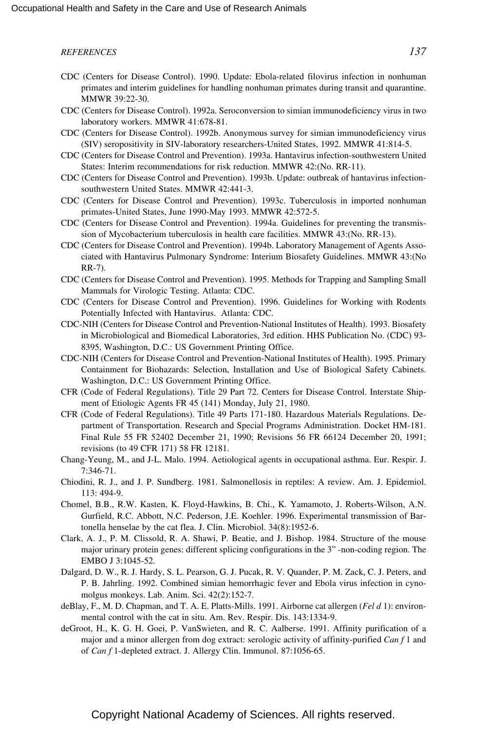- CDC (Centers for Disease Control). 1990. Update: Ebola-related filovirus infection in nonhuman primates and interim guidelines for handling nonhuman primates during transit and quarantine. MMWR 39:22-30.
- CDC (Centers for Disease Control). 1992a. Seroconversion to simian immunodeficiency virus in two laboratory workers. MMWR 41:678-81.
- CDC (Centers for Disease Control). 1992b. Anonymous survey for simian immunodeficiency virus (SIV) seropositivity in SIV-laboratory researchers-United States, 1992. MMWR 41:814-5.
- CDC (Centers for Disease Control and Prevention). 1993a. Hantavirus infection-southwestern United States: Interim recommendations for risk reduction. MMWR 42:(No. RR-11).
- CDC (Centers for Disease Control and Prevention). 1993b. Update: outbreak of hantavirus infectionsouthwestern United States. MMWR 42:441-3.
- CDC (Centers for Disease Control and Prevention). 1993c. Tuberculosis in imported nonhuman primates-United States, June 1990-May 1993. MMWR 42:572-5.
- CDC (Centers for Disease Control and Prevention). 1994a. Guidelines for preventing the transmission of Mycobacterium tuberculosis in health care facilities. MMWR 43:(No. RR-13).
- CDC (Centers for Disease Control and Prevention). 1994b. Laboratory Management of Agents Associated with Hantavirus Pulmonary Syndrome: Interium Biosafety Guidelines. MMWR 43:(No RR-7).
- CDC (Centers for Disease Control and Prevention). 1995. Methods for Trapping and Sampling Small Mammals for Virologic Testing. Atlanta: CDC.
- CDC (Centers for Disease Control and Prevention). 1996. Guidelines for Working with Rodents Potentially Infected with Hantavirus. Atlanta: CDC.
- CDC-NIH (Centers for Disease Control and Prevention-National Institutes of Health). 1993. Biosafety in Microbiological and Biomedical Laboratories, 3rd edition. HHS Publication No. (CDC) 93- 8395, Washington, D.C.: US Government Printing Office.
- CDC-NIH (Centers for Disease Control and Prevention-National Institutes of Health). 1995. Primary Containment for Biohazards: Selection, Installation and Use of Biological Safety Cabinets. Washington, D.C.: US Government Printing Office.
- CFR (Code of Federal Regulations). Title 29 Part 72. Centers for Disease Control. Interstate Shipment of Etiologic Agents FR 45 (141) Monday, July 21, 1980.
- CFR (Code of Federal Regulations). Title 49 Parts 171-180. Hazardous Materials Regulations. Department of Transportation. Research and Special Programs Administration. Docket HM-181. Final Rule 55 FR 52402 December 21, 1990; Revisions 56 FR 66124 December 20, 1991; revisions (to 49 CFR 171) 58 FR 12181.
- Chang-Yeung, M., and J-L. Malo. 1994. Aetiological agents in occupational asthma. Eur. Respir. J. 7:346-71.
- Chiodini, R. J., and J. P. Sundberg. 1981. Salmonellosis in reptiles: A review. Am. J. Epidemiol. 113: 494-9.
- Chomel, B.B., R.W. Kasten, K. Floyd-Hawkins, B. Chi., K. Yamamoto, J. Roberts-Wilson, A.N. Gurfield, R.C. Abbott, N.C. Pederson, J.E. Koehler. 1996. Experimental transmission of Bartonella henselae by the cat flea. J. Clin. Microbiol. 34(8):1952-6.
- Clark, A. J., P. M. Clissold, R. A. Shawi, P. Beatie, and J. Bishop. 1984. Structure of the mouse major urinary protein genes: different splicing configurations in the 3" -non-coding region. The EMBO J 3:1045-52.
- Dalgard, D. W., R. J. Hardy, S. L. Pearson, G. J. Pucak, R. V. Quander, P. M. Zack, C. J. Peters, and P. B. Jahrling. 1992. Combined simian hemorrhagic fever and Ebola virus infection in cynomolgus monkeys. Lab. Anim. Sci. 42(2):152-7.
- deBlay, F., M. D. Chapman, and T. A. E. Platts-Mills. 1991. Airborne cat allergen (*Fel d* 1): environmental control with the cat in situ. Am. Rev. Respir. Dis. 143:1334-9.
- deGroot, H., K. G. H. Goei, P. VanSwieten, and R. C. Aalberse. 1991. Affinity purification of a major and a minor allergen from dog extract: serologic activity of affinity-purified *Can f* 1 and of *Can f* 1-depleted extract. J. Allergy Clin. Immunol. 87:1056-65.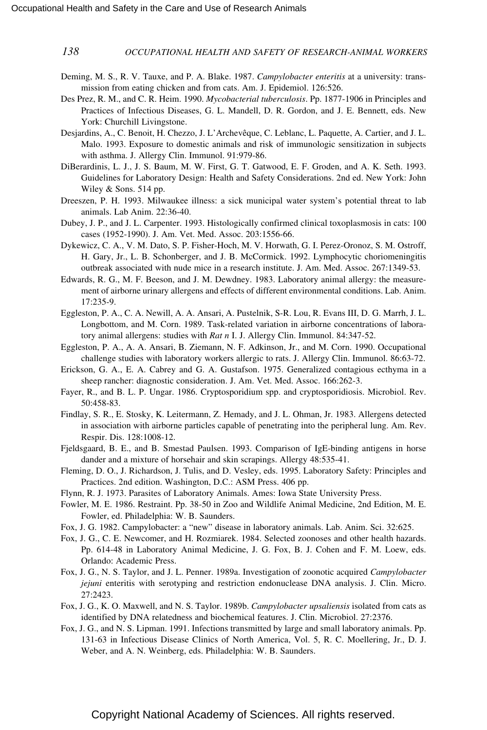- Deming, M. S., R. V. Tauxe, and P. A. Blake. 1987. *Campylobacter enteritis* at a university: transmission from eating chicken and from cats. Am. J. Epidemiol. 126:526.
- Des Prez, R. M., and C. R. Heim. 1990. *Mycobacterial tuberculosis*. Pp. 1877-1906 in Principles and Practices of Infectious Diseases, G. L. Mandell, D. R. Gordon, and J. E. Bennett, eds. New York: Churchill Livingstone.
- Desjardins, A., C. Benoit, H. Chezzo, J. L'Archevêque, C. Leblanc, L. Paquette, A. Cartier, and J. L. Malo. 1993. Exposure to domestic animals and risk of immunologic sensitization in subjects with asthma. J. Allergy Clin. Immunol. 91:979-86.
- DiBerardinis, L. J., J. S. Baum, M. W. First, G. T. Gatwood, E. F. Groden, and A. K. Seth. 1993. Guidelines for Laboratory Design: Health and Safety Considerations. 2nd ed. New York: John Wiley & Sons. 514 pp.
- Dreeszen, P. H. 1993. Milwaukee illness: a sick municipal water system's potential threat to lab animals. Lab Anim. 22:36-40.
- Dubey, J. P., and J. L. Carpenter. 1993. Histologically confirmed clinical toxoplasmosis in cats: 100 cases (1952-1990). J. Am. Vet. Med. Assoc. 203:1556-66.
- Dykewicz, C. A., V. M. Dato, S. P. Fisher-Hoch, M. V. Horwath, G. I. Perez-Oronoz, S. M. Ostroff, H. Gary, Jr., L. B. Schonberger, and J. B. McCormick. 1992. Lymphocytic choriomeningitis outbreak associated with nude mice in a research institute. J. Am. Med. Assoc. 267:1349-53.
- Edwards, R. G., M. F. Beeson, and J. M. Dewdney. 1983. Laboratory animal allergy: the measurement of airborne urinary allergens and effects of different environmental conditions. Lab. Anim. 17:235-9.
- Eggleston, P. A., C. A. Newill, A. A. Ansari, A. Pustelnik, S-R. Lou, R. Evans III, D. G. Marrh, J. L. Longbottom, and M. Corn. 1989. Task-related variation in airborne concentrations of laboratory animal allergens: studies with *Rat n* I. J. Allergy Clin. Immunol. 84:347-52.
- Eggleston, P. A., A. A. Ansari, B. Ziemann, N. F. Adkinson, Jr., and M. Corn. 1990. Occupational challenge studies with laboratory workers allergic to rats. J. Allergy Clin. Immunol. 86:63-72.
- Erickson, G. A., E. A. Cabrey and G. A. Gustafson. 1975. Generalized contagious ecthyma in a sheep rancher: diagnostic consideration. J. Am. Vet. Med. Assoc. 166:262-3.
- Fayer, R., and B. L. P. Ungar. 1986. Cryptosporidium spp. and cryptosporidiosis. Microbiol. Rev. 50:458-83.
- Findlay, S. R., E. Stosky, K. Leitermann, Z. Hemady, and J. L. Ohman, Jr. 1983. Allergens detected in association with airborne particles capable of penetrating into the peripheral lung. Am. Rev. Respir. Dis. 128:1008-12.
- Fjeldsgaard, B. E., and B. Smestad Paulsen. 1993. Comparison of IgE-binding antigens in horse dander and a mixture of horsehair and skin scrapings. Allergy 48:535-41.
- Fleming, D. O., J. Richardson, J. Tulis, and D. Vesley, eds. 1995. Laboratory Safety: Principles and Practices. 2nd edition. Washington, D.C.: ASM Press. 406 pp.
- Flynn, R. J. 1973. Parasites of Laboratory Animals. Ames: Iowa State University Press.
- Fowler, M. E. 1986. Restraint. Pp. 38-50 in Zoo and Wildlife Animal Medicine, 2nd Edition, M. E. Fowler, ed. Philadelphia: W. B. Saunders.
- Fox, J. G. 1982. Campylobacter: a "new" disease in laboratory animals. Lab. Anim. Sci. 32:625.
- Fox, J. G., C. E. Newcomer, and H. Rozmiarek. 1984. Selected zoonoses and other health hazards. Pp. 614-48 in Laboratory Animal Medicine, J. G. Fox, B. J. Cohen and F. M. Loew, eds. Orlando: Academic Press.
- Fox, J. G., N. S. Taylor, and J. L. Penner. 1989a. Investigation of zoonotic acquired *Campylobacter jejuni* enteritis with serotyping and restriction endonuclease DNA analysis. J. Clin. Micro. 27:2423.
- Fox, J. G., K. O. Maxwell, and N. S. Taylor. 1989b. *Campylobacter upsaliensis* isolated from cats as identified by DNA relatedness and biochemical features. J. Clin. Microbiol. 27:2376.
- Fox, J. G., and N. S. Lipman. 1991. Infections transmitted by large and small laboratory animals. Pp. 131-63 in Infectious Disease Clinics of North America, Vol. 5, R. C. Moellering, Jr., D. J. Weber, and A. N. Weinberg, eds. Philadelphia: W. B. Saunders.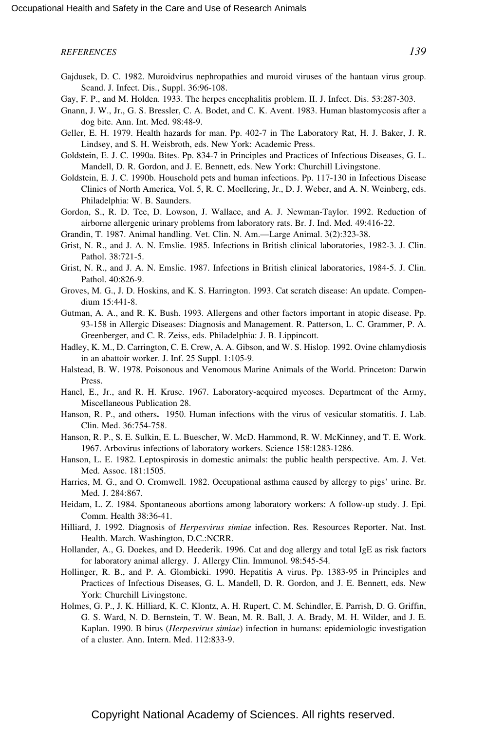- Gajdusek, D. C. 1982. Muroidvirus nephropathies and muroid viruses of the hantaan virus group. Scand. J. Infect. Dis., Suppl. 36:96-108.
- Gay, F. P., and M. Holden. 1933. The herpes encephalitis problem. II. J. Infect. Dis. 53:287-303.
- Gnann, J. W., Jr., G. S. Bressler, C. A. Bodet, and C. K. Avent. 1983. Human blastomycosis after a dog bite. Ann. Int. Med. 98:48-9.
- Geller, E. H. 1979. Health hazards for man. Pp. 402-7 in The Laboratory Rat, H. J. Baker, J. R. Lindsey, and S. H. Weisbroth, eds. New York: Academic Press.
- Goldstein, E. J. C. 1990a. Bites. Pp. 834-7 in Principles and Practices of Infectious Diseases, G. L. Mandell, D. R. Gordon, and J. E. Bennett, eds. New York: Churchill Livingstone.
- Goldstein, E. J. C. 1990b. Household pets and human infections. Pp. 117-130 in Infectious Disease Clinics of North America, Vol. 5, R. C. Moellering, Jr., D. J. Weber, and A. N. Weinberg, eds. Philadelphia: W. B. Saunders.
- Gordon, S., R. D. Tee, D. Lowson, J. Wallace, and A. J. Newman-Taylor. 1992. Reduction of airborne allergenic urinary problems from laboratory rats. Br. J. Ind. Med. 49:416-22.
- Grandin, T. 1987. Animal handling. Vet. Clin. N. Am.—Large Animal. 3(2):323-38.
- Grist, N. R., and J. A. N. Emslie. 1985. Infections in British clinical laboratories, 1982-3. J. Clin. Pathol. 38:721-5.
- Grist, N. R., and J. A. N. Emslie. 1987. Infections in British clinical laboratories, 1984-5. J. Clin. Pathol. 40:826-9.
- Groves, M. G., J. D. Hoskins, and K. S. Harrington. 1993. Cat scratch disease: An update. Compendium 15:441-8.
- Gutman, A. A., and R. K. Bush. 1993. Allergens and other factors important in atopic disease. Pp. 93-158 in Allergic Diseases: Diagnosis and Management. R. Patterson, L. C. Grammer, P. A. Greenberger, and C. R. Zeiss, eds. Philadelphia: J. B. Lippincott.
- Hadley, K. M., D. Carrington, C. E. Crew, A. A. Gibson, and W. S. Hislop. 1992. Ovine chlamydiosis in an abattoir worker. J. Inf. 25 Suppl. 1:105-9.
- Halstead, B. W. 1978. Poisonous and Venomous Marine Animals of the World. Princeton: Darwin Press.
- Hanel, E., Jr., and R. H. Kruse. 1967. Laboratory-acquired mycoses. Department of the Army, Miscellaneous Publication 28.
- Hanson, R. P., and others**.** 1950. Human infections with the virus of vesicular stomatitis. J. Lab. Clin. Med. 36:754-758.
- Hanson, R. P., S. E. Sulkin, E. L. Buescher, W. McD. Hammond, R. W. McKinney, and T. E. Work. 1967. Arbovirus infections of laboratory workers. Science 158:1283-1286.
- Hanson, L. E. 1982. Leptospirosis in domestic animals: the public health perspective. Am. J. Vet. Med. Assoc. 181:1505.
- Harries, M. G., and O. Cromwell. 1982. Occupational asthma caused by allergy to pigs' urine. Br. Med. J. 284:867.
- Heidam, L. Z. 1984. Spontaneous abortions among laboratory workers: A follow-up study. J. Epi. Comm. Health 38:36-41.
- Hilliard, J. 1992. Diagnosis of *Herpesvirus simiae* infection. Res. Resources Reporter. Nat. Inst. Health. March. Washington, D.C.:NCRR.
- Hollander, A., G. Doekes, and D. Heederik. 1996. Cat and dog allergy and total IgE as risk factors for laboratory animal allergy. J. Allergy Clin. Immunol. 98:545-54.
- Hollinger, R. B., and P. A. Glombicki. 1990. Hepatitis A virus. Pp. 1383-95 in Principles and Practices of Infectious Diseases, G. L. Mandell, D. R. Gordon, and J. E. Bennett, eds. New York: Churchill Livingstone.
- Holmes, G. P., J. K. Hilliard, K. C. Klontz, A. H. Rupert, C. M. Schindler, E. Parrish, D. G. Griffin, G. S. Ward, N. D. Bernstein, T. W. Bean, M. R. Ball, J. A. Brady, M. H. Wilder, and J. E. Kaplan. 1990. B birus (*Herpesvirus simiae*) infection in humans: epidemiologic investigation of a cluster. Ann. Intern. Med. 112:833-9.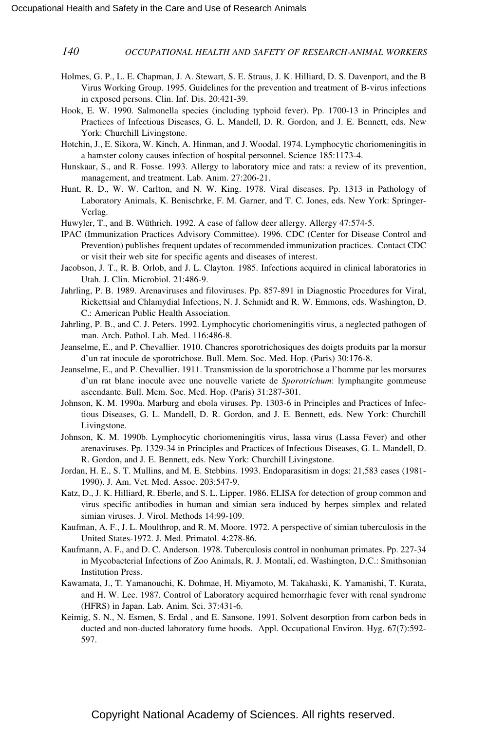- Holmes, G. P., L. E. Chapman, J. A. Stewart, S. E. Straus, J. K. Hilliard, D. S. Davenport, and the B Virus Working Group. 1995. Guidelines for the prevention and treatment of B-virus infections in exposed persons. Clin. Inf. Dis. 20:421-39.
- Hook, E. W. 1990. Salmonella species (including typhoid fever). Pp. 1700-13 in Principles and Practices of Infectious Diseases, G. L. Mandell, D. R. Gordon, and J. E. Bennett, eds. New York: Churchill Livingstone.
- Hotchin, J., E. Sikora, W. Kinch, A. Hinman, and J. Woodal. 1974. Lymphocytic choriomeningitis in a hamster colony causes infection of hospital personnel. Science 185:1173-4.
- Hunskaar, S., and R. Fosse. 1993. Allergy to laboratory mice and rats: a review of its prevention, management, and treatment. Lab. Anim. 27:206-21.
- Hunt, R. D., W. W. Carlton, and N. W. King. 1978. Viral diseases. Pp. 1313 in Pathology of Laboratory Animals, K. Benischrke, F. M. Garner, and T. C. Jones, eds. New York: Springer-Verlag.
- Huwyler, T., and B. Wüthrich. 1992. A case of fallow deer allergy. Allergy 47:574-5.
- IPAC (Immunization Practices Advisory Committee). 1996. CDC (Center for Disease Control and Prevention) publishes frequent updates of recommended immunization practices. Contact CDC or visit their web site for specific agents and diseases of interest.
- Jacobson, J. T., R. B. Orlob, and J. L. Clayton. 1985. Infections acquired in clinical laboratories in Utah. J. Clin. Microbiol. 21:486-9.
- Jahrling, P. B. 1989. Arenaviruses and filoviruses. Pp. 857-891 in Diagnostic Procedures for Viral, Rickettsial and Chlamydial Infections, N. J. Schmidt and R. W. Emmons, eds. Washington, D. C.: American Public Health Association.
- Jahrling, P. B., and C. J. Peters. 1992. Lymphocytic choriomeningitis virus, a neglected pathogen of man. Arch. Pathol. Lab. Med. 116:486-8.
- Jeanselme, E., and P. Chevallier. 1910. Chancres sporotrichosiques des doigts produits par la morsur d'un rat inocule de sporotrichose. Bull. Mem. Soc. Med. Hop. (Paris) 30:176-8.
- Jeanselme, E., and P. Chevallier. 1911. Transmission de la sporotrichose a l'homme par les morsures d'un rat blanc inocule avec une nouvelle variete de *Sporotrichum*: lymphangite gommeuse ascendante. Bull. Mem. Soc. Med. Hop. (Paris) 31:287-301.
- Johnson, K. M. 1990a. Marburg and ebola viruses. Pp. 1303-6 in Principles and Practices of Infectious Diseases, G. L. Mandell, D. R. Gordon, and J. E. Bennett, eds. New York: Churchill Livingstone.
- Johnson, K. M. 1990b. Lymphocytic choriomeningitis virus, lassa virus (Lassa Fever) and other arenaviruses. Pp. 1329-34 in Principles and Practices of Infectious Diseases, G. L. Mandell, D. R. Gordon, and J. E. Bennett, eds. New York: Churchill Livingstone.
- Jordan, H. E., S. T. Mullins, and M. E. Stebbins. 1993. Endoparasitism in dogs: 21,583 cases (1981- 1990). J. Am. Vet. Med. Assoc. 203:547-9.
- Katz, D., J. K. Hilliard, R. Eberle, and S. L. Lipper. 1986. ELISA for detection of group common and virus specific antibodies in human and simian sera induced by herpes simplex and related simian viruses. J. Virol. Methods 14:99-109.
- Kaufman, A. F., J. L. Moulthrop, and R. M. Moore. 1972. A perspective of simian tuberculosis in the United States-1972. J. Med. Primatol. 4:278-86.
- Kaufmann, A. F., and D. C. Anderson. 1978. Tuberculosis control in nonhuman primates. Pp. 227-34 in Mycobacterial Infections of Zoo Animals, R. J. Montali, ed. Washington, D.C.: Smithsonian Institution Press.
- Kawamata, J., T. Yamanouchi, K. Dohmae, H. Miyamoto, M. Takahaski, K. Yamanishi, T. Kurata, and H. W. Lee. 1987. Control of Laboratory acquired hemorrhagic fever with renal syndrome (HFRS) in Japan. Lab. Anim. Sci. 37:431-6.
- Keimig, S. N., N. Esmen, S. Erdal , and E. Sansone. 1991. Solvent desorption from carbon beds in ducted and non-ducted laboratory fume hoods. Appl. Occupational Environ. Hyg. 67(7):592- 597.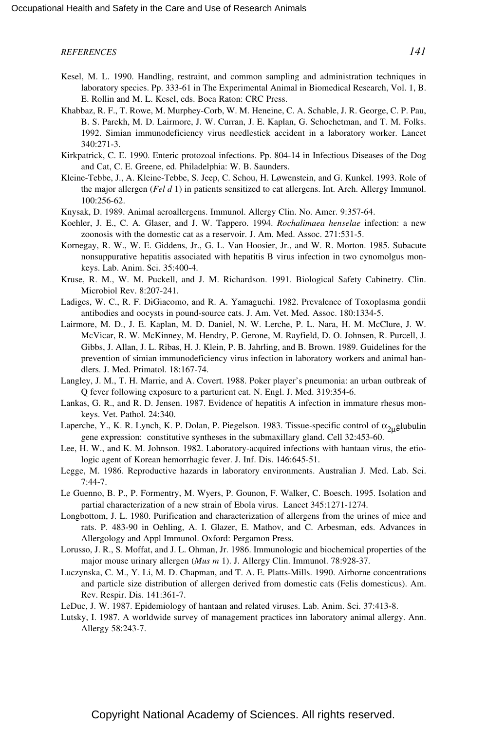- Kesel, M. L. 1990. Handling, restraint, and common sampling and administration techniques in laboratory species. Pp. 333-61 in The Experimental Animal in Biomedical Research, Vol. 1, B. E. Rollin and M. L. Kesel, eds. Boca Raton: CRC Press.
- Khabbaz, R. F., T. Rowe, M. Murphey-Corb, W. M. Heneine, C. A. Schable, J. R. George, C. P. Pau, B. S. Parekh, M. D. Lairmore, J. W. Curran, J. E. Kaplan, G. Schochetman, and T. M. Folks. 1992. Simian immunodeficiency virus needlestick accident in a laboratory worker. Lancet 340:271-3.
- Kirkpatrick, C. E. 1990. Enteric protozoal infections. Pp. 804-14 in Infectious Diseases of the Dog and Cat, C. E. Greene, ed. Philadelphia: W. B. Saunders.
- Kleine-Tebbe, J., A. Kleine-Tebbe, S. Jeep, C. Schou, H. Løwenstein, and G. Kunkel. 1993. Role of the major allergen (*Fel d* 1) in patients sensitized to cat allergens. Int. Arch. Allergy Immunol. 100:256-62.
- Knysak, D. 1989. Animal aeroallergens. Immunol. Allergy Clin. No. Amer. 9:357-64.
- Koehler, J. E., C. A. Glaser, and J. W. Tappero. 1994. *Rochalimaea henselae* infection: a new zoonosis with the domestic cat as a reservoir. J. Am. Med. Assoc. 271:531-5.
- Kornegay, R. W., W. E. Giddens, Jr., G. L. Van Hoosier, Jr., and W. R. Morton. 1985. Subacute nonsuppurative hepatitis associated with hepatitis B virus infection in two cynomolgus monkeys. Lab. Anim. Sci. 35:400-4.
- Kruse, R. M., W. M. Puckell, and J. M. Richardson. 1991. Biological Safety Cabinetry. Clin. Microbiol Rev. 8:207-241.
- Ladiges, W. C., R. F. DiGiacomo, and R. A. Yamaguchi. 1982. Prevalence of Toxoplasma gondii antibodies and oocysts in pound-source cats. J. Am. Vet. Med. Assoc. 180:1334-5.
- Lairmore, M. D., J. E. Kaplan, M. D. Daniel, N. W. Lerche, P. L. Nara, H. M. McClure, J. W. McVicar, R. W. McKinney, M. Hendry, P. Gerone, M. Rayfield, D. O. Johnsen, R. Purcell, J. Gibbs, J. Allan, J. L. Ribas, H. J. Klein, P. B. Jahrling, and B. Brown. 1989. Guidelines for the prevention of simian immunodeficiency virus infection in laboratory workers and animal handlers. J. Med. Primatol. 18:167-74.
- Langley, J. M., T. H. Marrie, and A. Covert. 1988. Poker player's pneumonia: an urban outbreak of Q fever following exposure to a parturient cat. N. Engl. J. Med. 319:354-6.
- Lankas, G. R., and R. D. Jensen. 1987. Evidence of hepatitis A infection in immature rhesus monkeys. Vet. Pathol. 24:340.
- Laperche, Y., K. R. Lynch, K. P. Dolan, P. Piegelson. 1983. Tissue-specific control of  $\alpha_{21}$ glubulin gene expression: constitutive syntheses in the submaxillary gland. Cell 32:453-60.
- Lee, H. W., and K. M. Johnson. 1982. Laboratory-acquired infections with hantaan virus, the etiologic agent of Korean hemorrhagic fever. J. Inf. Dis. 146:645-51.
- Legge, M. 1986. Reproductive hazards in laboratory environments. Australian J. Med. Lab. Sci. 7:44-7.
- Le Guenno, B. P., P. Formentry, M. Wyers, P. Gounon, F. Walker, C. Boesch. 1995. Isolation and partial characterization of a new strain of Ebola virus. Lancet 345:1271-1274.
- Longbottom, J. L. 1980. Purification and characterization of allergens from the urines of mice and rats. P. 483-90 in Oehling, A. I. Glazer, E. Mathov, and C. Arbesman, eds. Advances in Allergology and Appl Immunol. Oxford: Pergamon Press.
- Lorusso, J. R., S. Moffat, and J. L. Ohman, Jr. 1986. Immunologic and biochemical properties of the major mouse urinary allergen (*Mus m* 1). J. Allergy Clin. Immunol. 78:928-37.
- Luczynska, C. M., Y. Li, M. D. Chapman, and T. A. E. Platts-Mills. 1990. Airborne concentrations and particle size distribution of allergen derived from domestic cats (Felis domesticus). Am. Rev. Respir. Dis. 141:361-7.
- LeDuc, J. W. 1987. Epidemiology of hantaan and related viruses. Lab. Anim. Sci. 37:413-8.
- Lutsky, I. 1987. A worldwide survey of management practices inn laboratory animal allergy. Ann. Allergy 58:243-7.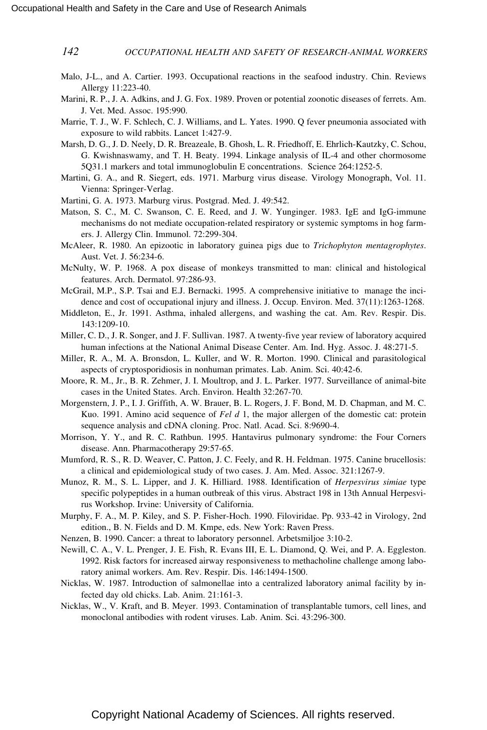- Malo, J-L., and A. Cartier. 1993. Occupational reactions in the seafood industry. Chin. Reviews Allergy 11:223-40.
- Marini, R. P., J. A. Adkins, and J. G. Fox. 1989. Proven or potential zoonotic diseases of ferrets. Am. J. Vet. Med. Assoc. 195:990.
- Marrie, T. J., W. F. Schlech, C. J. Williams, and L. Yates. 1990. Q fever pneumonia associated with exposure to wild rabbits. Lancet 1:427-9.
- Marsh, D. G., J. D. Neely, D. R. Breazeale, B. Ghosh, L. R. Friedhoff, E. Ehrlich-Kautzky, C. Schou, G. Kwishnaswamy, and T. H. Beaty. 1994. Linkage analysis of IL-4 and other chormosome 5Q31.1 markers and total immunoglobulin E concentrations. Science 264:1252-5.
- Martini, G. A., and R. Siegert, eds. 1971. Marburg virus disease. Virology Monograph, Vol. 11. Vienna: Springer-Verlag.
- Martini, G. A. 1973. Marburg virus. Postgrad. Med. J. 49:542.
- Matson, S. C., M. C. Swanson, C. E. Reed, and J. W. Yunginger. 1983. IgE and IgG-immune mechanisms do not mediate occupation-related respiratory or systemic symptoms in hog farmers. J. Allergy Clin. Immunol. 72:299-304.
- McAleer, R. 1980. An epizootic in laboratory guinea pigs due to *Trichophyton mentagrophytes*. Aust. Vet. J. 56:234-6.
- McNulty, W. P. 1968. A pox disease of monkeys transmitted to man: clinical and histological features. Arch. Dermatol. 97:286-93.
- McGrail, M.P., S.P. Tsai and E.J. Bernacki. 1995. A comprehensive initiative to manage the incidence and cost of occupational injury and illness. J. Occup. Environ. Med. 37(11):1263-1268.
- Middleton, E., Jr. 1991. Asthma, inhaled allergens, and washing the cat. Am. Rev. Respir. Dis. 143:1209-10.
- Miller, C. D., J. R. Songer, and J. F. Sullivan. 1987. A twenty-five year review of laboratory acquired human infections at the National Animal Disease Center. Am. Ind. Hyg. Assoc. J. 48:271-5.
- Miller, R. A., M. A. Bronsdon, L. Kuller, and W. R. Morton. 1990. Clinical and parasitological aspects of cryptosporidiosis in nonhuman primates. Lab. Anim. Sci. 40:42-6.
- Moore, R. M., Jr., B. R. Zehmer, J. I. Moultrop, and J. L. Parker. 1977. Surveillance of animal-bite cases in the United States. Arch. Environ. Health 32:267-70.
- Morgenstern, J. P., I. J. Griffith, A. W. Brauer, B. L. Rogers, J. F. Bond, M. D. Chapman, and M. C. Kuo. 1991. Amino acid sequence of *Fel d* 1, the major allergen of the domestic cat: protein sequence analysis and cDNA cloning. Proc. Natl. Acad. Sci. 8:9690-4.
- Morrison, Y. Y., and R. C. Rathbun. 1995. Hantavirus pulmonary syndrome: the Four Corners disease. Ann. Pharmacotherapy 29:57-65.
- Mumford, R. S., R. D. Weaver, C. Patton, J. C. Feely, and R. H. Feldman. 1975. Canine brucellosis: a clinical and epidemiological study of two cases. J. Am. Med. Assoc. 321:1267-9.
- Munoz, R. M., S. L. Lipper, and J. K. Hilliard. 1988. Identification of *Herpesvirus simiae* type specific polypeptides in a human outbreak of this virus. Abstract 198 in 13th Annual Herpesvirus Workshop. Irvine: University of California.
- Murphy, F. A., M. P. Kiley, and S. P. Fisher-Hoch. 1990. Filoviridae. Pp. 933-42 in Virology, 2nd edition., B. N. Fields and D. M. Kmpe, eds. New York: Raven Press.
- Nenzen, B. 1990. Cancer: a threat to laboratory personnel. Arbetsmiljoe 3:10-2.
- Newill, C. A., V. L. Prenger, J. E. Fish, R. Evans III, E. L. Diamond, Q. Wei, and P. A. Eggleston. 1992. Risk factors for increased airway responsiveness to methacholine challenge among laboratory animal workers. Am. Rev. Respir. Dis. 146:1494-1500.
- Nicklas, W. 1987. Introduction of salmonellae into a centralized laboratory animal facility by infected day old chicks. Lab. Anim. 21:161-3.
- Nicklas, W., V. Kraft, and B. Meyer. 1993. Contamination of transplantable tumors, cell lines, and monoclonal antibodies with rodent viruses. Lab. Anim. Sci. 43:296-300.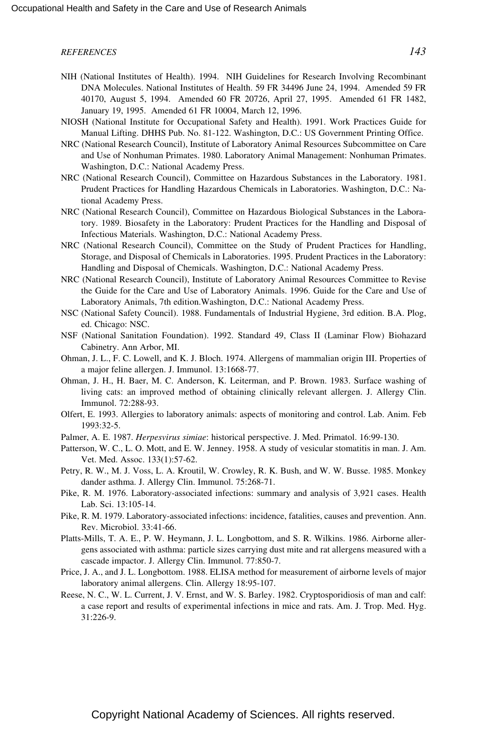- NIH (National Institutes of Health). 1994. NIH Guidelines for Research Involving Recombinant DNA Molecules. National Institutes of Health. 59 FR 34496 June 24, 1994. Amended 59 FR 40170, August 5, 1994. Amended 60 FR 20726, April 27, 1995. Amended 61 FR 1482, January 19, 1995. Amended 61 FR 10004, March 12, 1996.
- NIOSH (National Institute for Occupational Safety and Health). 1991. Work Practices Guide for Manual Lifting. DHHS Pub. No. 81-122. Washington, D.C.: US Government Printing Office.
- NRC (National Research Council), Institute of Laboratory Animal Resources Subcommittee on Care and Use of Nonhuman Primates. 1980. Laboratory Animal Management: Nonhuman Primates. Washington, D.C.: National Academy Press.
- NRC (National Research Council), Committee on Hazardous Substances in the Laboratory. 1981. Prudent Practices for Handling Hazardous Chemicals in Laboratories. Washington, D.C.: National Academy Press.
- NRC (National Research Council), Committee on Hazardous Biological Substances in the Laboratory. 1989. Biosafety in the Laboratory: Prudent Practices for the Handling and Disposal of Infectious Materials. Washington, D.C.: National Academy Press.
- NRC (National Research Council), Committee on the Study of Prudent Practices for Handling, Storage, and Disposal of Chemicals in Laboratories. 1995. Prudent Practices in the Laboratory: Handling and Disposal of Chemicals. Washington, D.C.: National Academy Press.
- NRC (National Research Council), Institute of Laboratory Animal Resources Committee to Revise the Guide for the Care and Use of Laboratory Animals. 1996. Guide for the Care and Use of Laboratory Animals, 7th edition.Washington, D.C.: National Academy Press.
- NSC (National Safety Council). 1988. Fundamentals of Industrial Hygiene, 3rd edition. B.A. Plog, ed. Chicago: NSC.
- NSF (National Sanitation Foundation). 1992. Standard 49, Class II (Laminar Flow) Biohazard Cabinetry. Ann Arbor, MI.
- Ohman, J. L., F. C. Lowell, and K. J. Bloch. 1974. Allergens of mammalian origin III. Properties of a major feline allergen. J. Immunol. 13:1668-77.
- Ohman, J. H., H. Baer, M. C. Anderson, K. Leiterman, and P. Brown. 1983. Surface washing of living cats: an improved method of obtaining clinically relevant allergen. J. Allergy Clin. Immunol. 72:288-93.
- Olfert, E. 1993. Allergies to laboratory animals: aspects of monitoring and control. Lab. Anim. Feb 1993:32-5.
- Palmer, A. E. 1987. *Herpesvirus simiae*: historical perspective. J. Med. Primatol. 16:99-130.
- Patterson, W. C., L. O. Mott, and E. W. Jenney. 1958. A study of vesicular stomatitis in man. J. Am. Vet. Med. Assoc. 133(1):57-62.
- Petry, R. W., M. J. Voss, L. A. Kroutil, W. Crowley, R. K. Bush, and W. W. Busse. 1985. Monkey dander asthma. J. Allergy Clin. Immunol. 75:268-71.
- Pike, R. M. 1976. Laboratory-associated infections: summary and analysis of 3,921 cases. Health Lab. Sci. 13:105-14.
- Pike, R. M. 1979. Laboratory-associated infections: incidence, fatalities, causes and prevention. Ann. Rev. Microbiol. 33:41-66.
- Platts-Mills, T. A. E., P. W. Heymann, J. L. Longbottom, and S. R. Wilkins. 1986. Airborne allergens associated with asthma: particle sizes carrying dust mite and rat allergens measured with a cascade impactor. J. Allergy Clin. Immunol. 77:850-7.
- Price, J. A., and J. L. Longbottom. 1988. ELISA method for measurement of airborne levels of major laboratory animal allergens. Clin. Allergy 18:95-107.
- Reese, N. C., W. L. Current, J. V. Ernst, and W. S. Barley. 1982. Cryptosporidiosis of man and calf: a case report and results of experimental infections in mice and rats. Am. J. Trop. Med. Hyg. 31:226-9.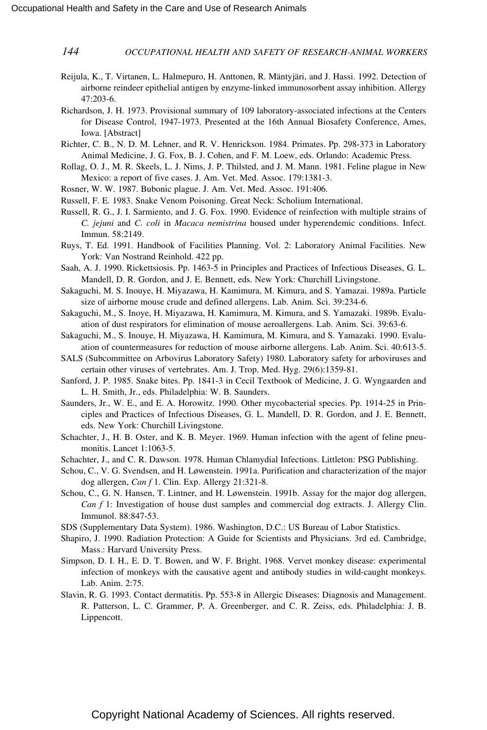- Reijula, K., T. Virtanen, L. Halmepuro, H. Anttonen, R. Mäntyjäri, and J. Hassi. 1992. Detection of airborne reindeer epithelial antigen by enzyme-linked immunosorbent assay inhibition. Allergy 47:203-6.
- Richardson, J. H. 1973. Provisional summary of 109 laboratory-associated infections at the Centers for Disease Control, 1947-1973. Presented at the 16th Annual Biosafety Conference, Ames, Iowa. [Abstract]
- Richter, C. B., N. D. M. Lehner, and R. V. Henrickson. 1984. Primates. Pp. 298-373 in Laboratory Animal Medicine, J. G. Fox, B. J. Cohen, and F. M. Loew, eds. Orlando: Academic Press.
- Rollag, O. J., M. R. Skeels, L. J. Nims, J. P. Thilsted, and J. M. Mann. 1981. Feline plague in New Mexico: a report of five cases. J. Am. Vet. Med. Assoc. 179:1381-3.
- Rosner, W. W. 1987. Bubonic plague. J. Am. Vet. Med. Assoc. 191:406.
- Russell, F. E. 1983. Snake Venom Poisoning. Great Neck: Scholium International.
- Russell, R. G., J. I. Sarmiento, and J. G. Fox. 1990. Evidence of reinfection with multiple strains of *C. jejuni* and *C. coli* in *Macaca nemistrina* housed under hyperendemic conditions. Infect. Immun. 58:2149.
- Ruys, T. Ed. 1991. Handbook of Facilities Planning. Vol. 2: Laboratory Animal Facilities. New York: Van Nostrand Reinhold. 422 pp.
- Saah, A. J. 1990. Rickettsiosis. Pp. 1463-5 in Principles and Practices of Infectious Diseases, G. L. Mandell, D. R. Gordon, and J. E. Bennett, eds. New York: Churchill Livingstone.
- Sakaguchi, M. S. Inouye, H. Miyazawa, H. Kamimura, M. Kimura, and S. Yamazai. 1989a. Particle size of airborne mouse crude and defined allergens. Lab. Anim. Sci. 39:234-6.
- Sakaguchi, M., S. Inoye, H. Miyazawa, H. Kamimura, M. Kimura, and S. Yamazaki. 1989b. Evaluation of dust respirators for elimination of mouse aeroallergens. Lab. Anim. Sci. 39:63-6.
- Sakaguchi, M., S. Inouye, H. Miyazawa, H. Kamimura, M. Kimura, and S. Yamazaki. 1990. Evaluation of countermeasures for reduction of mouse airborne allergens. Lab. Anim. Sci. 40:613-5.
- SALS (Subcommittee on Arbovirus Laboratory Safety) 1980. Laboratory safety for arboviruses and certain other viruses of vertebrates. Am. J. Trop. Med. Hyg. 29(6):1359-81.
- Sanford, J. P. 1985. Snake bites. Pp. 1841-3 in Cecil Textbook of Medicine, J. G. Wyngaarden and L. H. Smith, Jr., eds. Philadelphia: W. B. Saunders.
- Saunders, Jr., W. E., and E. A. Horowitz. 1990. Other mycobacterial species. Pp. 1914-25 in Principles and Practices of Infectious Diseases, G. L. Mandell, D. R. Gordon, and J. E. Bennett, eds. New York: Churchill Livingstone.
- Schachter, J., H. B. Oster, and K. B. Meyer. 1969. Human infection with the agent of feline pneumonitis. Lancet 1:1063-5.
- Schachter, J., and C. R. Dawson. 1978. Human Chlamydial Infections. Littleton: PSG Publishing.
- Schou, C., V. G. Svendsen, and H. Løwenstein. 1991a. Purification and characterization of the major dog allergen, *Can f* 1. Clin. Exp. Allergy 21:321-8.
- Schou, C., G. N. Hansen, T. Lintner, and H. Løwenstein. 1991b. Assay for the major dog allergen, *Can f* 1: Investigation of house dust samples and commercial dog extracts. J. Allergy Clin. Immunol. 88:847-53.
- SDS (Supplementary Data System). 1986. Washington, D.C.: US Bureau of Labor Statistics.
- Shapiro, J. 1990. Radiation Protection: A Guide for Scientists and Physicians. 3rd ed. Cambridge, Mass.: Harvard University Press.
- Simpson, D. I. H., E. D. T. Bowen, and W. F. Bright. 1968. Vervet monkey disease: experimental infection of monkeys with the causative agent and antibody studies in wild-caught monkeys. Lab. Anim. 2:75.
- Slavin, R. G. 1993. Contact dermatitis. Pp. 553-8 in Allergic Diseases: Diagnosis and Management. R. Patterson, L. C. Grammer, P. A. Greenberger, and C. R. Zeiss, eds. Philadelphia: J. B. Lippencott.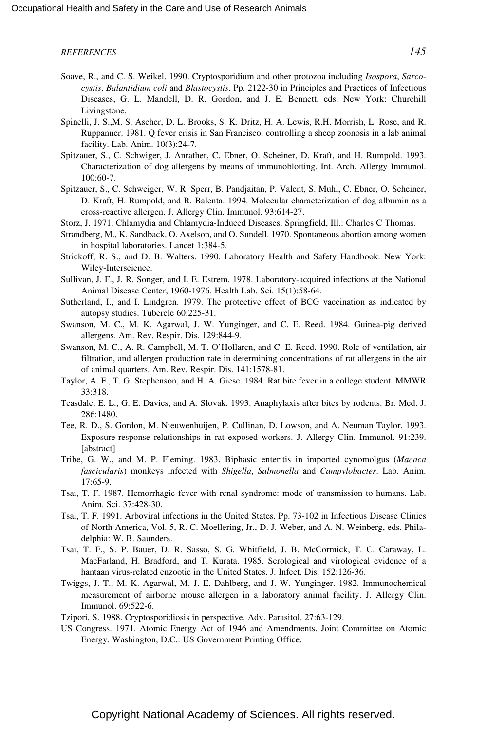- Soave, R., and C. S. Weikel. 1990. Cryptosporidium and other protozoa including *Isospora*, *Sarcocystis*, *Balantidium coli* and *Blastocystis*. Pp. 2122-30 in Principles and Practices of Infectious Diseases, G. L. Mandell, D. R. Gordon, and J. E. Bennett, eds. New York: Churchill Livingstone.
- Spinelli, J. S.,M. S. Ascher, D. L. Brooks, S. K. Dritz, H. A. Lewis, R.H. Morrish, L. Rose, and R. Ruppanner. 1981. Q fever crisis in San Francisco: controlling a sheep zoonosis in a lab animal facility. Lab. Anim. 10(3):24-7.
- Spitzauer, S., C. Schwiger, J. Anrather, C. Ebner, O. Scheiner, D. Kraft, and H. Rumpold. 1993. Characterization of dog allergens by means of immunoblotting. Int. Arch. Allergy Immunol. 100:60-7.
- Spitzauer, S., C. Schweiger, W. R. Sperr, B. Pandjaitan, P. Valent, S. Muhl, C. Ebner, O. Scheiner, D. Kraft, H. Rumpold, and R. Balenta. 1994. Molecular characterization of dog albumin as a cross-reactive allergen. J. Allergy Clin. Immunol. 93:614-27.
- Storz, J. 1971. Chlamydia and Chlamydia-Induced Diseases. Springfield, Ill.: Charles C Thomas.
- Strandberg, M., K. Sandback, O. Axelson, and O. Sundell. 1970. Spontaneous abortion among women in hospital laboratories. Lancet 1:384-5.
- Strickoff, R. S., and D. B. Walters. 1990. Laboratory Health and Safety Handbook. New York: Wiley-Interscience.
- Sullivan, J. F., J. R. Songer, and I. E. Estrem. 1978. Laboratory-acquired infections at the National Animal Disease Center, 1960-1976. Health Lab. Sci. 15(1):58-64.
- Sutherland, I., and I. Lindgren. 1979. The protective effect of BCG vaccination as indicated by autopsy studies. Tubercle 60:225-31.
- Swanson, M. C., M. K. Agarwal, J. W. Yunginger, and C. E. Reed. 1984. Guinea-pig derived allergens. Am. Rev. Respir. Dis. 129:844-9.
- Swanson, M. C., A. R. Campbell, M. T. O'Hollaren, and C. E. Reed. 1990. Role of ventilation, air filtration, and allergen production rate in determining concentrations of rat allergens in the air of animal quarters. Am. Rev. Respir. Dis. 141:1578-81.
- Taylor, A. F., T. G. Stephenson, and H. A. Giese. 1984. Rat bite fever in a college student. MMWR 33:318.
- Teasdale, E. L., G. E. Davies, and A. Slovak. 1993. Anaphylaxis after bites by rodents. Br. Med. J. 286:1480.
- Tee, R. D., S. Gordon, M. Nieuwenhuijen, P. Cullinan, D. Lowson, and A. Neuman Taylor. 1993. Exposure-response relationships in rat exposed workers. J. Allergy Clin. Immunol. 91:239. [abstract]
- Tribe, G. W., and M. P. Fleming. 1983. Biphasic enteritis in imported cynomolgus (*Macaca fascicularis*) monkeys infected with *Shigella*, *Salmonella* and *Campylobacter*. Lab. Anim. 17:65-9.
- Tsai, T. F. 1987. Hemorrhagic fever with renal syndrome: mode of transmission to humans. Lab. Anim. Sci. 37:428-30.
- Tsai, T. F. 1991. Arboviral infections in the United States. Pp. 73-102 in Infectious Disease Clinics of North America, Vol. 5, R. C. Moellering, Jr., D. J. Weber, and A. N. Weinberg, eds. Philadelphia: W. B. Saunders.
- Tsai, T. F., S. P. Bauer, D. R. Sasso, S. G. Whitfield, J. B. McCormick, T. C. Caraway, L. MacFarland, H. Bradford, and T. Kurata. 1985. Serological and virological evidence of a hantaan virus-related enzootic in the United States. J. Infect. Dis. 152:126-36.
- Twiggs, J. T., M. K. Agarwal, M. J. E. Dahlberg, and J. W. Yunginger. 1982. Immunochemical measurement of airborne mouse allergen in a laboratory animal facility. J. Allergy Clin. Immunol. 69:522-6.
- Tzipori, S. 1988. Cryptosporidiosis in perspective. Adv. Parasitol. 27:63-129.
- US Congress. 1971. Atomic Energy Act of 1946 and Amendments. Joint Committee on Atomic Energy. Washington, D.C.: US Government Printing Office.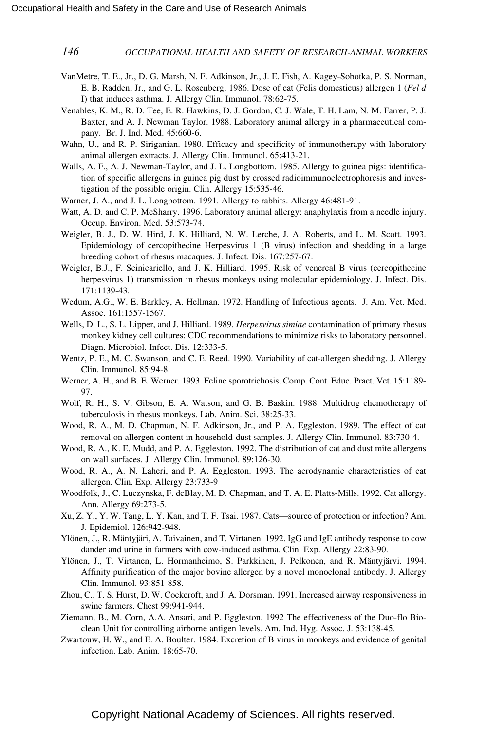- VanMetre, T. E., Jr., D. G. Marsh, N. F. Adkinson, Jr., J. E. Fish, A. Kagey-Sobotka, P. S. Norman, E. B. Radden, Jr., and G. L. Rosenberg. 1986. Dose of cat (Felis domesticus) allergen 1 (*Fel d*  I) that induces asthma. J. Allergy Clin. Immunol. 78:62-75.
- Venables, K. M., R. D. Tee, E. R. Hawkins, D. J. Gordon, C. J. Wale, T. H. Lam, N. M. Farrer, P. J. Baxter, and A. J. Newman Taylor. 1988. Laboratory animal allergy in a pharmaceutical company. Br. J. Ind. Med. 45:660-6.
- Wahn, U., and R. P. Siriganian. 1980. Efficacy and specificity of immunotherapy with laboratory animal allergen extracts. J. Allergy Clin. Immunol. 65:413-21.
- Walls, A. F., A. J. Newman-Taylor, and J. L. Longbottom. 1985. Allergy to guinea pigs: identification of specific allergens in guinea pig dust by crossed radioimmunoelectrophoresis and investigation of the possible origin. Clin. Allergy 15:535-46.
- Warner, J. A., and J. L. Longbottom. 1991. Allergy to rabbits. Allergy 46:481-91.
- Watt, A. D. and C. P. McSharry. 1996. Laboratory animal allergy: anaphylaxis from a needle injury. Occup. Environ. Med. 53:573-74.
- Weigler, B. J., D. W. Hird, J. K. Hilliard, N. W. Lerche, J. A. Roberts, and L. M. Scott. 1993. Epidemiology of cercopithecine Herpesvirus 1 (B virus) infection and shedding in a large breeding cohort of rhesus macaques. J. Infect. Dis. 167:257-67.
- Weigler, B.J., F. Scinicariello, and J. K. Hilliard. 1995. Risk of venereal B virus (cercopithecine herpesvirus 1) transmission in rhesus monkeys using molecular epidemiology. J. Infect. Dis. 171:1139-43.
- Wedum, A.G., W. E. Barkley, A. Hellman. 1972. Handling of Infectious agents. J. Am. Vet. Med. Assoc. 161:1557-1567.
- Wells, D. L., S. L. Lipper, and J. Hilliard. 1989. *Herpesvirus simiae* contamination of primary rhesus monkey kidney cell cultures: CDC recommendations to minimize risks to laboratory personnel. Diagn. Microbiol. Infect. Dis. 12:333-5.
- Wentz, P. E., M. C. Swanson, and C. E. Reed. 1990. Variability of cat-allergen shedding. J. Allergy Clin. Immunol. 85:94-8.
- Werner, A. H., and B. E. Werner. 1993. Feline sporotrichosis. Comp. Cont. Educ. Pract. Vet. 15:1189- 97.
- Wolf, R. H., S. V. Gibson, E. A. Watson, and G. B. Baskin. 1988. Multidrug chemotherapy of tuberculosis in rhesus monkeys. Lab. Anim. Sci. 38:25-33.
- Wood, R. A., M. D. Chapman, N. F. Adkinson, Jr., and P. A. Eggleston. 1989. The effect of cat removal on allergen content in household-dust samples. J. Allergy Clin. Immunol. 83:730-4.
- Wood, R. A., K. E. Mudd, and P. A. Eggleston. 1992. The distribution of cat and dust mite allergens on wall surfaces. J. Allergy Clin. Immunol. 89:126-30.
- Wood, R. A., A. N. Laheri, and P. A. Eggleston. 1993. The aerodynamic characteristics of cat allergen. Clin. Exp. Allergy 23:733-9
- Woodfolk, J., C. Luczynska, F. deBlay, M. D. Chapman, and T. A. E. Platts-Mills. 1992. Cat allergy. Ann. Allergy 69:273-5.
- Xu, Z. Y., Y. W. Tang, L. Y. Kan, and T. F. Tsai. 1987. Cats—source of protection or infection? Am. J. Epidemiol. 126:942-948.
- Ylönen, J., R. Mäntyjäri, A. Taivainen, and T. Virtanen. 1992. IgG and IgE antibody response to cow dander and urine in farmers with cow-induced asthma. Clin. Exp. Allergy 22:83-90.
- Ylönen, J., T. Virtanen, L. Hormanheimo, S. Parkkinen, J. Pelkonen, and R. Mäntyjärvi. 1994. Affinity purification of the major bovine allergen by a novel monoclonal antibody. J. Allergy Clin. Immunol. 93:851-858.
- Zhou, C., T. S. Hurst, D. W. Cockcroft, and J. A. Dorsman. 1991. Increased airway responsiveness in swine farmers. Chest 99:941-944.
- Ziemann, B., M. Corn, A.A. Ansari, and P. Eggleston. 1992 The effectiveness of the Duo-flo Bioclean Unit for controlling airborne antigen levels. Am. Ind. Hyg. Assoc. J. 53:138-45.
- Zwartouw, H. W., and E. A. Boulter. 1984. Excretion of B virus in monkeys and evidence of genital infection. Lab. Anim. 18:65-70.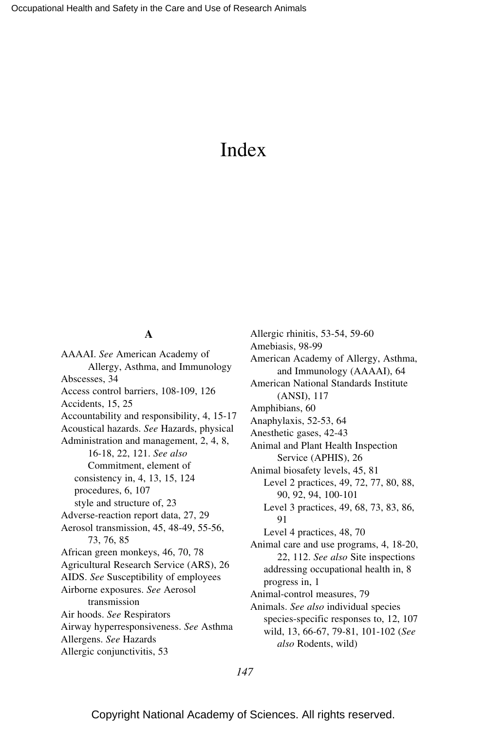# Index

# **A**

AAAAI. *See* American Academy of Allergy, Asthma, and Immunology Abscesses, 34 Access control barriers, 108-109, 126 Accidents, 15, 25 Accountability and responsibility, 4, 15-17 Acoustical hazards. *See* Hazards, physical Administration and management, 2, 4, 8, 16-18, 22, 121. *See also*  Commitment, element of consistency in, 4, 13, 15, 124 procedures, 6, 107 style and structure of, 23 Adverse-reaction report data, 27, 29 Aerosol transmission, 45, 48-49, 55-56, 73, 76, 85 African green monkeys, 46, 70, 78 Agricultural Research Service (ARS), 26 AIDS. *See* Susceptibility of employees Airborne exposures. *See* Aerosol transmission Air hoods. *See* Respirators Airway hyperresponsiveness. *See* Asthma Allergens. *See* Hazards Allergic conjunctivitis, 53

Allergic rhinitis, 53-54, 59-60 Amebiasis, 98-99 American Academy of Allergy, Asthma, and Immunology (AAAAI), 64 American National Standards Institute (ANSI), 117 Amphibians, 60 Anaphylaxis, 52-53, 64 Anesthetic gases, 42-43 Animal and Plant Health Inspection Service (APHIS), 26 Animal biosafety levels, 45, 81 Level 2 practices, 49, 72, 77, 80, 88, 90, 92, 94, 100-101 Level 3 practices, 49, 68, 73, 83, 86, 91 Level 4 practices, 48, 70 Animal care and use programs, 4, 18-20, 22, 112. *See also* Site inspections addressing occupational health in, 8 progress in, 1 Animal-control measures, 79 Animals. *See also* individual species species-specific responses to, 12, 107 wild, 13, 66-67, 79-81, 101-102 (*See also* Rodents, wild)

*147*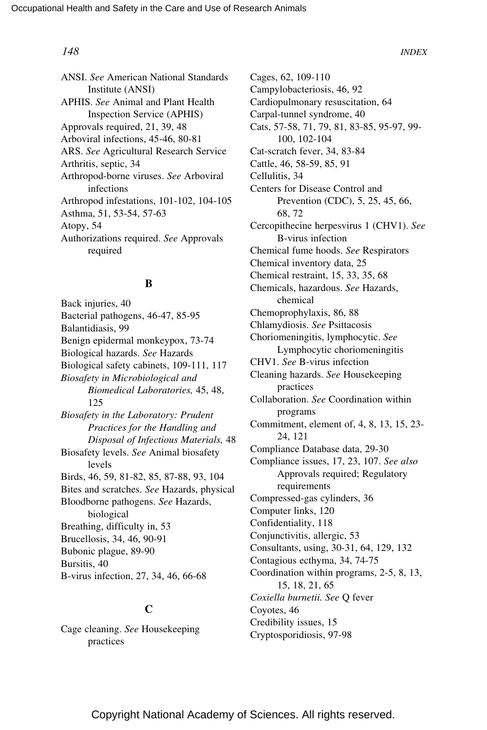#### *148 INDEX*

ANSI. *See* American National Standards Institute (ANSI) APHIS. *See* Animal and Plant Health Inspection Service (APHIS) Approvals required, 21, 39, 48 Arboviral infections, 45-46, 80-81 ARS. *See* Agricultural Research Service Arthritis, septic, 34 Arthropod-borne viruses. *See* Arboviral infections Arthropod infestations, 101-102, 104-105 Asthma, 51, 53-54, 57-63 Atopy, 54 Authorizations required. *See* Approvals required

#### **B**

Back injuries, 40 Bacterial pathogens, 46-47, 85-95 Balantidiasis, 99 Benign epidermal monkeypox, 73-74 Biological hazards. *See* Hazards Biological safety cabinets, 109-111, 117 *Biosafety in Microbiological and Biomedical Laboratories,* 45, 48, 125 *Biosafety in the Laboratory: Prudent Practices for the Handling and Disposal of Infectious Materials,* 48 Biosafety levels. *See* Animal biosafety levels Birds, 46, 59, 81-82, 85, 87-88, 93, 104 Bites and scratches. *See* Hazards, physical Bloodborne pathogens. *See* Hazards, biological Breathing, difficulty in, 53 Brucellosis, 34, 46, 90-91 Bubonic plague, 89-90 Bursitis, 40 B-virus infection, 27, 34, 46, 66-68

# **C**

Cage cleaning. *See* Housekeeping practices

Cages, 62, 109-110 Campylobacteriosis, 46, 92 Cardiopulmonary resuscitation, 64 Carpal-tunnel syndrome, 40 Cats, 57-58, 71, 79, 81, 83-85, 95-97, 99- 100, 102-104 Cat-scratch fever, 34, 83-84 Cattle, 46, 58-59, 85, 91 Cellulitis, 34 Centers for Disease Control and Prevention (CDC), 5, 25, 45, 66, 68, 72 Cercopithecine herpesvirus 1 (CHV1). *See*  B-virus infection Chemical fume hoods. *See* Respirators Chemical inventory data, 25 Chemical restraint, 15, 33, 35, 68 Chemicals, hazardous. *See* Hazards, chemical Chemoprophylaxis, 86, 88 Chlamydiosis. *See* Psittacosis Choriomeningitis, lymphocytic. *See*  Lymphocytic choriomeningitis CHV1. *See* B-virus infection Cleaning hazards. *See* Housekeeping practices Collaboration. *See* Coordination within programs Commitment, element of, 4, 8, 13, 15, 23- 24, 121 Compliance Database data, 29-30 Compliance issues, 17, 23, 107. *See also*  Approvals required; Regulatory requirements Compressed-gas cylinders, 36 Computer links, 120 Confidentiality, 118 Conjunctivitis, allergic, 53 Consultants, using, 30-31, 64, 129, 132 Contagious ecthyma, 34, 74-75 Coordination within programs, 2-5, 8, 13, 15, 18, 21, 65 *Coxiella burnetii. See* Q fever Coyotes, 46 Credibility issues, 15 Cryptosporidiosis, 97-98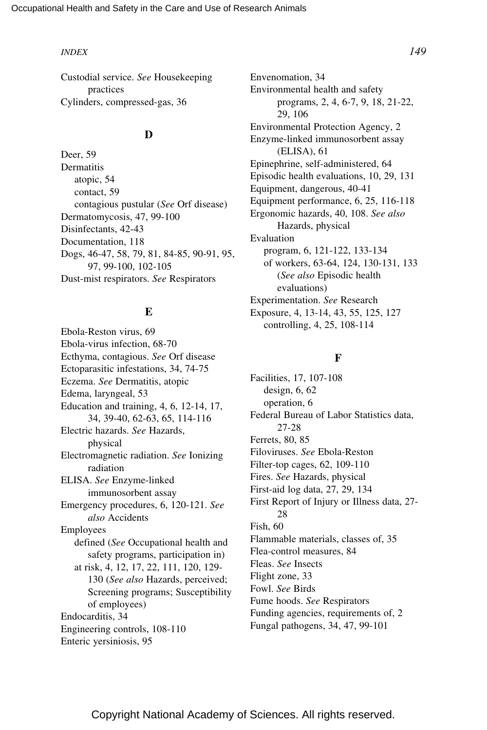#### *INDEX 149*

Custodial service. *See* Housekeeping practices Cylinders, compressed-gas, 36

#### **D**

Deer, 59 **Dermatitis** atopic, 54 contact, 59 contagious pustular (*See* Orf disease) Dermatomycosis, 47, 99-100 Disinfectants, 42-43 Documentation, 118 Dogs, 46-47, 58, 79, 81, 84-85, 90-91, 95, 97, 99-100, 102-105 Dust-mist respirators. *See* Respirators

#### **E**

Ebola-Reston virus, 69 Ebola-virus infection, 68-70 Ecthyma, contagious. *See* Orf disease Ectoparasitic infestations, 34, 74-75 Eczema. *See* Dermatitis, atopic Edema, laryngeal, 53 Education and training, 4, 6, 12-14, 17, 34, 39-40, 62-63, 65, 114-116 Electric hazards. *See* Hazards, physical Electromagnetic radiation. *See* Ionizing radiation ELISA. *See* Enzyme-linked immunosorbent assay Emergency procedures, 6, 120-121. *See also* Accidents Employees defined (*See* Occupational health and safety programs, participation in) at risk, 4, 12, 17, 22, 111, 120, 129- 130 (*See also* Hazards, perceived; Screening programs; Susceptibility of employees) Endocarditis, 34 Engineering controls, 108-110 Enteric yersiniosis, 95

Envenomation, 34 Environmental health and safety programs, 2, 4, 6-7, 9, 18, 21-22, 29, 106 Environmental Protection Agency, 2 Enzyme-linked immunosorbent assay (ELISA), 61 Epinephrine, self-administered, 64 Episodic health evaluations, 10, 29, 131 Equipment, dangerous, 40-41 Equipment performance, 6, 25, 116-118 Ergonomic hazards, 40, 108. *See also*  Hazards, physical Evaluation program, 6, 121-122, 133-134 of workers, 63-64, 124, 130-131, 133 (*See also* Episodic health evaluations) Experimentation. *See* Research Exposure, 4, 13-14, 43, 55, 125, 127 controlling, 4, 25, 108-114

# **F**

Facilities, 17, 107-108 design, 6, 62 operation, 6 Federal Bureau of Labor Statistics data, 27-28 Ferrets, 80, 85 Filoviruses. *See* Ebola-Reston Filter-top cages, 62, 109-110 Fires. *See* Hazards, physical First-aid log data, 27, 29, 134 First Report of Injury or Illness data, 27- 28 Fish, 60 Flammable materials, classes of, 35 Flea-control measures, 84 Fleas. *See* Insects Flight zone, 33 Fowl. *See* Birds Fume hoods. *See* Respirators Funding agencies, requirements of, 2 Fungal pathogens, 34, 47, 99-101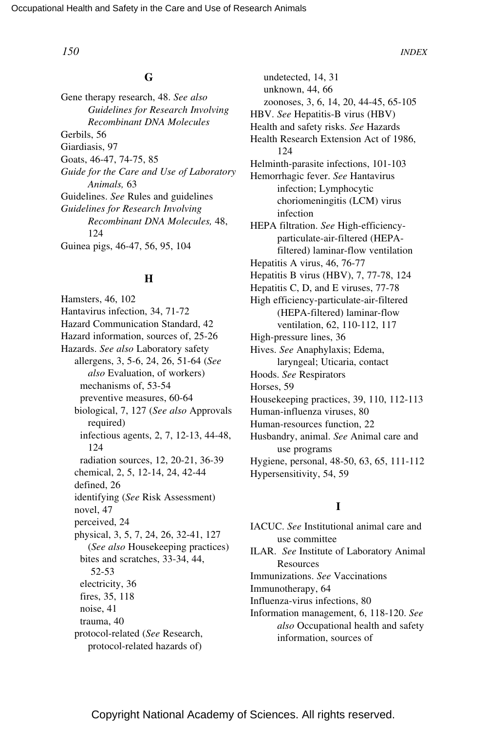Gene therapy research, 48. *See also Guidelines for Research Involving Recombinant DNA Molecules*  Gerbils, 56 Giardiasis, 97 Goats, 46-47, 74-75, 85

**G** 

*Guide for the Care and Use of Laboratory Animals,* 63

Guidelines. *See* Rules and guidelines

*Guidelines for Research Involving* 

*Recombinant DNA Molecules,* 48, 124

Guinea pigs, 46-47, 56, 95, 104

#### **H**

Hamsters, 46, 102 Hantavirus infection, 34, 71-72 Hazard Communication Standard, 42 Hazard information, sources of, 25-26 Hazards. *See also* Laboratory safety allergens, 3, 5-6, 24, 26, 51-64 (*See also* Evaluation, of workers) mechanisms of, 53-54 preventive measures, 60-64 biological, 7, 127 (*See also* Approvals required) infectious agents, 2, 7, 12-13, 44-48, 124 radiation sources, 12, 20-21, 36-39 chemical, 2, 5, 12-14, 24, 42-44 defined, 26 identifying (*See* Risk Assessment) novel, 47 perceived, 24 physical, 3, 5, 7, 24, 26, 32-41, 127 (*See also* Housekeeping practices) bites and scratches, 33-34, 44, 52-53 electricity, 36 fires, 35, 118 noise, 41 trauma, 40 protocol-related (*See* Research, protocol-related hazards of)

undetected, 14, 31 unknown, 44, 66 zoonoses, 3, 6, 14, 20, 44-45, 65-105 HBV. *See* Hepatitis-B virus (HBV) Health and safety risks. *See* Hazards Health Research Extension Act of 1986, 124 Helminth-parasite infections, 101-103 Hemorrhagic fever. *See* Hantavirus infection; Lymphocytic choriomeningitis (LCM) virus infection HEPA filtration. *See* High-efficiencyparticulate-air-filtered (HEPAfiltered) laminar-flow ventilation Hepatitis A virus, 46, 76-77 Hepatitis B virus (HBV), 7, 77-78, 124 Hepatitis C, D, and E viruses, 77-78 High efficiency-particulate-air-filtered (HEPA-filtered) laminar-flow ventilation, 62, 110-112, 117 High-pressure lines, 36 Hives. *See* Anaphylaxis; Edema, laryngeal; Uticaria, contact Hoods. *See* Respirators Horses, 59 Housekeeping practices, 39, 110, 112-113 Human-influenza viruses, 80 Human-resources function, 22 Husbandry, animal. *See* Animal care and use programs Hygiene, personal, 48-50, 63, 65, 111-112 Hypersensitivity, 54, 59

# **I**

IACUC. *See* Institutional animal care and use committee ILAR. *See* Institute of Laboratory Animal Resources Immunizations. *See* Vaccinations Immunotherapy, 64 Influenza-virus infections, 80 Information management, 6, 118-120. *See also* Occupational health and safety information, sources of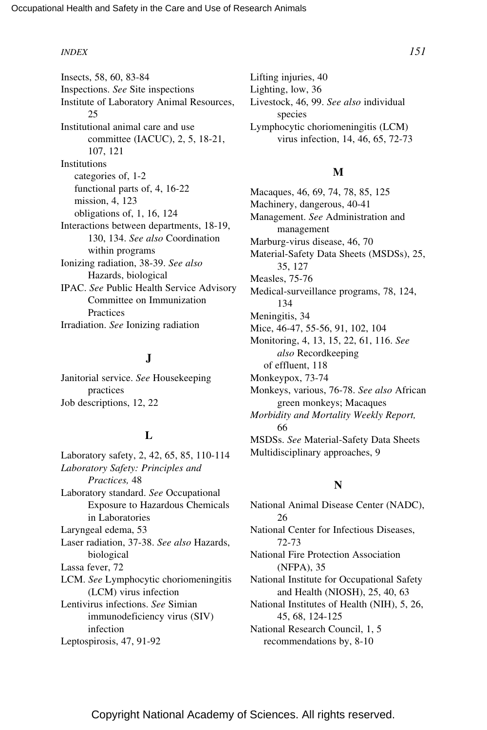#### *INDEX 151*

Insects, 58, 60, 83-84 Inspections. *See* Site inspections Institute of Laboratory Animal Resources, 25 Institutional animal care and use committee (IACUC), 2, 5, 18-21, 107, 121 Institutions categories of, 1-2 functional parts of, 4, 16-22 mission, 4, 123 obligations of, 1, 16, 124 Interactions between departments, 18-19, 130, 134. *See also* Coordination within programs Ionizing radiation, 38-39. *See also*  Hazards, biological IPAC. *See* Public Health Service Advisory Committee on Immunization Practices Irradiation. *See* Ionizing radiation

### **J**

Janitorial service. *See* Housekeeping practices Job descriptions, 12, 22

#### **L**

Laboratory safety, 2, 42, 65, 85, 110-114 *Laboratory Safety: Principles and Practices,* 48 Laboratory standard. *See* Occupational Exposure to Hazardous Chemicals in Laboratories Laryngeal edema, 53 Laser radiation, 37-38. *See also* Hazards, biological Lassa fever, 72 LCM. *See* Lymphocytic choriomeningitis (LCM) virus infection Lentivirus infections. *See* Simian immunodeficiency virus (SIV) infection Leptospirosis, 47, 91-92

Lifting injuries, 40 Lighting, low, 36 Livestock, 46, 99. *See also* individual species Lymphocytic choriomeningitis (LCM) virus infection, 14, 46, 65, 72-73

#### **M**

Macaques, 46, 69, 74, 78, 85, 125 Machinery, dangerous, 40-41 Management. *See* Administration and management Marburg-virus disease, 46, 70 Material-Safety Data Sheets (MSDSs), 25, 35, 127 Measles, 75-76 Medical-surveillance programs, 78, 124, 134 Meningitis, 34 Mice, 46-47, 55-56, 91, 102, 104 Monitoring, 4, 13, 15, 22, 61, 116. *See also* Recordkeeping of effluent, 118 Monkeypox, 73-74 Monkeys, various, 76-78. *See also* African green monkeys; Macaques *Morbidity and Mortality Weekly Report,*  66 MSDSs. *See* Material-Safety Data Sheets Multidisciplinary approaches, 9

### **N**

National Animal Disease Center (NADC), 26 National Center for Infectious Diseases, 72-73 National Fire Protection Association (NFPA), 35 National Institute for Occupational Safety and Health (NIOSH), 25, 40, 63 National Institutes of Health (NIH), 5, 26, 45, 68, 124-125 National Research Council, 1, 5 recommendations by, 8-10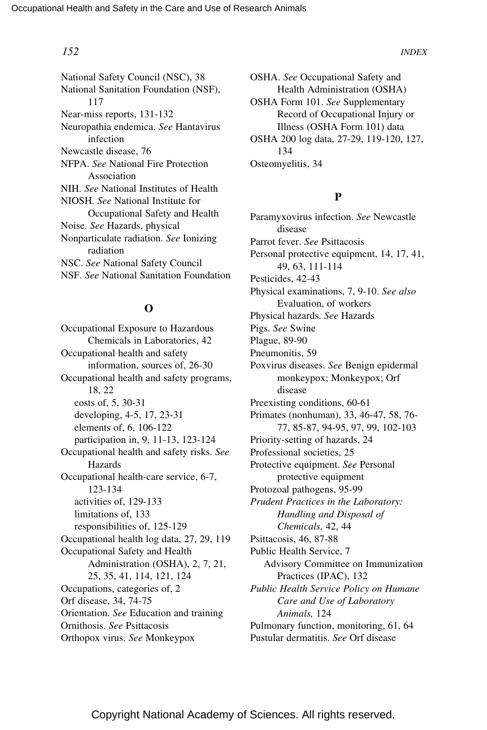#### *152*

National Safety Council (NSC), 38 National Sanitation Foundation (NSF), 117 Near-miss reports, 131-132 Neuropathia endemica. *See* Hantavirus infection Newcastle disease, 76 NFPA. *See* National Fire Protection Association NIH. *See* National Institutes of Health NIOSH. *See* National Institute for Occupational Safety and Health Noise. *See* Hazards, physical Nonparticulate radiation. *See* Ionizing radiation NSC. *See* National Safety Council NSF. *See* National Sanitation Foundation

### **O**

Occupational Exposure to Hazardous Chemicals in Laboratories, 42 Occupational health and safety information, sources of, 26-30 Occupational health and safety programs, 18, 22 costs of, 5, 30-31 developing, 4-5, 17, 23-31 elements of, 6, 106-122 participation in, 9, 11-13, 123-124 Occupational health and safety risks. *See*  Hazards Occupational health-care service, 6-7, 123-134 activities of, 129-133 limitations of, 133 responsibilities of, 125-129 Occupational health log data, 27, 29, 119 Occupational Safety and Health Administration (OSHA), 2, 7, 21, 25, 35, 41, 114, 121, 124 Occupations, categories of, 2 Orf disease, 34, 74-75 Orientation. *See* Education and training Ornithosis. *See* Psittacosis Orthopox virus. *See* Monkeypox

OSHA. *See* Occupational Safety and Health Administration (OSHA) OSHA Form 101. *See* Supplementary Record of Occupational Injury or Illness (OSHA Form 101) data OSHA 200 log data, 27-29, 119-120, 127, 134 Osteomyelitis, 34

# **P**

Paramyxovirus infection. *See* Newcastle disease Parrot fever. *See* Psittacosis Personal protective equipment, 14, 17, 41, 49, 63, 111-114 Pesticides, 42-43 Physical examinations, 7, 9-10. *See also*  Evaluation, of workers Physical hazards. *See* Hazards Pigs. *See* Swine Plague, 89-90 Pneumonitis, 59 Poxvirus diseases. *See* Benign epidermal monkeypox; Monkeypox; Orf disease Preexisting conditions, 60-61 Primates (nonhuman), 33, 46-47, 58, 76- 77, 85-87, 94-95, 97, 99, 102-103 Priority-setting of hazards, 24 Professional societies, 25 Protective equipment. *See* Personal protective equipment Protozoal pathogens, 95-99 *Prudent Practices in the Laboratory: Handling and Disposal of Chemicals,* 42, 44 Psittacosis, 46, 87-88 Public Health Service, 7 Advisory Committee on Immunization Practices (IPAC), 132 *Public Health Service Policy on Humane Care and Use of Laboratory Animals,* 124 Pulmonary function, monitoring, 61, 64 Pustular dermatitis. *See* Orf disease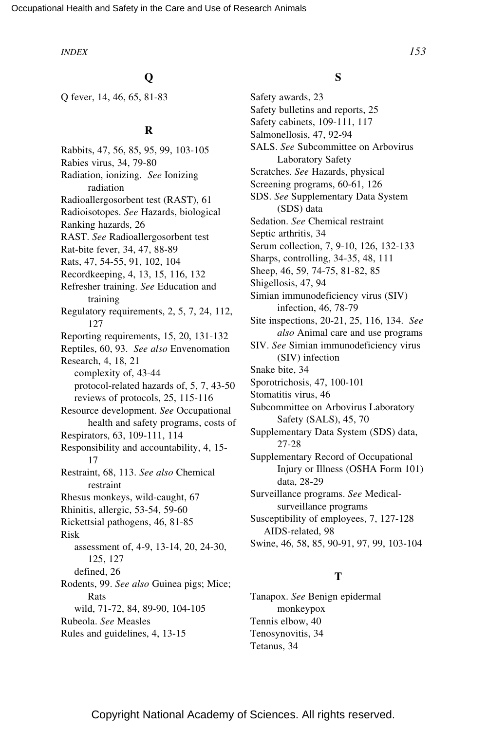*INDEX 153* 

#### **Q**

Q fever, 14, 46, 65, 81-83

#### **R**

Rabbits, 47, 56, 85, 95, 99, 103-105 Rabies virus, 34, 79-80 Radiation, ionizing. *See* Ionizing radiation Radioallergosorbent test (RAST), 61 Radioisotopes. *See* Hazards, biological Ranking hazards, 26 RAST. *See* Radioallergosorbent test Rat-bite fever, 34, 47, 88-89 Rats, 47, 54-55, 91, 102, 104 Recordkeeping, 4, 13, 15, 116, 132 Refresher training. *See* Education and training Regulatory requirements, 2, 5, 7, 24, 112, 127 Reporting requirements, 15, 20, 131-132 Reptiles, 60, 93. *See also* Envenomation Research, 4, 18, 21 complexity of, 43-44 protocol-related hazards of, 5, 7, 43-50 reviews of protocols, 25, 115-116 Resource development. *See* Occupational health and safety programs, costs of Respirators, 63, 109-111, 114 Responsibility and accountability, 4, 15- 17 Restraint, 68, 113. *See also* Chemical restraint Rhesus monkeys, wild-caught, 67 Rhinitis, allergic, 53-54, 59-60 Rickettsial pathogens, 46, 81-85 Risk assessment of, 4-9, 13-14, 20, 24-30, 125, 127 defined, 26 Rodents, 99. *See also* Guinea pigs; Mice; Rats wild, 71-72, 84, 89-90, 104-105 Rubeola. *See* Measles Rules and guidelines, 4, 13-15

# **S**

Safety awards, 23 Safety bulletins and reports, 25 Safety cabinets, 109-111, 117 Salmonellosis, 47, 92-94 SALS. *See* Subcommittee on Arbovirus Laboratory Safety Scratches. *See* Hazards, physical Screening programs, 60-61, 126 SDS. *See* Supplementary Data System (SDS) data Sedation. *See* Chemical restraint Septic arthritis, 34 Serum collection, 7, 9-10, 126, 132-133 Sharps, controlling, 34-35, 48, 111 Sheep, 46, 59, 74-75, 81-82, 85 Shigellosis, 47, 94 Simian immunodeficiency virus (SIV) infection, 46, 78-79 Site inspections, 20-21, 25, 116, 134. *See also* Animal care and use programs SIV. *See* Simian immunodeficiency virus (SIV) infection Snake bite, 34 Sporotrichosis, 47, 100-101 Stomatitis virus, 46 Subcommittee on Arbovirus Laboratory Safety (SALS), 45, 70 Supplementary Data System (SDS) data, 27-28 Supplementary Record of Occupational Injury or Illness (OSHA Form 101) data, 28-29 Surveillance programs. *See* Medicalsurveillance programs Susceptibility of employees, 7, 127-128 AIDS-related, 98 Swine, 46, 58, 85, 90-91, 97, 99, 103-104

# **T**

Tanapox. *See* Benign epidermal monkeypox Tennis elbow, 40 Tenosynovitis, 34 Tetanus, 34